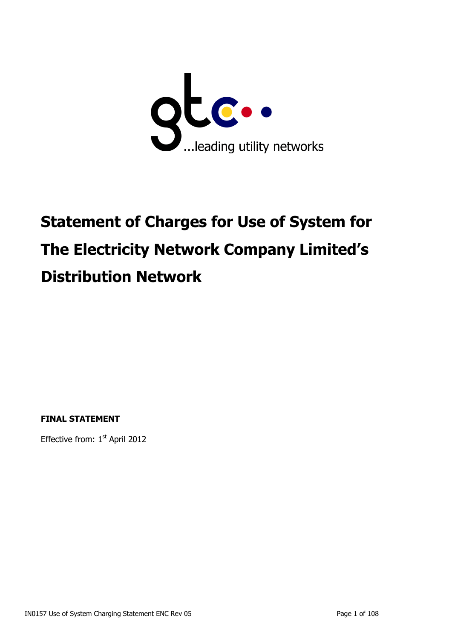

# **Statement of Charges for Use of System for The Electricity Network Company Limited's Distribution Network**

**FINAL STATEMENT**

Effective from: 1<sup>st</sup> April 2012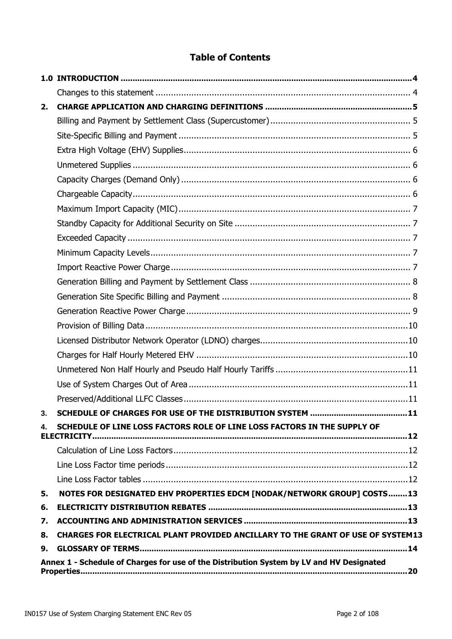# **Table of Contents**

| 2. |                                                                                          |
|----|------------------------------------------------------------------------------------------|
|    |                                                                                          |
|    |                                                                                          |
|    |                                                                                          |
|    |                                                                                          |
|    |                                                                                          |
|    |                                                                                          |
|    |                                                                                          |
|    |                                                                                          |
|    |                                                                                          |
|    |                                                                                          |
|    |                                                                                          |
|    |                                                                                          |
|    |                                                                                          |
|    |                                                                                          |
|    |                                                                                          |
|    |                                                                                          |
|    |                                                                                          |
|    |                                                                                          |
|    |                                                                                          |
|    |                                                                                          |
|    |                                                                                          |
| 4. | SCHEDULE OF LINE LOSS FACTORS ROLE OF LINE LOSS FACTORS IN THE SUPPLY OF<br>ELECTRICITY  |
|    |                                                                                          |
|    |                                                                                          |
|    |                                                                                          |
| 5. | NOTES FOR DESIGNATED EHV PROPERTIES EDCM [NODAK/NETWORK GROUP] COSTS13                   |
| 6. |                                                                                          |
| 7. |                                                                                          |
| 8. | CHARGES FOR ELECTRICAL PLANT PROVIDED ANCILLARY TO THE GRANT OF USE OF SYSTEM13          |
| 9. |                                                                                          |
|    | Annex 1 - Schedule of Charges for use of the Distribution System by LV and HV Designated |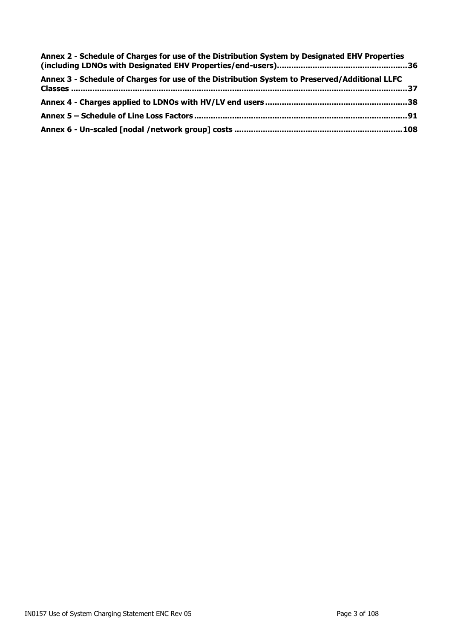| Annex 2 - Schedule of Charges for use of the Distribution System by Designated EHV Properties |  |
|-----------------------------------------------------------------------------------------------|--|
| Annex 3 - Schedule of Charges for use of the Distribution System to Preserved/Additional LLFC |  |
|                                                                                               |  |
|                                                                                               |  |
|                                                                                               |  |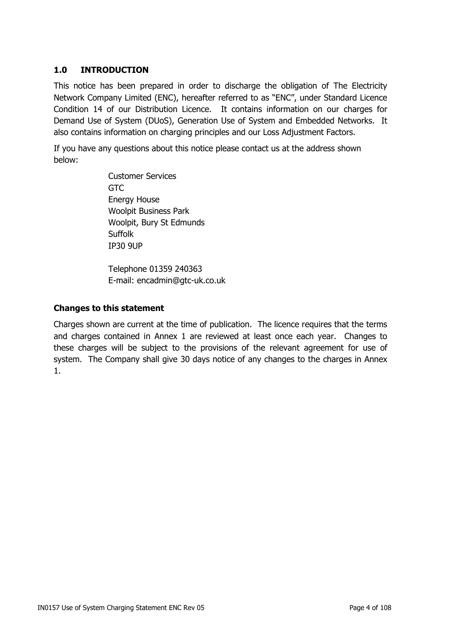# <span id="page-3-0"></span>**1.0 INTRODUCTION**

This notice has been prepared in order to discharge the obligation of The Electricity Network Company Limited (ENC), hereafter referred to as "ENC", under Standard Licence Condition 14 of our Distribution Licence. It contains information on our charges for Demand Use of System (DUoS), Generation Use of System and Embedded Networks. It also contains information on charging principles and our Loss Adjustment Factors.

If you have any questions about this notice please contact us at the address shown below:

> Customer Services GTC Energy House Woolpit Business Park Woolpit, Bury St Edmunds **Suffolk** IP30 9UP

Telephone 01359 240363 E-mail: encadmin@gtc-uk.co.uk

#### <span id="page-3-1"></span>**Changes to this statement**

Charges shown are current at the time of publication. The licence requires that the terms and charges contained in Annex 1 are reviewed at least once each year. Changes to these charges will be subject to the provisions of the relevant agreement for use of system. The Company shall give 30 days notice of any changes to the charges in Annex 1.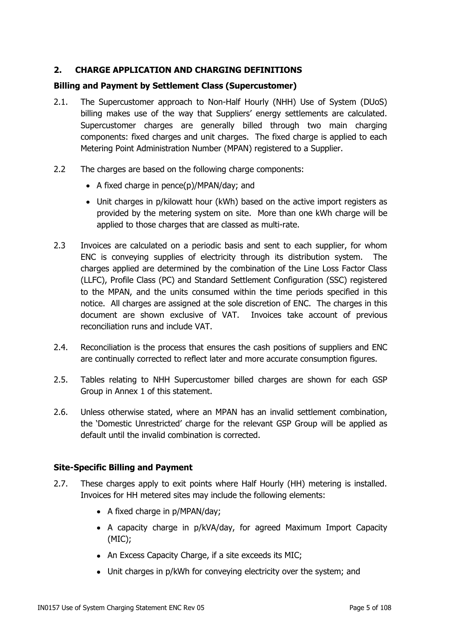# <span id="page-4-0"></span>**2. CHARGE APPLICATION AND CHARGING DEFINITIONS**

## <span id="page-4-1"></span>**Billing and Payment by Settlement Class (Supercustomer)**

- 2.1. The Supercustomer approach to Non-Half Hourly (NHH) Use of System (DUoS) billing makes use of the way that Suppliers' energy settlements are calculated. Supercustomer charges are generally billed through two main charging components: fixed charges and unit charges. The fixed charge is applied to each Metering Point Administration Number (MPAN) registered to a Supplier.
- 2.2 The charges are based on the following charge components:
	- A fixed charge in pence(p)/MPAN/day; and
	- Unit charges in p/kilowatt hour (kWh) based on the active import registers as provided by the metering system on site. More than one kWh charge will be applied to those charges that are classed as multi-rate.
- 2.3 Invoices are calculated on a periodic basis and sent to each supplier, for whom ENC is conveying supplies of electricity through its distribution system. The charges applied are determined by the combination of the Line Loss Factor Class (LLFC), Profile Class (PC) and Standard Settlement Configuration (SSC) registered to the MPAN, and the units consumed within the time periods specified in this notice. All charges are assigned at the sole discretion of ENC. The charges in this document are shown exclusive of VAT. Invoices take account of previous reconciliation runs and include VAT.
- 2.4. Reconciliation is the process that ensures the cash positions of suppliers and ENC are continually corrected to reflect later and more accurate consumption figures.
- 2.5. Tables relating to NHH Supercustomer billed charges are shown for each GSP Group in Annex 1 of this statement.
- 2.6. Unless otherwise stated, where an MPAN has an invalid settlement combination, the 'Domestic Unrestricted' charge for the relevant GSP Group will be applied as default until the invalid combination is corrected.

#### <span id="page-4-2"></span>**Site-Specific Billing and Payment**

- 2.7. These charges apply to exit points where Half Hourly (HH) metering is installed. Invoices for HH metered sites may include the following elements:
	- A fixed charge in p/MPAN/day;
	- A capacity charge in p/kVA/day, for agreed Maximum Import Capacity (MIC);
	- An Excess Capacity Charge, if a site exceeds its MIC;
	- Unit charges in p/kWh for conveying electricity over the system; and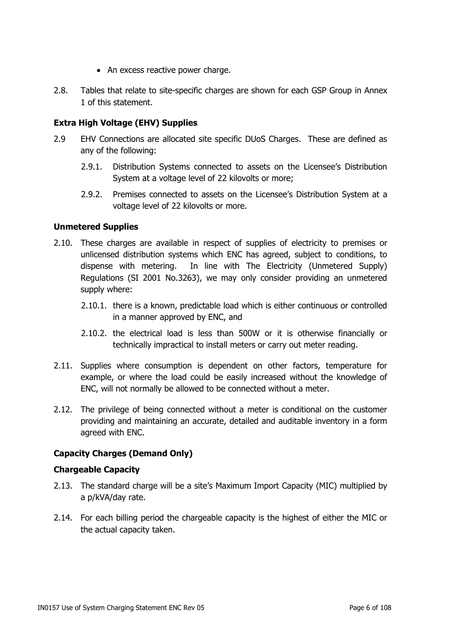- An excess reactive power charge.
- 2.8. Tables that relate to site-specific charges are shown for each GSP Group in Annex 1 of this statement.

# <span id="page-5-0"></span>**Extra High Voltage (EHV) Supplies**

- 2.9 EHV Connections are allocated site specific DUoS Charges. These are defined as any of the following:
	- 2.9.1. Distribution Systems connected to assets on the Licensee's Distribution System at a voltage level of 22 kilovolts or more;
	- 2.9.2. Premises connected to assets on the Licensee's Distribution System at a voltage level of 22 kilovolts or more.

#### <span id="page-5-1"></span>**Unmetered Supplies**

- 2.10. These charges are available in respect of supplies of electricity to premises or unlicensed distribution systems which ENC has agreed, subject to conditions, to dispense with metering. In line with The Electricity (Unmetered Supply) Regulations (SI 2001 No.3263), we may only consider providing an unmetered supply where:
	- 2.10.1. there is a known, predictable load which is either continuous or controlled in a manner approved by ENC, and
	- 2.10.2. the electrical load is less than 500W or it is otherwise financially or technically impractical to install meters or carry out meter reading.
- 2.11. Supplies where consumption is dependent on other factors, temperature for example, or where the load could be easily increased without the knowledge of ENC, will not normally be allowed to be connected without a meter.
- 2.12. The privilege of being connected without a meter is conditional on the customer providing and maintaining an accurate, detailed and auditable inventory in a form agreed with ENC.

# <span id="page-5-2"></span>**Capacity Charges (Demand Only)**

#### <span id="page-5-3"></span>**Chargeable Capacity**

- 2.13. The standard charge will be a site's Maximum Import Capacity (MIC) multiplied by a p/kVA/day rate.
- 2.14. For each billing period the chargeable capacity is the highest of either the MIC or the actual capacity taken.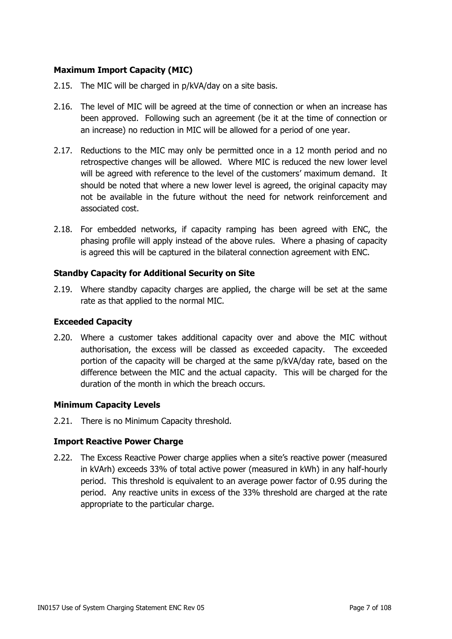# <span id="page-6-0"></span>**Maximum Import Capacity (MIC)**

- 2.15. The MIC will be charged in p/kVA/day on a site basis.
- 2.16. The level of MIC will be agreed at the time of connection or when an increase has been approved. Following such an agreement (be it at the time of connection or an increase) no reduction in MIC will be allowed for a period of one year.
- 2.17. Reductions to the MIC may only be permitted once in a 12 month period and no retrospective changes will be allowed. Where MIC is reduced the new lower level will be agreed with reference to the level of the customers' maximum demand. It should be noted that where a new lower level is agreed, the original capacity may not be available in the future without the need for network reinforcement and associated cost.
- 2.18. For embedded networks, if capacity ramping has been agreed with ENC, the phasing profile will apply instead of the above rules. Where a phasing of capacity is agreed this will be captured in the bilateral connection agreement with ENC.

#### <span id="page-6-1"></span>**Standby Capacity for Additional Security on Site**

2.19. Where standby capacity charges are applied, the charge will be set at the same rate as that applied to the normal MIC.

#### <span id="page-6-2"></span>**Exceeded Capacity**

2.20. Where a customer takes additional capacity over and above the MIC without authorisation, the excess will be classed as exceeded capacity. The exceeded portion of the capacity will be charged at the same p/kVA/day rate, based on the difference between the MIC and the actual capacity. This will be charged for the duration of the month in which the breach occurs.

#### <span id="page-6-3"></span>**Minimum Capacity Levels**

2.21. There is no Minimum Capacity threshold.

# <span id="page-6-4"></span>**Import Reactive Power Charge**

2.22. The Excess Reactive Power charge applies when a site's reactive power (measured in kVArh) exceeds 33% of total active power (measured in kWh) in any half-hourly period. This threshold is equivalent to an average power factor of 0.95 during the period. Any reactive units in excess of the 33% threshold are charged at the rate appropriate to the particular charge.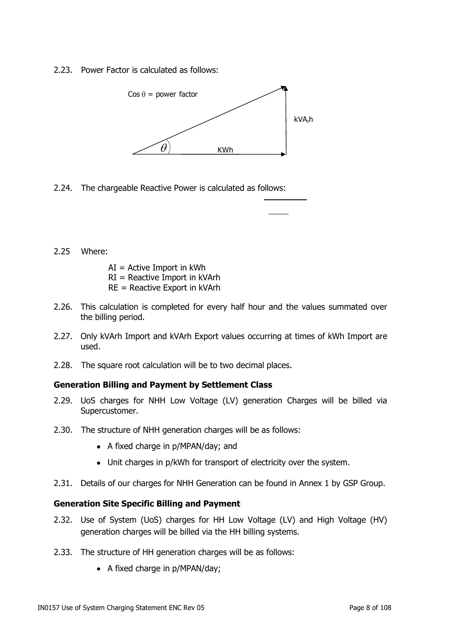2.23. Power Factor is calculated as follows:



2.24. The chargeable Reactive Power is calculated as follows:

2.25 Where:

 $AI =$  Active Import in kWh RI = Reactive Import in kVArh

- RE = Reactive Export in kVArh
- 2.26. This calculation is completed for every half hour and the values summated over the billing period.
- 2.27. Only kVArh Import and kVArh Export values occurring at times of kWh Import are used.
- 2.28. The square root calculation will be to two decimal places.

#### <span id="page-7-0"></span>**Generation Billing and Payment by Settlement Class**

- 2.29. UoS charges for NHH Low Voltage (LV) generation Charges will be billed via Supercustomer.
- 2.30. The structure of NHH generation charges will be as follows:
	- A fixed charge in p/MPAN/day; and
	- Unit charges in p/kWh for transport of electricity over the system.
- 2.31. Details of our charges for NHH Generation can be found in Annex 1 by GSP Group.

#### <span id="page-7-1"></span>**Generation Site Specific Billing and Payment**

- 2.32. Use of System (UoS) charges for HH Low Voltage (LV) and High Voltage (HV) generation charges will be billed via the HH billing systems.
- 2.33. The structure of HH generation charges will be as follows:
	- A fixed charge in p/MPAN/day;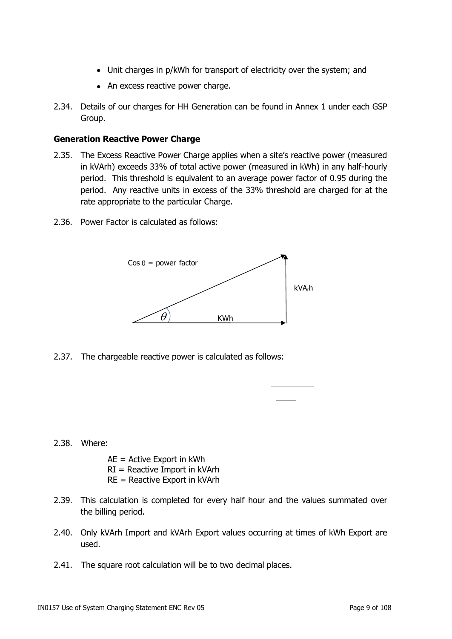- Unit charges in p/kWh for transport of electricity over the system; and
- An excess reactive power charge.
- 2.34. Details of our charges for HH Generation can be found in Annex 1 under each GSP Group.

#### <span id="page-8-0"></span>**Generation Reactive Power Charge**

- 2.35. The Excess Reactive Power Charge applies when a site's reactive power (measured in kVArh) exceeds 33% of total active power (measured in kWh) in any half-hourly period. This threshold is equivalent to an average power factor of 0.95 during the period. Any reactive units in excess of the 33% threshold are charged for at the rate appropriate to the particular Charge.
- 2.36. Power Factor is calculated as follows:



2.37. The chargeable reactive power is calculated as follows:

#### 2.38. Where:

- AE = Active Export in kWh RI = Reactive Import in kVArh RE = Reactive Export in kVArh
- 2.39. This calculation is completed for every half hour and the values summated over the billing period.
- 2.40. Only kVArh Import and kVArh Export values occurring at times of kWh Export are used.
- 2.41. The square root calculation will be to two decimal places.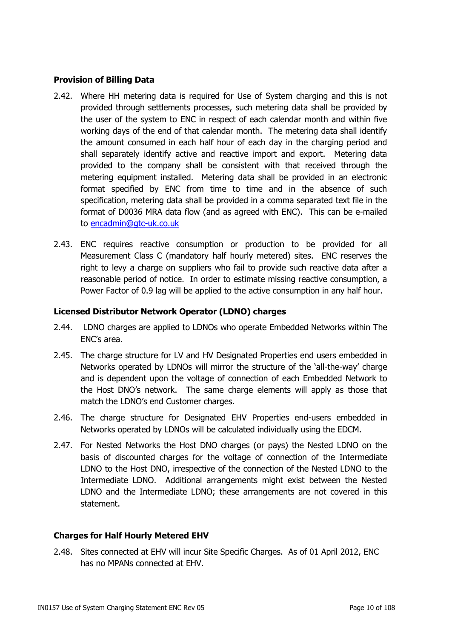## <span id="page-9-0"></span>**Provision of Billing Data**

- 2.42. Where HH metering data is required for Use of System charging and this is not provided through settlements processes, such metering data shall be provided by the user of the system to ENC in respect of each calendar month and within five working days of the end of that calendar month. The metering data shall identify the amount consumed in each half hour of each day in the charging period and shall separately identify active and reactive import and export. Metering data provided to the company shall be consistent with that received through the metering equipment installed. Metering data shall be provided in an electronic format specified by ENC from time to time and in the absence of such specification, metering data shall be provided in a comma separated text file in the format of D0036 MRA data flow (and as agreed with ENC). This can be e-mailed to [encadmin@gtc-uk.co.uk](mailto:encadmin@gtc-uk.co.uk)
- 2.43. ENC requires reactive consumption or production to be provided for all Measurement Class C (mandatory half hourly metered) sites. ENC reserves the right to levy a charge on suppliers who fail to provide such reactive data after a reasonable period of notice. In order to estimate missing reactive consumption, a Power Factor of 0.9 lag will be applied to the active consumption in any half hour.

#### <span id="page-9-1"></span>**Licensed Distributor Network Operator (LDNO) charges**

- 2.44. LDNO charges are applied to LDNOs who operate Embedded Networks within The ENC's area.
- 2.45. The charge structure for LV and HV Designated Properties end users embedded in Networks operated by LDNOs will mirror the structure of the 'all-the-way' charge and is dependent upon the voltage of connection of each Embedded Network to the Host DNO's network. The same charge elements will apply as those that match the LDNO's end Customer charges.
- 2.46. The charge structure for Designated EHV Properties end-users embedded in Networks operated by LDNOs will be calculated individually using the EDCM.
- 2.47. For Nested Networks the Host DNO charges (or pays) the Nested LDNO on the basis of discounted charges for the voltage of connection of the Intermediate LDNO to the Host DNO, irrespective of the connection of the Nested LDNO to the Intermediate LDNO. Additional arrangements might exist between the Nested LDNO and the Intermediate LDNO; these arrangements are not covered in this statement.

#### <span id="page-9-2"></span>**Charges for Half Hourly Metered EHV**

2.48. Sites connected at EHV will incur Site Specific Charges. As of 01 April 2012, ENC has no MPANs connected at EHV.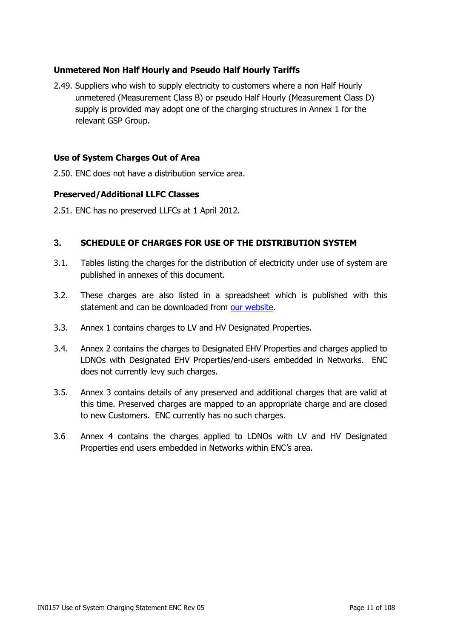# <span id="page-10-0"></span>**Unmetered Non Half Hourly and Pseudo Half Hourly Tariffs**

2.49. Suppliers who wish to supply electricity to customers where a non Half Hourly unmetered (Measurement Class B) or pseudo Half Hourly (Measurement Class D) supply is provided may adopt one of the charging structures in Annex 1 for the relevant GSP Group.

### <span id="page-10-1"></span>**Use of System Charges Out of Area**

2.50. ENC does not have a distribution service area.

#### <span id="page-10-2"></span>**Preserved/Additional LLFC Classes**

2.51. ENC has no preserved LLFCs at 1 April 2012.

#### <span id="page-10-3"></span>**3. SCHEDULE OF CHARGES FOR USE OF THE DISTRIBUTION SYSTEM**

- 3.1. Tables listing the charges for the distribution of electricity under use of system are published in annexes of this document.
- 3.2. These charges are also listed in a spreadsheet which is published with this statement and can be downloaded from [our website.](http://www.gtc-uk.co.uk/about-us/our-regulated-businesses)
- 3.3. Annex 1 contains charges to LV and HV Designated Properties.
- 3.4. Annex 2 contains the charges to Designated EHV Properties and charges applied to LDNOs with Designated EHV Properties/end-users embedded in Networks. ENC does not currently levy such charges.
- 3.5. Annex 3 contains details of any preserved and additional charges that are valid at this time. Preserved charges are mapped to an appropriate charge and are closed to new Customers. ENC currently has no such charges.
- 3.6 Annex 4 contains the charges applied to LDNOs with LV and HV Designated Properties end users embedded in Networks within ENC's area.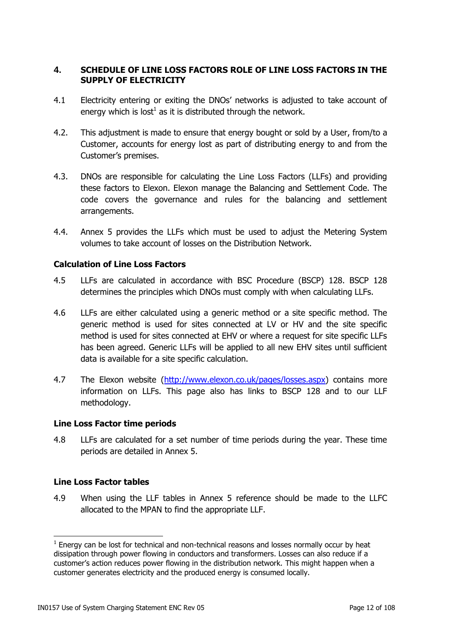## <span id="page-11-0"></span>**4. SCHEDULE OF LINE LOSS FACTORS ROLE OF LINE LOSS FACTORS IN THE SUPPLY OF ELECTRICITY**

- 4.1 Electricity entering or exiting the DNOs' networks is adjusted to take account of energy which is lost $^1$  as it is distributed through the network.
- 4.2. This adjustment is made to ensure that energy bought or sold by a User, from/to a Customer, accounts for energy lost as part of distributing energy to and from the Customer's premises.
- 4.3. DNOs are responsible for calculating the Line Loss Factors (LLFs) and providing these factors to Elexon. Elexon manage the Balancing and Settlement Code. The code covers the governance and rules for the balancing and settlement arrangements.
- 4.4. Annex 5 provides the LLFs which must be used to adjust the Metering System volumes to take account of losses on the Distribution Network.

#### <span id="page-11-1"></span>**Calculation of Line Loss Factors**

- 4.5 LLFs are calculated in accordance with BSC Procedure (BSCP) 128. BSCP 128 determines the principles which DNOs must comply with when calculating LLFs.
- 4.6 LLFs are either calculated using a generic method or a site specific method. The generic method is used for sites connected at LV or HV and the site specific method is used for sites connected at EHV or where a request for site specific LLFs has been agreed. Generic LLFs will be applied to all new EHV sites until sufficient data is available for a site specific calculation.
- 4.7 The Elexon website [\(http://www.elexon.co.uk/pages/losses.aspx\)](http://www.elexon.co.uk/pages/losses.aspx) contains more information on LLFs. This page also has links to BSCP 128 and to our LLF methodology.

#### <span id="page-11-2"></span>**Line Loss Factor time periods**

4.8 LLFs are calculated for a set number of time periods during the year. These time periods are detailed in Annex 5.

#### <span id="page-11-3"></span>**Line Loss Factor tables**

4.9 When using the LLF tables in Annex 5 reference should be made to the LLFC allocated to the MPAN to find the appropriate LLF.

 $1$  Energy can be lost for technical and non-technical reasons and losses normally occur by heat dissipation through power flowing in conductors and transformers. Losses can also reduce if a customer's action reduces power flowing in the distribution network. This might happen when a customer generates electricity and the produced energy is consumed locally.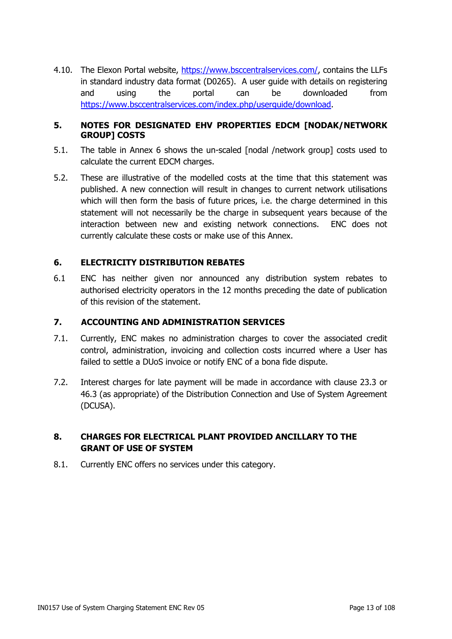4.10. The Elexon Portal website, [https://www.bsccentralservices.com/,](https://www.bsccentralservices.com/) contains the LLFs in standard industry data format (D0265). A user guide with details on registering and using the portal can be downloaded from [https://www.bsccentralservices.com/index.php/userguide/download.](https://www.bsccentralservices.com/index.php/userguide/download)

### <span id="page-12-0"></span>**5. NOTES FOR DESIGNATED EHV PROPERTIES EDCM [NODAK/NETWORK GROUP] COSTS**

- 5.1. The table in Annex 6 shows the un-scaled [nodal /network group] costs used to calculate the current EDCM charges.
- 5.2. These are illustrative of the modelled costs at the time that this statement was published. A new connection will result in changes to current network utilisations which will then form the basis of future prices, i.e. the charge determined in this statement will not necessarily be the charge in subsequent years because of the interaction between new and existing network connections. ENC does not currently calculate these costs or make use of this Annex.

# <span id="page-12-1"></span>**6. ELECTRICITY DISTRIBUTION REBATES**

6.1 ENC has neither given nor announced any distribution system rebates to authorised electricity operators in the 12 months preceding the date of publication of this revision of the statement.

#### <span id="page-12-2"></span>**7. ACCOUNTING AND ADMINISTRATION SERVICES**

- 7.1. Currently, ENC makes no administration charges to cover the associated credit control, administration, invoicing and collection costs incurred where a User has failed to settle a DUoS invoice or notify ENC of a bona fide dispute.
- 7.2. Interest charges for late payment will be made in accordance with clause 23.3 or 46.3 (as appropriate) of the Distribution Connection and Use of System Agreement (DCUSA).

# <span id="page-12-3"></span>**8. CHARGES FOR ELECTRICAL PLANT PROVIDED ANCILLARY TO THE GRANT OF USE OF SYSTEM**

<span id="page-12-4"></span>8.1. Currently ENC offers no services under this category.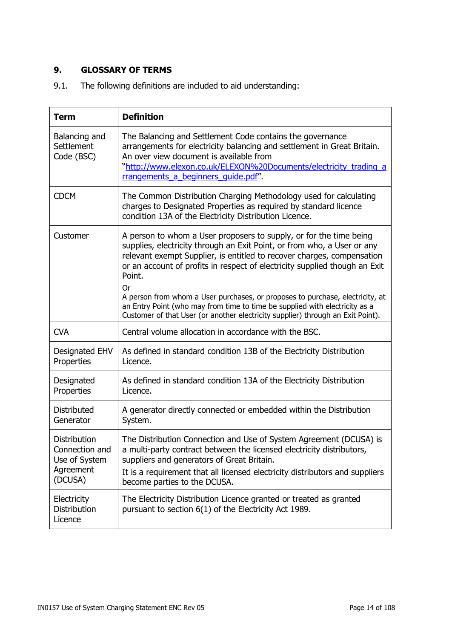# **9. GLOSSARY OF TERMS**

9.1. The following definitions are included to aid understanding:

| <b>Term</b>                                                             | <b>Definition</b>                                                                                                                                                                                                                                                                                                                                                                                                                                                                                                                                                               |
|-------------------------------------------------------------------------|---------------------------------------------------------------------------------------------------------------------------------------------------------------------------------------------------------------------------------------------------------------------------------------------------------------------------------------------------------------------------------------------------------------------------------------------------------------------------------------------------------------------------------------------------------------------------------|
| Balancing and<br>Settlement<br>Code (BSC)                               | The Balancing and Settlement Code contains the governance<br>arrangements for electricity balancing and settlement in Great Britain.<br>An over view document is available from<br>"http://www.elexon.co.uk/ELEXON%20Documents/electricity_trading_a<br>rrangements a beginners quide.pdf".                                                                                                                                                                                                                                                                                     |
| <b>CDCM</b>                                                             | The Common Distribution Charging Methodology used for calculating<br>charges to Designated Properties as required by standard licence<br>condition 13A of the Electricity Distribution Licence.                                                                                                                                                                                                                                                                                                                                                                                 |
| Customer                                                                | A person to whom a User proposers to supply, or for the time being<br>supplies, electricity through an Exit Point, or from who, a User or any<br>relevant exempt Supplier, is entitled to recover charges, compensation<br>or an account of profits in respect of electricity supplied though an Exit<br>Point.<br><b>Or</b><br>A person from whom a User purchases, or proposes to purchase, electricity, at<br>an Entry Point (who may from time to time be supplied with electricity as a<br>Customer of that User (or another electricity supplier) through an Exit Point). |
| <b>CVA</b>                                                              | Central volume allocation in accordance with the BSC.                                                                                                                                                                                                                                                                                                                                                                                                                                                                                                                           |
| Designated EHV<br>Properties                                            | As defined in standard condition 13B of the Electricity Distribution<br>Licence.                                                                                                                                                                                                                                                                                                                                                                                                                                                                                                |
| Designated<br>Properties                                                | As defined in standard condition 13A of the Electricity Distribution<br>Licence.                                                                                                                                                                                                                                                                                                                                                                                                                                                                                                |
| <b>Distributed</b><br>Generator                                         | A generator directly connected or embedded within the Distribution<br>System.                                                                                                                                                                                                                                                                                                                                                                                                                                                                                                   |
| Distribution<br>Connection and<br>Use of System<br>Agreement<br>(DCUSA) | The Distribution Connection and Use of System Agreement (DCUSA) is<br>a multi-party contract between the licensed electricity distributors,<br>suppliers and generators of Great Britain.<br>It is a requirement that all licensed electricity distributors and suppliers<br>become parties to the DCUSA.                                                                                                                                                                                                                                                                       |
| Electricity<br>Distribution<br>Licence                                  | The Electricity Distribution Licence granted or treated as granted<br>pursuant to section 6(1) of the Electricity Act 1989.                                                                                                                                                                                                                                                                                                                                                                                                                                                     |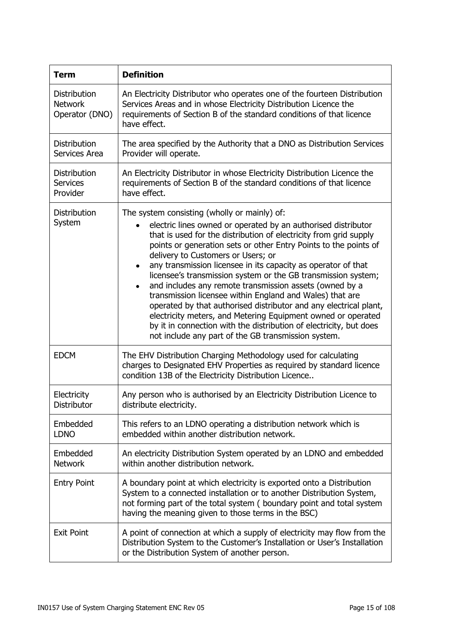| <b>Term</b>                                        | <b>Definition</b>                                                                                                                                                                                                                                                                                                                                                                                                                                                                                                                                                                                                                                                                                                                                                                                                                         |
|----------------------------------------------------|-------------------------------------------------------------------------------------------------------------------------------------------------------------------------------------------------------------------------------------------------------------------------------------------------------------------------------------------------------------------------------------------------------------------------------------------------------------------------------------------------------------------------------------------------------------------------------------------------------------------------------------------------------------------------------------------------------------------------------------------------------------------------------------------------------------------------------------------|
| Distribution<br><b>Network</b><br>Operator (DNO)   | An Electricity Distributor who operates one of the fourteen Distribution<br>Services Areas and in whose Electricity Distribution Licence the<br>requirements of Section B of the standard conditions of that licence<br>have effect.                                                                                                                                                                                                                                                                                                                                                                                                                                                                                                                                                                                                      |
| <b>Distribution</b><br>Services Area               | The area specified by the Authority that a DNO as Distribution Services<br>Provider will operate.                                                                                                                                                                                                                                                                                                                                                                                                                                                                                                                                                                                                                                                                                                                                         |
| <b>Distribution</b><br><b>Services</b><br>Provider | An Electricity Distributor in whose Electricity Distribution Licence the<br>requirements of Section B of the standard conditions of that licence<br>have effect.                                                                                                                                                                                                                                                                                                                                                                                                                                                                                                                                                                                                                                                                          |
| Distribution<br>System                             | The system consisting (wholly or mainly) of:<br>electric lines owned or operated by an authorised distributor<br>that is used for the distribution of electricity from grid supply<br>points or generation sets or other Entry Points to the points of<br>delivery to Customers or Users; or<br>any transmission licensee in its capacity as operator of that<br>٠<br>licensee's transmission system or the GB transmission system;<br>and includes any remote transmission assets (owned by a<br>$\bullet$<br>transmission licensee within England and Wales) that are<br>operated by that authorised distributor and any electrical plant,<br>electricity meters, and Metering Equipment owned or operated<br>by it in connection with the distribution of electricity, but does<br>not include any part of the GB transmission system. |
| <b>EDCM</b>                                        | The EHV Distribution Charging Methodology used for calculating<br>charges to Designated EHV Properties as required by standard licence<br>condition 13B of the Electricity Distribution Licence                                                                                                                                                                                                                                                                                                                                                                                                                                                                                                                                                                                                                                           |
| Electricity<br>Distributor                         | Any person who is authorised by an Electricity Distribution Licence to<br>distribute electricity.                                                                                                                                                                                                                                                                                                                                                                                                                                                                                                                                                                                                                                                                                                                                         |
| Embedded<br><b>LDNO</b>                            | This refers to an LDNO operating a distribution network which is<br>embedded within another distribution network.                                                                                                                                                                                                                                                                                                                                                                                                                                                                                                                                                                                                                                                                                                                         |
| Embedded<br><b>Network</b>                         | An electricity Distribution System operated by an LDNO and embedded<br>within another distribution network.                                                                                                                                                                                                                                                                                                                                                                                                                                                                                                                                                                                                                                                                                                                               |
| <b>Entry Point</b>                                 | A boundary point at which electricity is exported onto a Distribution<br>System to a connected installation or to another Distribution System,<br>not forming part of the total system (boundary point and total system<br>having the meaning given to those terms in the BSC)                                                                                                                                                                                                                                                                                                                                                                                                                                                                                                                                                            |
| <b>Exit Point</b>                                  | A point of connection at which a supply of electricity may flow from the<br>Distribution System to the Customer's Installation or User's Installation<br>or the Distribution System of another person.                                                                                                                                                                                                                                                                                                                                                                                                                                                                                                                                                                                                                                    |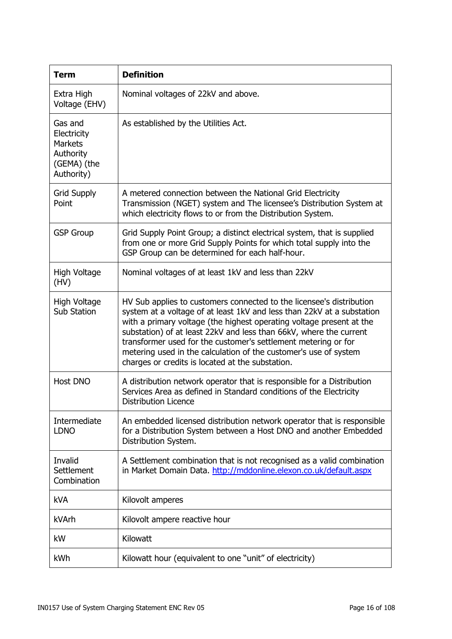| <b>Term</b>                                                                        | <b>Definition</b>                                                                                                                                                                                                                                                                                                                                                                                                                                                                      |
|------------------------------------------------------------------------------------|----------------------------------------------------------------------------------------------------------------------------------------------------------------------------------------------------------------------------------------------------------------------------------------------------------------------------------------------------------------------------------------------------------------------------------------------------------------------------------------|
| Extra High<br>Voltage (EHV)                                                        | Nominal voltages of 22kV and above.                                                                                                                                                                                                                                                                                                                                                                                                                                                    |
| Gas and<br>Electricity<br><b>Markets</b><br>Authority<br>(GEMA) (the<br>Authority) | As established by the Utilities Act.                                                                                                                                                                                                                                                                                                                                                                                                                                                   |
| <b>Grid Supply</b><br>Point                                                        | A metered connection between the National Grid Electricity<br>Transmission (NGET) system and The licensee's Distribution System at<br>which electricity flows to or from the Distribution System.                                                                                                                                                                                                                                                                                      |
| <b>GSP Group</b>                                                                   | Grid Supply Point Group; a distinct electrical system, that is supplied<br>from one or more Grid Supply Points for which total supply into the<br>GSP Group can be determined for each half-hour.                                                                                                                                                                                                                                                                                      |
| High Voltage<br>(HV)                                                               | Nominal voltages of at least 1kV and less than 22kV                                                                                                                                                                                                                                                                                                                                                                                                                                    |
| High Voltage<br>Sub Station                                                        | HV Sub applies to customers connected to the licensee's distribution<br>system at a voltage of at least 1kV and less than 22kV at a substation<br>with a primary voltage (the highest operating voltage present at the<br>substation) of at least 22kV and less than 66kV, where the current<br>transformer used for the customer's settlement metering or for<br>metering used in the calculation of the customer's use of system<br>charges or credits is located at the substation. |
| Host DNO                                                                           | A distribution network operator that is responsible for a Distribution<br>Services Area as defined in Standard conditions of the Electricity<br><b>Distribution Licence</b>                                                                                                                                                                                                                                                                                                            |
| Intermediate<br><b>LDNO</b>                                                        | An embedded licensed distribution network operator that is responsible<br>for a Distribution System between a Host DNO and another Embedded<br>Distribution System.                                                                                                                                                                                                                                                                                                                    |
| Invalid<br>Settlement<br>Combination                                               | A Settlement combination that is not recognised as a valid combination<br>in Market Domain Data. http://mddonline.elexon.co.uk/default.aspx                                                                                                                                                                                                                                                                                                                                            |
| <b>kVA</b>                                                                         | Kilovolt amperes                                                                                                                                                                                                                                                                                                                                                                                                                                                                       |
| kVArh                                                                              | Kilovolt ampere reactive hour                                                                                                                                                                                                                                                                                                                                                                                                                                                          |
| kW                                                                                 | Kilowatt                                                                                                                                                                                                                                                                                                                                                                                                                                                                               |
| kWh                                                                                | Kilowatt hour (equivalent to one "unit" of electricity)                                                                                                                                                                                                                                                                                                                                                                                                                                |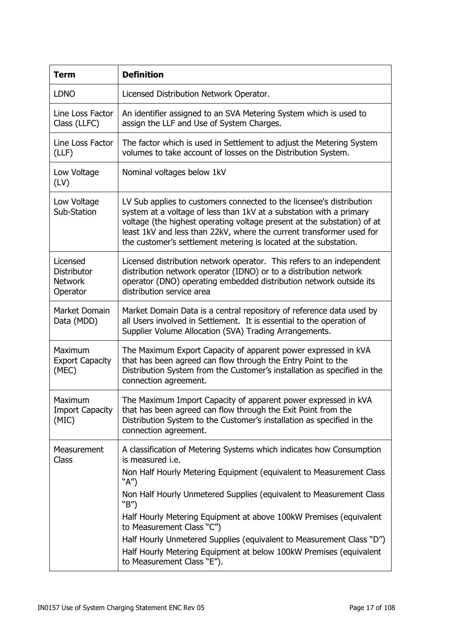| <b>Term</b>                                                  | <b>Definition</b>                                                                                                                                                                                                                                                                                                                                                                                                                                                                                                                                 |
|--------------------------------------------------------------|---------------------------------------------------------------------------------------------------------------------------------------------------------------------------------------------------------------------------------------------------------------------------------------------------------------------------------------------------------------------------------------------------------------------------------------------------------------------------------------------------------------------------------------------------|
| <b>LDNO</b>                                                  | Licensed Distribution Network Operator.                                                                                                                                                                                                                                                                                                                                                                                                                                                                                                           |
| Line Loss Factor<br>Class (LLFC)                             | An identifier assigned to an SVA Metering System which is used to<br>assign the LLF and Use of System Charges.                                                                                                                                                                                                                                                                                                                                                                                                                                    |
| Line Loss Factor<br>(LLF)                                    | The factor which is used in Settlement to adjust the Metering System<br>volumes to take account of losses on the Distribution System.                                                                                                                                                                                                                                                                                                                                                                                                             |
| Low Voltage<br>(LV)                                          | Nominal voltages below 1kV                                                                                                                                                                                                                                                                                                                                                                                                                                                                                                                        |
| Low Voltage<br>Sub-Station                                   | LV Sub applies to customers connected to the licensee's distribution<br>system at a voltage of less than 1kV at a substation with a primary<br>voltage (the highest operating voltage present at the substation) of at<br>least 1kV and less than 22kV, where the current transformer used for<br>the customer's settlement metering is located at the substation.                                                                                                                                                                                |
| Licensed<br><b>Distributor</b><br><b>Network</b><br>Operator | Licensed distribution network operator. This refers to an independent<br>distribution network operator (IDNO) or to a distribution network<br>operator (DNO) operating embedded distribution network outside its<br>distribution service area                                                                                                                                                                                                                                                                                                     |
| Market Domain<br>Data (MDD)                                  | Market Domain Data is a central repository of reference data used by<br>all Users involved in Settlement. It is essential to the operation of<br>Supplier Volume Allocation (SVA) Trading Arrangements.                                                                                                                                                                                                                                                                                                                                           |
| Maximum<br><b>Export Capacity</b><br>(MEC)                   | The Maximum Export Capacity of apparent power expressed in kVA<br>that has been agreed can flow through the Entry Point to the<br>Distribution System from the Customer's installation as specified in the<br>connection agreement.                                                                                                                                                                                                                                                                                                               |
| Maximum<br><b>Import Capacity</b><br>(MIC)                   | The Maximum Import Capacity of apparent power expressed in kVA<br>that has been agreed can flow through the Exit Point from the<br>Distribution System to the Customer's installation as specified in the<br>connection agreement.                                                                                                                                                                                                                                                                                                                |
| Measurement<br>Class                                         | A classification of Metering Systems which indicates how Consumption<br>is measured <i>i.e.</i><br>Non Half Hourly Metering Equipment (equivalent to Measurement Class<br>" $A''$ )<br>Non Half Hourly Unmetered Supplies (equivalent to Measurement Class<br>"B")<br>Half Hourly Metering Equipment at above 100kW Premises (equivalent<br>to Measurement Class "C")<br>Half Hourly Unmetered Supplies (equivalent to Measurement Class "D")<br>Half Hourly Metering Equipment at below 100kW Premises (equivalent<br>to Measurement Class "E"). |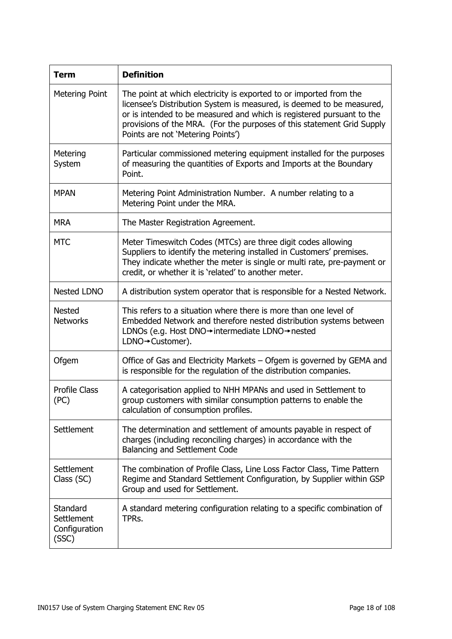| <b>Term</b>                                      | <b>Definition</b>                                                                                                                                                                                                                                                                                                                   |
|--------------------------------------------------|-------------------------------------------------------------------------------------------------------------------------------------------------------------------------------------------------------------------------------------------------------------------------------------------------------------------------------------|
| Metering Point                                   | The point at which electricity is exported to or imported from the<br>licensee's Distribution System is measured, is deemed to be measured,<br>or is intended to be measured and which is registered pursuant to the<br>provisions of the MRA. (For the purposes of this statement Grid Supply<br>Points are not 'Metering Points') |
| Metering<br>System                               | Particular commissioned metering equipment installed for the purposes<br>of measuring the quantities of Exports and Imports at the Boundary<br>Point.                                                                                                                                                                               |
| <b>MPAN</b>                                      | Metering Point Administration Number. A number relating to a<br>Metering Point under the MRA.                                                                                                                                                                                                                                       |
| <b>MRA</b>                                       | The Master Registration Agreement.                                                                                                                                                                                                                                                                                                  |
| <b>MTC</b>                                       | Meter Timeswitch Codes (MTCs) are three digit codes allowing<br>Suppliers to identify the metering installed in Customers' premises.<br>They indicate whether the meter is single or multi rate, pre-payment or<br>credit, or whether it is 'related' to another meter.                                                             |
| <b>Nested LDNO</b>                               | A distribution system operator that is responsible for a Nested Network.                                                                                                                                                                                                                                                            |
| <b>Nested</b><br><b>Networks</b>                 | This refers to a situation where there is more than one level of<br>Embedded Network and therefore nested distribution systems between<br>LDNOs (e.g. Host DNO→intermediate LDNO→nested<br>LDNO→Customer).                                                                                                                          |
| Ofgem                                            | Office of Gas and Electricity Markets - Ofgem is governed by GEMA and<br>is responsible for the regulation of the distribution companies.                                                                                                                                                                                           |
| <b>Profile Class</b><br>(PC)                     | A categorisation applied to NHH MPANs and used in Settlement to<br>group customers with similar consumption patterns to enable the<br>calculation of consumption profiles.                                                                                                                                                          |
| Settlement                                       | The determination and settlement of amounts payable in respect of<br>charges (including reconciling charges) in accordance with the<br>Balancing and Settlement Code                                                                                                                                                                |
| Settlement<br>Class (SC)                         | The combination of Profile Class, Line Loss Factor Class, Time Pattern<br>Regime and Standard Settlement Configuration, by Supplier within GSP<br>Group and used for Settlement.                                                                                                                                                    |
| Standard<br>Settlement<br>Configuration<br>(SSC) | A standard metering configuration relating to a specific combination of<br>TPRs.                                                                                                                                                                                                                                                    |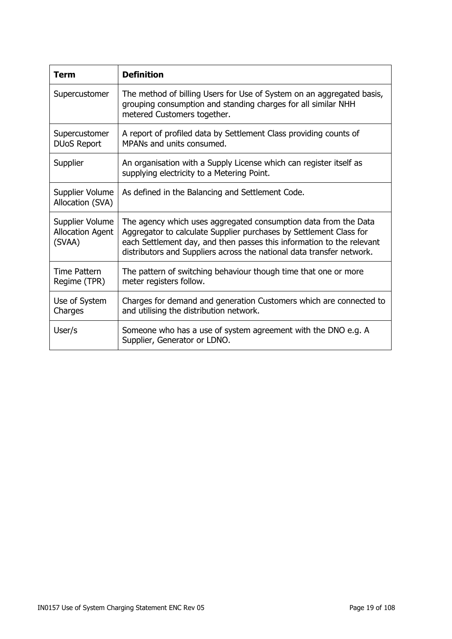| Term                                                 | <b>Definition</b>                                                                                                                                                                                                                                                                       |
|------------------------------------------------------|-----------------------------------------------------------------------------------------------------------------------------------------------------------------------------------------------------------------------------------------------------------------------------------------|
| Supercustomer                                        | The method of billing Users for Use of System on an aggregated basis,<br>grouping consumption and standing charges for all similar NHH<br>metered Customers together.                                                                                                                   |
| Supercustomer<br><b>DUoS Report</b>                  | A report of profiled data by Settlement Class providing counts of<br>MPANs and units consumed.                                                                                                                                                                                          |
| Supplier                                             | An organisation with a Supply License which can register itself as<br>supplying electricity to a Metering Point.                                                                                                                                                                        |
| Supplier Volume<br>Allocation (SVA)                  | As defined in the Balancing and Settlement Code.                                                                                                                                                                                                                                        |
| Supplier Volume<br><b>Allocation Agent</b><br>(SVAA) | The agency which uses aggregated consumption data from the Data<br>Aggregator to calculate Supplier purchases by Settlement Class for<br>each Settlement day, and then passes this information to the relevant<br>distributors and Suppliers across the national data transfer network. |
| Time Pattern<br>Regime (TPR)                         | The pattern of switching behaviour though time that one or more<br>meter registers follow.                                                                                                                                                                                              |
| Use of System<br>Charges                             | Charges for demand and generation Customers which are connected to<br>and utilising the distribution network.                                                                                                                                                                           |
| User/s                                               | Someone who has a use of system agreement with the DNO e.g. A<br>Supplier, Generator or LDNO.                                                                                                                                                                                           |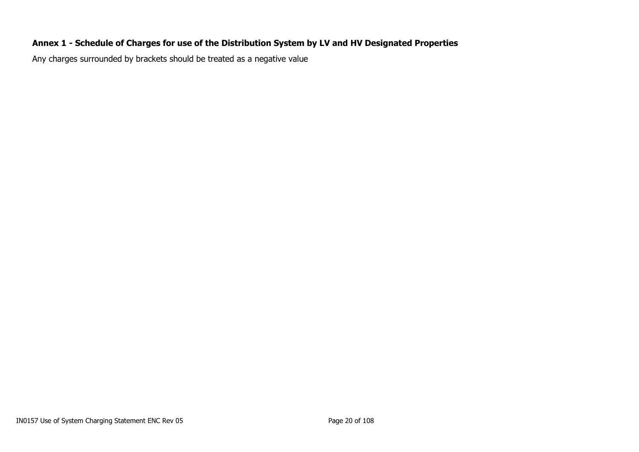# **Annex 1 - Schedule of Charges for use of the Distribution System by LV and HV Designated Properties**

<span id="page-19-0"></span>Any charges surrounded by brackets should be treated as a negative value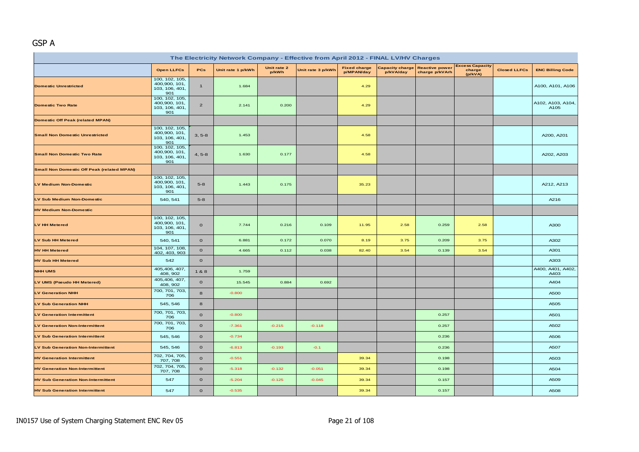# GSP A

| The Electricity Network Company - Effective from April 2012 - FINAL LV/HV Charges |                                                          |                |                   |                      |                   |                                   |                                     |                                         |                                             |                     |                           |  |
|-----------------------------------------------------------------------------------|----------------------------------------------------------|----------------|-------------------|----------------------|-------------------|-----------------------------------|-------------------------------------|-----------------------------------------|---------------------------------------------|---------------------|---------------------------|--|
|                                                                                   | <b>Open LLFCs</b>                                        | <b>PCs</b>     | Unit rate 1 p/kWh | Unit rate 2<br>p/kWh | Unit rate 3 p/kWh | <b>Fixed charge</b><br>p/MPAN/day | <b>Capacity charge</b><br>p/kVA/day | <b>Reactive power</b><br>charge p/kVArh | <b>Excess Capacity</b><br>charge<br>(p/kVA) | <b>Closed LLFCs</b> | <b>ENC Billing Code</b>   |  |
| <b>Domestic Unrestricted</b>                                                      | 100, 102, 105,<br>400,900, 101,<br>103, 106, 401,<br>901 | $\mathbf{1}$   | 1.684             |                      |                   | 4.29                              |                                     |                                         |                                             |                     | A100, A101, A106          |  |
| <b>Domestic Two Rate</b>                                                          | 100, 102, 105,<br>400,900, 101,<br>103, 106, 401,<br>901 | $\overline{2}$ | 2.141             | 0.200                |                   | 4.29                              |                                     |                                         |                                             |                     | A102, A103, A104,<br>A105 |  |
| <b>Domestic Off Peak (related MPAN)</b>                                           |                                                          |                |                   |                      |                   |                                   |                                     |                                         |                                             |                     |                           |  |
| <b>Small Non Domestic Unrestricted</b>                                            | 100, 102, 105,<br>400,900, 101,<br>103, 106, 401,<br>901 | $3, 5-8$       | 1.453             |                      |                   | 4.58                              |                                     |                                         |                                             |                     | A200, A201                |  |
| <b>Small Non Domestic Two Rate</b>                                                | 100, 102, 105,<br>400,900, 101,<br>103, 106, 401,<br>901 | $4, 5-8$       | 1.630             | 0.177                |                   | 4.58                              |                                     |                                         |                                             |                     | A202, A203                |  |
| <b>Small Non Domestic Off Peak (related MPAN)</b>                                 |                                                          |                |                   |                      |                   |                                   |                                     |                                         |                                             |                     |                           |  |
| <b>LV Medium Non-Domestic</b>                                                     | 100, 102, 105,<br>400,900, 101,<br>103, 106, 401,<br>901 | $5-8$          | 1.443             | 0.175                |                   | 35.23                             |                                     |                                         |                                             |                     | A212, A213                |  |
| <b>LV Sub Medium Non-Domestic</b>                                                 | 540, 541                                                 | $5 - 8$        |                   |                      |                   |                                   |                                     |                                         |                                             |                     | A216                      |  |
| <b>HV Medium Non-Domestic</b>                                                     |                                                          |                |                   |                      |                   |                                   |                                     |                                         |                                             |                     |                           |  |
| <b>LV HH Metered</b>                                                              | 100, 102, 105,<br>400,900, 101,<br>103, 106, 401,<br>901 | $\mathbf{o}$   | 7.744             | 0.216                | 0.109             | 11.95                             | 2.58                                | 0.259                                   | 2.58                                        |                     | A300                      |  |
| <b>LV Sub HH Metered</b>                                                          | 540, 541                                                 | $\mathbf 0$    | 6.881             | 0.172                | 0.070             | 8.19                              | 3.75                                | 0.209                                   | 3.75                                        |                     | A302                      |  |
| <b>HV HH Metered</b>                                                              | 104, 107, 108,<br>402, 403, 903                          | $\mathbf 0$    | 4.665             | 0.112                | 0.038             | 82.40                             | 3.54                                | 0.139                                   | 3.54                                        |                     | A301                      |  |
| <b>HV Sub HH Metered</b>                                                          | 542                                                      | $\mathbf 0$    |                   |                      |                   |                                   |                                     |                                         |                                             |                     | A303                      |  |
| <b>NHH UMS</b>                                                                    | 405,406, 407,<br>408, 902                                | 1&8            | 1.759             |                      |                   |                                   |                                     |                                         |                                             |                     | A400, A401, A402,<br>A403 |  |
| LV UMS (Pseudo HH Metered)                                                        | 405,406, 407,<br>408, 902                                | $\mathbf O$    | 15.545            | 0.884                | 0.692             |                                   |                                     |                                         |                                             |                     | A404                      |  |
| <b>LV Generation NHH</b>                                                          | 700, 701, 703,<br>706                                    | 8              | $-0.800$          |                      |                   |                                   |                                     |                                         |                                             |                     | A500                      |  |
| <b>LV Sub Generation NHH</b>                                                      | 545, 546                                                 | 8              |                   |                      |                   |                                   |                                     |                                         |                                             |                     | A505                      |  |
| <b>LV Generation Intermittent</b>                                                 | 700, 701, 703,<br>706                                    | $\mathbf O$    | $-0.800$          |                      |                   |                                   |                                     | 0.257                                   |                                             |                     | A501                      |  |
| <b>LV Generation Non-Intermittent</b>                                             | 700, 701, 703,<br>706                                    | $\mathbf{o}$   | $-7.361$          | $-0.215$             | $-0.118$          |                                   |                                     | 0.257                                   |                                             |                     | A502                      |  |
| <b>LV Sub Generation Intermittent</b>                                             | 545, 546                                                 | $\mathbf 0$    | $-0.734$          |                      |                   |                                   |                                     | 0.236                                   |                                             |                     | A506                      |  |
| <b>LV Sub Generation Non-Intermittent</b>                                         | 545, 546                                                 | $\mathbf 0$    | $-6.813$          | $-0.193$             | $-0.1$            |                                   |                                     | 0.236                                   |                                             |                     | A507                      |  |
| <b>HV Generation Intermittent</b>                                                 | 702, 704, 705,<br>707, 708                               | $\mathbf 0$    | $-0.551$          |                      |                   | 39.34                             |                                     | 0.198                                   |                                             |                     | A503                      |  |
| <b>HV Generation Non-Intermittent</b>                                             | 702, 704, 705,<br>707, 708                               | $\mathbf 0$    | $-5.318$          | $-0.132$             | $-0.051$          | 39.34                             |                                     | 0.198                                   |                                             |                     | A504                      |  |
| <b>HV Sub Generation Non-Intermittent</b>                                         | 547                                                      | $\mathbf 0$    | $-5.204$          | $-0.125$             | $-0.045$          | 39.34                             |                                     | 0.157                                   |                                             |                     | A509                      |  |
| <b>HV Sub Generation Intermittent</b>                                             | 547                                                      | $\mathbf{o}$   | $-0.535$          |                      |                   | 39.34                             |                                     | 0.157                                   |                                             |                     | A508                      |  |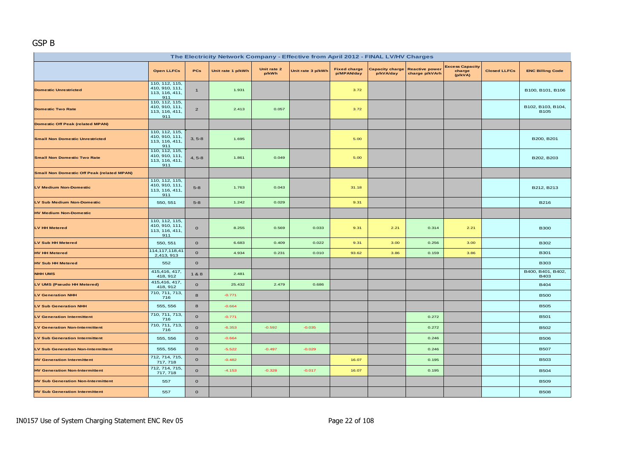#### GSP B

| The Electricity Network Company - Effective from April 2012 - FINAL LV/HV Charges |                                                           |                |                   |                      |                   |                                   |           |                                                  |                                             |                     |                                  |  |
|-----------------------------------------------------------------------------------|-----------------------------------------------------------|----------------|-------------------|----------------------|-------------------|-----------------------------------|-----------|--------------------------------------------------|---------------------------------------------|---------------------|----------------------------------|--|
|                                                                                   | <b>Open LLFCs</b>                                         | <b>PCs</b>     | Unit rate 1 p/kWh | Unit rate 2<br>p/kWh | Unit rate 3 p/kWh | <b>Fixed charge</b><br>p/MPAN/day | p/kVA/day | Capacity charge Reactive power<br>charge p/kVArh | <b>Excess Capacity</b><br>charge<br>(p/kVA) | <b>Closed LLFCs</b> | <b>ENC Billing Code</b>          |  |
| <b>Domestic Unrestricted</b>                                                      | 110, 112, 115,<br>410, 910, 111,<br>113, 116, 411,<br>911 | $\mathbf{1}$   | 1.931             |                      |                   | 3.72                              |           |                                                  |                                             |                     | B100, B101, B106                 |  |
| <b>Domestic Two Rate</b>                                                          | 110, 112, 115,<br>410, 910, 111,<br>113, 116, 411,<br>911 | $\overline{2}$ | 2.413             | 0.057                |                   | 3.72                              |           |                                                  |                                             |                     | B102, B103, B104,<br><b>B105</b> |  |
| <b>Domestic Off Peak (related MPAN)</b>                                           |                                                           |                |                   |                      |                   |                                   |           |                                                  |                                             |                     |                                  |  |
| <b>Small Non Domestic Unrestricted</b>                                            | 110, 112, 115,<br>410, 910, 111,<br>113, 116, 411,<br>911 | $3, 5-8$       | 1.695             |                      |                   | 5.00                              |           |                                                  |                                             |                     | B200, B201                       |  |
| <b>Small Non Domestic Two Rate</b>                                                | 110, 112, 115,<br>410, 910, 111,<br>113, 116, 411,<br>911 | $4, 5-8$       | 1.861             | 0.049                |                   | 5.00                              |           |                                                  |                                             |                     | B202, B203                       |  |
| <b>Small Non Domestic Off Peak (related MPAN)</b>                                 |                                                           |                |                   |                      |                   |                                   |           |                                                  |                                             |                     |                                  |  |
| <b>LV Medium Non-Domestic</b>                                                     | 110, 112, 115,<br>410, 910, 111,<br>113, 116, 411,<br>911 | $5 - 8$        | 1.763             | 0.043                |                   | 31.18                             |           |                                                  |                                             |                     | B212, B213                       |  |
| LV Sub Medium Non-Domestic                                                        | 550, 551                                                  | $5-8$          | 1.242             | 0.029                |                   | 9.31                              |           |                                                  |                                             |                     | <b>B216</b>                      |  |
| <b>HV Medium Non-Domestic</b>                                                     |                                                           |                |                   |                      |                   |                                   |           |                                                  |                                             |                     |                                  |  |
| <b>LV HH Metered</b>                                                              | 110, 112, 115,<br>410, 910, 111,<br>113, 116, 411,<br>911 | $\mathbf{o}$   | 8.255             | 0.569                | 0.033             | 9.31                              | 2.21      | 0.314                                            | 2.21                                        |                     | <b>B300</b>                      |  |
| LV Sub HH Metered                                                                 | 550, 551                                                  | $\mathbf{O}$   | 6.683             | 0.409                | 0.022             | 9.31                              | 3.00      | 0.256                                            | 3.00                                        |                     | <b>B302</b>                      |  |
| <b>HV HH Metered</b>                                                              | 114, 117, 118, 41<br>2,413, 913                           | $\mathbf{o}$   | 4.934             | 0.231                | 0.010             | 93.62                             | 3.86      | 0.159                                            | 3.86                                        |                     | <b>B301</b>                      |  |
| <b>HV Sub HH Metered</b>                                                          | 552                                                       | $\mathbf{o}$   |                   |                      |                   |                                   |           |                                                  |                                             |                     | <b>B303</b>                      |  |
| <b>NHH UMS</b>                                                                    | 415,416, 417,<br>418, 912                                 | 1&8            | 2.481             |                      |                   |                                   |           |                                                  |                                             |                     | B400, B401, B402,<br>B403        |  |
| LV UMS (Pseudo HH Metered)                                                        | 415,416, 417,<br>418, 912                                 | $\mathbf{o}$   | 25.432            | 2.479                | 0.686             |                                   |           |                                                  |                                             |                     | <b>B404</b>                      |  |
| <b>LV Generation NHH</b>                                                          | 710, 711, 713,<br>716                                     | 8              | $-0.771$          |                      |                   |                                   |           |                                                  |                                             |                     | <b>B500</b>                      |  |
| <b>LV Sub Generation NHH</b>                                                      | 555, 556                                                  | 8              | $-0.664$          |                      |                   |                                   |           |                                                  |                                             |                     | <b>B505</b>                      |  |
| <b>LV Generation Intermittent</b>                                                 | 710, 711, 713,<br>716                                     | $\mathbf{o}$   | $-0.771$          |                      |                   |                                   |           | 0.272                                            |                                             |                     | <b>B501</b>                      |  |
| <b>LV Generation Non-Intermittent</b>                                             | 710, 711, 713,<br>716                                     | $\mathbf{o}$   | $-6.353$          | $-0.592$             | $-0.035$          |                                   |           | 0.272                                            |                                             |                     | <b>B502</b>                      |  |
| <b>LV Sub Generation Intermittent</b>                                             | 555, 556                                                  | $\mathbf{o}$   | $-0.664$          |                      |                   |                                   |           | 0.246                                            |                                             |                     | <b>B506</b>                      |  |
| <b>LV Sub Generation Non-Intermittent</b>                                         | 555, 556                                                  | $\mathbf{o}$   | $-5.522$          | $-0.497$             | $-0.029$          |                                   |           | 0.246                                            |                                             |                     | <b>B507</b>                      |  |
| <b>HV Generation Intermittent</b>                                                 | 712, 714, 715,<br>717, 718                                | $\mathbf{o}$   | $-0.482$          |                      |                   | 16.07                             |           | 0.195                                            |                                             |                     | <b>B503</b>                      |  |
| <b>HV Generation Non-Intermittent</b>                                             | 712, 714, 715,<br>717, 718                                | $\mathbf{o}$   | $-4.153$          | $-0.328$             | $-0.017$          | 16.07                             |           | 0.195                                            |                                             |                     | <b>B504</b>                      |  |
| <b>HV Sub Generation Non-Intermittent</b>                                         | 557                                                       | $\mathbf{o}$   |                   |                      |                   |                                   |           |                                                  |                                             |                     | <b>B509</b>                      |  |
| <b>HV Sub Generation Intermittent</b>                                             | 557                                                       | $\mathbf{o}$   |                   |                      |                   |                                   |           |                                                  |                                             |                     | <b>B508</b>                      |  |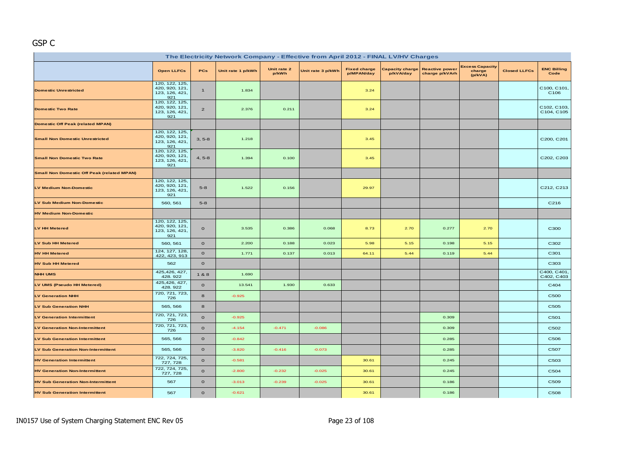# GSP C

| The Electricity Network Company - Effective from April 2012 - FINAL LV/HV Charges |                                                           |                |                   |                      |                   |                                   |                                     |                                         |                                             |                     |                                 |  |
|-----------------------------------------------------------------------------------|-----------------------------------------------------------|----------------|-------------------|----------------------|-------------------|-----------------------------------|-------------------------------------|-----------------------------------------|---------------------------------------------|---------------------|---------------------------------|--|
|                                                                                   | <b>Open LLFCs</b>                                         | <b>PCs</b>     | Unit rate 1 p/kWh | Unit rate 2<br>p/kWh | Unit rate 3 p/kWh | <b>Fixed charge</b><br>p/MPAN/day | <b>Capacity charge</b><br>p/kVA/day | <b>Reactive power</b><br>charge p/kVArh | <b>Excess Capacity</b><br>charge<br>(p/kVA) | <b>Closed LLFCs</b> | <b>ENC Billing</b><br>Code      |  |
| <b>Domestic Unrestricted</b>                                                      | 120, 122, 125,<br>420, 920, 121,<br>123, 126, 421,<br>921 | $\blacksquare$ | 1.834             |                      |                   | 3.24                              |                                     |                                         |                                             |                     | C100, C101,<br>C <sub>106</sub> |  |
| <b>Domestic Two Rate</b>                                                          | 120, 122, 125,<br>420, 920, 121,<br>123, 126, 421,<br>921 | $\overline{2}$ | 2.376             | 0.211                |                   | 3.24                              |                                     |                                         |                                             |                     | C102, C103,<br>C104, C105       |  |
| <b>Domestic Off Peak (related MPAN)</b>                                           |                                                           |                |                   |                      |                   |                                   |                                     |                                         |                                             |                     |                                 |  |
| <b>Small Non Domestic Unrestricted</b>                                            | 120, 122, 125,<br>420, 920, 121,<br>123, 126, 421,<br>921 | $3, 5-8$       | 1.218             |                      |                   | 3.45                              |                                     |                                         |                                             |                     | C200, C201                      |  |
| <b>Small Non Domestic Two Rate</b>                                                | 120, 122, 125,<br>420, 920, 121,<br>123, 126, 421,<br>921 | $4, 5-8$       | 1.394             | 0.100                |                   | 3.45                              |                                     |                                         |                                             |                     | C202, C203                      |  |
| <b>Small Non Domestic Off Peak (related MPAN)</b>                                 |                                                           |                |                   |                      |                   |                                   |                                     |                                         |                                             |                     |                                 |  |
| <b>LV Medium Non-Domestic</b>                                                     | 120, 122, 125,<br>420, 920, 121,<br>123, 126, 421,<br>921 | $5 - 8$        | 1.522             | 0.156                |                   | 29.97                             |                                     |                                         |                                             |                     | C212, C213                      |  |
| LV Sub Medium Non-Domestic                                                        | 560, 561                                                  | $5 - 8$        |                   |                      |                   |                                   |                                     |                                         |                                             |                     | C216                            |  |
| <b>HV Medium Non-Domestic</b>                                                     |                                                           |                |                   |                      |                   |                                   |                                     |                                         |                                             |                     |                                 |  |
| <b>LV HH Metered</b>                                                              | 120, 122, 125,<br>420, 920, 121,<br>123, 126, 421,<br>921 | $\circ$        | 3.535             | 0.386                | 0.068             | 8.73                              | 2.70                                | 0.277                                   | 2.70                                        |                     | C300                            |  |
| <b>LV Sub HH Metered</b>                                                          | 560, 561                                                  | $\mathbf{o}$   | 2.200             | 0.188                | 0.023             | 5.98                              | 5.15                                | 0.198                                   | 5.15                                        |                     | C302                            |  |
| <b>HV HH Metered</b>                                                              | 124, 127, 128,<br>422, 423, 913                           | $\mathbf{o}$   | 1.771             | 0.137                | 0.013             | 64.11                             | 5.44                                | 0.119                                   | 5.44                                        |                     | C301                            |  |
| <b>HV Sub HH Metered</b>                                                          | 562                                                       | $\mathbf{o}$   |                   |                      |                   |                                   |                                     |                                         |                                             |                     | C303                            |  |
| <b>NHH UMS</b>                                                                    | 425,426, 427,<br>428.922                                  | 1 & 8          | 1.690             |                      |                   |                                   |                                     |                                         |                                             |                     | C400, C401<br>C402, C403        |  |
| LV UMS (Pseudo HH Metered)                                                        | 425,426, 427,<br>428.922                                  | $\mathbf{o}$   | 13.541            | 1.930                | 0.633             |                                   |                                     |                                         |                                             |                     | C404                            |  |
| <b>LV Generation NHH</b>                                                          | 720, 721, 723,<br>726                                     | 8              | $-0.925$          |                      |                   |                                   |                                     |                                         |                                             |                     | C500                            |  |
| <b>LV Sub Generation NHH</b>                                                      | 565, 566                                                  | $\bf{8}$       |                   |                      |                   |                                   |                                     |                                         |                                             |                     | C505                            |  |
| <b>LV Generation Intermittent</b>                                                 | 720, 721, 723,<br>726                                     | $\mathbf{o}$   | $-0.925$          |                      |                   |                                   |                                     | 0.309                                   |                                             |                     | C501                            |  |
| <b>LV Generation Non-Intermittent</b>                                             | 720, 721, 723,<br>726                                     | $\mathbf{o}$   | $-4.154$          | $-0.471$             | $-0.086$          |                                   |                                     | 0.309                                   |                                             |                     | C502                            |  |
| <b>LV Sub Generation Intermittent</b>                                             | 565, 566                                                  | $\mathbf{o}$   | $-0.842$          |                      |                   |                                   |                                     | 0.285                                   |                                             |                     | C506                            |  |
| <b>LV Sub Generation Non-Intermittent</b>                                         | 565, 566                                                  | $\mathbf{o}$   | $-3.820$          | $-0.416$             | $-0.073$          |                                   |                                     | 0.285                                   |                                             |                     | C507                            |  |
| <b>HV Generation Intermittent</b>                                                 | 722, 724, 725,<br>727, 728                                | $\mathbf{o}$   | $-0.581$          |                      |                   | 30.61                             |                                     | 0.245                                   |                                             |                     | C503                            |  |
| <b>HV Generation Non-Intermittent</b>                                             | 722, 724, 725,<br>727, 728                                | $\mathbf{o}$   | $-2.800$          | $-0.232$             | $-0.025$          | 30.61                             |                                     | 0.245                                   |                                             |                     | C504                            |  |
| <b>HV Sub Generation Non-Intermittent</b>                                         | 567                                                       | $\mathbf{o}$   | $-3.013$          | $-0.239$             | $-0.025$          | 30.61                             |                                     | 0.186                                   |                                             |                     | C509                            |  |
| <b>HV Sub Generation Intermittent</b>                                             | 567                                                       | $\mathbf{o}$   | $-0.621$          |                      |                   | 30.61                             |                                     | 0.186                                   |                                             |                     | C508                            |  |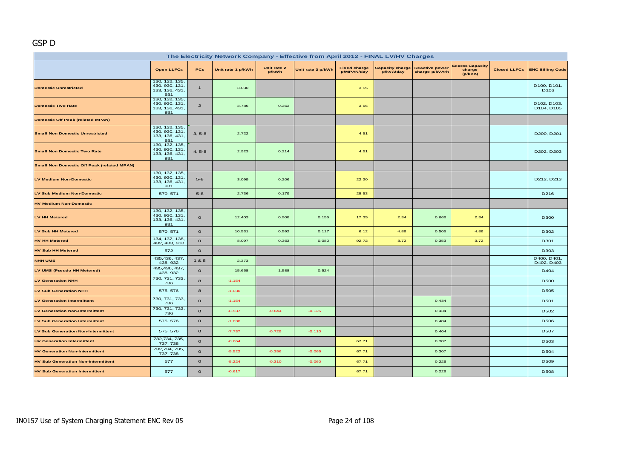### GSP D

| The Electricity Network Company - Effective from April 2012 - FINAL LV/HV Charges |                                                           |                |                   |                      |                   |                                   |                                     |                                         |                                             |                     |                                 |  |
|-----------------------------------------------------------------------------------|-----------------------------------------------------------|----------------|-------------------|----------------------|-------------------|-----------------------------------|-------------------------------------|-----------------------------------------|---------------------------------------------|---------------------|---------------------------------|--|
|                                                                                   | <b>Open LLFCs</b>                                         | PCs            | Unit rate 1 p/kWh | Unit rate 2<br>p/kWh | Unit rate 3 p/kWh | <b>Fixed charge</b><br>p/MPAN/day | <b>Capacity charge</b><br>p/kVA/day | <b>Reactive power</b><br>charge p/kVArh | <b>Excess Capacity</b><br>charge<br>(p/kVA) | <b>Closed LLFCs</b> | <b>ENC Billing Code</b>         |  |
| <b>Domestic Unrestricted</b>                                                      | 130, 132, 135,<br>430. 930, 131,<br>133, 136, 431,<br>931 | $\mathbf{1}$   | 3.030             |                      |                   | 3.55                              |                                     |                                         |                                             |                     | D100, D101,<br>D <sub>106</sub> |  |
| <b>Domestic Two Rate</b>                                                          | 130, 132, 135,<br>430. 930, 131,<br>133, 136, 431,<br>931 | $\overline{2}$ | 3.786             | 0.363                |                   | 3.55                              |                                     |                                         |                                             |                     | D102, D103,<br>D104, D105       |  |
| <b>Domestic Off Peak (related MPAN)</b>                                           |                                                           |                |                   |                      |                   |                                   |                                     |                                         |                                             |                     |                                 |  |
| <b>Small Non Domestic Unrestricted</b>                                            | 130, 132, 135,<br>430. 930, 131,<br>133, 136, 431,<br>931 | $3, 5-8$       | 2.722             |                      |                   | 4.51                              |                                     |                                         |                                             |                     | D200, D201                      |  |
| <b>Small Non Domestic Two Rate</b>                                                | 130, 132, 135,<br>430. 930, 131,<br>133, 136, 431,<br>931 | $4, 5-8$       | 2.923             | 0.214                |                   | 4.51                              |                                     |                                         |                                             |                     | D202, D203                      |  |
| <b>Small Non Domestic Off Peak (related MPAN)</b>                                 |                                                           |                |                   |                      |                   |                                   |                                     |                                         |                                             |                     |                                 |  |
| <b>LV Medium Non-Domestic</b>                                                     | 130, 132, 135,<br>430. 930, 131,<br>133, 136, 431,<br>931 | $5-8$          | 3.099             | 0.206                |                   | 22.20                             |                                     |                                         |                                             |                     | D212, D213                      |  |
| <b>LV Sub Medium Non-Domestic</b>                                                 | 570, 571                                                  | $5-8$          | 2.736             | 0.179                |                   | 28.53                             |                                     |                                         |                                             |                     | D216                            |  |
| <b>HV Medium Non-Domestic</b>                                                     |                                                           |                |                   |                      |                   |                                   |                                     |                                         |                                             |                     |                                 |  |
| <b>LV HH Metered</b>                                                              | 130, 132, 135,<br>430. 930, 131.<br>133, 136, 431,<br>931 | $\mathbf{o}$   | 12.403            | 0.908                | 0.155             | 17.35                             | 2.34                                | 0.666                                   | 2.34                                        |                     | D300                            |  |
| LV Sub HH Metered                                                                 | 570, 571                                                  | $\mathbf{o}$   | 10.531            | 0.592                | 0.117             | 6.12                              | 4.86                                | 0.505                                   | 4.86                                        |                     | D302                            |  |
| <b>HV HH Metered</b>                                                              | 134, 137, 138,<br>432, 433, 933                           | $\mathbf{o}$   | 8.097             | 0.363                | 0.082             | 92.72                             | 3.72                                | 0.353                                   | 3.72                                        |                     | D301                            |  |
| <b>HV Sub HH Metered</b>                                                          | 572                                                       | $\mathbf{o}$   |                   |                      |                   |                                   |                                     |                                         |                                             |                     | D303                            |  |
| <b>NHH UMS</b>                                                                    | 435, 436, 437,<br>438, 932                                | 1&8            | 2.373             |                      |                   |                                   |                                     |                                         |                                             |                     | D400, D401,<br>D402, D403       |  |
| LV UMS (Pseudo HH Metered)                                                        | 435, 436, 437,<br>438, 932                                | $\mathbf{o}$   | 15.658            | 1.588                | 0.524             |                                   |                                     |                                         |                                             |                     | D404                            |  |
| <b>LV Generation NHH</b>                                                          | 730, 731, 733,<br>736                                     | $\bf8$         | $-1.154$          |                      |                   |                                   |                                     |                                         |                                             |                     | <b>D500</b>                     |  |
| <b>LV Sub Generation NHH</b>                                                      | 575, 576                                                  | 8              | $-1.030$          |                      |                   |                                   |                                     |                                         |                                             |                     | D505                            |  |
| <b>LV Generation Intermittent</b>                                                 | 730, 731, 733,<br>736                                     | $\mathbf{o}$   | $-1.154$          |                      |                   |                                   |                                     | 0.434                                   |                                             |                     | D501                            |  |
| <b>LV Generation Non-Intermittent</b>                                             | 730, 731, 733,<br>736                                     | $\mathbf{o}$   | $-8.537$          | $-0.844$             | $-0.125$          |                                   |                                     | 0.434                                   |                                             |                     | D502                            |  |
| <b>LV Sub Generation Intermittent</b>                                             | 575, 576                                                  | $\mathbf{o}$   | $-1.030$          |                      |                   |                                   |                                     | 0.404                                   |                                             |                     | D506                            |  |
| <b>LV Sub Generation Non-Intermittent</b>                                         | 575, 576                                                  | $\mathbf{o}$   | $-7.737$          | $-0.729$             | $-0.110$          |                                   |                                     | 0,404                                   |                                             |                     | <b>D507</b>                     |  |
| <b>HV Generation Intermittent</b>                                                 | 732,734, 735,<br>737, 738                                 | $\mathbf{o}$   | $-0.664$          |                      |                   | 67.71                             |                                     | 0.307                                   |                                             |                     | D503                            |  |
| <b>HV Generation Non-Intermittent</b>                                             | 732,734, 735<br>737, 738                                  | $\mathbf{o}$   | $-5.522$          | $-0.356$             | $-0.065$          | 67.71                             |                                     | 0.307                                   |                                             |                     | D504                            |  |
| <b>HV Sub Generation Non-Intermittent</b>                                         | 577                                                       | $\mathbf{o}$   | $-5.224$          | $-0.310$             | $-0.060$          | 67.71                             |                                     | 0.226                                   |                                             |                     | D509                            |  |
| <b>HV Sub Generation Intermittent</b>                                             | 577                                                       | $\mathbf{o}$   | $-0.617$          |                      |                   | 67.71                             |                                     | 0.226                                   |                                             |                     | <b>D508</b>                     |  |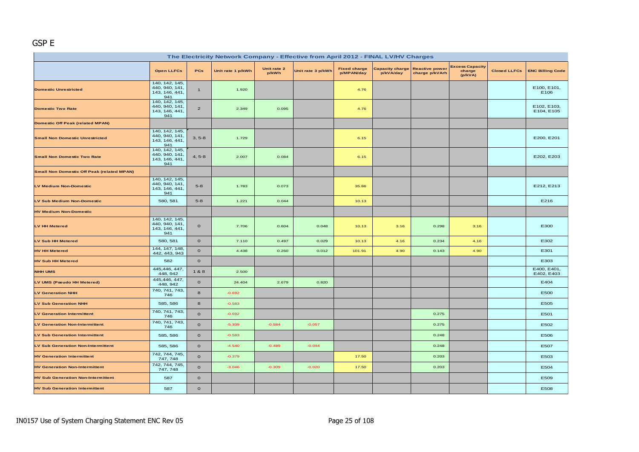#### GSP E

| The Electricity Network Company - Effective from April 2012 - FINAL LV/HV Charges |                                                           |                |                   |                      |                   |                                   |                              |                                         |                                             |                     |                           |  |
|-----------------------------------------------------------------------------------|-----------------------------------------------------------|----------------|-------------------|----------------------|-------------------|-----------------------------------|------------------------------|-----------------------------------------|---------------------------------------------|---------------------|---------------------------|--|
|                                                                                   | <b>Open LLFCs</b>                                         | <b>PCs</b>     | Unit rate 1 p/kWh | Unit rate 2<br>p/kWh | Unit rate 3 p/kWh | <b>Fixed charge</b><br>p/MPAN/day | Capacity charge<br>p/kVA/day | <b>Reactive power</b><br>charge p/kVArh | <b>Excess Capacity</b><br>charge<br>(p/kVA) | <b>Closed LLFCs</b> | <b>ENC Billing Code</b>   |  |
| <b>Domestic Unrestricted</b>                                                      | 140, 142, 145,<br>440, 940, 141,<br>143, 146, 441,<br>941 | $\mathbf{1}$   | 1.920             |                      |                   | 4.76                              |                              |                                         |                                             |                     | E100, E101,<br>E106       |  |
| <b>Domestic Two Rate</b>                                                          | 140, 142, 145,<br>440, 940, 141,<br>143, 146, 441,<br>941 | $\overline{2}$ | 2.349             | 0.095                |                   | 4.76                              |                              |                                         |                                             |                     | E102, E103,<br>E104, E105 |  |
| <b>Domestic Off Peak (related MPAN)</b>                                           |                                                           |                |                   |                      |                   |                                   |                              |                                         |                                             |                     |                           |  |
| <b>Small Non Domestic Unrestricted</b>                                            | 140, 142, 145,<br>440, 940, 141,<br>143, 146, 441,<br>941 | $3, 5-8$       | 1.729             |                      |                   | 6.15                              |                              |                                         |                                             |                     | E200, E201                |  |
| <b>Small Non Domestic Two Rate</b>                                                | 140, 142, 145,<br>440, 940, 141,<br>143, 146, 441,<br>941 | $4, 5-8$       | 2.007             | 0.084                |                   | 6.15                              |                              |                                         |                                             |                     | E202, E203                |  |
| <b>Small Non Domestic Off Peak (related MPAN)</b>                                 |                                                           |                |                   |                      |                   |                                   |                              |                                         |                                             |                     |                           |  |
| <b>LV Medium Non-Domestic</b>                                                     | 140, 142, 145,<br>440, 940, 141,<br>143, 146, 441,<br>941 | $5-8$          | 1.783             | 0.073                |                   | 35.86                             |                              |                                         |                                             |                     | E212, E213                |  |
| LV Sub Medium Non-Domestic                                                        | 580, 581                                                  | $5 - 8$        | 1.221             | 0.044                |                   | 10.13                             |                              |                                         |                                             |                     | E216                      |  |
| <b>HV Medium Non-Domestic</b>                                                     |                                                           |                |                   |                      |                   |                                   |                              |                                         |                                             |                     |                           |  |
| LV HH Metered                                                                     | 140, 142, 145,<br>440, 940, 141,<br>143, 146, 441,<br>941 | $\mathbf{o}$   | 7.706             | 0.604                | 0.048             | 10.13                             | 3.16                         | 0.298                                   | 3.16                                        |                     | E300                      |  |
| LV Sub HH Metered                                                                 | 580, 581                                                  | $\mathbf{o}$   | 7.110             | 0.497                | 0.029             | 10.13                             | 4.16                         | 0.234                                   | 4.16                                        |                     | E302                      |  |
| <b>HV HH Metered</b>                                                              | 144, 147, 148,<br>442, 443, 943                           | $\mathbf{o}$   | 4.438             | 0.260                | 0.012             | 101.91                            | 4.90                         | 0.143                                   | 4.90                                        |                     | E301                      |  |
| <b>HV Sub HH Metered</b>                                                          | 582                                                       | $\mathbf{o}$   |                   |                      |                   |                                   |                              |                                         |                                             |                     | E303                      |  |
| <b>NHH UMS</b>                                                                    | 445,446, 447,<br>448, 942                                 | 1&8            | 2.500             |                      |                   |                                   |                              |                                         |                                             |                     | E400, E401,<br>E402, E403 |  |
| LV UMS (Pseudo HH Metered)                                                        | 445,446, 447,<br>448, 942                                 | $\mathbf{o}$   | 24.404            | 2.679                | 0.820             |                                   |                              |                                         |                                             |                     | E404                      |  |
| <b>LV Generation NHH</b>                                                          | 740, 741, 743,<br>746                                     | 8              | $-0.692$          |                      |                   |                                   |                              |                                         |                                             |                     | E500                      |  |
| <b>LV Sub Generation NHH</b>                                                      | 585, 586                                                  | 8              | $-0.583$          |                      |                   |                                   |                              |                                         |                                             |                     | E505                      |  |
| <b>LV Generation Intermittent</b>                                                 | 740, 741, 743,<br>746                                     | $\mathbf{o}$   | $-0.692$          |                      |                   |                                   |                              | 0.275                                   |                                             |                     | E501                      |  |
| <b>LV Generation Non-Intermittent</b>                                             | 740, 741, 743,<br>746                                     | $\mathbf{o}$   | $-5.339$          | $-0.584$             | $-0.057$          |                                   |                              | 0.275                                   |                                             |                     | E502                      |  |
| <b>LV Sub Generation Intermittent</b>                                             | 585, 586                                                  | $\mathbf{o}$   | $-0.583$          |                      |                   |                                   |                              | 0.248                                   |                                             |                     | E506                      |  |
| <b>LV Sub Generation Non-Intermittent</b>                                         | 585, 586                                                  | $\mathbf{o}$   | $-4.540$          | $-0.489$             | $-0.044$          |                                   |                              | 0.248                                   |                                             |                     | E507                      |  |
| <b>HV Generation Intermittent</b>                                                 | 742, 744, 745,<br>747, 748                                | $\mathbf{o}$   | $-0.379$          |                      |                   | 17.50                             |                              | 0.203                                   |                                             |                     | E503                      |  |
| <b>HV Generation Non-Intermittent</b>                                             | 742, 744, 745,<br>747, 748                                | $\mathbf{o}$   | $-3.046$          | $-0.309$             | $-0.020$          | 17.50                             |                              | 0.203                                   |                                             |                     | E504                      |  |
| <b>HV Sub Generation Non-Intermittent</b>                                         | 587                                                       | $\mathbf{o}$   |                   |                      |                   |                                   |                              |                                         |                                             |                     | E509                      |  |
| <b>HV Sub Generation Intermittent</b>                                             | 587                                                       | $\mathbf 0$    |                   |                      |                   |                                   |                              |                                         |                                             |                     | E508                      |  |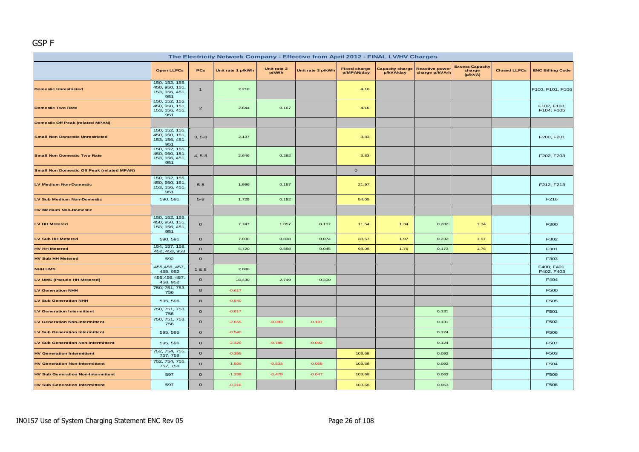#### GSP F

| The Electricity Network Company - Effective from April 2012 - FINAL LV/HV Charges |                                                           |                |                   |                      |                   |                                   |                                     |                                         |                                             |                     |                           |  |
|-----------------------------------------------------------------------------------|-----------------------------------------------------------|----------------|-------------------|----------------------|-------------------|-----------------------------------|-------------------------------------|-----------------------------------------|---------------------------------------------|---------------------|---------------------------|--|
|                                                                                   | <b>Open LLFCs</b>                                         | PCs            | Unit rate 1 p/kWh | Unit rate 2<br>p/kWh | Unit rate 3 p/kWh | <b>Fixed charge</b><br>p/MPAN/day | <b>Capacity charge</b><br>p/kVA/day | <b>Reactive power</b><br>charge p/kVArh | <b>Excess Capacity</b><br>charge<br>(p/kVA) | <b>Closed LLFCs</b> | <b>ENC Billing Code</b>   |  |
| <b>Domestic Unrestricted</b>                                                      | 150, 152, 155,<br>450, 950, 151,<br>153, 156, 451,<br>951 | $\mathbf{1}$   | 2.218             |                      |                   | 4.16                              |                                     |                                         |                                             |                     | F100, F101, F106          |  |
| <b>Domestic Two Rate</b>                                                          | 150, 152, 155,<br>450, 950, 151,<br>153, 156, 451,<br>951 | $\overline{2}$ | 2.644             | 0.167                |                   | 4.16                              |                                     |                                         |                                             |                     | F102, F103,<br>F104, F105 |  |
| <b>Domestic Off Peak (related MPAN)</b>                                           |                                                           |                |                   |                      |                   |                                   |                                     |                                         |                                             |                     |                           |  |
| <b>Small Non Domestic Unrestricted</b>                                            | 150, 152, 155,<br>450, 950, 151,<br>153, 156, 451,<br>951 | $3, 5-8$       | 2.137             |                      |                   | 3.83                              |                                     |                                         |                                             |                     | F200, F201                |  |
| <b>Small Non Domestic Two Rate</b>                                                | 150, 152, 155,<br>450, 950, 151,<br>153, 156, 451,<br>951 | $4, 5-8$       | 2.646             | 0.292                |                   | 3.83                              |                                     |                                         |                                             |                     | F202, F203                |  |
| <b>Small Non Domestic Off Peak (related MPAN)</b>                                 |                                                           |                |                   |                      |                   | $\mathbf{o}$                      |                                     |                                         |                                             |                     |                           |  |
| <b>LV Medium Non-Domestic</b>                                                     | 150, 152, 155,<br>450, 950, 151,<br>153, 156, 451,<br>951 | $5 - 8$        | 1.996             | 0.157                |                   | 21.97                             |                                     |                                         |                                             |                     | F212, F213                |  |
| LV Sub Medium Non-Domestic                                                        | 590, 591                                                  | $5-8$          | 1.729             | 0.152                |                   | 54.05                             |                                     |                                         |                                             |                     | F216                      |  |
| <b>HV Medium Non-Domestic</b>                                                     |                                                           |                |                   |                      |                   |                                   |                                     |                                         |                                             |                     |                           |  |
| LV HH Metered                                                                     | 150, 152, 155,<br>450, 950, 151,<br>153, 156, 451,<br>951 | $\mathbf{o}$   | 7.747             | 1.057                | 0.107             | 11.54                             | 1.34                                | 0.282                                   | 1.34                                        |                     | F300                      |  |
| <b>LV Sub HH Metered</b>                                                          | 590, 591                                                  | $\mathbf{o}$   | 7.038             | 0.838                | 0.074             | 38.57                             | 1.97                                | 0.232                                   | 1.97                                        |                     | F302                      |  |
| <b>HV HH Metered</b>                                                              | 154, 157, 158,<br>452, 453, 953                           | $\mathbf{o}$   | 5.720             | 0.598                | 0.045             | 98.08                             | 1.76                                | 0.173                                   | 1.76                                        |                     | F301                      |  |
| <b>HV Sub HH Metered</b>                                                          | 592                                                       | $\mathbf{o}$   |                   |                      |                   |                                   |                                     |                                         |                                             |                     | F303                      |  |
| <b>NHH UMS</b>                                                                    | 455,456, 457,<br>458, 952                                 | 1&8            | 2.088             |                      |                   |                                   |                                     |                                         |                                             |                     | F400, F401,<br>F402, F403 |  |
| LV UMS (Pseudo HH Metered)                                                        | 455,456, 457,<br>458, 952                                 | $\mathbf{o}$   | 18.430            | 2.749                | 0.300             |                                   |                                     |                                         |                                             |                     | F404                      |  |
| <b>LV Generation NHH</b>                                                          | 750, 751, 753,<br>756                                     | 8              | $-0.617$          |                      |                   |                                   |                                     |                                         |                                             |                     | F500                      |  |
| <b>LV Sub Generation NHH</b>                                                      | 595, 596                                                  | 8              | $-0.540$          |                      |                   |                                   |                                     |                                         |                                             |                     | F505                      |  |
| <b>LV Generation Intermittent</b>                                                 | 750, 751, 753,<br>756                                     | $\mathbf{o}$   | $-0.617$          |                      |                   |                                   |                                     | 0.131                                   |                                             |                     | F501                      |  |
| <b>LV Generation Non-Intermittent</b>                                             | 750, 751, 753,<br>756                                     | $\mathbf{o}$   | $-2.655$          | $-0.893$             | $-0.107$          |                                   |                                     | 0.131                                   |                                             |                     | F502                      |  |
| <b>LV Sub Generation Intermittent</b>                                             | 595, 596                                                  | $\mathbf{o}$   | $-0.540$          |                      |                   |                                   |                                     | 0.124                                   |                                             |                     | F506                      |  |
| <b>LV Sub Generation Non-Intermittent</b>                                         | 595, 596                                                  | $\mathbf{o}$   | $-2.320$          | $-0.785$             | $-0.092$          |                                   |                                     | 0.124                                   |                                             |                     | F507                      |  |
| <b>HV Generation Intermittent</b>                                                 | 752, 754, 755,<br>757, 758                                | $\mathbf{o}$   | $-0.355$          |                      |                   | 103.68                            |                                     | 0.092                                   |                                             |                     | F503                      |  |
| <b>HV Generation Non-Intermittent</b>                                             | 752, 754, 755,<br>757, 758                                | $\mathbf{o}$   | $-1.509$          | $-0.533$             | $-0.055$          | 103.68                            |                                     | 0.092                                   |                                             |                     | F504                      |  |
| <b>HV Sub Generation Non-Intermittent</b>                                         | 597                                                       | $\mathbf{o}$   | $-1.338$          | $-0.479$             | $-0.047$          | 103.68                            |                                     | 0.063                                   |                                             |                     | F509                      |  |
| <b>HV Sub Generation Intermittent</b>                                             | 597                                                       | $\mathbf{o}$   | $-0.316$          |                      |                   | 103.68                            |                                     | 0.063                                   |                                             |                     | F508                      |  |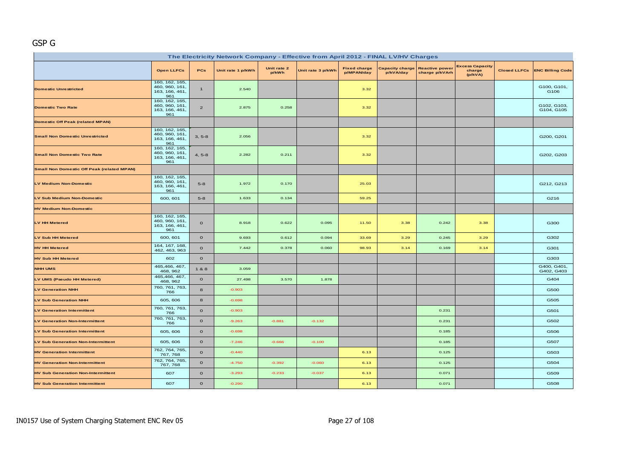## GSP G

| The Electricity Network Company - Effective from April 2012 - FINAL LV/HV Charges |                                                           |                |                   |                      |                   |                                   |                                     |                                         |                                             |                     |                           |  |
|-----------------------------------------------------------------------------------|-----------------------------------------------------------|----------------|-------------------|----------------------|-------------------|-----------------------------------|-------------------------------------|-----------------------------------------|---------------------------------------------|---------------------|---------------------------|--|
|                                                                                   | <b>Open LLFCs</b>                                         | PCs            | Unit rate 1 p/kWh | Unit rate 2<br>p/kWh | Unit rate 3 p/kWh | <b>Fixed charge</b><br>p/MPAN/day | <b>Capacity charge</b><br>p/kVA/day | <b>Reactive power</b><br>charge p/kVArh | <b>Excess Capacity</b><br>charge<br>(p/kVA) | <b>Closed LLFCs</b> | <b>ENC Billing Code</b>   |  |
| <b>Domestic Unrestricted</b>                                                      | 160, 162, 165,<br>460, 960, 161,<br>163, 166, 461,<br>961 | $\mathbf{1}$   | 2.540             |                      |                   | 3.32                              |                                     |                                         |                                             |                     | G100, G101,<br>G106       |  |
| <b>Domestic Two Rate</b>                                                          | 160, 162, 165,<br>460, 960, 161,<br>163, 166, 461,<br>961 | $\overline{2}$ | 2.875             | 0.258                |                   | 3.32                              |                                     |                                         |                                             |                     | G102, G103,<br>G104, G105 |  |
| <b>Domestic Off Peak (related MPAN)</b>                                           |                                                           |                |                   |                      |                   |                                   |                                     |                                         |                                             |                     |                           |  |
| <b>Small Non Domestic Unrestricted</b>                                            | 160, 162, 165,<br>460, 960, 161,<br>163, 166, 461,<br>961 | $3, 5-8$       | 2.056             |                      |                   | 3.32                              |                                     |                                         |                                             |                     | G200, G201                |  |
| <b>Small Non Domestic Two Rate</b>                                                | 160, 162, 165,<br>460, 960, 161,<br>163, 166, 461,<br>961 | $4, 5-8$       | 2.282             | 0.211                |                   | 3.32                              |                                     |                                         |                                             |                     | G202, G203                |  |
| <b>Small Non Domestic Off Peak (related MPAN)</b>                                 |                                                           |                |                   |                      |                   |                                   |                                     |                                         |                                             |                     |                           |  |
| <b>LV Medium Non-Domestic</b>                                                     | 160, 162, 165,<br>460, 960, 161,<br>163, 166, 461,<br>961 | $5 - 8$        | 1.972             | 0.170                |                   | 25.03                             |                                     |                                         |                                             |                     | G212, G213                |  |
| LV Sub Medium Non-Domestic                                                        | 600, 601                                                  | $5-8$          | 1.633             | 0.134                |                   | 59.25                             |                                     |                                         |                                             |                     | G216                      |  |
| <b>HV Medium Non-Domestic</b>                                                     |                                                           |                |                   |                      |                   |                                   |                                     |                                         |                                             |                     |                           |  |
| <b>LV HH Metered</b>                                                              | 160, 162, 165,<br>460, 960, 161,<br>163, 166, 461,<br>961 | $\mathbf{o}$   | 8.918             | 0.622                | 0.095             | 11.50                             | 3.38                                | 0.242                                   | 3.38                                        |                     | G300                      |  |
| <b>LV Sub HH Metered</b>                                                          | 600, 601                                                  | $\mathbf{o}$   | 9.693             | 0.612                | 0.094             | 33.69                             | 3.29                                | 0.245                                   | 3.29                                        |                     | G302                      |  |
| <b>HV HH Metered</b>                                                              | 164, 167, 168,<br>462, 463, 963                           | $\mathbf 0$    | 7.442             | 0.378                | 0.060             | 98.93                             | 3.14                                | 0.169                                   | 3.14                                        |                     | G301                      |  |
| <b>HV Sub HH Metered</b>                                                          | 602                                                       | $\mathbf{o}$   |                   |                      |                   |                                   |                                     |                                         |                                             |                     | G303                      |  |
| <b>NHH UMS</b>                                                                    | 465,466, 467,<br>468, 962                                 | 1&8            | 3.059             |                      |                   |                                   |                                     |                                         |                                             |                     | G400, G401,<br>G402, G403 |  |
| LV UMS (Pseudo HH Metered)                                                        | 465,466, 467,<br>468, 962                                 | $\mathbf{o}$   | 27.498            | 3.570                | 1.878             |                                   |                                     |                                         |                                             |                     | G404                      |  |
| <b>LV Generation NHH</b>                                                          | 760, 761, 763,<br>766                                     | 8              | $-0.903$          |                      |                   |                                   |                                     |                                         |                                             |                     | G500                      |  |
| <b>LV Sub Generation NHH</b>                                                      | 605, 606                                                  | 8              | $-0.698$          |                      |                   |                                   |                                     |                                         |                                             |                     | G505                      |  |
| <b>LV Generation Intermittent</b>                                                 | 760, 761, 763,<br>766                                     | $\mathbf{o}$   | $-0.903$          |                      |                   |                                   |                                     | 0.231                                   |                                             |                     | G501                      |  |
| <b>LV Generation Non-Intermittent</b>                                             | 760, 761, 763,<br>766                                     | $\mathbf 0$    | $-9.263$          | $-0.881$             | $-0.132$          |                                   |                                     | 0.231                                   |                                             |                     | G502                      |  |
| <b>LV Sub Generation Intermittent</b>                                             | 605, 606                                                  | $\mathbf{o}$   | $-0.698$          |                      |                   |                                   |                                     | 0.185                                   |                                             |                     | G506                      |  |
| <b>LV Sub Generation Non-Intermittent</b>                                         | 605, 606                                                  | $\mathbf O$    | $-7.246$          | $-0.666$             | $-0.100$          |                                   |                                     | 0.185                                   |                                             |                     | G507                      |  |
| <b>HV Generation Intermittent</b>                                                 | 762, 764, 765,<br>767, 768                                | $\mathbf{o}$   | $-0.440$          |                      |                   | 6.13                              |                                     | 0.125                                   |                                             |                     | G503                      |  |
| <b>HV Generation Non-Intermittent</b>                                             | 762, 764, 765,<br>767, 768                                | $\mathbf{o}$   | $-4.750$          | $-0.392$             | $-0.060$          | 6.13                              |                                     | 0.125                                   |                                             |                     | G504                      |  |
| <b>HV Sub Generation Non-Intermittent</b>                                         | 607                                                       | $\mathbf{o}$   | $-3.293$          | $-0.233$             | $-0.037$          | 6.13                              |                                     | 0.071                                   |                                             |                     | G509                      |  |
| <b>HV Sub Generation Intermittent</b>                                             | 607                                                       | $\mathbf 0$    | $-0.290$          |                      |                   | 6.13                              |                                     | 0.071                                   |                                             |                     | G508                      |  |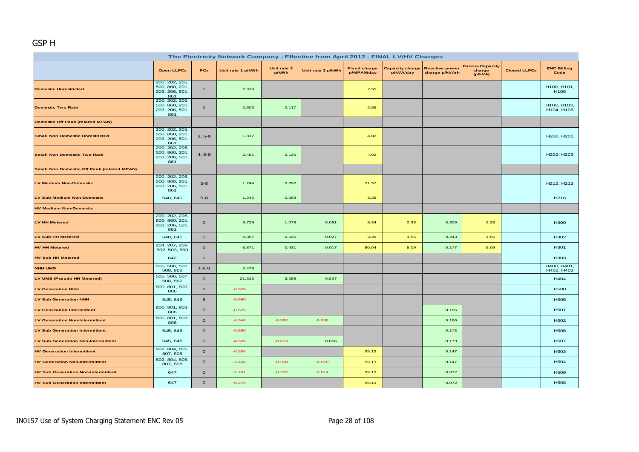# GSP H

| The Electricity Network Company - Effective from April 2012 - FINAL LV/HV Charges |                                                           |                |                   |                      |                   |                                   |                              |                                         |                                             |                     |                            |  |
|-----------------------------------------------------------------------------------|-----------------------------------------------------------|----------------|-------------------|----------------------|-------------------|-----------------------------------|------------------------------|-----------------------------------------|---------------------------------------------|---------------------|----------------------------|--|
|                                                                                   | <b>Open LLFCs</b>                                         | PCs            | Unit rate 1 p/kWh | Unit rate 2<br>p/kWh | Unit rate 3 p/kWh | <b>Fixed charge</b><br>p/MPAN/day | Capacity charge<br>p/kVA/day | <b>Reactive power</b><br>charge p/kVArh | <b>Excess Capacity</b><br>charge<br>(p/kVA) | <b>Closed LLFCs</b> | <b>ENC Billing</b><br>Code |  |
| <b>Domestic Unrestricted</b>                                                      | 200, 202, 205,<br>500, 860, 201,<br>203, 206, 501,<br>861 | $\mathbf{1}$   | 2.319             |                      |                   | 2.55                              |                              |                                         |                                             |                     | H100, H101,<br>H106        |  |
| <b>Domestic Two Rate</b>                                                          | 200, 202, 205,<br>500, 860, 201<br>203, 206, 501,<br>861  | $\overline{2}$ | 2.503             | 0.117                |                   | 2.55                              |                              |                                         |                                             |                     | H102, H103,<br>H104, H105  |  |
| Domestic Off Peak (related MPAN)                                                  |                                                           |                |                   |                      |                   |                                   |                              |                                         |                                             |                     |                            |  |
| <b>Small Non Domestic Unrestricted</b>                                            | 200, 202, 205,<br>500, 860, 201,<br>203, 206, 501,<br>861 | $3, 5-8$       | 1.817             |                      |                   | 4.02                              |                              |                                         |                                             |                     | H200, H201                 |  |
| <b>Small Non Domestic Two Rate</b>                                                | 200, 202, 205,<br>500, 860, 201,<br>203, 206, 501,<br>861 | $4, 5-8$       | 2.491             | 0.120                |                   | 4.02                              |                              |                                         |                                             |                     | H202, H203                 |  |
| <b>Small Non Domestic Off Peak (related MPAN)</b>                                 |                                                           |                |                   |                      |                   |                                   |                              |                                         |                                             |                     |                            |  |
| LV Medium Non-Domestic                                                            | 200, 202, 205,<br>500, 860, 201<br>203, 206, 501,<br>861  | $5-8$          | 1.744             | 0.092                |                   | 21.57                             |                              |                                         |                                             |                     | H212, H213                 |  |
| LV Sub Medium Non-Domestic                                                        | 640, 641                                                  | $5-8$          | 1.245             | 0.059                |                   | 3.29                              |                              |                                         |                                             |                     | H <sub>216</sub>           |  |
| <b>HV Medium Non-Domestic</b>                                                     |                                                           |                |                   |                      |                   |                                   |                              |                                         |                                             |                     |                            |  |
| LV HH Metered                                                                     | 200, 202, 205,<br>500, 860, 201,<br>203, 206, 501,<br>861 | $\mathbf{o}$   | 9.729             | 1.078                | 0.061             | 8.34                              | 2.38                         | 0.309                                   | 2.38                                        |                     | <b>H300</b>                |  |
| <b>LV Sub HH Metered</b>                                                          | 640, 641                                                  | $\mathbf{o}$   | 8.357             | 0.606                | 0.027             | 3.29                              | 4.55                         | 0.243                                   | 4.55                                        |                     | H302                       |  |
| <b>HV HH Metered</b>                                                              | 204, 207, 208,<br>502, 503, 863                           | $\mathbf{o}$   | 6.871             | 0.431                | 0.017             | 80.04                             | 5.09                         | 0.177                                   | 5.09                                        |                     | H301                       |  |
| <b>HV Sub HH Metered</b>                                                          | 642                                                       | $\mathbf{o}$   |                   |                      |                   |                                   |                              |                                         |                                             |                     | H <sub>303</sub>           |  |
| <b>NHH UMS</b>                                                                    | 505, 506, 507,<br>508, 862                                | 1&8            | 2.478             |                      |                   |                                   |                              |                                         |                                             |                     | H400, H401,<br>H402, H403  |  |
| LV UMS (Pseudo HH Metered)                                                        | 505, 506, 507,<br>508, 862                                | $\mathbf{o}$   | 21.613            | 3.296                | 0.527             |                                   |                              |                                         |                                             |                     | H404                       |  |
| <b>LV Generation NHH</b>                                                          | 800, 801, 803,<br>806                                     | 8              | $-0.676$          |                      |                   |                                   |                              |                                         |                                             |                     | <b>H500</b>                |  |
| <b>LV Sub Generation NHH</b>                                                      | 645, 646                                                  | 8              | $-0.590$          |                      |                   |                                   |                              |                                         |                                             |                     | <b>H505</b>                |  |
| <b>LV Generation Intermittent</b>                                                 | 800, 801, 803,<br>806                                     | $\mathbf{o}$   | $-0.676$          |                      |                   |                                   |                              | 0.186                                   |                                             |                     | H501                       |  |
| <b>LV Generation Non-Intermittent</b>                                             | 800, 801, 803,<br>806                                     | $\mathbf{o}$   | $-4.946$          | $-0.987$             | $-0.068$          |                                   |                              | 0.186                                   |                                             |                     | H502                       |  |
| <b>LV Sub Generation Intermittent</b>                                             | 645, 646                                                  | $\mathbf{o}$   | $-0.590$          |                      |                   |                                   |                              | 0.173                                   |                                             |                     | <b>H506</b>                |  |
| <b>LV Sub Generation Non-Intermittent</b>                                         | 645, 646                                                  | $\mathbf{o}$   | $-4.526$          | $-0.813$             | 0.056             |                                   |                              | 0.173                                   |                                             |                     | <b>H507</b>                |  |
| <b>HV Generation Intermittent</b>                                                 | 802, 804, 805,<br>807, 808                                | $\mathbf{o}$   | $-0.354$          |                      |                   | 99.13                             |                              | 0.147                                   |                                             |                     | H <sub>503</sub>           |  |
| <b>HV Generation Non-Intermittent</b>                                             | 802, 804, 805,<br>807, 808                                | $\mathbf{o}$   | $-3.408$          | $-0.330$             | $-0.020$          | 99.13                             |                              | 0.147                                   |                                             |                     | H <sub>504</sub>           |  |
| <b>HV Sub Generation Non-Intermittent</b>                                         | 647                                                       | $\mathbf{o}$   | $-2.761$          | $-0.232$             | $-0.014$          | 99.13                             |                              | 0.072                                   |                                             |                     | <b>H509</b>                |  |
| <b>HV Sub Generation Intermittent</b>                                             | 647                                                       | $\mathbf{o}$   | $-0.276$          |                      |                   | 99.13                             |                              | 0.072                                   |                                             |                     | <b>H508</b>                |  |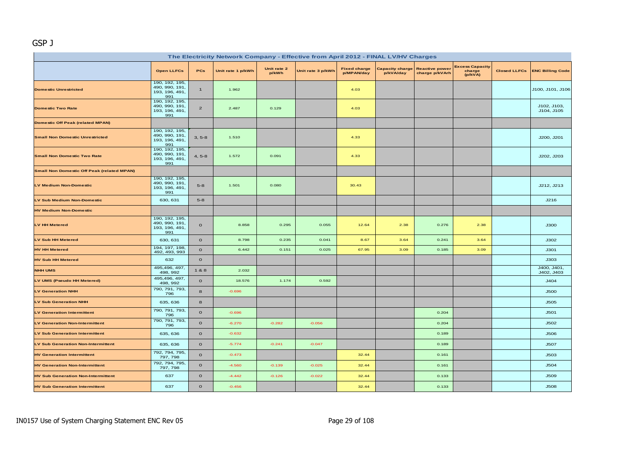#### GSP J

| The Electricity Network Company - Effective from April 2012 - FINAL LV/HV Charges |                                                           |                |                   |                      |                   |                                   |                              |                                         |                                             |  |                                 |  |
|-----------------------------------------------------------------------------------|-----------------------------------------------------------|----------------|-------------------|----------------------|-------------------|-----------------------------------|------------------------------|-----------------------------------------|---------------------------------------------|--|---------------------------------|--|
|                                                                                   | <b>Open LLFCs</b>                                         | <b>PCs</b>     | Unit rate 1 p/kWh | Unit rate 2<br>p/kWh | Unit rate 3 p/kWh | <b>Fixed charge</b><br>p/MPAN/day | Capacity charge<br>p/kVA/day | <b>Reactive power</b><br>charge p/kVArh | <b>Excess Capacity</b><br>charge<br>(p/kVA) |  | Closed LLFCs   ENC Billing Code |  |
| <b>Domestic Unrestricted</b>                                                      | 190, 192, 195,<br>490, 990, 191,<br>193, 196, 491,<br>991 | $\mathbf{1}$   | 1.962             |                      |                   | 4.03                              |                              |                                         |                                             |  | J100, J101, J106                |  |
| <b>Domestic Two Rate</b>                                                          | 190, 192, 195,<br>490, 990, 191<br>193, 196, 491,<br>991  | $\overline{a}$ | 2.487             | 0.129                |                   | 4.03                              |                              |                                         |                                             |  | J102, J103,<br>J104, J105       |  |
| <b>Domestic Off Peak (related MPAN)</b>                                           |                                                           |                |                   |                      |                   |                                   |                              |                                         |                                             |  |                                 |  |
| <b>Small Non Domestic Unrestricted</b>                                            | 190, 192, 195,<br>490, 990, 191<br>193, 196, 491,<br>991  | $3, 5-8$       | 1.510             |                      |                   | 4.33                              |                              |                                         |                                             |  | J200, J201                      |  |
| <b>Small Non Domestic Two Rate</b>                                                | 190, 192, 195,<br>490, 990, 191,<br>193, 196, 491,<br>991 | $4, 5-8$       | 1.572             | 0.091                |                   | 4.33                              |                              |                                         |                                             |  | J202, J203                      |  |
| <b>Small Non Domestic Off Peak (related MPAN)</b>                                 |                                                           |                |                   |                      |                   |                                   |                              |                                         |                                             |  |                                 |  |
| <b>LV Medium Non-Domestic</b>                                                     | 190, 192, 195,<br>490, 990, 191<br>193, 196, 491,<br>991  | $5-8$          | 1.501             | 0.080                |                   | 30.43                             |                              |                                         |                                             |  | J212, J213                      |  |
| LV Sub Medium Non-Domestic                                                        | 630, 631                                                  | $5-8$          |                   |                      |                   |                                   |                              |                                         |                                             |  | J216                            |  |
| <b>HV Medium Non-Domestic</b>                                                     |                                                           |                |                   |                      |                   |                                   |                              |                                         |                                             |  |                                 |  |
| LV HH Metered                                                                     | 190, 192, 195,<br>490, 990, 191,<br>193, 196, 491,<br>991 | $\mathbf{o}$   | 8.858             | 0.295                | 0.055             | 12.64                             | 2.38                         | 0.276                                   | 2.38                                        |  | <b>J300</b>                     |  |
| <b>LV Sub HH Metered</b>                                                          | 630, 631                                                  | $\mathbf{o}$   | 8.798             | 0.235                | 0.041             | 8.67                              | 3.64                         | 0.241                                   | 3.64                                        |  | J302                            |  |
| <b>HV HH Metered</b>                                                              | 194, 197, 198,<br>492, 493, 993                           | $\mathbf{o}$   | 6.442             | 0.151                | 0.025             | 67.95                             | 3.09                         | 0.185                                   | 3.09                                        |  | J301                            |  |
| <b>HV Sub HH Metered</b>                                                          | 632                                                       | $\mathbf{o}$   |                   |                      |                   |                                   |                              |                                         |                                             |  | J303                            |  |
| <b>NHH UMS</b>                                                                    | 495,496, 497,<br>498, 992                                 | 1&8            | 2.032             |                      |                   |                                   |                              |                                         |                                             |  | J400, J401,<br>J402, J403       |  |
| LV UMS (Pseudo HH Metered)                                                        | 495,496, 497,<br>498, 992                                 | $\mathbf{o}$   | 18.576            | 1.174                | 0.592             |                                   |                              |                                         |                                             |  | J404                            |  |
| <b>LV Generation NHH</b>                                                          | 790, 791, 793,<br>796                                     | 8              | $-0.696$          |                      |                   |                                   |                              |                                         |                                             |  | <b>J500</b>                     |  |
| <b>LV Sub Generation NHH</b>                                                      | 635, 636                                                  | 8              |                   |                      |                   |                                   |                              |                                         |                                             |  | <b>J505</b>                     |  |
| <b>LV Generation Intermittent</b>                                                 | 790, 791, 793,<br>796                                     | $\mathbf 0$    | $-0.696$          |                      |                   |                                   |                              | 0.204                                   |                                             |  | J501                            |  |
| <b>LV Generation Non-Intermittent</b>                                             | 790, 791, 793,<br>796                                     | $\Omega$       | $-6.270$          | $-0.282$             | $-0.056$          |                                   |                              | 0.204                                   |                                             |  | J502                            |  |
| <b>LV Sub Generation Intermittent</b>                                             | 635, 636                                                  | $\mathbf 0$    | $-0.632$          |                      |                   |                                   |                              | 0.189                                   |                                             |  | <b>J506</b>                     |  |
| <b>LV Sub Generation Non-Intermittent</b>                                         | 635, 636                                                  | $\mathbf 0$    | $-5.774$          | $-0.241$             | $-0.047$          |                                   |                              | 0.189                                   |                                             |  | <b>J507</b>                     |  |
| <b>HV Generation Intermittent</b>                                                 | 792, 794, 795,<br>797, 798                                | $\mathbf{o}$   | $-0.473$          |                      |                   | 32.44                             |                              | 0.161                                   |                                             |  | <b>J503</b>                     |  |
| <b>HV Generation Non-Intermittent</b>                                             | 792, 794, 795,<br>797, 798                                | $\mathbf{o}$   | $-4.560$          | $-0.139$             | $-0.025$          | 32.44                             |                              | 0.161                                   |                                             |  | J504                            |  |
| <b>HV Sub Generation Non-Intermittent</b>                                         | 637                                                       | $\mathbf 0$    | $-4.442$          | $-0.126$             | $-0.022$          | 32.44                             |                              | 0.133                                   |                                             |  | <b>J509</b>                     |  |
| <b>HV Sub Generation Intermittent</b>                                             | 637                                                       | $\mathbf{o}$   | $-0.456$          |                      |                   | 32.44                             |                              | 0.133                                   |                                             |  | <b>J508</b>                     |  |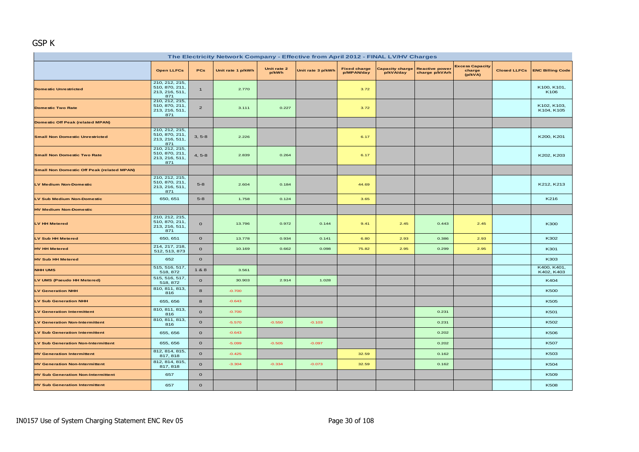#### GSP K

| The Electricity Network Company - Effective from April 2012 - FINAL LV/HV Charges |                                                           |                |                   |                      |                   |                                   |           |                                                         |                                             |  |                               |  |
|-----------------------------------------------------------------------------------|-----------------------------------------------------------|----------------|-------------------|----------------------|-------------------|-----------------------------------|-----------|---------------------------------------------------------|---------------------------------------------|--|-------------------------------|--|
|                                                                                   | <b>Open LLFCs</b>                                         | PCs            | Unit rate 1 p/kWh | Unit rate 2<br>p/kWh | Unit rate 3 p/kWh | <b>Fixed charge</b><br>p/MPAN/day | p/kVA/day | <b>Capacity charge Reactive power</b><br>charge p/kVArh | <b>Excess Capacity</b><br>charge<br>(p/kVA) |  | Closed LLFCs ENC Billing Code |  |
| <b>Domestic Unrestricted</b>                                                      | 210, 212, 215,<br>510, 870, 211,<br>213, 216, 511,<br>871 | $\mathbf{1}$   | 2.770             |                      |                   | 3.72                              |           |                                                         |                                             |  | K100, K101,<br>K106           |  |
| <b>Domestic Two Rate</b>                                                          | 210, 212, 215,<br>510, 870, 211,<br>213, 216, 511,<br>871 | $\overline{2}$ | 3.111             | 0.227                |                   | 3.72                              |           |                                                         |                                             |  | K102, K103,<br>K104, K105     |  |
| <b>Domestic Off Peak (related MPAN)</b>                                           |                                                           |                |                   |                      |                   |                                   |           |                                                         |                                             |  |                               |  |
| <b>Small Non Domestic Unrestricted</b>                                            | 210, 212, 215,<br>510, 870, 211,<br>213, 216, 511,<br>871 | $3, 5-8$       | 2.226             |                      |                   | 6.17                              |           |                                                         |                                             |  | K200, K201                    |  |
| <b>Small Non Domestic Two Rate</b>                                                | 210, 212, 215,<br>510, 870, 211,<br>213, 216, 511,<br>871 | $4, 5-8$       | 2.839             | 0.264                |                   | 6.17                              |           |                                                         |                                             |  | K202, K203                    |  |
| <b>Small Non Domestic Off Peak (related MPAN)</b>                                 |                                                           |                |                   |                      |                   |                                   |           |                                                         |                                             |  |                               |  |
| LV Medium Non-Domestic                                                            | 210, 212, 215,<br>510, 870, 211,<br>213, 216, 511,<br>871 | $5-8$          | 2.604             | 0.184                |                   | 44.69                             |           |                                                         |                                             |  | K212, K213                    |  |
| LV Sub Medium Non-Domestic                                                        | 650, 651                                                  | $5-8$          | 1.758             | 0.124                |                   | 3.65                              |           |                                                         |                                             |  | K216                          |  |
| <b>HV Medium Non-Domestic</b>                                                     |                                                           |                |                   |                      |                   |                                   |           |                                                         |                                             |  |                               |  |
| LV HH Metered                                                                     | 210, 212, 215,<br>510, 870, 211,<br>213, 216, 511,<br>871 | $\mathbf{o}$   | 13.796            | 0.972                | 0.144             | 9.41                              | 2.45      | 0.443                                                   | 2.45                                        |  | K300                          |  |
| <b>LV Sub HH Metered</b>                                                          | 650, 651                                                  | $\mathbf{o}$   | 13.778            | 0.934                | 0.141             | 6.80                              | 2.93      | 0.386                                                   | 2.93                                        |  | K302                          |  |
| <b>HV HH Metered</b>                                                              | 214, 217, 218,<br>512, 513, 873                           | $\mathbf{o}$   | 10.169            | 0.662                | 0.098             | 75.82                             | 2.95      | 0.299                                                   | 2.95                                        |  | K301                          |  |
| <b>HV Sub HH Metered</b>                                                          | 652                                                       | $\mathbf{o}$   |                   |                      |                   |                                   |           |                                                         |                                             |  | K303                          |  |
| <b>NHH UMS</b>                                                                    | 515, 516, 517,<br>518, 872                                | 1 & 8          | 3.561             |                      |                   |                                   |           |                                                         |                                             |  | K400, K401,<br>K402, K403     |  |
| LV UMS (Pseudo HH Metered)                                                        | 515, 516, 517,<br>518, 872                                | $\mathbf{o}$   | 30.903            | 2.914                | 1.028             |                                   |           |                                                         |                                             |  | K404                          |  |
| <b>LV Generation NHH</b>                                                          | 810, 811, 813,<br>816                                     | 8              | $-0.700$          |                      |                   |                                   |           |                                                         |                                             |  | <b>K500</b>                   |  |
| <b>LV Sub Generation NHH</b>                                                      | 655, 656                                                  | 8              | $-0.643$          |                      |                   |                                   |           |                                                         |                                             |  | K505                          |  |
| <b>LV Generation Intermittent</b>                                                 | 810, 811, 813,<br>816                                     | $\mathbf{o}$   | $-0.700$          |                      |                   |                                   |           | 0.231                                                   |                                             |  | K501                          |  |
| <b>LV Generation Non-Intermittent</b>                                             | 810, 811, 813,<br>816                                     | $\circ$        | $-5.570$          | $-0.550$             | $-0.103$          |                                   |           | 0.231                                                   |                                             |  | K502                          |  |
| <b>LV Sub Generation Intermittent</b>                                             | 655, 656                                                  | $\mathbf{o}$   | $-0.643$          |                      |                   |                                   |           | 0.202                                                   |                                             |  | K506                          |  |
| <b>LV Sub Generation Non-Intermittent</b>                                         | 655, 656                                                  | $\mathbf{o}$   | $-5.099$          | $-0.505$             | $-0.097$          |                                   |           | 0.202                                                   |                                             |  | K507                          |  |
| <b>HV Generation Intermittent</b>                                                 | 812, 814, 815,<br>817, 818                                | $\mathbf{o}$   | $-0.425$          |                      |                   | 32.59                             |           | 0.162                                                   |                                             |  | K503                          |  |
| <b>HV Generation Non-Intermittent</b>                                             | 812, 814, 815,<br>817, 818                                | $\mathbf{o}$   | $-3.304$          | $-0.334$             | $-0.073$          | 32.59                             |           | 0.162                                                   |                                             |  | K504                          |  |
| <b>HV Sub Generation Non-Intermittent</b>                                         | 657                                                       | $\mathbf O$    |                   |                      |                   |                                   |           |                                                         |                                             |  | K509                          |  |
| <b>HV Sub Generation Intermittent</b>                                             | 657                                                       | $\mathbf O$    |                   |                      |                   |                                   |           |                                                         |                                             |  | K508                          |  |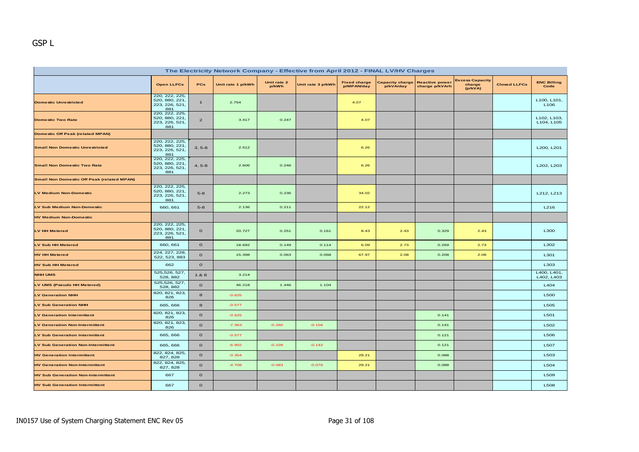| The Electricity Network Company - Effective from April 2012 - FINAL LV/HV Charges |                                                           |                |                   |                      |                   |                                   |                              |                                         |                                             |                     |                                 |  |
|-----------------------------------------------------------------------------------|-----------------------------------------------------------|----------------|-------------------|----------------------|-------------------|-----------------------------------|------------------------------|-----------------------------------------|---------------------------------------------|---------------------|---------------------------------|--|
|                                                                                   | <b>Open LLFCs</b>                                         | PCs            | Unit rate 1 p/kWh | Unit rate 2<br>p/kWh | Unit rate 3 p/kWh | <b>Fixed charge</b><br>p/MPAN/day | Capacity charge<br>p/kVA/day | <b>Reactive power</b><br>charge p/kVArh | <b>Excess Capacity</b><br>charge<br>(p/kVA) | <b>Closed LLFCs</b> | <b>ENC Billing</b><br>Code      |  |
| <b>Domestic Unrestricted</b>                                                      | 220, 222, 225,<br>520, 880, 221<br>223, 226, 521,<br>881  | $\mathbf{1}$   | 2.754             |                      |                   | 4.07                              |                              |                                         |                                             |                     | L100, L101,<br>L <sub>106</sub> |  |
| <b>Domestic Two Rate</b>                                                          | 220, 222, 225,<br>520, 880, 221,<br>223, 226, 521,<br>881 | $\overline{a}$ | 3.417             | 0.247                |                   | 4.07                              |                              |                                         |                                             |                     | L102, L103,<br>L104, L105       |  |
| <b>Domestic Off Peak (related MPAN)</b>                                           |                                                           |                |                   |                      |                   |                                   |                              |                                         |                                             |                     |                                 |  |
| <b>Small Non Domestic Unrestricted</b>                                            | 220, 222, 225,<br>520, 880, 221,<br>223, 226, 521,<br>881 | $3, 5-8$       | 2.512             |                      |                   | 6.26                              |                              |                                         |                                             |                     | L200, L201                      |  |
| <b>Small Non Domestic Two Rate</b>                                                | 220, 222, 225,<br>520, 880, 221,<br>223, 226, 521,<br>881 | $4, 5-8$       | 2.606             | 0.246                |                   | 6.26                              |                              |                                         |                                             |                     | L202, L203                      |  |
| <b>Small Non Domestic Off Peak (related MPAN)</b>                                 |                                                           |                |                   |                      |                   |                                   |                              |                                         |                                             |                     |                                 |  |
| <b>LV Medium Non-Domestic</b>                                                     | 220, 222, 225,<br>520, 880, 221<br>223, 226, 521,<br>881  | $5 - 8$        | 2.273             | 0.236                |                   | 34.02                             |                              |                                         |                                             |                     | L212, L213                      |  |
| LV Sub Medium Non-Domestic                                                        | 660, 661                                                  | $5 - 8$        | 2.136             | 0.211                |                   | 22.12                             |                              |                                         |                                             |                     | L216                            |  |
| <b>HV Medium Non-Domestic</b>                                                     |                                                           |                |                   |                      |                   |                                   |                              |                                         |                                             |                     |                                 |  |
| LV HH Metered                                                                     | 220, 222, 225,<br>520, 880, 221,<br>223, 226, 521,<br>881 | $\circ$        | 20.727            | 0.251                | 0.161             | 8.43                              | 2.43                         | 0.329                                   | 2.43                                        |                     | L300                            |  |
| LV Sub HH Metered                                                                 | 660, 661                                                  | $\mathbf{o}$   | 18.692            | 0.149                | 0.114             | 6.09                              | 2.73                         | 0.269                                   | 2.73                                        |                     | L302                            |  |
| <b>HV HH Metered</b>                                                              | 224, 227, 228,<br>522, 523, 883                           | $\mathbf{o}$   | 15.398            | 0.063                | 0.068             | 67.97                             | 2.08                         | 0.208                                   | 2.08                                        |                     | L301                            |  |
| <b>HV Sub HH Metered</b>                                                          | 662                                                       | $\mathbf{o}$   |                   |                      |                   |                                   |                              |                                         |                                             |                     | L303                            |  |
| <b>NHH UMS</b>                                                                    | 525,526, 527,<br>528, 882                                 | 1&8            | 3.214             |                      |                   |                                   |                              |                                         |                                             |                     | L400, L401,<br>L402, L403       |  |
| LV UMS (Pseudo HH Metered)                                                        | 525,526, 527,<br>528, 882                                 | $\circ$        | 46.218            | 1.446                | 1.104             |                                   |                              |                                         |                                             |                     | L404                            |  |
| <b>LV Generation NHH</b>                                                          | 820, 821, 823,<br>826                                     | 8              | $-0.625$          |                      |                   |                                   |                              |                                         |                                             |                     | L500                            |  |
| <b>LV Sub Generation NHH</b>                                                      | 665, 666                                                  | 8              | $-0.577$          |                      |                   |                                   |                              |                                         |                                             |                     | L505                            |  |
| <b>LV Generation Intermittent</b>                                                 | 820, 821, 823,<br>826                                     | $\mathbf{o}$   | $-0.625$          |                      |                   |                                   |                              | 0.141                                   |                                             |                     | L501                            |  |
| <b>LV Generation Non-Intermittent</b>                                             | 820, 821, 823,<br>826                                     | $\mathbf{o}$   | $-7.363$          | $-0.260$             | $-0.156$          |                                   |                              | 0.141                                   |                                             |                     | L502                            |  |
| <b>LV Sub Generation Intermittent</b>                                             | 665, 666                                                  | $\mathbf{o}$   | $-0.577$          |                      |                   |                                   |                              | 0.121                                   |                                             |                     | L506                            |  |
| <b>LV Sub Generation Non-Intermittent</b>                                         | 665, 666                                                  | $\mathbf{o}$   | $-6.902$          | $-0.228$             | $-0.142$          |                                   |                              | 0.121                                   |                                             |                     | L507                            |  |
| <b>HV Generation Intermittent</b>                                                 | 822, 824, 825,<br>827, 828                                | $\mathbf{o}$   | $-0.354$          |                      |                   | 29.21                             |                              | 0.088                                   |                                             |                     | L503                            |  |
| <b>HV Generation Non-Intermittent</b>                                             | 822, 824, 825,<br>827, 828                                | $\mathbf{o}$   | $-4.708$          | $-0.083$             | $-0.076$          | 29.21                             |                              | 0.088                                   |                                             |                     | L504                            |  |
| <b>HV Sub Generation Non-Intermittent</b>                                         | 667                                                       | $\mathbf{o}$   |                   |                      |                   |                                   |                              |                                         |                                             |                     | L509                            |  |
| <b>HV Sub Generation Intermittent</b>                                             | 667                                                       | $\mathbf{o}$   |                   |                      |                   |                                   |                              |                                         |                                             |                     | <b>L508</b>                     |  |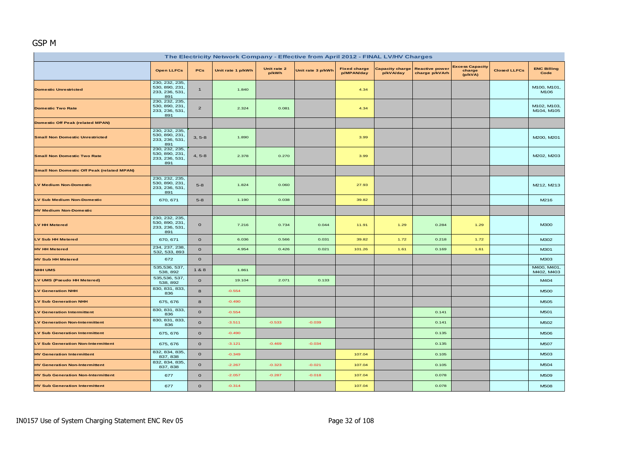# GSP M

| The Electricity Network Company - Effective from April 2012 - FINAL LV/HV Charges |                                                           |                |                   |                      |                   |                                   |                                     |                                         |                                             |                     |                            |  |  |
|-----------------------------------------------------------------------------------|-----------------------------------------------------------|----------------|-------------------|----------------------|-------------------|-----------------------------------|-------------------------------------|-----------------------------------------|---------------------------------------------|---------------------|----------------------------|--|--|
|                                                                                   | <b>Open LLFCs</b>                                         | PCs            | Unit rate 1 p/kWh | Unit rate 2<br>p/kWh | Unit rate 3 p/kWh | <b>Fixed charge</b><br>p/MPAN/day | <b>Capacity charge</b><br>p/kVA/day | <b>Reactive power</b><br>charge p/kVArh | <b>Excess Capacity</b><br>charge<br>(p/kVA) | <b>Closed LLFCs</b> | <b>ENC Billing</b><br>Code |  |  |
| <b>Domestic Unrestricted</b>                                                      | 230, 232, 235,<br>530, 890, 231,<br>233, 236, 531,<br>891 | $\mathbf{1}$   | 1.840             |                      |                   | 4.34                              |                                     |                                         |                                             |                     | M100, M101,<br>M106        |  |  |
| <b>Domestic Two Rate</b>                                                          | 230, 232, 235,<br>530, 890, 231,<br>233, 236, 531,<br>891 | $\overline{2}$ | 2.324             | 0.081                |                   | 4.34                              |                                     |                                         |                                             |                     | M102, M103,<br>M104, M105  |  |  |
| <b>Domestic Off Peak (related MPAN)</b>                                           |                                                           |                |                   |                      |                   |                                   |                                     |                                         |                                             |                     |                            |  |  |
| <b>Small Non Domestic Unrestricted</b>                                            | 230, 232, 235,<br>530, 890, 231,<br>233, 236, 531,<br>891 | $3, 5-8$       | 1.890             |                      |                   | 3.99                              |                                     |                                         |                                             |                     | M200, M201                 |  |  |
| <b>Small Non Domestic Two Rate</b>                                                | 230, 232, 235,<br>530, 890, 231<br>233, 236, 531<br>891   | $4, 5-8$       | 2.378             | 0.270                |                   | 3.99                              |                                     |                                         |                                             |                     | M202, M203                 |  |  |
| <b>Small Non Domestic Off Peak (related MPAN)</b>                                 |                                                           |                |                   |                      |                   |                                   |                                     |                                         |                                             |                     |                            |  |  |
| <b>LV Medium Non-Domestic</b>                                                     | 230, 232, 235,<br>530, 890, 231,<br>233, 236, 531,<br>891 | $5-8$          | 1.824             | 0.060                |                   | 27.93                             |                                     |                                         |                                             |                     | M212, M213                 |  |  |
| LV Sub Medium Non-Domestic                                                        | 670, 671                                                  | $5-8$          | 1.190             | 0.038                |                   | 39.82                             |                                     |                                         |                                             |                     | M216                       |  |  |
| <b>HV Medium Non-Domestic</b>                                                     |                                                           |                |                   |                      |                   |                                   |                                     |                                         |                                             |                     |                            |  |  |
| LV HH Metered                                                                     | 230, 232, 235,<br>530, 890, 231,<br>233, 236, 531,<br>891 | $\mathbf{o}$   | 7.216             | 0.734                | 0.044             | 11.91                             | 1.29                                | 0.284                                   | 1.29                                        |                     | <b>M300</b>                |  |  |
| <b>LV Sub HH Metered</b>                                                          | 670, 671                                                  | $\mathbf{O}$   | 6.036             | 0.566                | 0.031             | 39.82                             | 1.72                                | 0.218                                   | 1.72                                        |                     | M302                       |  |  |
| <b>HV HH Metered</b>                                                              | 234, 237, 238,<br>532, 533, 893                           | $\mathbf{o}$   | 4.954             | 0.426                | 0.021             | 101.26                            | 1.61                                | 0.169                                   | 1.61                                        |                     | M301                       |  |  |
| <b>HV Sub HH Metered</b>                                                          | 672                                                       | $\mathbf{o}$   |                   |                      |                   |                                   |                                     |                                         |                                             |                     | M303                       |  |  |
| <b>NHH UMS</b>                                                                    | 535,536, 537,<br>538, 892                                 | 1&8            | 1.861             |                      |                   |                                   |                                     |                                         |                                             |                     | M400, M401,<br>M402, M403  |  |  |
| LV UMS (Pseudo HH Metered)                                                        | 535,536, 537,<br>538, 892                                 | $\mathbf{o}$   | 19.104            | 2.071                | 0.133             |                                   |                                     |                                         |                                             |                     | M404                       |  |  |
| <b>LV Generation NHH</b>                                                          | 830, 831, 833,<br>836                                     | 8              | $-0.554$          |                      |                   |                                   |                                     |                                         |                                             |                     | <b>M500</b>                |  |  |
| <b>LV Sub Generation NHH</b>                                                      | 675, 676                                                  | 8              | $-0.490$          |                      |                   |                                   |                                     |                                         |                                             |                     | M505                       |  |  |
| <b>LV Generation Intermittent</b>                                                 | 830, 831, 833,<br>836                                     | $\mathbf{O}$   | $-0.554$          |                      |                   |                                   |                                     | 0.141                                   |                                             |                     | M501                       |  |  |
| <b>LV Generation Non-Intermittent</b>                                             | 830, 831, 833,<br>836                                     | $\mathbf{o}$   | $-3.511$          | $-0.533$             | $-0.039$          |                                   |                                     | 0.141                                   |                                             |                     | M502                       |  |  |
| <b>LV Sub Generation Intermittent</b>                                             | 675, 676                                                  | $\mathbf{o}$   | $-0.490$          |                      |                   |                                   |                                     | 0.135                                   |                                             |                     | M506                       |  |  |
| <b>LV Sub Generation Non-Intermittent</b>                                         | 675, 676                                                  | $\mathbf{O}$   | $-3.121$          | $-0.469$             | $-0.034$          |                                   |                                     | 0.135                                   |                                             |                     | M507                       |  |  |
| <b>HV Generation Intermittent</b>                                                 | 832, 834, 835,<br>837, 838                                | $\mathbf{O}$   | $-0.349$          |                      |                   | 107.04                            |                                     | 0.105                                   |                                             |                     | M503                       |  |  |
| <b>HV Generation Non-Intermittent</b>                                             | 832, 834, 835,<br>837, 838                                | $\mathbf{o}$   | $-2.267$          | $-0.323$             | $-0.021$          | 107.04                            |                                     | 0.105                                   |                                             |                     | M504                       |  |  |
| <b>HV Sub Generation Non-Intermittent</b>                                         | 677                                                       | $\mathbf{o}$   | $-2.057$          | $-0.287$             | $-0.018$          | 107.04                            |                                     | 0.078                                   |                                             |                     | M509                       |  |  |
| <b>HV Sub Generation Intermittent</b>                                             | 677                                                       | $\mathbf O$    | $-0.314$          |                      |                   | 107.04                            |                                     | 0.078                                   |                                             |                     | <b>M508</b>                |  |  |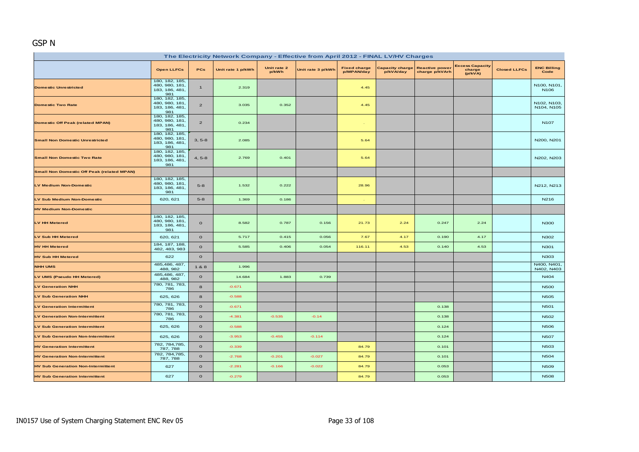# GSP N

| The Electricity Network Company - Effective from April 2012 - FINAL LV/HV Charges |                                                           |                |                   |                      |                   |                                   |                                     |                                         |                                             |                     |                                 |  |  |
|-----------------------------------------------------------------------------------|-----------------------------------------------------------|----------------|-------------------|----------------------|-------------------|-----------------------------------|-------------------------------------|-----------------------------------------|---------------------------------------------|---------------------|---------------------------------|--|--|
|                                                                                   | <b>Open LLFCs</b>                                         | PCs            | Unit rate 1 p/kWh | Unit rate 2<br>p/kWh | Unit rate 3 p/kWh | <b>Fixed charge</b><br>p/MPAN/day | <b>Capacity charge</b><br>p/kVA/day | <b>Reactive power</b><br>charge p/kVArh | <b>Excess Capacity</b><br>charge<br>(p/kVA) | <b>Closed LLFCs</b> | <b>ENC Billing</b><br>Code      |  |  |
| <b>Domestic Unrestricted</b>                                                      | 180, 182, 185,<br>480, 980, 181,<br>183, 186, 481,<br>981 | $\mathbf{1}$   | 2.319             |                      |                   | 4.45                              |                                     |                                         |                                             |                     | N100, N101,<br>N <sub>106</sub> |  |  |
| <b>Domestic Two Rate</b>                                                          | 180, 182, 185,<br>480, 980, 181,<br>183, 186, 481,<br>981 | $\overline{a}$ | 3.035             | 0.352                |                   | 4.45                              |                                     |                                         |                                             |                     | N102, N103,<br>N104, N105       |  |  |
| <b>Domestic Off Peak (related MPAN)</b>                                           | 180, 182, 185,<br>480, 980, 181,<br>183, 186, 481,<br>981 | $\overline{a}$ | 0.234             |                      |                   | $\mathcal{L}$                     |                                     |                                         |                                             |                     | N <sub>107</sub>                |  |  |
| <b>Small Non Domestic Unrestricted</b>                                            | 180, 182, 185,<br>480, 980, 181,<br>183, 186, 481,<br>981 | $3, 5-8$       | 2.085             |                      |                   | 5.64                              |                                     |                                         |                                             |                     | N200, N201                      |  |  |
| <b>Small Non Domestic Two Rate</b>                                                | 180, 182, 185,<br>480, 980, 181,<br>183, 186, 481,<br>981 | $4, 5-8$       | 2.769             | 0.401                |                   | 5.64                              |                                     |                                         |                                             |                     | N202, N203                      |  |  |
| <b>Small Non Domestic Off Peak (related MPAN)</b>                                 |                                                           |                |                   |                      |                   |                                   |                                     |                                         |                                             |                     |                                 |  |  |
| <b>LV Medium Non-Domestic</b>                                                     | 180, 182, 185,<br>480, 980, 181<br>183, 186, 481,<br>981  | $5-8$          | 1.532             | 0.222                |                   | 28.96                             |                                     |                                         |                                             |                     | N212, N213                      |  |  |
| LV Sub Medium Non-Domestic                                                        | 620, 621                                                  | $5-8$          | 1.369             | 0.186                |                   | n.                                |                                     |                                         |                                             |                     | N216                            |  |  |
| <b>HV Medium Non-Domestic</b>                                                     |                                                           |                |                   |                      |                   |                                   |                                     |                                         |                                             |                     |                                 |  |  |
| <b>LV HH Metered</b>                                                              | 180, 182, 185,<br>480, 980, 181<br>183, 186, 481<br>981   | $\mathbf{o}$   | 8.582             | 0.787                | 0.156             | 21.73                             | 2.24                                | 0.247                                   | 2.24                                        |                     | <b>N300</b>                     |  |  |
| <b>LV Sub HH Metered</b>                                                          | 620, 621                                                  | $\mathbf O$    | 5.717             | 0.415                | 0.056             | 7.67                              | 4.17                                | 0.190                                   | 4.17                                        |                     | N302                            |  |  |
| <b>HV HH Metered</b>                                                              | 184, 187, 188,<br>482, 483, 983                           | $\circ$        | 5.585             | 0.406                | 0.054             | 116.11                            | 4.53                                | 0.140                                   | 4.53                                        |                     | N301                            |  |  |
| <b>HV Sub HH Metered</b>                                                          | 622                                                       | $\mathbf{o}$   |                   |                      |                   |                                   |                                     |                                         |                                             |                     | N303                            |  |  |
| <b>NHH UMS</b>                                                                    | 485,486, 487,<br>488, 982                                 | 1 & 8          | 1.996             |                      |                   |                                   |                                     |                                         |                                             |                     | N400, N401<br>N402, N403        |  |  |
| LV UMS (Pseudo HH Metered)                                                        | 485,486, 487,<br>488, 982                                 | $\circ$        | 14.684            | 1.883                | 0.739             |                                   |                                     |                                         |                                             |                     | N404                            |  |  |
| <b>LV Generation NHH</b>                                                          | 780, 781, 783,<br>786                                     | 8              | $-0.671$          |                      |                   |                                   |                                     |                                         |                                             |                     | <b>N500</b>                     |  |  |
| <b>LV Sub Generation NHH</b>                                                      | 625, 626                                                  | 8              | $-0.588$          |                      |                   |                                   |                                     |                                         |                                             |                     | <b>N505</b>                     |  |  |
| <b>LV Generation Intermittent</b>                                                 | 780, 781, 783,<br>786                                     | $\circ$        | $-0.671$          |                      |                   |                                   |                                     | 0.138                                   |                                             |                     | <b>N501</b>                     |  |  |
| <b>LV Generation Non-Intermittent</b>                                             | 780, 781, 783,<br>786                                     | $\circ$        | $-4.381$          | $-0.535$             | $-0.14$           |                                   |                                     | 0.138                                   |                                             |                     | N502                            |  |  |
| <b>LV Sub Generation Intermittent</b>                                             | 625, 626                                                  | $\circ$        | $-0.588$          |                      |                   |                                   |                                     | 0.124                                   |                                             |                     | <b>N506</b>                     |  |  |
| <b>LV Sub Generation Non-Intermittent</b>                                         | 625, 626                                                  | $\circ$        | $-3.953$          | $-0.455$             | $-0.114$          |                                   |                                     | 0.124                                   |                                             |                     | <b>N507</b>                     |  |  |
| <b>HV Generation Intermittent</b>                                                 | 782, 784, 785,<br>787, 788                                | $\mathbf{o}$   | $-0.339$          |                      |                   | 84.79                             |                                     | 0.101                                   |                                             |                     | <b>N503</b>                     |  |  |
| <b>HV Generation Non-Intermittent</b>                                             | 782, 784, 785,<br>787, 788                                | $\mathbf{o}$   | $-2.768$          | $-0.201$             | $-0.027$          | 84.79                             |                                     | 0.101                                   |                                             |                     | N <sub>504</sub>                |  |  |
| <b>HV Sub Generation Non-Intermittent</b>                                         | 627                                                       | $\circ$        | $-2.281$          | $-0.166$             | $-0.022$          | 84.79                             |                                     | 0.053                                   |                                             |                     | <b>N509</b>                     |  |  |
| <b>HV Sub Generation Intermittent</b>                                             | 627                                                       | $\mathbf{o}$   | $-0.279$          |                      |                   | 84.79                             |                                     | 0.053                                   |                                             |                     | <b>N508</b>                     |  |  |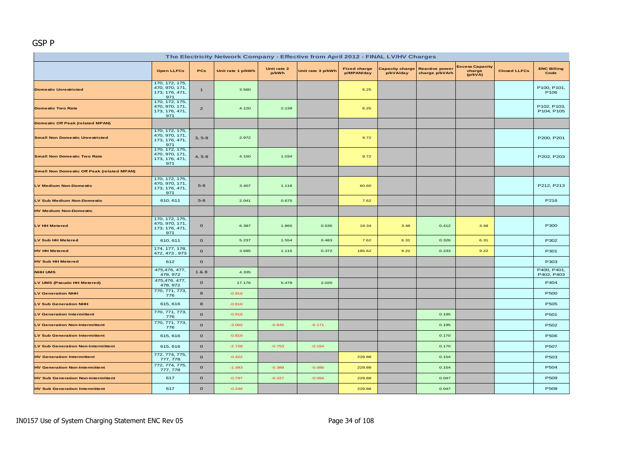#### GSP P

| The Electricity Network Company - Effective from April 2012 - FINAL LV/HV Charges |                                                           |                |                   |                      |                   |                                   |                                     |                                         |                                             |                     |                                 |  |
|-----------------------------------------------------------------------------------|-----------------------------------------------------------|----------------|-------------------|----------------------|-------------------|-----------------------------------|-------------------------------------|-----------------------------------------|---------------------------------------------|---------------------|---------------------------------|--|
|                                                                                   | <b>Open LLFCs</b>                                         | <b>PCs</b>     | Unit rate 1 p/kWh | Unit rate 2<br>p/kWh | Unit rate 3 p/kWh | <b>Fixed charge</b><br>p/MPAN/day | <b>Capacity charge</b><br>p/kVA/day | <b>Reactive power</b><br>charge p/kVArh | <b>Excess Capacity</b><br>charge<br>(p/kVA) | <b>Closed LLFCs</b> | <b>ENC Billing</b><br>Code      |  |
| <b>Domestic Unrestricted</b>                                                      | 170, 172, 175,<br>470, 970, 171,<br>173, 176, 471,<br>971 | $\mathbf{1}$   | 3.560             |                      |                   | 6.25                              |                                     |                                         |                                             |                     | P100, P101,<br>P <sub>106</sub> |  |
| <b>Domestic Two Rate</b>                                                          | 170, 172, 175,<br>470, 970, 171,<br>173, 176, 471,<br>971 | $\overline{c}$ | 4.120             | 2.139                |                   | 6.25                              |                                     |                                         |                                             |                     | P102, P103,<br>P104, P105       |  |
| <b>Domestic Off Peak (related MPAN)</b>                                           |                                                           |                |                   |                      |                   |                                   |                                     |                                         |                                             |                     |                                 |  |
| <b>Small Non Domestic Unrestricted</b>                                            | 170, 172, 175,<br>470, 970, 171,<br>173, 176, 471,<br>971 | $3, 5-8$       | 2.972             |                      |                   | 9.72                              |                                     |                                         |                                             |                     | P200, P201                      |  |
| <b>Small Non Domestic Two Rate</b>                                                | 170, 172, 175,<br>470, 970, 171,<br>173, 176, 471<br>971  | $4, 5-8$       | 4.150             | 1.034                |                   | 9.72                              |                                     |                                         |                                             |                     | P202, P203                      |  |
| <b>Small Non Domestic Off Peak (related MPAN)</b>                                 |                                                           |                |                   |                      |                   |                                   |                                     |                                         |                                             |                     |                                 |  |
| <b>LV Medium Non-Domestic</b>                                                     | 170, 172, 175,<br>470, 970, 171,<br>173, 176, 471,<br>971 | $5 - 8$        | 3.407             | 1.118                |                   | 60.60                             |                                     |                                         |                                             |                     | P212, P213                      |  |
| LV Sub Medium Non-Domestic                                                        | 610, 611                                                  | $5-8$          | 2.041             | 0.675                |                   | 7.62                              |                                     |                                         |                                             |                     | P216                            |  |
| <b>HV Medium Non-Domestic</b>                                                     |                                                           |                |                   |                      |                   |                                   |                                     |                                         |                                             |                     |                                 |  |
| <b>LV HH Metered</b>                                                              | 170, 172, 175,<br>470, 970, 171,<br>173, 176, 471,<br>971 | $\mathbf 0$    | 6.387             | 1.865                | 0.535             | 19.34                             | 3.48                                | 0.412                                   | 3.48                                        |                     | P300                            |  |
| <b>LV Sub HH Metered</b>                                                          | 610, 611                                                  | $\mathbf 0$    | 5.237             | 1.554                | 0.483             | 7.62                              | 6.31                                | 0.326                                   | 6.31                                        |                     | P302                            |  |
| <b>HV HH Metered</b>                                                              | 174, 177, 178,<br>472, 473, 973                           | $\mathbf 0$    | 3.695             | 1.115                | 0.372             | 185.62                            | 9.22                                | 0.233                                   | 9.22                                        |                     | P301                            |  |
| <b>HV Sub HH Metered</b>                                                          | 612                                                       | $\mathbf{o}$   |                   |                      |                   |                                   |                                     |                                         |                                             |                     | P303                            |  |
| <b>NHH UMS</b>                                                                    | 475,476, 477,<br>478, 972                                 | 1&8            | 4.335             |                      |                   |                                   |                                     |                                         |                                             |                     | P400, P401,<br>P402, P403       |  |
| LV UMS (Pseudo HH Metered)                                                        | 475,476, 477,<br>478, 972                                 | $\mathbf O$    | 17.176            | 5.478                | 2.020             |                                   |                                     |                                         |                                             |                     | P404                            |  |
| <b>LV Generation NHH</b>                                                          | 770, 771, 773,<br>776                                     | 8              | $-0.916$          |                      |                   |                                   |                                     |                                         |                                             |                     | P500                            |  |
| <b>LV Sub Generation NHH</b>                                                      | 615, 616                                                  | 8              | $-0.816$          |                      |                   |                                   |                                     |                                         |                                             |                     | P505                            |  |
| <b>LV Generation Intermittent</b>                                                 | 770, 771, 773,<br>776                                     | $\mathbf 0$    | $-0.916$          |                      |                   |                                   |                                     | 0.195                                   |                                             |                     | P501                            |  |
| <b>LV Generation Non-Intermittent</b>                                             | 770, 771, 773,<br>776                                     | $\mathbf 0$    | $-3.065$          | $-0.845$             | $-0.171$          |                                   |                                     | 0.195                                   |                                             |                     | P502                            |  |
| <b>LV Sub Generation Intermittent</b>                                             | 615, 616                                                  | $\mathbf{o}$   | $-0.816$          |                      |                   |                                   |                                     | 0.170                                   |                                             |                     | P506                            |  |
| <b>LV Sub Generation Non-Intermittent</b>                                         | 615, 616                                                  | $\mathbf O$    | $-2.728$          | $-0.753$             | $-0.154$          |                                   |                                     | 0.170                                   |                                             |                     | P507                            |  |
| <b>HV Generation Intermittent</b>                                                 | 772, 774, 775,<br>777, 778                                | $\mathbf 0$    | $-0.422$          |                      |                   | 229.88                            |                                     | 0.154                                   |                                             |                     | P503                            |  |
| <b>HV Generation Non-Intermittent</b>                                             | 772, 774, 775,<br>777, 778                                | $\mathbf{o}$   | $-1.393$          | $-0.389$             | $-0.086$          | 229.88                            |                                     | 0.154                                   |                                             |                     | P504                            |  |
| <b>HV Sub Generation Non-Intermittent</b>                                         | 617                                                       | $\mathbf 0$    | $-0.797$          | $-0.227$             | $-0.056$          | 229.88                            |                                     | 0.047                                   |                                             |                     | P509                            |  |
| <b>HV Sub Generation Intermittent</b>                                             | 617                                                       | $\mathbf{o}$   | $-0.246$          |                      |                   | 229.88                            |                                     | 0.047                                   |                                             |                     | P508                            |  |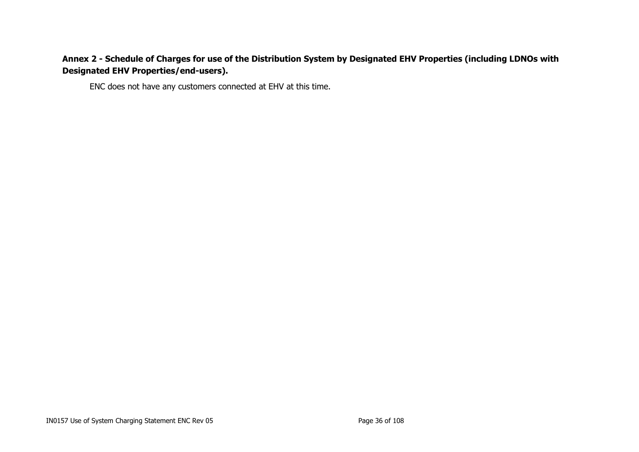# **Annex 2 - Schedule of Charges for use of the Distribution System by Designated EHV Properties (including LDNOs with Designated EHV Properties/end-users).**

<span id="page-35-0"></span>ENC does not have any customers connected at EHV at this time.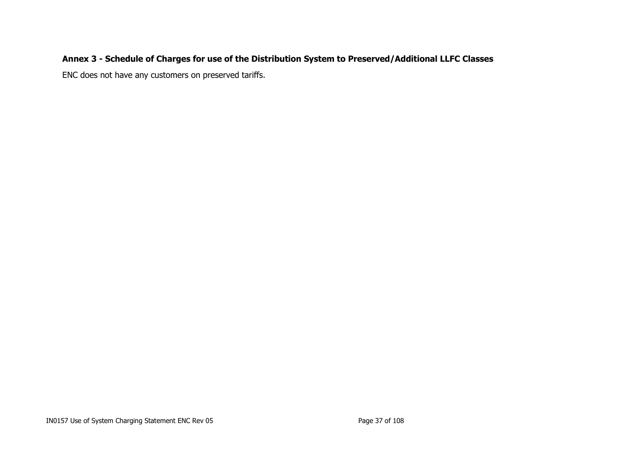# **Annex 3 - Schedule of Charges for use of the Distribution System to Preserved/Additional LLFC Classes**

ENC does not have any customers on preserved tariffs.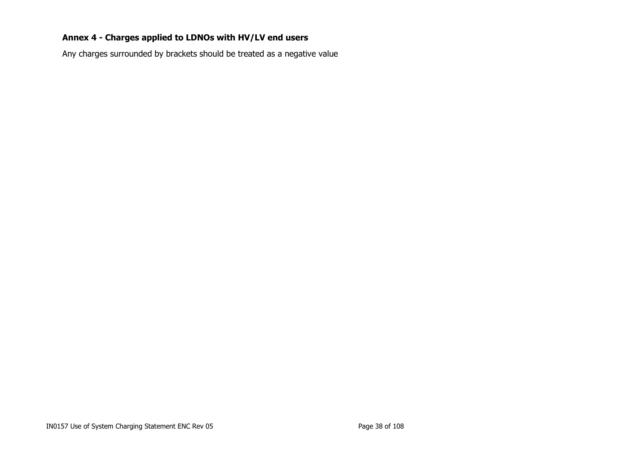# **Annex 4 - Charges applied to LDNOs with HV/LV end users**

Any charges surrounded by brackets should be treated as a negative value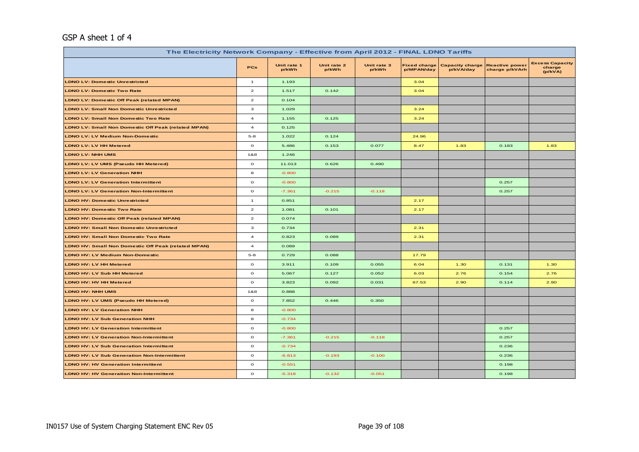## GSP A sheet 1 of 4

| The Electricity Network Company - Effective from April 2012 - FINAL LDNO Tariffs |                         |                      |                      |                      |                                   |                                     |                                         |                                             |  |  |
|----------------------------------------------------------------------------------|-------------------------|----------------------|----------------------|----------------------|-----------------------------------|-------------------------------------|-----------------------------------------|---------------------------------------------|--|--|
|                                                                                  | <b>PCs</b>              | Unit rate 1<br>p/kWh | Unit rate 2<br>p/kWh | Unit rate 3<br>p/kWh | <b>Fixed charge</b><br>p/MPAN/day | <b>Capacity charge</b><br>p/kVA/day | <b>Reactive power</b><br>charge p/kVArh | <b>Excess Capacity</b><br>charge<br>(p/kVA) |  |  |
| <b>LDNO LV: Domestic Unrestricted</b>                                            | $\mathbf{1}$            | 1.193                |                      |                      | 3.04                              |                                     |                                         |                                             |  |  |
| <b>LDNO LV: Domestic Two Rate</b>                                                | $\overline{a}$          | 1.517                | 0.142                |                      | 3.04                              |                                     |                                         |                                             |  |  |
| <b>LDNO LV: Domestic Off Peak (related MPAN)</b>                                 | $\overline{a}$          | 0.104                |                      |                      |                                   |                                     |                                         |                                             |  |  |
| LDNO LV: Small Non Domestic Unrestricted                                         | 3                       | 1.029                |                      |                      | 3.24                              |                                     |                                         |                                             |  |  |
| <b>LDNO LV: Small Non Domestic Two Rate</b>                                      | $\overline{\mathbf{4}}$ | 1.155                | 0.125                |                      | 3.24                              |                                     |                                         |                                             |  |  |
| LDNO LV: Small Non Domestic Off Peak (related MPAN)                              | $\overline{a}$          | 0.125                |                      |                      |                                   |                                     |                                         |                                             |  |  |
| <b>LDNO LV: LV Medium Non-Domestic</b>                                           | $5 - 8$                 | 1.022                | 0.124                |                      | 24.96                             |                                     |                                         |                                             |  |  |
| <b>LDNO LV: LV HH Metered</b>                                                    | $\mathbf{o}$            | 5.486                | 0.153                | 0.077                | 8.47                              | 1.83                                | 0.183                                   | 1.83                                        |  |  |
| <b>LDNO LV: NHH UMS</b>                                                          | 1&8                     | 1.246                |                      |                      |                                   |                                     |                                         |                                             |  |  |
| LDNO LV: LV UMS (Pseudo HH Metered)                                              | $\circ$                 | 11.013               | 0.626                | 0.490                |                                   |                                     |                                         |                                             |  |  |
| <b>LDNO LV: LV Generation NHH</b>                                                | 8                       | $-0.800$             |                      |                      |                                   |                                     |                                         |                                             |  |  |
| <b>LDNO LV: LV Generation Intermittent</b>                                       | $\circ$                 | $-0.800$             |                      |                      |                                   |                                     | 0.257                                   |                                             |  |  |
| <b>LDNO LV: LV Generation Non-Intermittent</b>                                   | $\circ$                 | $-7.361$             | $-0.215$             | $-0.118$             |                                   |                                     | 0.257                                   |                                             |  |  |
| <b>LDNO HV: Domestic Unrestricted</b>                                            | $\mathbf{1}$            | 0.851                |                      |                      | 2.17                              |                                     |                                         |                                             |  |  |
| <b>LDNO HV: Domestic Two Rate</b>                                                | $\overline{\mathbf{z}}$ | 1.081                | 0.101                |                      | 2.17                              |                                     |                                         |                                             |  |  |
| <b>LDNO HV: Domestic Off Peak (related MPAN)</b>                                 | $\overline{\mathbf{z}}$ | 0.074                |                      |                      |                                   |                                     |                                         |                                             |  |  |
| <b>LDNO HV: Small Non Domestic Unrestricted</b>                                  | з                       | 0.734                |                      |                      | 2.31                              |                                     |                                         |                                             |  |  |
| <b>LDNO HV: Small Non Domestic Two Rate</b>                                      | $\overline{a}$          | 0.823                | 0.089                |                      | 2.31                              |                                     |                                         |                                             |  |  |
| <b>LDNO HV: Small Non Domestic Off Peak (related MPAN)</b>                       | $\overline{a}$          | 0.089                |                      |                      |                                   |                                     |                                         |                                             |  |  |
| <b>LDNO HV: LV Medium Non-Domestic</b>                                           | $5 - 8$                 | 0.729                | 0.088                |                      | 17.79                             |                                     |                                         |                                             |  |  |
| LDNO HV: LV HH Metered                                                           | $\circ$                 | 3.911                | 0.109                | 0.055                | 6.04                              | 1.30                                | 0.131                                   | 1.30                                        |  |  |
| LDNO HV: LV Sub HH Metered                                                       | $\circ$                 | 5.067                | 0.127                | 0.052                | 6.03                              | 2.76                                | 0.154                                   | 2.76                                        |  |  |
| LDNO HV: HV HH Metered                                                           | $\circ$                 | 3.823                | 0.092                | 0.031                | 67.53                             | 2.90                                | 0.114                                   | 2.90                                        |  |  |
| <b>LDNO HV: NHH UMS</b>                                                          | 1&8                     | 0.888                |                      |                      |                                   |                                     |                                         |                                             |  |  |
| LDNO HV: LV UMS (Pseudo HH Metered)                                              | $\mathbf{o}$            | 7.852                | 0.446                | 0.350                |                                   |                                     |                                         |                                             |  |  |
| <b>LDNO HV: LV Generation NHH</b>                                                | 8                       | $-0.800$             |                      |                      |                                   |                                     |                                         |                                             |  |  |
| <b>LDNO HV: LV Sub Generation NHH</b>                                            | 8                       | $-0.734$             |                      |                      |                                   |                                     |                                         |                                             |  |  |
| <b>LDNO HV: LV Generation Intermittent</b>                                       | $\circ$                 | $-0.800$             |                      |                      |                                   |                                     | 0.257                                   |                                             |  |  |
| <b>LDNO HV: LV Generation Non-Intermittent</b>                                   | $\circ$                 | $-7.361$             | $-0.215$             | $-0.118$             |                                   |                                     | 0.257                                   |                                             |  |  |
| <b>LDNO HV: LV Sub Generation Intermittent</b>                                   | $\circ$                 | $-0.734$             |                      |                      |                                   |                                     | 0.236                                   |                                             |  |  |
| <b>LDNO HV: LV Sub Generation Non-Intermittent</b>                               | $\circ$                 | $-6.813$             | $-0.193$             | $-0.100$             |                                   |                                     | 0.236                                   |                                             |  |  |
| <b>LDNO HV: HV Generation Intermittent</b>                                       | $\circ$                 | $-0.551$             |                      |                      |                                   |                                     | 0.198                                   |                                             |  |  |
| <b>LDNO HV: HV Generation Non-Intermittent</b>                                   | $\circ$                 | $-5.318$             | $-0.132$             | $-0.051$             |                                   |                                     | 0.198                                   |                                             |  |  |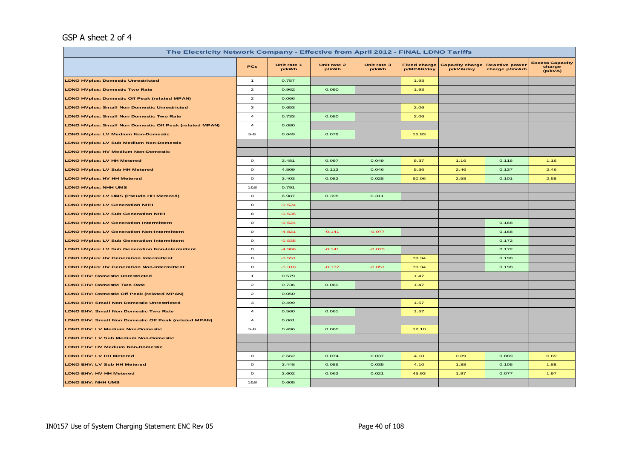# GSP A sheet 2 of 4

| The Electricity Network Company - Effective from April 2012 - FINAL LDNO Tariffs |                         |                      |                      |                      |                                   |                                     |                                         |                                             |  |
|----------------------------------------------------------------------------------|-------------------------|----------------------|----------------------|----------------------|-----------------------------------|-------------------------------------|-----------------------------------------|---------------------------------------------|--|
|                                                                                  | <b>PCs</b>              | Unit rate 1<br>p/kWh | Unit rate 2<br>p/kWh | Unit rate 3<br>p/kWh | <b>Fixed charge</b><br>p/MPAN/day | <b>Capacity charge</b><br>p/kVA/day | <b>Reactive power</b><br>charge p/kVArh | <b>Excess Capacity</b><br>charge<br>(p/kVA) |  |
| <b>LDNO HVplus: Domestic Unrestricted</b>                                        | $\mathbf{1}$            | 0.757                |                      |                      | 1.93                              |                                     |                                         |                                             |  |
| <b>LDNO HVplus: Domestic Two Rate</b>                                            | $\mathbf{z}$            | 0.962                | 0.090                |                      | 1.93                              |                                     |                                         |                                             |  |
| LDNO HVplus: Domestic Off Peak (related MPAN)                                    | $\overline{\mathbf{c}}$ | 0.066                |                      |                      |                                   |                                     |                                         |                                             |  |
| <b>LDNO HVplus: Small Non Domestic Unrestricted</b>                              | з                       | 0.653                |                      |                      | 2.06                              |                                     |                                         |                                             |  |
| <b>LDNO HVplus: Small Non Domestic Two Rate</b>                                  | $\overline{a}$          | 0.733                | 0.080                |                      | 2.06                              |                                     |                                         |                                             |  |
| LDNO HVplus: Small Non Domestic Off Peak (related MPAN)                          | $\overline{\mathbf{4}}$ | 0.080                |                      |                      |                                   |                                     |                                         |                                             |  |
| <b>LDNO HVplus: LV Medium Non-Domestic</b>                                       | $5 - 8$                 | 0.649                | 0.079                |                      | 15.83                             |                                     |                                         |                                             |  |
| <b>LDNO HVplus: LV Sub Medium Non-Domestic</b>                                   |                         |                      |                      |                      |                                   |                                     |                                         |                                             |  |
| <b>LDNO HVplus: HV Medium Non-Domestic</b>                                       |                         |                      |                      |                      |                                   |                                     |                                         |                                             |  |
| <b>LDNO HVplus: LV HH Metered</b>                                                | $\circ$                 | 3.481                | 0.097                | 0.049                | 5.37                              | 1.16                                | 0.116                                   | 1.16                                        |  |
| <b>LDNO HVplus: LV Sub HH Metered</b>                                            | $\mathbf{o}$            | 4.509                | 0.113                | 0.046                | 5.36                              | 2.46                                | 0.137                                   | 2.46                                        |  |
| <b>LDNO HVplus: HV HH Metered</b>                                                | $\mathbf{o}$            | 3.403                | 0.082                | 0.028                | 60.06                             | 2.58                                | 0.101                                   | 2.58                                        |  |
| <b>LDNO HVplus: NHH UMS</b>                                                      | 1&8                     | 0.791                |                      |                      |                                   |                                     |                                         |                                             |  |
| <b>LDNO HVplus: LV UMS (Pseudo HH Metered)</b>                                   | $\circ$                 | 6.987                | 0.398                | 0.311                |                                   |                                     |                                         |                                             |  |
| <b>LDNO HVplus: LV Generation NHH</b>                                            | 8                       | $-0.524$             |                      |                      |                                   |                                     |                                         |                                             |  |
| <b>LDNO HVplus: LV Sub Generation NHH</b>                                        | 8                       | $-0.535$             |                      |                      |                                   |                                     |                                         |                                             |  |
| <b>LDNO HVplus: LV Generation Intermittent</b>                                   | $\mathbf{o}$            | $-0.524$             |                      |                      |                                   |                                     | 0.168                                   |                                             |  |
| <b>LDNO HVplus: LV Generation Non-Intermittent</b>                               | $\mathbf{o}$            | $-4.821$             | $-0.141$             | $-0.077$             |                                   |                                     | 0.168                                   |                                             |  |
| <b>LDNO HVplus: LV Sub Generation Intermittent</b>                               | $\circ$                 | $-0.535$             |                      |                      |                                   |                                     | 0.172                                   |                                             |  |
| <b>LDNO HVplus: LV Sub Generation Non-Intermittent</b>                           | $\mathbf{o}$            | $-4.966$             | $-0.141$             | $-0.073$             |                                   |                                     | 0.172                                   |                                             |  |
| <b>LDNO HVplus: HV Generation Intermittent</b>                                   | $\mathbf{o}$            | $-0.551$             |                      |                      | 39.34                             |                                     | 0.198                                   |                                             |  |
| <b>LDNO HVplus: HV Generation Non-Intermittent</b>                               | $\mathbf{o}$            | $-5.318$             | $-0.132$             | $-0.051$             | 39.34                             |                                     | 0.198                                   |                                             |  |
| <b>LDNO EHV: Domestic Unrestricted</b>                                           | $\mathbf{1}$            | 0.579                |                      |                      | 1.47                              |                                     |                                         |                                             |  |
| <b>LDNO EHV: Domestic Two Rate</b>                                               | $\mathbf{z}$            | 0.736                | 0.069                |                      | 1.47                              |                                     |                                         |                                             |  |
| LDNO EHV: Domestic Off Peak (related MPAN)                                       | $\mathbf{z}$            | 0.050                |                      |                      |                                   |                                     |                                         |                                             |  |
| <b>LDNO EHV: Small Non Domestic Unrestricted</b>                                 | з                       | 0.499                |                      |                      | 1.57                              |                                     |                                         |                                             |  |
| LDNO EHV: Small Non Domestic Two Rate                                            | $\overline{\mathbf{4}}$ | 0.560                | 0.061                |                      | 1.57                              |                                     |                                         |                                             |  |
| LDNO EHV: Small Non Domestic Off Peak (related MPAN)                             | $\overline{\mathbf{4}}$ | 0.061                |                      |                      |                                   |                                     |                                         |                                             |  |
| <b>LDNO EHV: LV Medium Non-Domestic</b>                                          | $5 - 8$                 | 0.496                | 0.060                |                      | 12.10                             |                                     |                                         |                                             |  |
| LDNO EHV: LV Sub Medium Non-Domestic                                             |                         |                      |                      |                      |                                   |                                     |                                         |                                             |  |
| <b>LDNO EHV: HV Medium Non-Domestic</b>                                          |                         |                      |                      |                      |                                   |                                     |                                         |                                             |  |
| LDNO EHV: LV HH Metered                                                          | $\circ$                 | 2.662                | 0.074                | 0.037                | 4.10                              | 0.89                                | 0.089                                   | 0.89                                        |  |
| LDNO EHV: LV Sub HH Metered                                                      | $\mathbf{o}$            | 3.448                | 0.086                | 0.035                | 4.10                              | 1.88                                | 0.105                                   | 1.88                                        |  |
| LDNO EHV: HV HH Metered                                                          | $\circ$                 | 2.602                | 0.062                | 0.021                | 45.93                             | 1.97                                | 0.077                                   | 1.97                                        |  |
| LDNO EHV: NHH UMS                                                                | 1&8                     | 0.605                |                      |                      |                                   |                                     |                                         |                                             |  |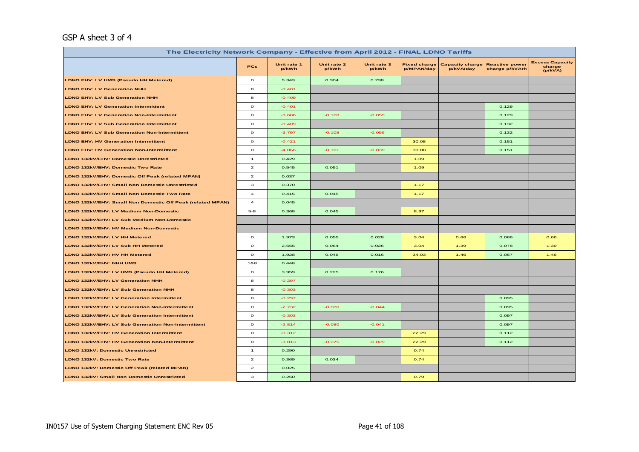## GSP A sheet 3 of 4

| The Electricity Network Company - Effective from April 2012 - FINAL LDNO Tariffs |                                    |                      |                      |                      |                                   |                                     |                                         |                                             |  |  |
|----------------------------------------------------------------------------------|------------------------------------|----------------------|----------------------|----------------------|-----------------------------------|-------------------------------------|-----------------------------------------|---------------------------------------------|--|--|
|                                                                                  | <b>PCs</b>                         | Unit rate 1<br>p/kWh | Unit rate 2<br>p/kWh | Unit rate 3<br>p/kWh | <b>Fixed charge</b><br>p/MPAN/day | <b>Capacity charge</b><br>p/kVA/day | <b>Reactive power</b><br>charge p/kVArh | <b>Excess Capacity</b><br>charge<br>(p/kVA) |  |  |
| LDNO EHV: LV UMS (Pseudo HH Metered)                                             | $\mathbf{o}$                       | 5.343                | 0.304                | 0.238                |                                   |                                     |                                         |                                             |  |  |
| <b>LDNO EHV: LV Generation NHH</b>                                               | 8                                  | $-0.401$             |                      |                      |                                   |                                     |                                         |                                             |  |  |
| <b>LDNO EHV: LV Sub Generation NHH</b>                                           | 8                                  | $-0.409$             |                      |                      |                                   |                                     |                                         |                                             |  |  |
| <b>LDNO EHV: LV Generation Intermittent</b>                                      | $\mathbf{o}$                       | $-0.401$             |                      |                      |                                   |                                     | 0.129                                   |                                             |  |  |
| <b>LDNO EHV: LV Generation Non-Intermittent</b>                                  | $\mathbf{o}$                       | $-3.686$             | $-0.108$             | $-0.059$             |                                   |                                     | 0.129                                   |                                             |  |  |
| <b>LDNO EHV: LV Sub Generation Intermittent</b>                                  | $\mathbf{o}$                       | $-0.409$             |                      |                      |                                   |                                     | 0.132                                   |                                             |  |  |
| <b>LDNO EHV: LV Sub Generation Non-Intermittent</b>                              | $\circ$                            | $-3.797$             | $-0.108$             | $-0.056$             |                                   |                                     | 0.132                                   |                                             |  |  |
| <b>LDNO EHV: HV Generation Intermittent</b>                                      | $\mathbf{o}$                       | $-0.421$             |                      |                      | 30.08                             |                                     | 0.151                                   |                                             |  |  |
| <b>LDNO EHV: HV Generation Non-Intermittent</b>                                  | $\circ$                            | $-4.066$             | $-0.101$             | $-0.039$             | 30.08                             |                                     | 0.151                                   |                                             |  |  |
| LDNO 132kV/EHV: Domestic Unrestricted                                            | $\mathbf{1}$                       | 0.429                |                      |                      | 1.09                              |                                     |                                         |                                             |  |  |
| LDNO 132kV/EHV: Domestic Two Rate                                                | $\mathbf{z}$                       | 0.545                | 0.051                |                      | 1.09                              |                                     |                                         |                                             |  |  |
| LDNO 132kV/EHV: Domestic Off Peak (related MPAN)                                 | $\overline{a}$                     | 0.037                |                      |                      |                                   |                                     |                                         |                                             |  |  |
| LDNO 132kV/EHV: Small Non Domestic Unrestricted                                  | з                                  | 0.370                |                      |                      | 1.17                              |                                     |                                         |                                             |  |  |
| LDNO 132kV/EHV: Small Non Domestic Two Rate                                      | $\overline{\mathbf{4}}$            | 0.415                | 0.045                |                      | 1.17                              |                                     |                                         |                                             |  |  |
| LDNO 132kV/EHV: Small Non Domestic Off Peak (related MPAN)                       | $\overline{a}$                     | 0.045                |                      |                      |                                   |                                     |                                         |                                             |  |  |
| LDNO 132kV/EHV: LV Medium Non-Domestic                                           | $5 - 8$                            | 0.368                | 0.045                |                      | 8.97                              |                                     |                                         |                                             |  |  |
| LDNO 132kV/EHV: LV Sub Medium Non-Domestic                                       |                                    |                      |                      |                      |                                   |                                     |                                         |                                             |  |  |
| LDNO 132kV/EHV: HV Medium Non-Domestic                                           |                                    |                      |                      |                      |                                   |                                     |                                         |                                             |  |  |
| LDNO 132kV/EHV: LV HH Metered                                                    | $\mathbf{o}$                       | 1.973                | 0.055                | 0.028                | 3.04                              | 0.66                                | 0.066                                   | 0.66                                        |  |  |
| LDNO 132kV/EHV: LV Sub HH Metered                                                | $\mathbf{o}$                       | 2.555                | 0.064                | 0.026                | 3.04                              | 1.39                                | 0.078                                   | 1.39                                        |  |  |
| LDNO 132kV/EHV: HV HH Metered                                                    | $\circ$                            | 1.928                | 0.046                | 0.016                | 34.03                             | 1.46                                | 0.057                                   | 1.46                                        |  |  |
| LDNO 132kV/EHV: NHH UMS                                                          | 1&8                                | 0.448                |                      |                      |                                   |                                     |                                         |                                             |  |  |
| LDNO 132kV/EHV: LV UMS (Pseudo HH Metered)                                       | $\circ$                            | 3.959                | 0.225                | 0.176                |                                   |                                     |                                         |                                             |  |  |
| LDNO 132kV/EHV: LV Generation NHH                                                | 8                                  | $-0.297$             |                      |                      |                                   |                                     |                                         |                                             |  |  |
| LDNO 132kV/EHV: LV Sub Generation NHH                                            | 8                                  | $-0.303$             |                      |                      |                                   |                                     |                                         |                                             |  |  |
| LDNO 132kV/EHV: LV Generation Intermittent                                       | $\mathbf{o}$                       | $-0.297$             |                      |                      |                                   |                                     | 0.095                                   |                                             |  |  |
| LDNO 132kV/EHV: LV Generation Non-Intermittent                                   | $\mathbf{o}$                       | $-2.732$             | $-0.080$             | $-0.044$             |                                   |                                     | 0.095                                   |                                             |  |  |
| LDNO 132kV/EHV: LV Sub Generation Intermittent                                   | $\mathbf{o}$                       | $-0.303$             |                      |                      |                                   |                                     | 0.097                                   |                                             |  |  |
| LDNO 132kV/EHV: LV Sub Generation Non-Intermittent                               | $\mathbf{o}$                       | $-2.814$             | $-0.080$             | $-0.041$             |                                   |                                     | 0.097                                   |                                             |  |  |
| LDNO 132kV/EHV: HV Generation Intermittent                                       | $\mathbf{o}$                       | $-0.312$             |                      |                      | 22.29                             |                                     | 0.112                                   |                                             |  |  |
| LDNO 132kV/EHV: HV Generation Non-Intermittent                                   | $\mathbf{o}$                       | $-3.013$             | $-0.075$             | $-0.029$             | 22.29                             |                                     | 0.112                                   |                                             |  |  |
| LDNO 132kV: Domestic Unrestricted                                                | $\overline{1}$                     | 0.290                |                      |                      | 0.74                              |                                     |                                         |                                             |  |  |
| LDNO 132kV: Domestic Two Rate                                                    | $\mathbf{2}% ^{T}(\mathbf{1}_{T})$ | 0.369                | 0.034                |                      | 0.74                              |                                     |                                         |                                             |  |  |
| LDNO 132kV: Domestic Off Peak (related MPAN)                                     | $\overline{a}$                     | 0.025                |                      |                      |                                   |                                     |                                         |                                             |  |  |
| LDNO 132kV: Small Non Domestic Unrestricted                                      | з                                  | 0.250                |                      |                      | 0.79                              |                                     |                                         |                                             |  |  |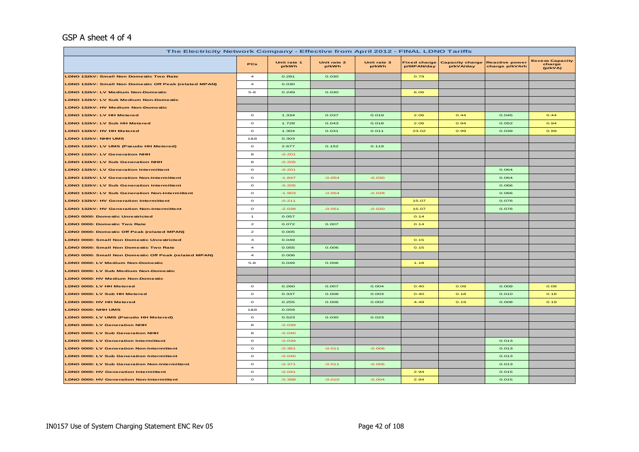#### GSP A sheet 4 of 4

| The Electricity Network Company - Effective from April 2012 - FINAL LDNO Tariffs |                |                      |                      |                      |                                   |                                     |                                         |                                             |  |  |
|----------------------------------------------------------------------------------|----------------|----------------------|----------------------|----------------------|-----------------------------------|-------------------------------------|-----------------------------------------|---------------------------------------------|--|--|
|                                                                                  | PCs            | Unit rate 1<br>p/kWh | Unit rate 2<br>p/kWh | Unit rate 3<br>p/kWh | <b>Fixed charge</b><br>p/MPAN/day | <b>Capacity charge</b><br>p/kVA/day | <b>Reactive power</b><br>charge p/kVArh | <b>Excess Capacity</b><br>charge<br>(p/kVA) |  |  |
| LDNO 132kV: Small Non Domestic Two Rate                                          | $\overline{4}$ | 0.281                | 0.030                |                      | 0.79                              |                                     |                                         |                                             |  |  |
| LDNO 132kV: Small Non Domestic Off Peak (related MPAN)                           | $\overline{a}$ | 0.030                |                      |                      |                                   |                                     |                                         |                                             |  |  |
| LDNO 132kV: LV Medium Non-Domestic                                               | $5 - 8$        | 0.249                | 0.030                |                      | 6.06                              |                                     |                                         |                                             |  |  |
| LDNO 132kV: LV Sub Medium Non-Domestic                                           |                |                      |                      |                      |                                   |                                     |                                         |                                             |  |  |
| LDNO 132kV: HV Medium Non-Domestic                                               |                |                      |                      |                      |                                   |                                     |                                         |                                             |  |  |
| LDNO 132kV: LV HH Metered                                                        | $\circ$        | 1.334                | 0.037                | 0.019                | 2.06                              | 0.44                                | 0.045                                   | O.44                                        |  |  |
| LDNO 132kV: LV Sub HH Metered                                                    | $\mathbf{o}$   | 1.728                | 0.043                | 0.018                | 2.06                              | 0.94                                | 0.052                                   | 0.94                                        |  |  |
| LDNO 132kV: HV HH Metered                                                        | $\circ$        | 1.304                | 0.031                | 0.011                | 23.02                             | 0.99                                | 0.039                                   | 0.99                                        |  |  |
| LDNO 132kV: NHH UMS                                                              | 1&8            | 0.303                |                      |                      |                                   |                                     |                                         |                                             |  |  |
| LDNO 132kV: LV UMS (Pseudo HH Metered)                                           | $\circ$        | 2.677                | 0.152                | 0.119                |                                   |                                     |                                         |                                             |  |  |
| LDNO 132kV: LV Generation NHH                                                    | 8              | $-0.201$             |                      |                      |                                   |                                     |                                         |                                             |  |  |
| <b>LDNO 132kV: LV Sub Generation NHH</b>                                         | 8              | $-0.205$             |                      |                      |                                   |                                     |                                         |                                             |  |  |
| <b>LDNO 132kV: LV Generation Intermittent</b>                                    | $\mathbf{o}$   | $-0.201$             |                      |                      |                                   |                                     | 0.064                                   |                                             |  |  |
| <b>LDNO 132kV: LV Generation Non-Intermittent</b>                                | $\mathbf{o}$   | $-1.847$             | $-0.054$             | $-0.030$             |                                   |                                     | 0.064                                   |                                             |  |  |
| <b>LDNO 132kV: LV Sub Generation Intermittent</b>                                | $\circ$        | $-0.205$             |                      |                      |                                   |                                     | 0.066                                   |                                             |  |  |
| <b>LDNO 132kV: LV Sub Generation Non-Intermittent</b>                            | $\circ$        | $-1.903$             | $-0.054$             | $-0.028$             |                                   |                                     | 0.066                                   |                                             |  |  |
| LDNO 132kV: HV Generation Intermittent                                           | $\circ$        | $-0.211$             |                      |                      | 15.07                             |                                     | 0.076                                   |                                             |  |  |
| <b>LDNO 132kV: HV Generation Non-Intermittent</b>                                | $\mathbf{o}$   | $-2.038$             | $-0.051$             | $-0.020$             | 15.07                             |                                     | 0.076                                   |                                             |  |  |
| <b>LDNO 0000: Domestic Unrestricted</b>                                          | $\mathbf{1}$   | 0.057                |                      |                      | 0.14                              |                                     |                                         |                                             |  |  |
| LDNO 0000: Domestic Two Rate                                                     | $\mathbf{z}$   | 0.072                | 0.007                |                      | 0.14                              |                                     |                                         |                                             |  |  |
| LDNO 0000: Domestic Off Peak (related MPAN)                                      | $\mathbf{z}$   | 0.005                |                      |                      |                                   |                                     |                                         |                                             |  |  |
| <b>LDNO 0000: Small Non Domestic Unrestricted</b>                                | з              | 0.049                |                      |                      | 0.15                              |                                     |                                         |                                             |  |  |
| <b>LDNO 0000: Small Non Domestic Two Rate</b>                                    | $\overline{a}$ | 0.055                | 0.006                |                      | 0.15                              |                                     |                                         |                                             |  |  |
| LDNO 0000: Small Non Domestic Off Peak (related MPAN)                            | $\overline{4}$ | 0.006                |                      |                      |                                   |                                     |                                         |                                             |  |  |
| LDNO 0000: LV Medium Non-Domestic                                                | $5 - 8$        | 0.049                | 0.006                |                      | 1.18                              |                                     |                                         |                                             |  |  |
| LDNO 0000: LV Sub Medium Non-Domestic                                            |                |                      |                      |                      |                                   |                                     |                                         |                                             |  |  |
| LDNO 0000: HV Medium Non-Domestic                                                |                |                      |                      |                      |                                   |                                     |                                         |                                             |  |  |
| LDNO 0000: LV HH Metered                                                         | $\circ$        | 0.260                | 0.007                | 0.004                | O.4O                              | 0.09                                | 0.009                                   | 0.09                                        |  |  |
| LDNO 0000: LV Sub HH Metered                                                     | $\circ$        | 0.337                | 0.008                | 0.003                | O.4O                              | 0.18                                | 0.010                                   | 0.18                                        |  |  |
| LDNO 0000: HV HH Metered                                                         | $\circ$        | 0.255                | 0.006                | 0.002                | 4.49                              | 0.19                                | 0.008                                   | 0.19                                        |  |  |
| LDNO 0000: NHH UMS                                                               | 1&8            | 0.059                |                      |                      |                                   |                                     |                                         |                                             |  |  |
| LDNO 0000: LV UMS (Pseudo HH Metered)                                            | $\circ$        | 0.523                | 0.030                | 0.023                |                                   |                                     |                                         |                                             |  |  |
| <b>LDNO 0000: LV Generation NHH</b>                                              | 8              | $-0.039$             |                      |                      |                                   |                                     |                                         |                                             |  |  |
| <b>LDNO 0000: LV Sub Generation NHH</b>                                          | 8              | $-0.040$             |                      |                      |                                   |                                     |                                         |                                             |  |  |
| <b>LDNO 0000: LV Generation Intermittent</b>                                     | $\circ$        | $-0.039$             |                      |                      |                                   |                                     | 0.013                                   |                                             |  |  |
| <b>LDNO 0000: LV Generation Non-Intermittent</b>                                 | $\circ$        | $-0.361$             | $-0.011$             | $-0.006$             |                                   |                                     | 0.013                                   |                                             |  |  |
| <b>LDNO 0000: LV Sub Generation Intermittent</b>                                 | $\circ$        | $-0.040$             |                      |                      |                                   |                                     | 0.013                                   |                                             |  |  |
| <b>LDNO 0000: LV Sub Generation Non-Intermittent</b>                             | $\circ$        | $-0.371$             | $-0.011$             | $-0.005$             |                                   |                                     | 0.013                                   |                                             |  |  |
| <b>LDNO 0000: HV Generation Intermittent</b>                                     | $\circ$        | $-0.041$             |                      |                      | 2.94                              |                                     | 0.015                                   |                                             |  |  |
| <b>LDNO 0000: HV Generation Non-Intermittent</b>                                 | $\circ$        | $-0.398$             | $-0.010$             | $-0.004$             | 2.94                              |                                     | 0.015                                   |                                             |  |  |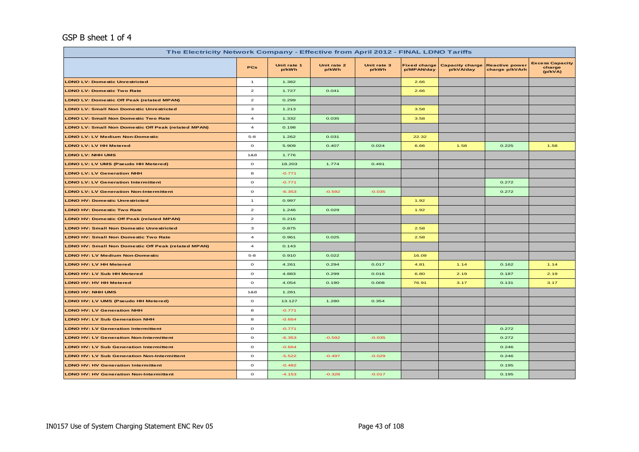#### GSP B sheet 1 of 4

| The Electricity Network Company - Effective from April 2012 - FINAL LDNO Tariffs |                         |                      |                      |                      |                                   |                                     |                                         |                                             |  |  |
|----------------------------------------------------------------------------------|-------------------------|----------------------|----------------------|----------------------|-----------------------------------|-------------------------------------|-----------------------------------------|---------------------------------------------|--|--|
|                                                                                  | PCs                     | Unit rate 1<br>p/kWh | Unit rate 2<br>p/kWh | Unit rate 3<br>p/kWh | <b>Fixed charge</b><br>p/MPAN/day | <b>Capacity charge</b><br>p/kVA/day | <b>Reactive power</b><br>charge p/kVArh | <b>Excess Capacity</b><br>charge<br>(p/kVA) |  |  |
| <b>LDNO LV: Domestic Unrestricted</b>                                            | $\mathbf{1}$            | 1.382                |                      |                      | 2.66                              |                                     |                                         |                                             |  |  |
| <b>LDNO LV: Domestic Two Rate</b>                                                | $\overline{a}$          | 1.727                | 0.041                |                      | 2.66                              |                                     |                                         |                                             |  |  |
| <b>LDNO LV: Domestic Off Peak (related MPAN)</b>                                 | $\overline{\mathbf{z}}$ | 0.299                |                      |                      |                                   |                                     |                                         |                                             |  |  |
| <b>LDNO LV: Small Non Domestic Unrestricted</b>                                  | $\mathbf 3$             | 1.213                |                      |                      | 3.58                              |                                     |                                         |                                             |  |  |
| <b>LDNO LV: Small Non Domestic Two Rate</b>                                      | $\overline{a}$          | 1.332                | 0.035                |                      | 3.58                              |                                     |                                         |                                             |  |  |
| LDNO LV: Small Non Domestic Off Peak (related MPAN)                              | $\overline{\mathbf{4}}$ | 0.198                |                      |                      |                                   |                                     |                                         |                                             |  |  |
| <b>LDNO LV: LV Medium Non-Domestic</b>                                           | $5 - 8$                 | 1.262                | 0.031                |                      | 22.32                             |                                     |                                         |                                             |  |  |
| <b>LDNO LV: LV HH Metered</b>                                                    | $\circ$                 | 5.909                | 0.407                | 0.024                | 6.66                              | 1.58                                | 0.225                                   | 1.58                                        |  |  |
| <b>LDNO LV: NHH UMS</b>                                                          | 1&8                     | 1.776                |                      |                      |                                   |                                     |                                         |                                             |  |  |
| LDNO LV: LV UMS (Pseudo HH Metered)                                              | $\circ$                 | 18.203               | 1.774                | 0.491                |                                   |                                     |                                         |                                             |  |  |
| <b>LDNO LV: LV Generation NHH</b>                                                | 8                       | $-0.771$             |                      |                      |                                   |                                     |                                         |                                             |  |  |
| <b>LDNO LV: LV Generation Intermittent</b>                                       | $\mathbf{o}$            | $-0.771$             |                      |                      |                                   |                                     | 0.272                                   |                                             |  |  |
| <b>LDNO LV: LV Generation Non-Intermittent</b>                                   | $\circ$                 | $-6.353$             | $-0.592$             | $-0.035$             |                                   |                                     | 0.272                                   |                                             |  |  |
| <b>LDNO HV: Domestic Unrestricted</b>                                            | $\mathbf{1}$            | 0.997                |                      |                      | 1.92                              |                                     |                                         |                                             |  |  |
| <b>LDNO HV: Domestic Two Rate</b>                                                | $\overline{a}$          | 1.246                | 0.029                |                      | 1.92                              |                                     |                                         |                                             |  |  |
| LDNO HV: Domestic Off Peak (related MPAN)                                        | $\overline{\mathbf{z}}$ | 0.216                |                      |                      |                                   |                                     |                                         |                                             |  |  |
| <b>LDNO HV: Small Non Domestic Unrestricted</b>                                  | 3                       | 0.875                |                      |                      | 2.58                              |                                     |                                         |                                             |  |  |
| <b>LDNO HV: Small Non Domestic Two Rate</b>                                      | $\overline{a}$          | 0.961                | 0.025                |                      | 2.58                              |                                     |                                         |                                             |  |  |
| <b>LDNO HV: Small Non Domestic Off Peak (related MPAN)</b>                       | $\overline{4}$          | 0.143                |                      |                      |                                   |                                     |                                         |                                             |  |  |
| <b>LDNO HV: LV Medium Non-Domestic</b>                                           | $5 - 8$                 | 0.910                | 0.022                |                      | 16.09                             |                                     |                                         |                                             |  |  |
| LDNO HV: LV HH Metered                                                           | $\mathbf{o}$            | 4.261                | 0.294                | 0.017                | 4.81                              | 1.14                                | 0.162                                   | 1.14                                        |  |  |
| LDNO HV: LV Sub HH Metered                                                       | $\circ$                 | 4.883                | 0.299                | 0.016                | 6.80                              | 2.19                                | 0.187                                   | 2.19                                        |  |  |
| <b>LDNO HV: HV HH Metered</b>                                                    | $\mathbf{o}$            | 4.054                | 0.190                | 0.008                | 76.91                             | 3.17                                | 0.131                                   | 3.17                                        |  |  |
| <b>LDNO HV: NHH UMS</b>                                                          | 1&8                     | 1.281                |                      |                      |                                   |                                     |                                         |                                             |  |  |
| LDNO HV: LV UMS (Pseudo HH Metered)                                              | $\circ$                 | 13.127               | 1.280                | 0.354                |                                   |                                     |                                         |                                             |  |  |
| <b>LDNO HV: LV Generation NHH</b>                                                | 8                       | $-0.771$             |                      |                      |                                   |                                     |                                         |                                             |  |  |
| <b>LDNO HV: LV Sub Generation NHH</b>                                            | 8                       | $-0.664$             |                      |                      |                                   |                                     |                                         |                                             |  |  |
| <b>LDNO HV: LV Generation Intermittent</b>                                       | $\circ$                 | $-0.771$             |                      |                      |                                   |                                     | 0.272                                   |                                             |  |  |
| <b>LDNO HV: LV Generation Non-Intermittent</b>                                   | $\mathbf{o}$            | $-6.353$             | $-0.592$             | $-0.035$             |                                   |                                     | 0.272                                   |                                             |  |  |
| <b>LDNO HV: LV Sub Generation Intermittent</b>                                   | $\circ$                 | $-0.664$             |                      |                      |                                   |                                     | 0.246                                   |                                             |  |  |
| <b>LDNO HV: LV Sub Generation Non-Intermittent</b>                               | $\circ$                 | $-5.522$             | $-0.497$             | $-0.029$             |                                   |                                     | 0.246                                   |                                             |  |  |
| <b>LDNO HV: HV Generation Intermittent</b>                                       | $\mathbf{o}$            | $-0.482$             |                      |                      |                                   |                                     | 0.195                                   |                                             |  |  |
| <b>LDNO HV: HV Generation Non-Intermittent</b>                                   | $\mathbf{o}$            | $-4.153$             | $-0.328$             | $-0.017$             |                                   |                                     | 0.195                                   |                                             |  |  |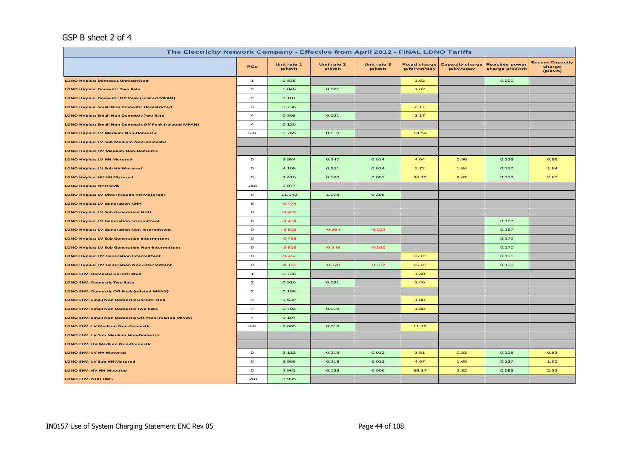## GSP B sheet 2 of 4

| The Electricity Network Company - Effective from April 2012 - FINAL LDNO Tariffs |                         |                      |                      |                      |                                   |                                     |                                         |                                             |  |
|----------------------------------------------------------------------------------|-------------------------|----------------------|----------------------|----------------------|-----------------------------------|-------------------------------------|-----------------------------------------|---------------------------------------------|--|
|                                                                                  | <b>PCs</b>              | Unit rate 1<br>p/kWh | Unit rate 2<br>p/kWh | Unit rate 3<br>p/kWh | <b>Fixed charge</b><br>p/MPAN/day | <b>Capacity charge</b><br>p/kVA/day | <b>Reactive power</b><br>charge p/kVArh | <b>Excess Capacity</b><br>charge<br>(p/kVA) |  |
| <b>LDNO HVplus: Domestic Unrestricted</b>                                        | $\overline{1}$          | 0.838                |                      |                      | 1.62                              |                                     | 0.000                                   |                                             |  |
| <b>LDNO HVplus: Domestic Two Rate</b>                                            | $\overline{a}$          | 1.048                | 0.025                |                      | 1.62                              |                                     |                                         |                                             |  |
| <b>LDNO HVplus: Domestic Off Peak (related MPAN)</b>                             | $\mathbf{z}$            | 0.181                |                      |                      |                                   |                                     |                                         |                                             |  |
| <b>LDNO HVplus: Small Non Domestic Unrestricted</b>                              | 3                       | 0.736                |                      |                      | 2.17                              |                                     |                                         |                                             |  |
| LDNO HVplus: Small Non Domestic Two Rate                                         | $\overline{\mathbf{4}}$ | 0.808                | 0.021                |                      | 2.17                              |                                     |                                         |                                             |  |
| LDNO HVplus: Small Non Domestic Off Peak (related MPAN)                          | $\overline{a}$          | 0.120                |                      |                      |                                   |                                     |                                         |                                             |  |
| <b>LDNO HVplus: LV Medium Non-Domestic</b>                                       | $5 - 8$                 | 0.765                | 0.019                |                      | 13.54                             |                                     |                                         |                                             |  |
| <b>LDNO HVplus: LV Sub Medium Non-Domestic</b>                                   |                         |                      |                      |                      |                                   |                                     |                                         |                                             |  |
| <b>LDNO HVplus: HV Medium Non-Domestic</b>                                       |                         |                      |                      |                      |                                   |                                     |                                         |                                             |  |
| <b>LDNO HVplus: LV HH Metered</b>                                                | $\circ$                 | 3.584                | 0.247                | 0.014                | 4.04                              | 0.96                                | 0.136                                   | 0.96                                        |  |
| LDNO HVplus: LV Sub HH Metered                                                   | $\mathbf{o}$            | 4.108                | 0.251                | 0.014                | 5.72                              | 1.84                                | 0.157                                   | 1.84                                        |  |
| <b>LDNO HVplus: HV HH Metered</b>                                                | $\mathbf{o}$            | 3.410                | 0.160                | 0.007                | 64.70                             | 2.67                                | 0.110                                   | 2.67                                        |  |
| <b>LDNO HVplus: NHH UMS</b>                                                      | 1&8                     | 1.077                |                      |                      |                                   |                                     |                                         |                                             |  |
| LDNO HVplus: LV UMS (Pseudo HH Metered)                                          | $\mathbf{o}$            | 11.042               | 1.076                | 0.298                |                                   |                                     |                                         |                                             |  |
| <b>LDNO HVplus: LV Generation NHH</b>                                            | 8                       | $-0.474$             |                      |                      |                                   |                                     |                                         |                                             |  |
| <b>LDNO HVplus: LV Sub Generation NHH</b>                                        | 8                       | $-0.459$             |                      |                      |                                   |                                     |                                         |                                             |  |
| <b>LDNO HVplus: LV Generation Intermittent</b>                                   | $\circ$                 | $-0.474$             |                      |                      |                                   |                                     | 0.167                                   |                                             |  |
| <b>LDNO HVplus: LV Generation Non-Intermittent</b>                               | $\mathbf{o}$            | $-3.905$             | $-0.364$             | $-0.022$             |                                   |                                     | 0.167                                   |                                             |  |
| LDNO HVplus: LV Sub Generation Intermittent                                      | $\mathbf{o}$            | $-0.459$             |                      |                      |                                   |                                     | 0.170                                   |                                             |  |
| <b>LDNO HVplus: LV Sub Generation Non-Intermittent</b>                           | $\mathbf{o}$            | $-3.816$             | $-0.343$             | $-0.020$             |                                   |                                     | 0.170                                   |                                             |  |
| <b>LDNO HVplus: HV Generation Intermittent</b>                                   | $\mathbf{o}$            | $-0.482$             |                      |                      | 16.07                             |                                     | 0.195                                   |                                             |  |
| <b>LDNO HVplus: HV Generation Non-Intermittent</b>                               | $\mathbf{o}$            | $-4.153$             | $-0.328$             | $-0.017$             | 16.07                             |                                     | 0.195                                   |                                             |  |
| <b>LDNO EHV: Domestic Unrestricted</b>                                           | $\overline{1}$          | 0.728                |                      |                      | 1.40                              |                                     |                                         |                                             |  |
| <b>LDNO EHV: Domestic Two Rate</b>                                               | $\mathbf{z}$            | 0.910                | 0.021                |                      | 1.40                              |                                     |                                         |                                             |  |
| LDNO EHV: Domestic Off Peak (related MPAN)                                       | $\mathbf{z}$            | 0.158                |                      |                      |                                   |                                     |                                         |                                             |  |
| <b>LDNO EHV: Small Non Domestic Unrestricted</b>                                 | 3                       | 0.639                |                      |                      | 1.88                              |                                     |                                         |                                             |  |
| <b>LDNO EHV: Small Non Domestic Two Rate</b>                                     | $\overline{4}$          | 0.702                | 0.018                |                      | 1.88                              |                                     |                                         |                                             |  |
| LDNO EHV: Small Non Domestic Off Peak (related MPAN)                             | 4                       | 0.104                |                      |                      |                                   |                                     |                                         |                                             |  |
| <b>LDNO EHV: LV Medium Non-Domestic</b>                                          | $5 - 8$                 | 0.665                | 0.016                |                      | 11.75                             |                                     |                                         |                                             |  |
| LDNO EHV: LV Sub Medium Non-Domestic                                             |                         |                      |                      |                      |                                   |                                     |                                         |                                             |  |
| <b>LDNO EHV: HV Medium Non-Domestic</b>                                          |                         |                      |                      |                      |                                   |                                     |                                         |                                             |  |
| LDNO EHV: LV HH Metered                                                          | $\circ$                 | 3.112                | 0.215                | 0.012                | 3.51                              | 0.83                                | 0.118                                   | 0.83                                        |  |
| LDNO EHV: LV Sub HH Metered                                                      | $\mathbf{o}$            | 3.566                | 0.218                | 0.012                | 4.97                              | 1.60                                | 0.137                                   | 1.60                                        |  |
| LDNO EHV: HV HH Metered                                                          | $\mathbf{o}$            | 2.961                | 0.139                | 0.006                | 56.17                             | 2.32                                | 0.095                                   | 2.32                                        |  |
| LDNO EHV: NHH UMS                                                                | 1&8                     | 0.935                |                      |                      |                                   |                                     |                                         |                                             |  |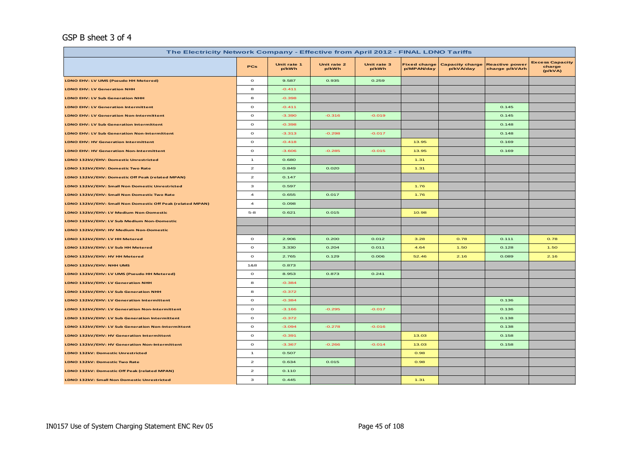#### GSP B sheet 3 of 4

| The Electricity Network Company - Effective from April 2012 - FINAL LDNO Tariffs |                         |                      |                      |                      |                                   |                                     |                                         |                                             |  |  |
|----------------------------------------------------------------------------------|-------------------------|----------------------|----------------------|----------------------|-----------------------------------|-------------------------------------|-----------------------------------------|---------------------------------------------|--|--|
|                                                                                  | PCs                     | Unit rate 1<br>p/kWh | Unit rate 2<br>p/kWh | Unit rate 3<br>p/kWh | <b>Fixed charge</b><br>p/MPAN/day | <b>Capacity charge</b><br>p/kVA/day | <b>Reactive power</b><br>charge p/kVArh | <b>Excess Capacity</b><br>charge<br>(p/kVA) |  |  |
| LDNO EHV: LV UMS (Pseudo HH Metered)                                             | $\mathbf{o}$            | 9.587                | 0.935                | 0.259                |                                   |                                     |                                         |                                             |  |  |
| <b>LDNO EHV: LV Generation NHH</b>                                               | 8                       | $-0.411$             |                      |                      |                                   |                                     |                                         |                                             |  |  |
| <b>LDNO EHV: LV Sub Generation NHH</b>                                           | 8                       | $-0.398$             |                      |                      |                                   |                                     |                                         |                                             |  |  |
| <b>LDNO EHV: LV Generation Intermittent</b>                                      | $\circ$                 | $-0.411$             |                      |                      |                                   |                                     | 0.145                                   |                                             |  |  |
| LDNO EHV: LV Generation Non-Intermittent                                         | $\mathbf{o}$            | $-3.390$             | $-0.316$             | $-0.019$             |                                   |                                     | 0.145                                   |                                             |  |  |
| <b>LDNO EHV: LV Sub Generation Intermittent</b>                                  | $\circ$                 | $-0.398$             |                      |                      |                                   |                                     | 0.148                                   |                                             |  |  |
| LDNO EHV: LV Sub Generation Non-Intermittent                                     | $\mathbf{o}$            | $-3.313$             | $-0.298$             | $-0.017$             |                                   |                                     | 0.148                                   |                                             |  |  |
| <b>LDNO EHV: HV Generation Intermittent</b>                                      | $\mathbf{o}$            | $-0.418$             |                      |                      | 13.95                             |                                     | 0.169                                   |                                             |  |  |
| <b>LDNO EHV: HV Generation Non-Intermittent</b>                                  | $\circ$                 | $-3.606$             | $-0.285$             | $-0.015$             | 13.95                             |                                     | 0.169                                   |                                             |  |  |
| LDNO 132kV/EHV: Domestic Unrestricted                                            | $\mathbf{1}$            | 0.680                |                      |                      | 1.31                              |                                     |                                         |                                             |  |  |
| LDNO 132kV/EHV: Domestic Two Rate                                                | $\mathbf{2}$            | 0.849                | 0.020                |                      | 1.31                              |                                     |                                         |                                             |  |  |
| LDNO 132kV/EHV: Domestic Off Peak (related MPAN)                                 | $\mathbf{z}$            | 0.147                |                      |                      |                                   |                                     |                                         |                                             |  |  |
| LDNO 132kV/EHV: Small Non Domestic Unrestricted                                  | з                       | 0.597                |                      |                      | 1.76                              |                                     |                                         |                                             |  |  |
| LDNO 132kV/EHV: Small Non Domestic Two Rate                                      | $\overline{\mathbf{4}}$ | 0.655                | 0.017                |                      | 1.76                              |                                     |                                         |                                             |  |  |
| LDNO 132kV/EHV: Small Non Domestic Off Peak (related MPAN)                       | $\overline{a}$          | 0.098                |                      |                      |                                   |                                     |                                         |                                             |  |  |
| LDNO 132kV/EHV: LV Medium Non-Domestic                                           | $5 - 8$                 | 0.621                | 0.015                |                      | 10.98                             |                                     |                                         |                                             |  |  |
| LDNO 132kV/EHV: LV Sub Medium Non-Domestic                                       |                         |                      |                      |                      |                                   |                                     |                                         |                                             |  |  |
| LDNO 132kV/EHV: HV Medium Non-Domestic                                           |                         |                      |                      |                      |                                   |                                     |                                         |                                             |  |  |
| LDNO 132kV/EHV: LV HH Metered                                                    | $\circ$                 | 2.906                | 0.200                | 0.012                | 3.28                              | 0.78                                | 0.111                                   | 0.78                                        |  |  |
| LDNO 132kV/EHV: LV Sub HH Metered                                                | $\mathbf{o}$            | 3.330                | 0.204                | 0.011                | 4.64                              | 1.50                                | 0.128                                   | 1.50                                        |  |  |
| LDNO 132kV/EHV: HV HH Metered                                                    | $\mathbf{o}$            | 2.765                | 0.129                | 0.006                | 52.46                             | 2.16                                | 0.089                                   | 2.16                                        |  |  |
| LDNO 132kV/EHV: NHH UMS                                                          | 1&8                     | 0.873                |                      |                      |                                   |                                     |                                         |                                             |  |  |
| LDNO 132kV/EHV: LV UMS (Pseudo HH Metered)                                       | $\mathbf{o}$            | 8.953                | 0.873                | 0.241                |                                   |                                     |                                         |                                             |  |  |
| LDNO 132kV/EHV: LV Generation NHH                                                | 8                       | $-0.384$             |                      |                      |                                   |                                     |                                         |                                             |  |  |
| LDNO 132kV/EHV: LV Sub Generation NHH                                            | 8                       | $-0.372$             |                      |                      |                                   |                                     |                                         |                                             |  |  |
| LDNO 132kV/EHV: LV Generation Intermittent                                       | $\mathbf{o}$            | $-0.384$             |                      |                      |                                   |                                     | 0.136                                   |                                             |  |  |
| LDNO 132kV/EHV: LV Generation Non-Intermittent                                   | $\mathbf{o}$            | $-3.166$             | $-0.295$             | $-0.017$             |                                   |                                     | 0.136                                   |                                             |  |  |
| LDNO 132kV/EHV: LV Sub Generation Intermittent                                   | $\mathbf{o}$            | $-0.372$             |                      |                      |                                   |                                     | 0.138                                   |                                             |  |  |
| LDNO 132kV/EHV: LV Sub Generation Non-Intermittent                               | $\mathbf{o}$            | $-3.094$             | $-0.278$             | $-0.016$             |                                   |                                     | 0.138                                   |                                             |  |  |
| LDNO 132kV/EHV: HV Generation Intermittent                                       | $\mathbf{o}$            | $-0.391$             |                      |                      | 13.03                             |                                     | 0.158                                   |                                             |  |  |
| LDNO 132kV/EHV: HV Generation Non-Intermittent                                   | $\circ$                 | $-3.367$             | $-0.266$             | $-0.014$             | 13.03                             |                                     | 0.158                                   |                                             |  |  |
| LDNO 132kV: Domestic Unrestricted                                                | $\mathbf{1}$            | 0.507                |                      |                      | 0.98                              |                                     |                                         |                                             |  |  |
| LDNO 132kV: Domestic Two Rate                                                    | $\overline{a}$          | 0.634                | 0.015                |                      | 0.98                              |                                     |                                         |                                             |  |  |
| LDNO 132kV: Domestic Off Peak (related MPAN)                                     | $\mathbf{z}$            | 0.110                |                      |                      |                                   |                                     |                                         |                                             |  |  |
| LDNO 132kV: Small Non Domestic Unrestricted                                      | з                       | 0.445                |                      |                      | 1.31                              |                                     |                                         |                                             |  |  |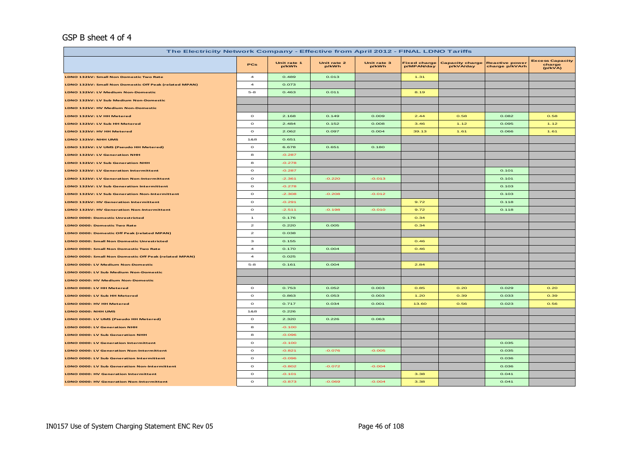#### GSP B sheet 4 of 4

| The Electricity Network Company - Effective from April 2012 - FINAL LDNO Tariffs |                          |                      |                      |                      |                                   |                                     |                                         |                                             |  |
|----------------------------------------------------------------------------------|--------------------------|----------------------|----------------------|----------------------|-----------------------------------|-------------------------------------|-----------------------------------------|---------------------------------------------|--|
|                                                                                  | PCs                      | Unit rate 1<br>p/kWh | Unit rate 2<br>p/kWh | Unit rate 3<br>p/kWh | <b>Fixed charge</b><br>p/MPAN/day | <b>Capacity charge</b><br>p/kVA/day | <b>Reactive power</b><br>charge p/kVArh | <b>Excess Capacity</b><br>charge<br>(p/kVA) |  |
| LDNO 132kV: Small Non Domestic Two Rate                                          | $\overline{a}$           | 0.489                | 0.013                |                      | 1.31                              |                                     |                                         |                                             |  |
| LDNO 132kV: Small Non Domestic Off Peak (related MPAN)                           | 4                        | 0.073                |                      |                      |                                   |                                     |                                         |                                             |  |
| LDNO 132kV: LV Medium Non-Domestic                                               | $5 - 8$                  | 0.463                | 0.011                |                      | 8.19                              |                                     |                                         |                                             |  |
| LDNO 132kV: LV Sub Medium Non-Domestic                                           |                          |                      |                      |                      |                                   |                                     |                                         |                                             |  |
| LDNO 132kV: HV Medium Non-Domestic                                               |                          |                      |                      |                      |                                   |                                     |                                         |                                             |  |
| LDNO 132kV: LV HH Metered                                                        | $\circ$                  | 2.168                | 0.149                | 0.009                | 2.44                              | 0.58                                | 0.082                                   | 0.58                                        |  |
| LDNO 132kV: LV Sub HH Metered                                                    | $\mathbf{o}$             | 2.484                | 0.152                | 0.008                | 3,46                              | 1.12                                | 0.095                                   | 1.12                                        |  |
| LDNO 132kV: HV HH Metered                                                        | $\mathbf{o}$             | 2.062                | 0.097                | 0.004                | 39.13                             | 1.61                                | 0.066                                   | 1.61                                        |  |
| LDNO 132kV: NHH UMS                                                              | 1&8                      | 0.651                |                      |                      |                                   |                                     |                                         |                                             |  |
| LDNO 132kV: LV UMS (Pseudo HH Metered)                                           | $\circ$                  | 6.678                | 0.651                | 0.180                |                                   |                                     |                                         |                                             |  |
| LDNO 132kV: LV Generation NHH                                                    | 8                        | $-0.287$             |                      |                      |                                   |                                     |                                         |                                             |  |
| LDNO 132kV: LV Sub Generation NHH                                                | 8                        | $-0.278$             |                      |                      |                                   |                                     |                                         |                                             |  |
| LDNO 132kV: LV Generation Intermittent                                           | $\circ$                  | $-0.287$             |                      |                      |                                   |                                     | 0.101                                   |                                             |  |
| LDNO 132kV: LV Generation Non-Intermittent                                       | $\circ$                  | $-2.361$             | $-0.220$             | $-0.013$             |                                   |                                     | 0.101                                   |                                             |  |
| LDNO 132kV: LV Sub Generation Intermittent                                       | $\mathbf{o}$             | $-0.278$             |                      |                      |                                   |                                     | 0.103                                   |                                             |  |
| LDNO 132kV: LV Sub Generation Non-Intermittent                                   | $\circ$                  | $-2.308$             | $-0.208$             | $-0.012$             |                                   |                                     | 0.103                                   |                                             |  |
| LDNO 132kV: HV Generation Intermittent                                           | $\circ$                  | $-0.291$             |                      |                      | 9.72                              |                                     | 0.118                                   |                                             |  |
| LDNO 132kV: HV Generation Non-Intermittent                                       | $\circ$                  | $-2.511$             | $-0.198$             | $-0.010$             | 9.72                              |                                     | 0.118                                   |                                             |  |
| <b>LDNO 0000: Domestic Unrestricted</b>                                          | $\mathbf{1}$             | 0.176                |                      |                      | 0.34                              |                                     |                                         |                                             |  |
| LDNO 0000: Domestic Two Rate                                                     | $\mathbf{z}$             | 0.220                | 0.005                |                      | 0.34                              |                                     |                                         |                                             |  |
| LDNO 0000: Domestic Off Peak (related MPAN)                                      | $\mathbf{z}$             | 0.038                |                      |                      |                                   |                                     |                                         |                                             |  |
| LDNO 0000: Small Non Domestic Unrestricted                                       | з                        | 0.155                |                      |                      | 0.46                              |                                     |                                         |                                             |  |
| LDNO 0000: Small Non Domestic Two Rate                                           | $\overline{\phantom{a}}$ | 0.170                | 0.004                |                      | 0.46                              |                                     |                                         |                                             |  |
| LDNO 0000: Small Non Domestic Off Peak (related MPAN)                            | 4                        | 0.025                |                      |                      |                                   |                                     |                                         |                                             |  |
| LDNO 0000: LV Medium Non-Domestic                                                | $5 - 8$                  | 0.161                | 0.004                |                      | 2.84                              |                                     |                                         |                                             |  |
| LDNO 0000: LV Sub Medium Non-Domestic                                            |                          |                      |                      |                      |                                   |                                     |                                         |                                             |  |
| LDNO 0000: HV Medium Non-Domestic                                                |                          |                      |                      |                      |                                   |                                     |                                         |                                             |  |
| LDNO 0000: LV HH Metered                                                         | $\circ$                  | 0.753                | 0.052                | 0.003                | 0.85                              | O.2O                                | 0.029                                   | 0.20                                        |  |
| LDNO 0000: LV Sub HH Metered                                                     | $\mathbf{o}$             | 0.863                | 0.053                | 0.003                | 1.20                              | 0.39                                | 0.033                                   | 0.39                                        |  |
| LDNO 0000: HV HH Metered                                                         | $\mathbf{o}$             | 0.717                | 0.034                | 0.001                | 13.60                             | 0.56                                | 0.023                                   | 0.56                                        |  |
| LDNO 0000: NHH UMS                                                               | 1&8                      | 0.226                |                      |                      |                                   |                                     |                                         |                                             |  |
| LDNO 0000: LV UMS (Pseudo HH Metered)                                            | $\circ$                  | 2.320                | 0.226                | 0.063                |                                   |                                     |                                         |                                             |  |
| LDNO 0000: LV Generation NHH                                                     | 8                        | $-0.100$             |                      |                      |                                   |                                     |                                         |                                             |  |
| LDNO 0000: LV Sub Generation NHH                                                 | 8                        | $-0.096$             |                      |                      |                                   |                                     |                                         |                                             |  |
| LDNO 0000: LV Generation Intermittent                                            | $\mathbf{o}$             | $-0.100$             |                      |                      |                                   |                                     | 0.035                                   |                                             |  |
| LDNO 0000: LV Generation Non-Intermittent                                        | $\circ$                  | $-0.821$             | $-0.076$             | $-0.005$             |                                   |                                     | 0.035                                   |                                             |  |
| LDNO 0000: LV Sub Generation Intermittent                                        | $\circ$                  | $-0.096$             |                      |                      |                                   |                                     | 0.036                                   |                                             |  |
| LDNO 0000: LV Sub Generation Non-Intermittent                                    | $\circ$                  | $-0.802$             | $-0.072$             | $-0.004$             |                                   |                                     | 0.036                                   |                                             |  |
| LDNO 0000: HV Generation Intermittent                                            | $\circ$                  | $-0.101$             |                      |                      | 3.38                              |                                     | 0.041                                   |                                             |  |
| LDNO 0000: HV Generation Non-Intermittent                                        | $\circ$                  | $-0.873$             | $-0.069$             | $-0.004$             | 3.38                              |                                     | 0.041                                   |                                             |  |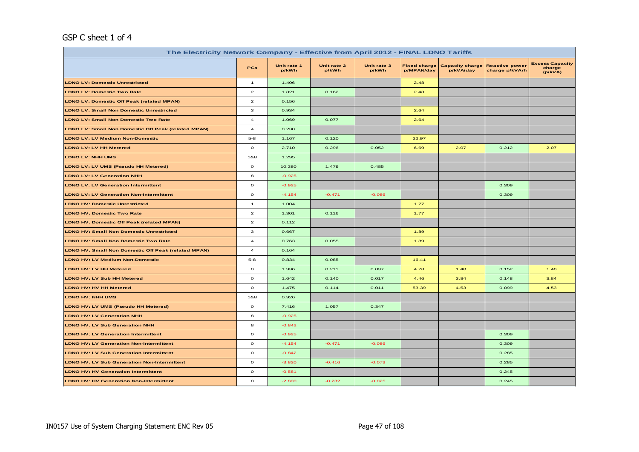# GSP C sheet 1 of 4

| The Electricity Network Company - Effective from April 2012 - FINAL LDNO Tariffs |                         |                      |                      |                      |                                   |                                     |                                         |                                             |  |
|----------------------------------------------------------------------------------|-------------------------|----------------------|----------------------|----------------------|-----------------------------------|-------------------------------------|-----------------------------------------|---------------------------------------------|--|
|                                                                                  | <b>PCs</b>              | Unit rate 1<br>p/kWh | Unit rate 2<br>p/kWh | Unit rate 3<br>p/kWh | <b>Fixed charge</b><br>p/MPAN/day | <b>Capacity charge</b><br>p/kVA/day | <b>Reactive power</b><br>charge p/kVArh | <b>Excess Capacity</b><br>charge<br>(p/kVA) |  |
| <b>LDNO LV: Domestic Unrestricted</b>                                            | $\mathbf{1}$            | 1.406                |                      |                      | 2.48                              |                                     |                                         |                                             |  |
| <b>LDNO LV: Domestic Two Rate</b>                                                | $\overline{a}$          | 1.821                | 0.162                |                      | 2.48                              |                                     |                                         |                                             |  |
| <b>LDNO LV: Domestic Off Peak (related MPAN)</b>                                 | $\overline{\mathbf{z}}$ | 0.156                |                      |                      |                                   |                                     |                                         |                                             |  |
| <b>LDNO LV: Small Non Domestic Unrestricted</b>                                  | 3                       | 0.934                |                      |                      | 2.64                              |                                     |                                         |                                             |  |
| <b>LDNO LV: Small Non Domestic Two Rate</b>                                      | $\overline{\mathbf{4}}$ | 1.069                | 0.077                |                      | 2.64                              |                                     |                                         |                                             |  |
| <b>LDNO LV: Small Non Domestic Off Peak (related MPAN)</b>                       | $\overline{\mathbf{4}}$ | 0.230                |                      |                      |                                   |                                     |                                         |                                             |  |
| <b>LDNO LV: LV Medium Non-Domestic</b>                                           | $5 - 8$                 | 1.167                | 0.120                |                      | 22.97                             |                                     |                                         |                                             |  |
| <b>LDNO LV: LV HH Metered</b>                                                    | $\circ$                 | 2.710                | 0.296                | 0.052                | 6.69                              | 2.07                                | 0.212                                   | 2.07                                        |  |
| <b>LDNO LV: NHH UMS</b>                                                          | 1&8                     | 1.295                |                      |                      |                                   |                                     |                                         |                                             |  |
| LDNO LV: LV UMS (Pseudo HH Metered)                                              | $\circ$                 | 10.380               | 1.479                | 0.485                |                                   |                                     |                                         |                                             |  |
| <b>LDNO LV: LV Generation NHH</b>                                                | 8                       | $-0.925$             |                      |                      |                                   |                                     |                                         |                                             |  |
| <b>LDNO LV: LV Generation Intermittent</b>                                       | $\mathbf{o}$            | $-0.925$             |                      |                      |                                   |                                     | 0.309                                   |                                             |  |
| <b>LDNO LV: LV Generation Non-Intermittent</b>                                   | $\circ$                 | $-4.154$             | $-0.471$             | $-0.086$             |                                   |                                     | 0.309                                   |                                             |  |
| <b>LDNO HV: Domestic Unrestricted</b>                                            | $\mathbf{1}$            | 1.004                |                      |                      | 1.77                              |                                     |                                         |                                             |  |
| <b>LDNO HV: Domestic Two Rate</b>                                                | $\overline{a}$          | 1.301                | 0.116                |                      | 1.77                              |                                     |                                         |                                             |  |
| <b>LDNO HV: Domestic Off Peak (related MPAN)</b>                                 | $\mathbf{z}$            | 0.112                |                      |                      |                                   |                                     |                                         |                                             |  |
| <b>LDNO HV: Small Non Domestic Unrestricted</b>                                  | 3                       | 0.667                |                      |                      | 1.89                              |                                     |                                         |                                             |  |
| <b>LDNO HV: Small Non Domestic Two Rate</b>                                      | $\overline{a}$          | 0.763                | 0.055                |                      | 1.89                              |                                     |                                         |                                             |  |
| <b>LDNO HV: Small Non Domestic Off Peak (related MPAN)</b>                       | $\overline{a}$          | 0.164                |                      |                      |                                   |                                     |                                         |                                             |  |
| <b>LDNO HV: LV Medium Non-Domestic</b>                                           | $5 - 8$                 | 0.834                | 0.085                |                      | 16.41                             |                                     |                                         |                                             |  |
| LDNO HV: LV HH Metered                                                           | $\circ$                 | 1.936                | 0.211                | 0.037                | 4.78                              | 1.48                                | 0.152                                   | 1.48                                        |  |
| <b>LDNO HV: LV Sub HH Metered</b>                                                | $\mathbf{o}$            | 1.642                | 0.140                | 0.017                | 4.46                              | 3.84                                | 0.148                                   | 3.84                                        |  |
| <b>LDNO HV: HV HH Metered</b>                                                    | $\mathbf{o}$            | 1.475                | 0.114                | 0.011                | 53.39                             | 4.53                                | 0.099                                   | 4.53                                        |  |
| <b>LDNO HV: NHH UMS</b>                                                          | 1&8                     | 0.926                |                      |                      |                                   |                                     |                                         |                                             |  |
| LDNO HV: LV UMS (Pseudo HH Metered)                                              | $\mathbf{o}$            | 7.416                | 1.057                | 0.347                |                                   |                                     |                                         |                                             |  |
| <b>LDNO HV: LV Generation NHH</b>                                                | 8                       | $-0.925$             |                      |                      |                                   |                                     |                                         |                                             |  |
| <b>LDNO HV: LV Sub Generation NHH</b>                                            | 8                       | $-0.842$             |                      |                      |                                   |                                     |                                         |                                             |  |
| <b>LDNO HV: LV Generation Intermittent</b>                                       | $\circ$                 | $-0.925$             |                      |                      |                                   |                                     | 0.309                                   |                                             |  |
| <b>LDNO HV: LV Generation Non-Intermittent</b>                                   | $\mathbf{o}$            | $-4.154$             | $-0.471$             | $-0.086$             |                                   |                                     | 0.309                                   |                                             |  |
| <b>LDNO HV: LV Sub Generation Intermittent</b>                                   | $\circ$                 | $-0.842$             |                      |                      |                                   |                                     | 0.285                                   |                                             |  |
| <b>LDNO HV: LV Sub Generation Non-Intermittent</b>                               | $\mathbf{o}$            | $-3.820$             | $-0.416$             | $-0.073$             |                                   |                                     | 0.285                                   |                                             |  |
| <b>LDNO HV: HV Generation Intermittent</b>                                       | $\circ$                 | $-0.581$             |                      |                      |                                   |                                     | 0.245                                   |                                             |  |
| <b>LDNO HV: HV Generation Non-Intermittent</b>                                   | $\mathbf{o}$            | $-2.800$             | $-0.232$             | $-0.025$             |                                   |                                     | 0.245                                   |                                             |  |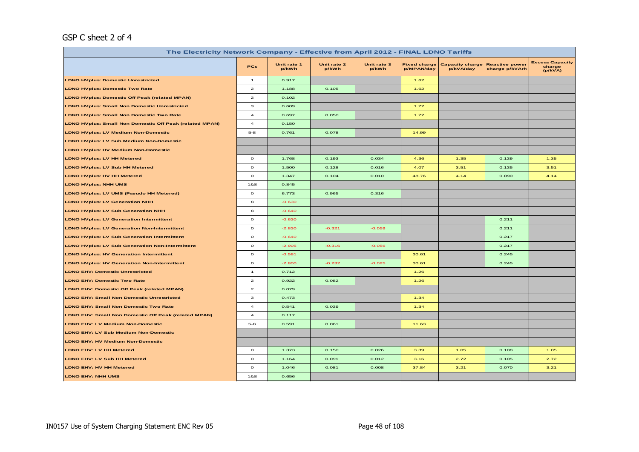# GSP C sheet 2 of 4

| The Electricity Network Company - Effective from April 2012 - FINAL LDNO Tariffs |                                    |                      |                      |                      |                                   |                                     |                                         |                                             |  |  |
|----------------------------------------------------------------------------------|------------------------------------|----------------------|----------------------|----------------------|-----------------------------------|-------------------------------------|-----------------------------------------|---------------------------------------------|--|--|
|                                                                                  | <b>PCs</b>                         | Unit rate 1<br>p/kWh | Unit rate 2<br>p/kWh | Unit rate 3<br>p/kWh | <b>Fixed charge</b><br>p/MPAN/day | <b>Capacity charge</b><br>p/kVA/day | <b>Reactive power</b><br>charge p/kVArh | <b>Excess Capacity</b><br>charge<br>(p/kVA) |  |  |
| <b>LDNO HVplus: Domestic Unrestricted</b>                                        | $\mathbf{1}$                       | 0.917                |                      |                      | 1.62                              |                                     |                                         |                                             |  |  |
| <b>LDNO HVplus: Domestic Two Rate</b>                                            | $\mathbf{z}$                       | 1.188                | 0.105                |                      | 1.62                              |                                     |                                         |                                             |  |  |
| <b>LDNO HVplus: Domestic Off Peak (related MPAN)</b>                             | $\mathbf{z}$                       | 0.102                |                      |                      |                                   |                                     |                                         |                                             |  |  |
| <b>LDNO HVplus: Small Non Domestic Unrestricted</b>                              | з                                  | 0.609                |                      |                      | 1.72                              |                                     |                                         |                                             |  |  |
| <b>LDNO HVplus: Small Non Domestic Two Rate</b>                                  | $\overline{\mathbf{4}}$            | 0.697                | 0.050                |                      | 1.72                              |                                     |                                         |                                             |  |  |
| <b>LDNO HVplus: Small Non Domestic Off Peak (related MPAN)</b>                   | $\overline{4}$                     | 0.150                |                      |                      |                                   |                                     |                                         |                                             |  |  |
| <b>LDNO HVplus: LV Medium Non-Domestic</b>                                       | $5 - 8$                            | 0.761                | 0.078                |                      | 14.99                             |                                     |                                         |                                             |  |  |
| <b>LDNO HVplus: LV Sub Medium Non-Domestic</b>                                   |                                    |                      |                      |                      |                                   |                                     |                                         |                                             |  |  |
| <b>LDNO HVplus: HV Medium Non-Domestic</b>                                       |                                    |                      |                      |                      |                                   |                                     |                                         |                                             |  |  |
| <b>LDNO HVplus: LV HH Metered</b>                                                | $\circ$                            | 1.768                | 0.193                | 0.034                | 4.36                              | 1.35                                | 0.139                                   | 1.35                                        |  |  |
| <b>LDNO HVplus: LV Sub HH Metered</b>                                            | $\circ$                            | 1.500                | 0.128                | 0.016                | 4.07                              | 3.51                                | 0.135                                   | 3.51                                        |  |  |
| <b>LDNO HVplus: HV HH Metered</b>                                                | $\mathbf{o}$                       | 1.347                | 0.104                | 0.010                | 48.76                             | 4.14                                | 0.090                                   | 4.14                                        |  |  |
| <b>LDNO HVplus: NHH UMS</b>                                                      | 1&8                                | 0.845                |                      |                      |                                   |                                     |                                         |                                             |  |  |
| LDNO HVplus: LV UMS (Pseudo HH Metered)                                          | $\mathbf{o}$                       | 6.773                | 0.965                | 0.316                |                                   |                                     |                                         |                                             |  |  |
| <b>LDNO HVplus: LV Generation NHH</b>                                            | 8                                  | $-0.630$             |                      |                      |                                   |                                     |                                         |                                             |  |  |
| <b>LDNO HVplus: LV Sub Generation NHH</b>                                        | 8                                  | $-0.640$             |                      |                      |                                   |                                     |                                         |                                             |  |  |
| <b>LDNO HVplus: LV Generation Intermittent</b>                                   | $\circ$                            | $-0.630$             |                      |                      |                                   |                                     | 0.211                                   |                                             |  |  |
| <b>LDNO HVplus: LV Generation Non-Intermittent</b>                               | $\circ$                            | $-2.830$             | $-0.321$             | $-0.059$             |                                   |                                     | 0.211                                   |                                             |  |  |
| <b>LDNO HVplus: LV Sub Generation Intermittent</b>                               | $\mathbf{o}$                       | $-0.640$             |                      |                      |                                   |                                     | 0.217                                   |                                             |  |  |
| <b>LDNO HVplus: LV Sub Generation Non-Intermittent</b>                           | $\circ$                            | $-2.905$             | $-0.316$             | $-0.056$             |                                   |                                     | 0.217                                   |                                             |  |  |
| <b>LDNO HVplus: HV Generation Intermittent</b>                                   | $\circ$                            | $-0.581$             |                      |                      | 30.61                             |                                     | 0.245                                   |                                             |  |  |
| <b>LDNO HVplus: HV Generation Non-Intermittent</b>                               | $\mathbf{o}$                       | $-2.800$             | $-0.232$             | $-0.025$             | 30.61                             |                                     | 0.245                                   |                                             |  |  |
| LDNO EHV: Domestic Unrestricted                                                  | $\mathbf{1}$                       | 0.712                |                      |                      | 1.26                              |                                     |                                         |                                             |  |  |
| <b>LDNO EHV: Domestic Two Rate</b>                                               | $\mathbf{2}% ^{T}(\mathbf{1}_{T})$ | 0.922                | 0.082                |                      | 1.26                              |                                     |                                         |                                             |  |  |
| <b>LDNO EHV: Domestic Off Peak (related MPAN)</b>                                | $\overline{2}$                     | 0.079                |                      |                      |                                   |                                     |                                         |                                             |  |  |
| <b>LDNO EHV: Small Non Domestic Unrestricted</b>                                 | з                                  | 0.473                |                      |                      | 1.34                              |                                     |                                         |                                             |  |  |
| <b>LDNO EHV: Small Non Domestic Two Rate</b>                                     | $\overline{\mathbf{4}}$            | 0.541                | 0.039                |                      | 1.34                              |                                     |                                         |                                             |  |  |
| LDNO EHV: Small Non Domestic Off Peak (related MPAN)                             | $\overline{a}$                     | 0.117                |                      |                      |                                   |                                     |                                         |                                             |  |  |
| <b>LDNO EHV: LV Medium Non-Domestic</b>                                          | $5 - 8$                            | 0.591                | 0.061                |                      | 11.63                             |                                     |                                         |                                             |  |  |
| LDNO EHV: LV Sub Medium Non-Domestic                                             |                                    |                      |                      |                      |                                   |                                     |                                         |                                             |  |  |
| <b>LDNO EHV: HV Medium Non-Domestic</b>                                          |                                    |                      |                      |                      |                                   |                                     |                                         |                                             |  |  |
| <b>LDNO EHV: LV HH Metered</b>                                                   | $\circ$                            | 1.373                | 0.150                | 0.026                | 3.39                              | 1.05                                | 0.108                                   | 1.05                                        |  |  |
| <b>LDNO EHV: LV Sub HH Metered</b>                                               | $\mathbf{o}$                       | 1.164                | 0.099                | 0.012                | 3.16                              | 2.72                                | 0.105                                   | 2.72                                        |  |  |
| <b>LDNO EHV: HV HH Metered</b>                                                   | $\mathbf{o}$                       | 1.046                | 0.081                | 0.008                | 37.84                             | 3.21                                | 0.070                                   | 3.21                                        |  |  |
| <b>LDNO EHV: NHH UMS</b>                                                         | 1&8                                | 0.656                |                      |                      |                                   |                                     |                                         |                                             |  |  |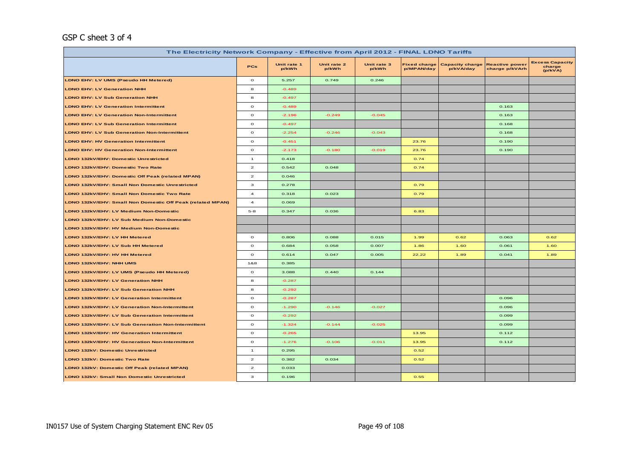## GSP C sheet 3 of 4

| The Electricity Network Company - Effective from April 2012 - FINAL LDNO Tariffs |                |                      |                      |                      |                                   |                                     |                                         |                                             |  |  |
|----------------------------------------------------------------------------------|----------------|----------------------|----------------------|----------------------|-----------------------------------|-------------------------------------|-----------------------------------------|---------------------------------------------|--|--|
|                                                                                  | <b>PCs</b>     | Unit rate 1<br>p/kWh | Unit rate 2<br>p/kWh | Unit rate 3<br>p/kWh | <b>Fixed charge</b><br>p/MPAN/day | <b>Capacity charge</b><br>p/kVA/day | <b>Reactive power</b><br>charge p/kVArh | <b>Excess Capacity</b><br>charge<br>(p/kVA) |  |  |
| LDNO EHV: LV UMS (Pseudo HH Metered)                                             | $\circ$        | 5.257                | 0.749                | 0.246                |                                   |                                     |                                         |                                             |  |  |
| <b>LDNO EHV: LV Generation NHH</b>                                               | 8              | $-0.489$             |                      |                      |                                   |                                     |                                         |                                             |  |  |
| <b>LDNO EHV: LV Sub Generation NHH</b>                                           | 8              | $-0.497$             |                      |                      |                                   |                                     |                                         |                                             |  |  |
| <b>LDNO EHV: LV Generation Intermittent</b>                                      | $\mathbf{o}$   | $-0.489$             |                      |                      |                                   |                                     | 0.163                                   |                                             |  |  |
| <b>LDNO EHV: LV Generation Non-Intermittent</b>                                  | $\mathbf{o}$   | $-2.196$             | $-0.249$             | $-0.045$             |                                   |                                     | 0.163                                   |                                             |  |  |
| <b>LDNO EHV: LV Sub Generation Intermittent</b>                                  | $\mathbf{o}$   | $-0.497$             |                      |                      |                                   |                                     | 0.168                                   |                                             |  |  |
| <b>LDNO EHV: LV Sub Generation Non-Intermittent</b>                              | $\circ$        | $-2.254$             | $-0.246$             | $-0.043$             |                                   |                                     | 0.168                                   |                                             |  |  |
| <b>LDNO EHV: HV Generation Intermittent</b>                                      | $\circ$        | $-0.451$             |                      |                      | 23.76                             |                                     | 0.190                                   |                                             |  |  |
| <b>LDNO EHV: HV Generation Non-Intermittent</b>                                  | $\circ$        | $-2.173$             | $-0.180$             | $-0.019$             | 23.76                             |                                     | 0.190                                   |                                             |  |  |
| LDNO 132kV/EHV: Domestic Unrestricted                                            | $\mathbf{1}$   | 0.418                |                      |                      | 0.74                              |                                     |                                         |                                             |  |  |
| LDNO 132kV/EHV: Domestic Two Rate                                                | $\mathbf{2}$   | 0.542                | 0.048                |                      | 0.74                              |                                     |                                         |                                             |  |  |
| LDNO 132kV/EHV: Domestic Off Peak (related MPAN)                                 | $\overline{2}$ | 0.046                |                      |                      |                                   |                                     |                                         |                                             |  |  |
| LDNO 132kV/EHV: Small Non Domestic Unrestricted                                  | з              | 0.278                |                      |                      | 0.79                              |                                     |                                         |                                             |  |  |
| LDNO 132kV/EHV: Small Non Domestic Two Rate                                      | $\overline{a}$ | 0.318                | 0.023                |                      | 0.79                              |                                     |                                         |                                             |  |  |
| LDNO 132kV/EHV: Small Non Domestic Off Peak (related MPAN)                       | $\overline{a}$ | 0.069                |                      |                      |                                   |                                     |                                         |                                             |  |  |
| LDNO 132kV/EHV: LV Medium Non-Domestic                                           | $5 - 8$        | 0.347                | 0.036                |                      | 6.83                              |                                     |                                         |                                             |  |  |
| LDNO 132kV/EHV: LV Sub Medium Non-Domestic                                       |                |                      |                      |                      |                                   |                                     |                                         |                                             |  |  |
| LDNO 132kV/EHV: HV Medium Non-Domestic                                           |                |                      |                      |                      |                                   |                                     |                                         |                                             |  |  |
| LDNO 132kV/EHV: LV HH Metered                                                    | $\circ$        | 0.806                | 0.088                | 0.015                | 1.99                              | 0.62                                | 0.063                                   | 0.62                                        |  |  |
| LDNO 132kV/EHV: LV Sub HH Metered                                                | $\circ$        | 0.684                | 0.058                | 0.007                | 1.86                              | 1.60                                | 0.061                                   | 1.60                                        |  |  |
| LDNO 132kV/EHV: HV HH Metered                                                    | $\mathbf{o}$   | 0.614                | 0.047                | 0.005                | 22.22                             | 1.89                                | 0.041                                   | 1.89                                        |  |  |
| LDNO 132kV/EHV: NHH UMS                                                          | 1&8            | 0.385                |                      |                      |                                   |                                     |                                         |                                             |  |  |
| LDNO 132kV/EHV: LV UMS (Pseudo HH Metered)                                       | $\circ$        | 3.088                | 0.440                | 0.144                |                                   |                                     |                                         |                                             |  |  |
| LDNO 132kV/EHV: LV Generation NHH                                                | 8              | $-0.287$             |                      |                      |                                   |                                     |                                         |                                             |  |  |
| LDNO 132kV/EHV: LV Sub Generation NHH                                            | 8              | $-0.292$             |                      |                      |                                   |                                     |                                         |                                             |  |  |
| LDNO 132kV/EHV: LV Generation Intermittent                                       | $\mathbf{o}$   | $-0.287$             |                      |                      |                                   |                                     | 0.096                                   |                                             |  |  |
| LDNO 132kV/EHV: LV Generation Non-Intermittent                                   | $\circ$        | $-1.290$             | $-0.146$             | $-0.027$             |                                   |                                     | 0.096                                   |                                             |  |  |
| LDNO 132kV/EHV: LV Sub Generation Intermittent                                   | $\mathbf{o}$   | $-0.292$             |                      |                      |                                   |                                     | 0.099                                   |                                             |  |  |
| LDNO 132kV/EHV: LV Sub Generation Non-Intermittent                               | $\circ$        | $-1.324$             | $-0.144$             | $-0.025$             |                                   |                                     | 0.099                                   |                                             |  |  |
| LDNO 132kV/EHV: HV Generation Intermittent                                       | $\circ$        | $-0.265$             |                      |                      | 13.95                             |                                     | 0.112                                   |                                             |  |  |
| LDNO 132kV/EHV: HV Generation Non-Intermittent                                   | $\circ$        | $-1.276$             | $-0.106$             | $-0.011$             | 13.95                             |                                     | 0.112                                   |                                             |  |  |
| LDNO 132kV: Domestic Unrestricted                                                | $\mathbf{1}$   | 0.295                |                      |                      | 0.52                              |                                     |                                         |                                             |  |  |
| LDNO 132kV: Domestic Two Rate                                                    | $\mathbf{2}$   | 0.382                | 0.034                |                      | 0.52                              |                                     |                                         |                                             |  |  |
| LDNO 132kV: Domestic Off Peak (related MPAN)                                     | $\mathbf{z}$   | 0.033                |                      |                      |                                   |                                     |                                         |                                             |  |  |
| LDNO 132kV: Small Non Domestic Unrestricted                                      | з              | 0.196                |                      |                      | 0.55                              |                                     |                                         |                                             |  |  |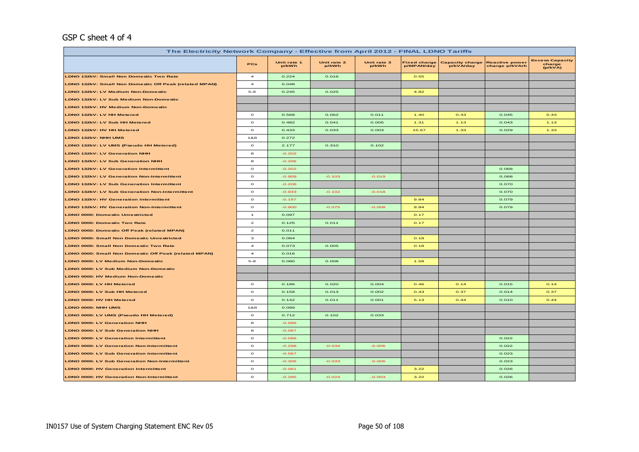#### GSP C sheet 4 of 4

| The Electricity Network Company - Effective from April 2012 - FINAL LDNO Tariffs |                         |                      |                      |                      |                                   |                                     |                                         |                                             |  |
|----------------------------------------------------------------------------------|-------------------------|----------------------|----------------------|----------------------|-----------------------------------|-------------------------------------|-----------------------------------------|---------------------------------------------|--|
|                                                                                  | PCs                     | Unit rate 1<br>p/kWh | Unit rate 2<br>p/kWh | Unit rate 3<br>p/kWh | <b>Fixed charge</b><br>p/MPAN/day | <b>Capacity charge</b><br>p/kVA/day | <b>Reactive power</b><br>charge p/kVArh | <b>Excess Capacity</b><br>charge<br>(p/kVA) |  |
| <b>LDNO 132kV: Small Non Domestic Two Rate</b>                                   | $\overline{a}$          | 0.224                | 0.016                |                      | 0.55                              |                                     |                                         |                                             |  |
| LDNO 132kV: Small Non Domestic Off Peak (related MPAN)                           | $\overline{\mathbf{4}}$ | 0.048                |                      |                      |                                   |                                     |                                         |                                             |  |
| LDNO 132kV: LV Medium Non-Domestic                                               | $5 - 8$                 | 0.245                | 0.025                |                      | 4.82                              |                                     |                                         |                                             |  |
| LDNO 132kV: LV Sub Medium Non-Domestic                                           |                         |                      |                      |                      |                                   |                                     |                                         |                                             |  |
| LDNO 132kV: HV Medium Non-Domestic                                               |                         |                      |                      |                      |                                   |                                     |                                         |                                             |  |
| LDNO 132kV: LV HH Metered                                                        | $\circ$                 | 0.568                | 0.062                | 0.011                | 1.40                              | 0.43                                | 0.045                                   | 0.43                                        |  |
| LDNO 132kV: LV Sub HH Metered                                                    | $\circ$                 | 0.482                | 0.041                | 0.005                | 1.31                              | 1.13                                | 0.043                                   | 1.13                                        |  |
| LDNO 132kV: HV HH Metered                                                        | $\circ$                 | 0.433                | 0.033                | 0.003                | 15.67                             | 1.33                                | 0.029                                   | 1.33                                        |  |
| LDNO 132kV: NHH UMS                                                              | 1&8                     | 0.272                |                      |                      |                                   |                                     |                                         |                                             |  |
| LDNO 132kV: LV UMS (Pseudo HH Metered)                                           | $\circ$                 | 2.177                | 0.310                | 0.102                |                                   |                                     |                                         |                                             |  |
| <b>LDNO 132kV: LV Generation NHH</b>                                             | 8                       | $-0.202$             |                      |                      |                                   |                                     |                                         |                                             |  |
| <b>LDNO 132kV: LV Sub Generation NHH</b>                                         | 8                       | $-0.206$             |                      |                      |                                   |                                     |                                         |                                             |  |
| <b>LDNO 132kV: LV Generation Intermittent</b>                                    | $\circ$                 | $-0.202$             |                      |                      |                                   |                                     | 0.068                                   |                                             |  |
| <b>LDNO 132kV: LV Generation Non-Intermittent</b>                                | $\circ$                 | $-0.909$             | $-0.103$             | $-0.019$             |                                   |                                     | 0.068                                   |                                             |  |
| LDNO 132kV: LV Sub Generation Intermittent                                       | $\circ$                 | $-0.206$             |                      |                      |                                   |                                     | 0.070                                   |                                             |  |
| <b>LDNO 132kV: LV Sub Generation Non-Intermittent</b>                            | $\circ$                 | $-0.933$             | $-0.102$             | $-0.018$             |                                   |                                     | 0.070                                   |                                             |  |
| <b>LDNO 132kV: HV Generation Intermittent</b>                                    | $\circ$                 | $-0.187$             |                      |                      | 9.84                              |                                     | 0.079                                   |                                             |  |
| <b>LDNO 132kV: HV Generation Non-Intermittent</b>                                | $\circ$                 | $-0.900$             | $-0.075$             | $-0.008$             | 9.84                              |                                     | 0.079                                   |                                             |  |
| <b>LDNO 0000: Domestic Unrestricted</b>                                          | $\mathbf{1}$            | 0.097                |                      |                      | 0.17                              |                                     |                                         |                                             |  |
| <b>LDNO 0000: Domestic Two Rate</b>                                              | $\mathbf{z}$            | 0.125                | 0.011                |                      | 0.17                              |                                     |                                         |                                             |  |
| <b>LDNO 0000: Domestic Off Peak (related MPAN)</b>                               | $\mathbf{z}$            | 0.011                |                      |                      |                                   |                                     |                                         |                                             |  |
| <b>LDNO 0000: Small Non Domestic Unrestricted</b>                                | з                       | 0.064                |                      |                      | 0.18                              |                                     |                                         |                                             |  |
| <b>LDNO 0000: Small Non Domestic Two Rate</b>                                    | $\overline{\mathbf{4}}$ | 0.073                | 0.005                |                      | 0.18                              |                                     |                                         |                                             |  |
| LDNO 0000: Small Non Domestic Off Peak (related MPAN)                            | $\overline{\mathbf{4}}$ | 0.016                |                      |                      |                                   |                                     |                                         |                                             |  |
| LDNO 0000: LV Medium Non-Domestic                                                | $5 - 8$                 | 0.080                | 0.008                |                      | 1.58                              |                                     |                                         |                                             |  |
| LDNO 0000: LV Sub Medium Non-Domestic                                            |                         |                      |                      |                      |                                   |                                     |                                         |                                             |  |
| <b>LDNO 0000: HV Medium Non-Domestic</b>                                         |                         |                      |                      |                      |                                   |                                     |                                         |                                             |  |
| LDNO 0000: LV HH Metered                                                         | $\circ$                 | 0.186                | 0.020                | 0.004                | 0.46                              | 0.14                                | 0.015                                   | 0.14                                        |  |
| <b>LDNO 0000: LV Sub HH Metered</b>                                              | $\circ$                 | 0.158                | 0.013                | 0.002                | O.43                              | 0.37                                | 0.014                                   | 0.37                                        |  |
| LDNO 0000: HV HH Metered                                                         | $\circ$                 | 0.142                | 0.011                | 0.001                | 5.13                              | 0.44                                | 0.010                                   | 0.44                                        |  |
| LDNO 0000: NHH UMS                                                               | 1&8                     | 0.089                |                      |                      |                                   |                                     |                                         |                                             |  |
| LDNO 0000: LV UMS (Pseudo HH Metered)                                            | $\circ$                 | 0.712                | 0.102                | 0.033                |                                   |                                     |                                         |                                             |  |
| LDNO 0000: LV Generation NHH                                                     | 8                       | $-0.066$             |                      |                      |                                   |                                     |                                         |                                             |  |
| <b>LDNO 0000: LV Sub Generation NHH</b>                                          | 8                       | $-0.067$             |                      |                      |                                   |                                     |                                         |                                             |  |
| <b>LDNO 0000: LV Generation Intermittent</b>                                     | $\circ$                 | $-0.066$             |                      |                      |                                   |                                     | 0.022                                   |                                             |  |
| <b>LDNO 0000: LV Generation Non-Intermittent</b>                                 | $\circ$                 | $-0.298$             | $-0.034$             | $-0.006$             |                                   |                                     | 0.022                                   |                                             |  |
| <b>LDNO 0000: LV Sub Generation Intermittent</b>                                 | $\circ$                 | $-0.067$             |                      |                      |                                   |                                     | 0.023                                   |                                             |  |
| <b>LDNO 0000: LV Sub Generation Non-Intermittent</b>                             | $\circ$                 | $-0.306$             | $-0.033$             | $-0.006$             |                                   |                                     | 0.023                                   |                                             |  |
| <b>LDNO 0000: HV Generation Intermittent</b>                                     | $\Omega$                | $-0.061$             |                      |                      | 3.22                              |                                     | 0.026                                   |                                             |  |
| <b>LDNO 0000: HV Generation Non-Intermittent</b>                                 | $\circ$                 | $-0.295$             | $-0.024$             | $-0.003$             | 3.22                              |                                     | 0.026                                   |                                             |  |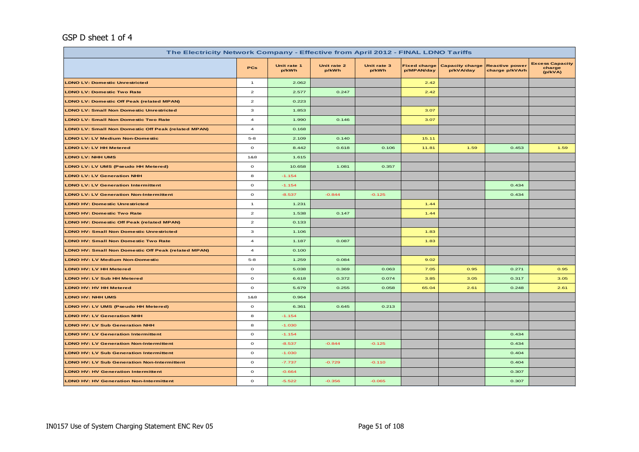# GSP D sheet 1 of 4

| The Electricity Network Company - Effective from April 2012 - FINAL LDNO Tariffs |                         |                      |                      |                      |                                   |                                     |                                         |                                             |  |
|----------------------------------------------------------------------------------|-------------------------|----------------------|----------------------|----------------------|-----------------------------------|-------------------------------------|-----------------------------------------|---------------------------------------------|--|
|                                                                                  | PCs                     | Unit rate 1<br>p/kWh | Unit rate 2<br>p/kWh | Unit rate 3<br>p/kWh | <b>Fixed charge</b><br>p/MPAN/day | <b>Capacity charge</b><br>p/kVA/day | <b>Reactive power</b><br>charge p/kVArh | <b>Excess Capacity</b><br>charge<br>(p/kVA) |  |
| <b>LDNO LV: Domestic Unrestricted</b>                                            | $\mathbf{1}$            | 2.062                |                      |                      | 2.42                              |                                     |                                         |                                             |  |
| <b>LDNO LV: Domestic Two Rate</b>                                                | $\mathbf{z}$            | 2.577                | 0.247                |                      | 2.42                              |                                     |                                         |                                             |  |
| <b>LDNO LV: Domestic Off Peak (related MPAN)</b>                                 | $\mathbf{z}$            | 0.223                |                      |                      |                                   |                                     |                                         |                                             |  |
| <b>LDNO LV: Small Non Domestic Unrestricted</b>                                  | 3                       | 1.853                |                      |                      | 3.07                              |                                     |                                         |                                             |  |
| <b>LDNO LV: Small Non Domestic Two Rate</b>                                      | $\overline{\mathbf{4}}$ | 1.990                | 0.146                |                      | 3.07                              |                                     |                                         |                                             |  |
| <b>LDNO LV: Small Non Domestic Off Peak (related MPAN)</b>                       | $\bf{4}$                | 0.168                |                      |                      |                                   |                                     |                                         |                                             |  |
| <b>LDNO LV: LV Medium Non-Domestic</b>                                           | $5 - 8$                 | 2.109                | 0.140                |                      | 15.11                             |                                     |                                         |                                             |  |
| <b>LDNO LV: LV HH Metered</b>                                                    | $\mathbf{o}$            | 8.442                | 0.618                | 0.106                | 11.81                             | 1.59                                | 0.453                                   | 1.59                                        |  |
| <b>LDNO LV: NHH UMS</b>                                                          | 1&8                     | 1.615                |                      |                      |                                   |                                     |                                         |                                             |  |
| LDNO LV: LV UMS (Pseudo HH Metered)                                              | $\circ$                 | 10.658               | 1.081                | 0.357                |                                   |                                     |                                         |                                             |  |
| <b>LDNO LV: LV Generation NHH</b>                                                | 8                       | $-1.154$             |                      |                      |                                   |                                     |                                         |                                             |  |
| <b>LDNO LV: LV Generation Intermittent</b>                                       | $\mathbf{o}$            | $-1.154$             |                      |                      |                                   |                                     | 0.434                                   |                                             |  |
| <b>LDNO LV: LV Generation Non-Intermittent</b>                                   | $\mathbf{o}$            | $-8.537$             | $-0.844$             | $-0.125$             |                                   |                                     | 0.434                                   |                                             |  |
| <b>LDNO HV: Domestic Unrestricted</b>                                            | $\mathbf{1}$            | 1.231                |                      |                      | 1.44                              |                                     |                                         |                                             |  |
| <b>LDNO HV: Domestic Two Rate</b>                                                | $\mathbf{z}$            | 1.538                | 0.147                |                      | 1.44                              |                                     |                                         |                                             |  |
| <b>LDNO HV: Domestic Off Peak (related MPAN)</b>                                 | $\overline{\mathbf{c}}$ | 0.133                |                      |                      |                                   |                                     |                                         |                                             |  |
| <b>LDNO HV: Small Non Domestic Unrestricted</b>                                  | 3                       | 1.106                |                      |                      | 1.83                              |                                     |                                         |                                             |  |
| <b>LDNO HV: Small Non Domestic Two Rate</b>                                      | $\overline{4}$          | 1.187                | 0.087                |                      | 1.83                              |                                     |                                         |                                             |  |
| LDNO HV: Small Non Domestic Off Peak (related MPAN)                              | $\overline{4}$          | 0.100                |                      |                      |                                   |                                     |                                         |                                             |  |
| <b>LDNO HV: LV Medium Non-Domestic</b>                                           | $5 - 8$                 | 1.259                | 0.084                |                      | 9.02                              |                                     |                                         |                                             |  |
| <b>LDNO HV: LV HH Metered</b>                                                    | $\mathbf{o}$            | 5.038                | 0.369                | 0.063                | 7.05                              | 0.95                                | 0.271                                   | 0.95                                        |  |
| LDNO HV: LV Sub HH Metered                                                       | $\mathbf{o}$            | 6.618                | 0.372                | 0.074                | 3.85                              | 3.05                                | 0.317                                   | 3.05                                        |  |
| LDNO HV: HV HH Metered                                                           | $\mathbf{o}$            | 5.679                | 0.255                | 0.058                | 65.04                             | 2.61                                | 0.248                                   | 2.61                                        |  |
| <b>LDNO HV: NHH UMS</b>                                                          | 1&8                     | 0.964                |                      |                      |                                   |                                     |                                         |                                             |  |
| LDNO HV: LV UMS (Pseudo HH Metered)                                              | $\mathbf{o}$            | 6.361                | 0.645                | 0.213                |                                   |                                     |                                         |                                             |  |
| <b>LDNO HV: LV Generation NHH</b>                                                | 8                       | $-1.154$             |                      |                      |                                   |                                     |                                         |                                             |  |
| <b>LDNO HV: LV Sub Generation NHH</b>                                            | 8                       | $-1.030$             |                      |                      |                                   |                                     |                                         |                                             |  |
| <b>LDNO HV: LV Generation Intermittent</b>                                       | $\mathbf{o}$            | $-1.154$             |                      |                      |                                   |                                     | 0.434                                   |                                             |  |
| <b>LDNO HV: LV Generation Non-Intermittent</b>                                   | $\mathbf{o}$            | $-8.537$             | $-0.844$             | $-0.125$             |                                   |                                     | 0.434                                   |                                             |  |
| <b>LDNO HV: LV Sub Generation Intermittent</b>                                   | $\mathbf{o}$            | $-1.030$             |                      |                      |                                   |                                     | 0.404                                   |                                             |  |
| <b>LDNO HV: LV Sub Generation Non-Intermittent</b>                               | $\mathbf{o}$            | $-7.737$             | $-0.729$             | $-0.110$             |                                   |                                     | 0.404                                   |                                             |  |
| <b>LDNO HV: HV Generation Intermittent</b>                                       | $\mathbf{o}$            | $-0.664$             |                      |                      |                                   |                                     | 0.307                                   |                                             |  |
| <b>LDNO HV: HV Generation Non-Intermittent</b>                                   | $\mathbf{o}$            | $-5.522$             | $-0.356$             | $-0.065$             |                                   |                                     | 0.307                                   |                                             |  |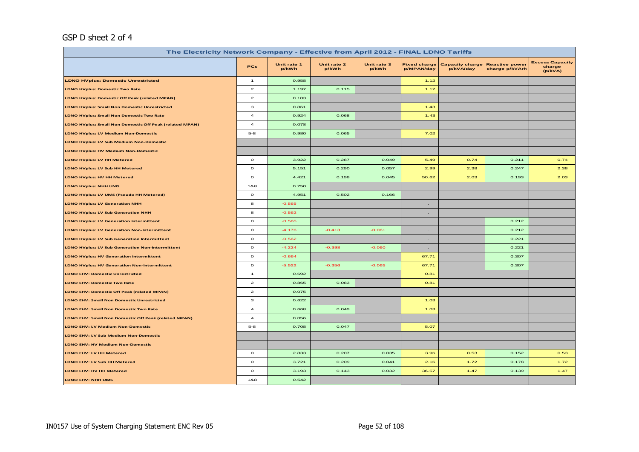# GSP D sheet 2 of 4

| The Electricity Network Company - Effective from April 2012 - FINAL LDNO Tariffs |                         |                      |                      |                      |                                   |                                     |                                         |                                             |  |
|----------------------------------------------------------------------------------|-------------------------|----------------------|----------------------|----------------------|-----------------------------------|-------------------------------------|-----------------------------------------|---------------------------------------------|--|
|                                                                                  | <b>PCs</b>              | Unit rate 1<br>p/kWh | Unit rate 2<br>p/kWh | Unit rate 3<br>p/kWh | <b>Fixed charge</b><br>p/MPAN/day | <b>Capacity charge</b><br>p/kVA/day | <b>Reactive power</b><br>charge p/kVArh | <b>Excess Capacity</b><br>charge<br>(p/kVA) |  |
| <b>LDNO HVplus: Domestic Unrestricted</b>                                        | $\mathbf{1}$            | 0.958                |                      |                      | 1.12                              |                                     |                                         |                                             |  |
| <b>LDNO HVplus: Domestic Two Rate</b>                                            | $\overline{a}$          | 1.197                | 0.115                |                      | 1.12                              |                                     |                                         |                                             |  |
| <b>LDNO HVplus: Domestic Off Peak (related MPAN)</b>                             | $\overline{a}$          | 0.103                |                      |                      |                                   |                                     |                                         |                                             |  |
| <b>LDNO HVplus: Small Non Domestic Unrestricted</b>                              | з                       | 0.861                |                      |                      | 1.43                              |                                     |                                         |                                             |  |
| <b>LDNO HVplus: Small Non Domestic Two Rate</b>                                  | $\overline{\mathbf{4}}$ | 0.924                | 0.068                |                      | 1.43                              |                                     |                                         |                                             |  |
| <b>LDNO HVplus: Small Non Domestic Off Peak (related MPAN)</b>                   | $\overline{4}$          | 0.078                |                      |                      |                                   |                                     |                                         |                                             |  |
| <b>LDNO HVplus: LV Medium Non-Domestic</b>                                       | $5 - 8$                 | 0.980                | 0.065                |                      | 7.02                              |                                     |                                         |                                             |  |
| <b>LDNO HVplus: LV Sub Medium Non-Domestic</b>                                   |                         |                      |                      |                      |                                   |                                     |                                         |                                             |  |
| LDNO HVplus: HV Medium Non-Domestic                                              |                         |                      |                      |                      |                                   |                                     |                                         |                                             |  |
| <b>LDNO HVplus: LV HH Metered</b>                                                | $\circ$                 | 3.922                | 0.287                | 0.049                | 5.49                              | 0.74                                | 0.211                                   | 0.74                                        |  |
| LDNO HVplus: LV Sub HH Metered                                                   | $\circ$                 | 5.151                | 0.290                | 0.057                | 2.99                              | 2.38                                | 0.247                                   | 2.38                                        |  |
| LDNO HVplus: HV HH Metered                                                       | $\circ$                 | 4.421                | 0.198                | 0.045                | 50.62                             | 2.03                                | 0.193                                   | 2.03                                        |  |
| LDNO HVplus: NHH UMS                                                             | 1&8                     | 0.750                |                      |                      |                                   |                                     |                                         |                                             |  |
| LDNO HVplus: LV UMS (Pseudo HH Metered)                                          | $\mathbf{o}$            | 4.951                | 0.502                | 0.166                |                                   |                                     |                                         |                                             |  |
| <b>LDNO HVplus: LV Generation NHH</b>                                            | 8                       | $-0.565$             |                      |                      | $\sim$                            |                                     |                                         |                                             |  |
| <b>LDNO HVplus: LV Sub Generation NHH</b>                                        | 8                       | $-0.562$             |                      |                      |                                   |                                     |                                         |                                             |  |
| <b>LDNO HVplus: LV Generation Intermittent</b>                                   | $\circ$                 | $-0.565$             |                      |                      | $\sim$                            |                                     | 0.212                                   |                                             |  |
| <b>LDNO HVplus: LV Generation Non-Intermittent</b>                               | $\mathbf{o}$            | $-4.176$             | $-0.413$             | $-0.061$             | $\sim$                            |                                     | 0.212                                   |                                             |  |
| <b>LDNO HVplus: LV Sub Generation Intermittent</b>                               | $\mathbf{o}$            | $-0.562$             |                      |                      | $\sim$                            |                                     | 0.221                                   |                                             |  |
| LDNO HVplus: LV Sub Generation Non-Intermittent                                  | $\mathbf{o}$            | $-4.224$             | $-0.398$             | $-0.060$             | $\sim$                            |                                     | 0.221                                   |                                             |  |
| <b>LDNO HVplus: HV Generation Intermittent</b>                                   | $\mathbf{o}$            | $-0.664$             |                      |                      | 67.71                             |                                     | 0.307                                   |                                             |  |
| <b>LDNO HVplus: HV Generation Non-Intermittent</b>                               | $\mathbf{o}$            | $-5.522$             | $-0.356$             | $-0.065$             | 67.71                             |                                     | 0.307                                   |                                             |  |
| <b>LDNO EHV: Domestic Unrestricted</b>                                           | $\mathbf{1}$            | 0.692                |                      |                      | 0.81                              |                                     |                                         |                                             |  |
| <b>LDNO EHV: Domestic Two Rate</b>                                               | $\overline{\mathbf{c}}$ | 0.865                | 0.083                |                      | 0.81                              |                                     |                                         |                                             |  |
| LDNO EHV: Domestic Off Peak (related MPAN)                                       | $\overline{\mathbf{c}}$ | 0.075                |                      |                      |                                   |                                     |                                         |                                             |  |
| <b>LDNO EHV: Small Non Domestic Unrestricted</b>                                 | з                       | 0.622                |                      |                      | 1.03                              |                                     |                                         |                                             |  |
| <b>LDNO EHV: Small Non Domestic Two Rate</b>                                     | $\overline{a}$          | 0.668                | 0.049                |                      | 1.03                              |                                     |                                         |                                             |  |
| LDNO EHV: Small Non Domestic Off Peak (related MPAN)                             | $\overline{a}$          | 0.056                |                      |                      |                                   |                                     |                                         |                                             |  |
| <b>LDNO EHV: LV Medium Non-Domestic</b>                                          | $5 - 8$                 | 0.708                | 0.047                |                      | 5.07                              |                                     |                                         |                                             |  |
| LDNO EHV: LV Sub Medium Non-Domestic                                             |                         |                      |                      |                      |                                   |                                     |                                         |                                             |  |
| <b>LDNO EHV: HV Medium Non-Domestic</b>                                          |                         |                      |                      |                      |                                   |                                     |                                         |                                             |  |
| LDNO EHV: LV HH Metered                                                          | $\circ$                 | 2.833                | 0.207                | 0.035                | 3.96                              | 0.53                                | 0.152                                   | 0.53                                        |  |
| LDNO EHV: LV Sub HH Metered                                                      | $\mathbf{o}$            | 3.721                | 0.209                | 0.041                | 2.16                              | 1.72                                | 0.178                                   | 1.72                                        |  |
| LDNO EHV: HV HH Metered                                                          | $\mathbf{o}$            | 3.193                | 0.143                | 0.032                | 36.57                             | 1.47                                | 0.139                                   | 1.47                                        |  |
| LDNO EHV: NHH UMS                                                                | 1&8                     | 0.542                |                      |                      |                                   |                                     |                                         |                                             |  |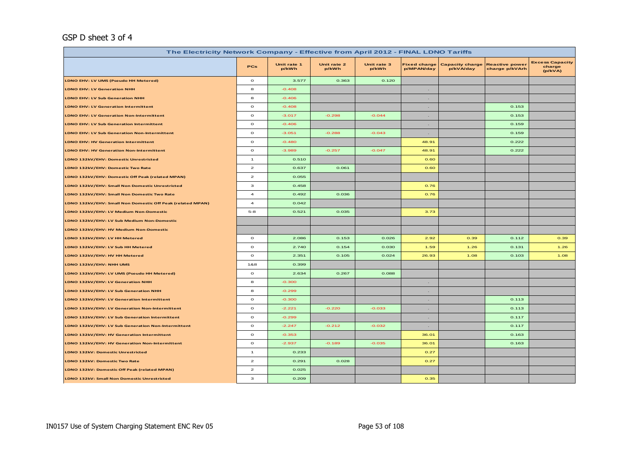# GSP D sheet 3 of 4

| The Electricity Network Company - Effective from April 2012 - FINAL LDNO Tariffs |                |                      |                      |                      |                                   |                                     |                                         |                                             |  |
|----------------------------------------------------------------------------------|----------------|----------------------|----------------------|----------------------|-----------------------------------|-------------------------------------|-----------------------------------------|---------------------------------------------|--|
|                                                                                  | <b>PCs</b>     | Unit rate 1<br>p/kWh | Unit rate 2<br>p/kWh | Unit rate 3<br>p/kWh | <b>Fixed charge</b><br>p/MPAN/day | <b>Capacity charge</b><br>p/kVA/day | <b>Reactive power</b><br>charge p/kVArh | <b>Excess Capacity</b><br>charge<br>(p/kVA) |  |
| LDNO EHV: LV UMS (Pseudo HH Metered)                                             | $\mathbf{o}$   | 3.577                | 0.363                | 0.120                |                                   |                                     |                                         |                                             |  |
| <b>LDNO EHV: LV Generation NHH</b>                                               | 8              | $-0.408$             |                      |                      | $\sim$                            |                                     |                                         |                                             |  |
| <b>LDNO EHV: LV Sub Generation NHH</b>                                           | 8              | $-0.406$             |                      |                      | $\sim$                            |                                     |                                         |                                             |  |
| <b>LDNO EHV: LV Generation Intermittent</b>                                      | $\mathbf{o}$   | $-0.408$             |                      |                      | $\sim$                            |                                     | 0.153                                   |                                             |  |
| <b>LDNO EHV: LV Generation Non-Intermittent</b>                                  | $\circ$        | $-3.017$             | $-0.298$             | $-0.044$             | $\sim$                            |                                     | 0.153                                   |                                             |  |
| <b>LDNO EHV: LV Sub Generation Intermittent</b>                                  | $\mathbf{o}$   | $-0.406$             |                      |                      | $\sim$                            |                                     | 0.159                                   |                                             |  |
| <b>LDNO EHV: LV Sub Generation Non-Intermittent</b>                              | $\circ$        | $-3.051$             | $-0.288$             | $-0.043$             | $\sim$                            |                                     | 0.159                                   |                                             |  |
| <b>LDNO EHV: HV Generation Intermittent</b>                                      | $\mathbf{o}$   | $-0.480$             |                      |                      | 48.91                             |                                     | 0.222                                   |                                             |  |
| <b>LDNO EHV: HV Generation Non-Intermittent</b>                                  | $\circ$        | $-3.989$             | $-0.257$             | $-0.047$             | 48.91                             |                                     | 0.222                                   |                                             |  |
| LDNO 132kV/EHV: Domestic Unrestricted                                            | $\mathbf{1}$   | 0.510                |                      |                      | 0.60                              |                                     |                                         |                                             |  |
| LDNO 132kV/EHV: Domestic Two Rate                                                | $\mathbf{z}$   | 0.637                | 0.061                |                      | 0.60                              |                                     |                                         |                                             |  |
| LDNO 132kV/EHV: Domestic Off Peak (related MPAN)                                 | $\overline{a}$ | 0.055                |                      |                      |                                   |                                     |                                         |                                             |  |
| LDNO 132kV/EHV: Small Non Domestic Unrestricted                                  | з              | 0.458                |                      |                      | 0.76                              |                                     |                                         |                                             |  |
| LDNO 132kV/EHV: Small Non Domestic Two Rate                                      | $\overline{a}$ | 0.492                | 0.036                |                      | 0.76                              |                                     |                                         |                                             |  |
| LDNO 132kV/EHV: Small Non Domestic Off Peak (related MPAN)                       | $\overline{a}$ | 0.042                |                      |                      |                                   |                                     |                                         |                                             |  |
| LDNO 132kV/EHV: LV Medium Non-Domestic                                           | $5 - 8$        | 0.521                | 0.035                |                      | 3.73                              |                                     |                                         |                                             |  |
| LDNO 132kV/EHV: LV Sub Medium Non-Domestic                                       |                |                      |                      |                      |                                   |                                     |                                         |                                             |  |
| LDNO 132kV/EHV: HV Medium Non-Domestic                                           |                |                      |                      |                      |                                   |                                     |                                         |                                             |  |
| LDNO 132kV/EHV: LV HH Metered                                                    | $\mathbf{o}$   | 2.086                | 0.153                | 0.026                | 2.92                              | 0.39                                | 0.112                                   | 0.39                                        |  |
| LDNO 132kV/EHV: LV Sub HH Metered                                                | $\circ$        | 2.740                | 0.154                | 0.030                | 1.59                              | 1.26                                | 0.131                                   | 1.26                                        |  |
| LDNO 132kV/EHV: HV HH Metered                                                    | $\circ$        | 2.351                | 0.105                | 0.024                | 26.93                             | 1.08                                | 0.103                                   | 1.08                                        |  |
| LDNO 132kV/EHV: NHH UMS                                                          | 1&8            | 0.399                |                      |                      |                                   |                                     |                                         |                                             |  |
| LDNO 132kV/EHV: LV UMS (Pseudo HH Metered)                                       | $\mathbf{o}$   | 2.634                | 0.267                | 0.088                |                                   |                                     |                                         |                                             |  |
| LDNO 132kV/EHV: LV Generation NHH                                                | 8              | $-0.300$             |                      |                      | $\sim$                            |                                     |                                         |                                             |  |
| LDNO 132kV/EHV: LV Sub Generation NHH                                            | 8              | $-0.299$             |                      |                      | $\sim$                            |                                     |                                         |                                             |  |
| LDNO 132kV/EHV: LV Generation Intermittent                                       | $\circ$        | $-0.300$             |                      |                      | $\sim$                            |                                     | 0.113                                   |                                             |  |
| LDNO 132kV/EHV: LV Generation Non-Intermittent                                   | $\mathbf{o}$   | $-2.221$             | $-0.220$             | $-0.033$             | $\sim$                            |                                     | 0.113                                   |                                             |  |
| LDNO 132kV/EHV: LV Sub Generation Intermittent                                   | $\mathbf{o}$   | $-0.299$             |                      |                      | $\sim$                            |                                     | 0.117                                   |                                             |  |
| LDNO 132kV/EHV: LV Sub Generation Non-Intermittent                               | $\mathbf{o}$   | $-2.247$             | $-0.212$             | $-0.032$             | $\sim$                            |                                     | 0.117                                   |                                             |  |
| LDNO 132kV/EHV: HV Generation Intermittent                                       | $\mathbf{o}$   | $-0.353$             |                      |                      | 36.01                             |                                     | 0.163                                   |                                             |  |
| LDNO 132kV/EHV: HV Generation Non-Intermittent                                   | $\mathbf{o}$   | $-2.937$             | $-0.189$             | $-0.035$             | 36.01                             |                                     | 0.163                                   |                                             |  |
| <b>LDNO 132kV: Domestic Unrestricted</b>                                         | $\mathbf{1}$   | 0.233                |                      |                      | 0.27                              |                                     |                                         |                                             |  |
| LDNO 132kV: Domestic Two Rate                                                    | $\mathbf{z}$   | 0.291                | 0.028                |                      | 0.27                              |                                     |                                         |                                             |  |
| LDNO 132kV: Domestic Off Peak (related MPAN)                                     | $\mathbf{z}$   | 0.025                |                      |                      |                                   |                                     |                                         |                                             |  |
| LDNO 132kV: Small Non Domestic Unrestricted                                      | з              | 0.209                |                      |                      | 0.35                              |                                     |                                         |                                             |  |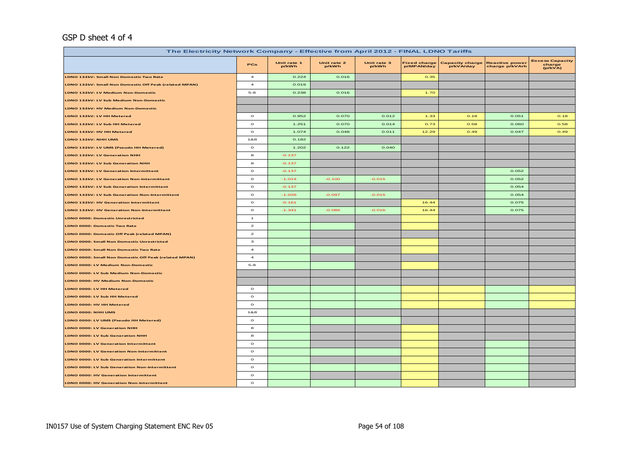## GSP D sheet 4 of 4

| The Electricity Network Company - Effective from April 2012 - FINAL LDNO Tariffs |                         |                      |                      |                      |                                   |                                     |                                         |                                             |  |
|----------------------------------------------------------------------------------|-------------------------|----------------------|----------------------|----------------------|-----------------------------------|-------------------------------------|-----------------------------------------|---------------------------------------------|--|
|                                                                                  | PCs                     | Unit rate 1<br>p/kWh | Unit rate 2<br>p/kWh | Unit rate 3<br>p/kWh | <b>Fixed charge</b><br>p/MPAN/day | <b>Capacity charge</b><br>p/kVA/day | <b>Reactive power</b><br>charge p/kVArh | <b>Excess Capacity</b><br>charge<br>(p/kVA) |  |
| LDNO 132kV: Small Non Domestic Two Rate                                          | $\overline{\mathbf{4}}$ | 0.224                | 0.016                |                      | 0.35                              |                                     |                                         |                                             |  |
| LDNO 132kV: Small Non Domestic Off Peak (related MPAN)                           | $\overline{\mathbf{4}}$ | 0.019                |                      |                      |                                   |                                     |                                         |                                             |  |
| LDNO 132kV: LV Medium Non-Domestic                                               | $5 - 8$                 | 0.238                | 0.016                |                      | 1.70                              |                                     |                                         |                                             |  |
| LDNO 132kV: LV Sub Medium Non-Domestic                                           |                         |                      |                      |                      |                                   |                                     |                                         |                                             |  |
| LDNO 132kV: HV Medium Non-Domestic                                               |                         |                      |                      |                      |                                   |                                     |                                         |                                             |  |
| LDNO 132kV: LV HH Metered                                                        | $\circ$                 | 0.952                | 0.070                | 0.012                | 1.33                              | 0.18                                | 0.051                                   | 0.18                                        |  |
| LDNO 132kV: LV Sub HH Metered                                                    | $\circ$                 | 1.251                | 0.070                | 0.014                | 0.73                              | 0.58                                | 0.060                                   | 0.58                                        |  |
| LDNO 132kV: HV HH Metered                                                        | $\circ$                 | 1.074                | 0.048                | 0.011                | 12.29                             | 0.49                                | 0.047                                   | 0.49                                        |  |
| LDNO 132kV: NHH UMS                                                              | 1&8                     | 0.182                |                      |                      |                                   |                                     |                                         |                                             |  |
| LDNO 132kV: LV UMS (Pseudo HH Metered)                                           | $\circ$                 | 1.202                | 0.122                | 0.040                |                                   |                                     |                                         |                                             |  |
| LDNO 132kV: LV Generation NHH                                                    | 8                       | $-0.137$             |                      |                      |                                   |                                     |                                         |                                             |  |
| LDNO 132kV: LV Sub Generation NHH                                                | 8                       | $-0.137$             |                      |                      |                                   |                                     |                                         |                                             |  |
| <b>LDNO 132kV: LV Generation Intermittent</b>                                    | $\circ$                 | $-0.137$             |                      |                      |                                   |                                     | 0.052                                   |                                             |  |
| LDNO 132kV: LV Generation Non-Intermittent                                       | $\circ$                 | $-1.014$             | $-0.100$             | $-0.015$             |                                   |                                     | 0.052                                   |                                             |  |
| LDNO 132kV: LV Sub Generation Intermittent                                       | $\circ$                 | $-0.137$             |                      |                      |                                   |                                     | 0.054                                   |                                             |  |
| <b>LDNO 132kV: LV Sub Generation Non-Intermittent</b>                            | $\circ$                 | $-1.026$             | $-0.097$             | $-0.015$             |                                   |                                     | 0.054                                   |                                             |  |
| <b>LDNO 132kV: HV Generation Intermittent</b>                                    | $\circ$                 | $-0.161$             |                      |                      | 16.44                             |                                     | 0.075                                   |                                             |  |
| LDNO 132kV: HV Generation Non-Intermittent                                       | $\circ$                 | $-1.341$             | $-0.086$             | $-0.016$             | 16.44                             |                                     | 0.075                                   |                                             |  |
| LDNO 0000: Domestic Unrestricted                                                 | $\mathbf{1}$            |                      |                      |                      |                                   |                                     |                                         |                                             |  |
| LDNO 0000: Domestic Two Rate                                                     | $\mathbf{z}$            |                      |                      |                      |                                   |                                     |                                         |                                             |  |
| LDNO 0000: Domestic Off Peak (related MPAN)                                      | $\mathbf{z}$            |                      |                      |                      |                                   |                                     |                                         |                                             |  |
| LDNO 0000: Small Non Domestic Unrestricted                                       | з                       |                      |                      |                      |                                   |                                     |                                         |                                             |  |
| LDNO 0000: Small Non Domestic Two Rate                                           | $\overline{4}$          |                      |                      |                      |                                   |                                     |                                         |                                             |  |
| LDNO 0000: Small Non Domestic Off Peak (related MPAN)                            | $\overline{4}$          |                      |                      |                      |                                   |                                     |                                         |                                             |  |
| LDNO 0000: LV Medium Non-Domestic                                                | $5 - 8$                 |                      |                      |                      |                                   |                                     |                                         |                                             |  |
| LDNO 0000: LV Sub Medium Non-Domestic                                            |                         |                      |                      |                      |                                   |                                     |                                         |                                             |  |
| LDNO 0000: HV Medium Non-Domestic                                                |                         |                      |                      |                      |                                   |                                     |                                         |                                             |  |
| LDNO 0000: LV HH Metered                                                         | $\circ$                 |                      |                      |                      |                                   |                                     |                                         |                                             |  |
| DNO 0000: LV Sub HH Metered                                                      | $\mathbf{o}$            |                      |                      |                      |                                   |                                     |                                         |                                             |  |
| LDNO 0000: HV HH Metered                                                         | $\circ$                 |                      |                      |                      |                                   |                                     |                                         |                                             |  |
| LDNO 0000: NHH UMS                                                               | 1&8                     |                      |                      |                      |                                   |                                     |                                         |                                             |  |
| LDNO 0000: LV UMS (Pseudo HH Metered)                                            | $\circ$                 |                      |                      |                      |                                   |                                     |                                         |                                             |  |
| LDNO 0000: LV Generation NHH                                                     | 8                       |                      |                      |                      |                                   |                                     |                                         |                                             |  |
| LDNO 0000: LV Sub Generation NHH                                                 | 8                       |                      |                      |                      |                                   |                                     |                                         |                                             |  |
| <b>LDNO 0000: LV Generation Intermittent</b>                                     | $\circ$                 |                      |                      |                      |                                   |                                     |                                         |                                             |  |
| <b>DNO 0000: LV Generation Non-Intermittent</b>                                  | $\mathbf{o}$            |                      |                      |                      |                                   |                                     |                                         |                                             |  |
| LDNO 0000: LV Sub Generation Intermittent                                        | $\mathbf{o}$            |                      |                      |                      |                                   |                                     |                                         |                                             |  |
| LDNO 0000: LV Sub Generation Non-Intermittent                                    | $\circ$                 |                      |                      |                      |                                   |                                     |                                         |                                             |  |
| LDNO 0000: HV Generation Intermittent                                            | $\mathbf{o}$            |                      |                      |                      |                                   |                                     |                                         |                                             |  |
| LDNO 0000: HV Generation Non-Intermittent                                        | $\circ$                 |                      |                      |                      |                                   |                                     |                                         |                                             |  |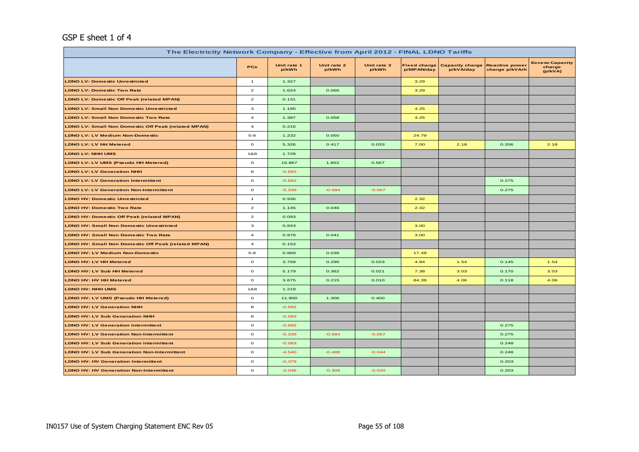# GSP E sheet 1 of 4

| The Electricity Network Company - Effective from April 2012 - FINAL LDNO Tariffs |                         |                      |                      |                      |                                   |                                     |                                         |                                             |  |
|----------------------------------------------------------------------------------|-------------------------|----------------------|----------------------|----------------------|-----------------------------------|-------------------------------------|-----------------------------------------|---------------------------------------------|--|
|                                                                                  | <b>PCs</b>              | Unit rate 1<br>p/kWh | Unit rate 2<br>p/kWh | Unit rate 3<br>p/kWh | <b>Fixed charge</b><br>p/MPAN/day | <b>Capacity charge</b><br>p/kVA/day | <b>Reactive power</b><br>charge p/kVArh | <b>Excess Capacity</b><br>charge<br>(p/kVA) |  |
| <b>LDNO LV: Domestic Unrestricted</b>                                            | $\mathbf{1}$            | 1.327                |                      |                      | 3.29                              |                                     |                                         |                                             |  |
| <b>LDNO LV: Domestic Two Rate</b>                                                | $\overline{a}$          | 1.624                | 0.066                |                      | 3.29                              |                                     |                                         |                                             |  |
| <b>LDNO LV: Domestic Off Peak (related MPAN)</b>                                 | $\overline{\mathbf{z}}$ | 0.131                |                      |                      |                                   |                                     |                                         |                                             |  |
| <b>LDNO LV: Small Non Domestic Unrestricted</b>                                  | 3                       | 1.195                |                      |                      | 4.25                              |                                     |                                         |                                             |  |
| <b>LDNO LV: Small Non Domestic Two Rate</b>                                      | $\overline{\mathbf{4}}$ | 1.387                | 0.058                |                      | 4.25                              |                                     |                                         |                                             |  |
| <b>LDNO LV: Small Non Domestic Off Peak (related MPAN)</b>                       | $\overline{\mathbf{4}}$ | 0.216                |                      |                      |                                   |                                     |                                         |                                             |  |
| <b>LDNO LV: LV Medium Non-Domestic</b>                                           | $5 - 8$                 | 1.232                | 0.050                |                      | 24.79                             |                                     |                                         |                                             |  |
| <b>LDNO LV: LV HH Metered</b>                                                    | $\circ$                 | 5.326                | 0.417                | 0.033                | 7.00                              | 2.18                                | 0.206                                   | 2.18                                        |  |
| <b>LDNO LV: NHH UMS</b>                                                          | 1&8                     | 1.728                |                      |                      |                                   |                                     |                                         |                                             |  |
| LDNO LV: LV UMS (Pseudo HH Metered)                                              | $\circ$                 | 16.867               | 1.852                | 0.567                |                                   |                                     |                                         |                                             |  |
| <b>LDNO LV: LV Generation NHH</b>                                                | 8                       | $-0.692$             |                      |                      |                                   |                                     |                                         |                                             |  |
| <b>LDNO LV: LV Generation Intermittent</b>                                       | $\mathbf{o}$            | $-0.692$             |                      |                      |                                   |                                     | 0.275                                   |                                             |  |
| <b>LDNO LV: LV Generation Non-Intermittent</b>                                   | $\mathbf{o}$            | $-5.339$             | $-0.584$             | $-0.057$             |                                   |                                     | 0.275                                   |                                             |  |
| <b>LDNO HV: Domestic Unrestricted</b>                                            | $\mathbf{1}$            | 0.936                |                      |                      | 2.32                              |                                     |                                         |                                             |  |
| <b>LDNO HV: Domestic Two Rate</b>                                                | $\overline{a}$          | 1.145                | 0.046                |                      | 2.32                              |                                     |                                         |                                             |  |
| <b>LDNO HV: Domestic Off Peak (related MPAN)</b>                                 | $\overline{\mathbf{c}}$ | 0.093                |                      |                      |                                   |                                     |                                         |                                             |  |
| <b>LDNO HV: Small Non Domestic Unrestricted</b>                                  | з                       | 0.843                |                      |                      | 3.00                              |                                     |                                         |                                             |  |
| <b>LDNO HV: Small Non Domestic Two Rate</b>                                      | $\overline{a}$          | 0.979                | 0.041                |                      | 3.00                              |                                     |                                         |                                             |  |
| <b>LDNO HV: Small Non Domestic Off Peak (related MPAN)</b>                       | $\overline{4}$          | 0.153                |                      |                      |                                   |                                     |                                         |                                             |  |
| <b>LDNO HV: LV Medium Non-Domestic</b>                                           | $5 - 8$                 | 0.869                | 0.036                |                      | 17.49                             |                                     |                                         |                                             |  |
| LDNO HV: LV HH Metered                                                           | $\circ$                 | 3.758                | 0.295                | 0.023                | 4.94                              | 1.54                                | 0.145                                   | 1.54                                        |  |
| <b>LDNO HV: LV Sub HH Metered</b>                                                | $\mathbf{o}$            | 5.179                | 0.362                | 0.021                | 7.38                              | 3.03                                | 0.170                                   | 3.03                                        |  |
| <b>LDNO HV: HV HH Metered</b>                                                    | $\mathbf{o}$            | 3.675                | 0.215                | 0.010                | 84.39                             | 4.06                                | 0.118                                   | 4.06                                        |  |
| <b>LDNO HV: NHH UMS</b>                                                          | 1&8                     | 1.219                |                      |                      |                                   |                                     |                                         |                                             |  |
| LDNO HV: LV UMS (Pseudo HH Metered)                                              | $\circ$                 | 11.900               | 1.306                | 0.400                |                                   |                                     |                                         |                                             |  |
| <b>LDNO HV: LV Generation NHH</b>                                                | 8                       | $-0.692$             |                      |                      |                                   |                                     |                                         |                                             |  |
| <b>LDNO HV: LV Sub Generation NHH</b>                                            | 8                       | $-0.583$             |                      |                      |                                   |                                     |                                         |                                             |  |
| <b>LDNO HV: LV Generation Intermittent</b>                                       | $\mathbf{o}$            | $-0.692$             |                      |                      |                                   |                                     | 0.275                                   |                                             |  |
| <b>LDNO HV: LV Generation Non-Intermittent</b>                                   | $\mathbf{o}$            | $-5.339$             | $-0.584$             | $-0.057$             |                                   |                                     | 0.275                                   |                                             |  |
| <b>LDNO HV: LV Sub Generation Intermittent</b>                                   | $\circ$                 | $-0.583$             |                      |                      |                                   |                                     | 0.248                                   |                                             |  |
| <b>LDNO HV: LV Sub Generation Non-Intermittent</b>                               | $\circ$                 | $-4.540$             | $-0.489$             | $-0.044$             |                                   |                                     | 0.248                                   |                                             |  |
| <b>LDNO HV: HV Generation Intermittent</b>                                       | $\circ$                 | $-0.379$             |                      |                      |                                   |                                     | 0.203                                   |                                             |  |
| <b>LDNO HV: HV Generation Non-Intermittent</b>                                   | $\mathbf{o}$            | $-3.046$             | $-0.309$             | $-0.020$             |                                   |                                     | 0.203                                   |                                             |  |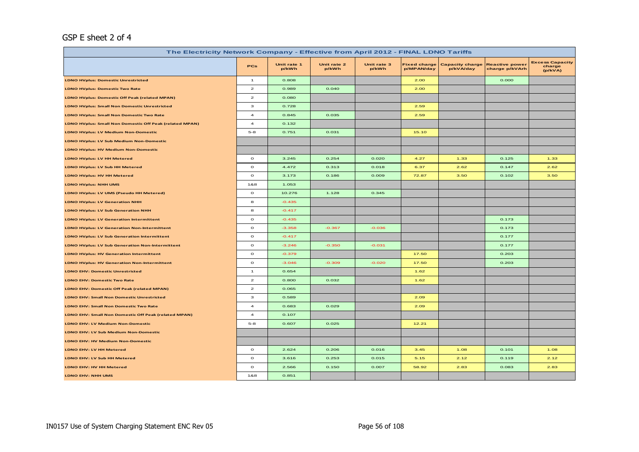## GSP E sheet 2 of 4

| The Electricity Network Company - Effective from April 2012 - FINAL LDNO Tariffs |                |                      |                      |                      |                                   |                                     |                                         |                                             |  |
|----------------------------------------------------------------------------------|----------------|----------------------|----------------------|----------------------|-----------------------------------|-------------------------------------|-----------------------------------------|---------------------------------------------|--|
|                                                                                  | <b>PCs</b>     | Unit rate 1<br>p/kWh | Unit rate 2<br>p/kWh | Unit rate 3<br>p/kWh | <b>Fixed charge</b><br>p/MPAN/day | <b>Capacity charge</b><br>p/kVA/day | <b>Reactive power</b><br>charge p/kVArh | <b>Excess Capacity</b><br>charge<br>(p/kVA) |  |
| <b>LDNO HVplus: Domestic Unrestricted</b>                                        | $\overline{1}$ | 0.808                |                      |                      | 2.00                              |                                     | 0.000                                   |                                             |  |
| <b>LDNO HVplus: Domestic Two Rate</b>                                            | $\mathbf{z}$   | 0.989                | 0.040                |                      | 2.00                              |                                     |                                         |                                             |  |
| <b>LDNO HVplus: Domestic Off Peak (related MPAN)</b>                             | $\mathbf{z}$   | 0.080                |                      |                      |                                   |                                     |                                         |                                             |  |
| <b>LDNO HVplus: Small Non Domestic Unrestricted</b>                              | 3              | 0.728                |                      |                      | 2.59                              |                                     |                                         |                                             |  |
| <b>LDNO HVplus: Small Non Domestic Two Rate</b>                                  | 4              | 0.845                | 0.035                |                      | 2.59                              |                                     |                                         |                                             |  |
| <b>LDNO HVplus: Small Non Domestic Off Peak (related MPAN)</b>                   | $\overline{4}$ | 0.132                |                      |                      |                                   |                                     |                                         |                                             |  |
| <b>LDNO HVplus: LV Medium Non-Domestic</b>                                       | $5 - 8$        | 0.751                | 0.031                |                      | 15.10                             |                                     |                                         |                                             |  |
| <b>LDNO HVplus: LV Sub Medium Non-Domestic</b>                                   |                |                      |                      |                      |                                   |                                     |                                         |                                             |  |
| <b>LDNO HVplus: HV Medium Non-Domestic</b>                                       |                |                      |                      |                      |                                   |                                     |                                         |                                             |  |
| <b>LDNO HVplus: LV HH Metered</b>                                                | $\circ$        | 3.245                | 0.254                | 0.020                | 4.27                              | 1.33                                | 0.125                                   | 1.33                                        |  |
| <b>LDNO HVplus: LV Sub HH Metered</b>                                            | $\circ$        | 4.472                | 0.313                | 0.018                | 6.37                              | 2.62                                | 0.147                                   | 2.62                                        |  |
| <b>LDNO HVplus: HV HH Metered</b>                                                | $\circ$        | 3.173                | 0.186                | 0.009                | 72.87                             | 3.50                                | 0.102                                   | 3.50                                        |  |
| <b>LDNO HVplus: NHH UMS</b>                                                      | 1&8            | 1.053                |                      |                      |                                   |                                     |                                         |                                             |  |
| LDNO HVplus: LV UMS (Pseudo HH Metered)                                          | $\mathbf{o}$   | 10.276               | 1.128                | 0.345                |                                   |                                     |                                         |                                             |  |
| <b>LDNO HVplus: LV Generation NHH</b>                                            | 8              | $-0.435$             |                      |                      |                                   |                                     |                                         |                                             |  |
| <b>LDNO HVplus: LV Sub Generation NHH</b>                                        | 8              | $-0.417$             |                      |                      |                                   |                                     |                                         |                                             |  |
| <b>LDNO HVplus: LV Generation Intermittent</b>                                   | $\circ$        | $-0.435$             |                      |                      |                                   |                                     | 0.173                                   |                                             |  |
| <b>LDNO HVplus: LV Generation Non-Intermittent</b>                               | $\circ$        | $-3.358$             | $-0.367$             | $-0.036$             |                                   |                                     | 0.173                                   |                                             |  |
| <b>LDNO HVplus: LV Sub Generation Intermittent</b>                               | $\mathbf{o}$   | $-0.417$             |                      |                      |                                   |                                     | 0.177                                   |                                             |  |
| <b>LDNO HVplus: LV Sub Generation Non-Intermittent</b>                           | $\circ$        | $-3.246$             | $-0.350$             | $-0.031$             |                                   |                                     | 0.177                                   |                                             |  |
| <b>LDNO HVplus: HV Generation Intermittent</b>                                   | $\mathbf{o}$   | $-0.379$             |                      |                      | 17.50                             |                                     | 0.203                                   |                                             |  |
| <b>LDNO HVplus: HV Generation Non-Intermittent</b>                               | $\circ$        | $-3.046$             | $-0.309$             | $-0.020$             | 17.50                             |                                     | 0.203                                   |                                             |  |
| <b>LDNO EHV: Domestic Unrestricted</b>                                           | $\mathbf{1}$   | 0.654                |                      |                      | 1.62                              |                                     |                                         |                                             |  |
| <b>LDNO EHV: Domestic Two Rate</b>                                               | $\mathbf{z}$   | 0.800                | 0.032                |                      | 1.62                              |                                     |                                         |                                             |  |
| LDNO EHV: Domestic Off Peak (related MPAN)                                       | $\overline{a}$ | 0.065                |                      |                      |                                   |                                     |                                         |                                             |  |
| <b>LDNO EHV: Small Non Domestic Unrestricted</b>                                 | з              | 0.589                |                      |                      | 2.09                              |                                     |                                         |                                             |  |
| <b>LDNO EHV: Small Non Domestic Two Rate</b>                                     | $\overline{a}$ | 0.683                | 0.029                |                      | 2.09                              |                                     |                                         |                                             |  |
| LDNO EHV: Small Non Domestic Off Peak (related MPAN)                             | 4              | 0.107                |                      |                      |                                   |                                     |                                         |                                             |  |
| <b>LDNO EHV: LV Medium Non-Domestic</b>                                          | $5 - 8$        | 0.607                | 0.025                |                      | 12.21                             |                                     |                                         |                                             |  |
| LDNO EHV: LV Sub Medium Non-Domestic                                             |                |                      |                      |                      |                                   |                                     |                                         |                                             |  |
| <b>LDNO EHV: HV Medium Non-Domestic</b>                                          |                |                      |                      |                      |                                   |                                     |                                         |                                             |  |
| LDNO EHV: LV HH Metered                                                          | $\mathbf{o}$   | 2.624                | 0.206                | 0.016                | 3.45                              | 1.08                                | 0.101                                   | 1.08                                        |  |
| LDNO EHV: LV Sub HH Metered                                                      | $\mathbf{o}$   | 3.616                | 0.253                | 0.015                | 5.15                              | 2.12                                | 0.119                                   | 2.12                                        |  |
| LDNO EHV: HV HH Metered                                                          | $\circ$        | 2.566                | 0.150                | 0.007                | 58.92                             | 2.83                                | 0.083                                   | 2.83                                        |  |
| LDNO EHV: NHH UMS                                                                | 1&8            | 0.851                |                      |                      |                                   |                                     |                                         |                                             |  |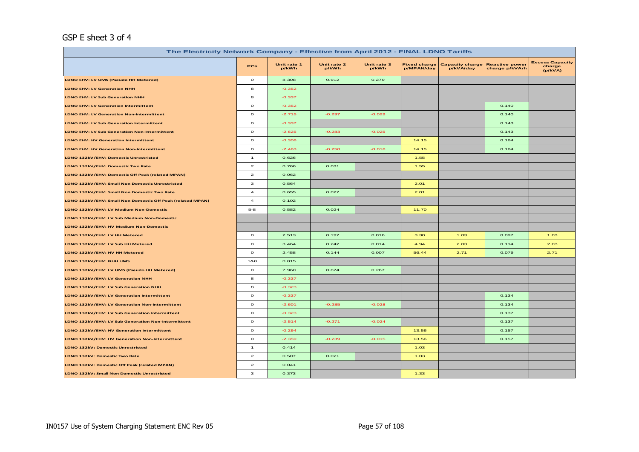# GSP E sheet 3 of 4

|                                                            | The Electricity Network Company - Effective from April 2012 - FINAL LDNO Tariffs |                      |                      |                      |                                   |                                     |                                         |                                             |  |  |  |
|------------------------------------------------------------|----------------------------------------------------------------------------------|----------------------|----------------------|----------------------|-----------------------------------|-------------------------------------|-----------------------------------------|---------------------------------------------|--|--|--|
|                                                            | <b>PCs</b>                                                                       | Unit rate 1<br>p/kWh | Unit rate 2<br>p/kWh | Unit rate 3<br>p/kWh | <b>Fixed charge</b><br>p/MPAN/day | <b>Capacity charge</b><br>p/kVA/day | <b>Reactive power</b><br>charge p/kVArh | <b>Excess Capacity</b><br>charge<br>(p/kVA) |  |  |  |
| LDNO EHV: LV UMS (Pseudo HH Metered)                       | $\circ$                                                                          | 8.308                | 0.912                | 0.279                |                                   |                                     |                                         |                                             |  |  |  |
| <b>LDNO EHV: LV Generation NHH</b>                         | 8                                                                                | $-0.352$             |                      |                      |                                   |                                     |                                         |                                             |  |  |  |
| <b>LDNO EHV: LV Sub Generation NHH</b>                     | 8                                                                                | $-0.337$             |                      |                      |                                   |                                     |                                         |                                             |  |  |  |
| <b>LDNO EHV: LV Generation Intermittent</b>                | $\circ$                                                                          | $-0.352$             |                      |                      |                                   |                                     | 0.140                                   |                                             |  |  |  |
| <b>LDNO EHV: LV Generation Non-Intermittent</b>            | $\circ$                                                                          | $-2.715$             | $-0.297$             | $-0.029$             |                                   |                                     | 0.140                                   |                                             |  |  |  |
| <b>LDNO EHV: LV Sub Generation Intermittent</b>            | $\circ$                                                                          | $-0.337$             |                      |                      |                                   |                                     | 0.143                                   |                                             |  |  |  |
| <b>LDNO EHV: LV Sub Generation Non-Intermittent</b>        | $\circ$                                                                          | $-2.625$             | $-0.283$             | $-0.025$             |                                   |                                     | 0.143                                   |                                             |  |  |  |
| <b>LDNO EHV: HV Generation Intermittent</b>                | $\circ$                                                                          | $-0.306$             |                      |                      | 14.15                             |                                     | 0.164                                   |                                             |  |  |  |
| <b>LDNO EHV: HV Generation Non-Intermittent</b>            | $\circ$                                                                          | $-2.463$             | $-0.250$             | $-0.016$             | 14.15                             |                                     | 0.164                                   |                                             |  |  |  |
| LDNO 132kV/EHV: Domestic Unrestricted                      | $\mathbf{1}$                                                                     | 0.626                |                      |                      | 1.55                              |                                     |                                         |                                             |  |  |  |
| LDNO 132kV/EHV: Domestic Two Rate                          | $\mathbf{z}$                                                                     | 0.766                | 0.031                |                      | 1.55                              |                                     |                                         |                                             |  |  |  |
| LDNO 132kV/EHV: Domestic Off Peak (related MPAN)           | $\mathbf{z}$                                                                     | 0.062                |                      |                      |                                   |                                     |                                         |                                             |  |  |  |
| LDNO 132kV/EHV: Small Non Domestic Unrestricted            | з                                                                                | 0.564                |                      |                      | 2.01                              |                                     |                                         |                                             |  |  |  |
| LDNO 132kV/EHV: Small Non Domestic Two Rate                | $\overline{\mathbf{4}}$                                                          | 0.655                | 0.027                |                      | 2.01                              |                                     |                                         |                                             |  |  |  |
| LDNO 132kV/EHV: Small Non Domestic Off Peak (related MPAN) | $\overline{a}$                                                                   | 0.102                |                      |                      |                                   |                                     |                                         |                                             |  |  |  |
| LDNO 132kV/EHV: LV Medium Non-Domestic                     | $5 - 8$                                                                          | 0.582                | 0.024                |                      | 11.70                             |                                     |                                         |                                             |  |  |  |
| LDNO 132kV/EHV: LV Sub Medium Non-Domestic                 |                                                                                  |                      |                      |                      |                                   |                                     |                                         |                                             |  |  |  |
| LDNO 132kV/EHV: HV Medium Non-Domestic                     |                                                                                  |                      |                      |                      |                                   |                                     |                                         |                                             |  |  |  |
| LDNO 132kV/EHV: LV HH Metered                              | $\circ$                                                                          | 2.513                | 0.197                | 0.016                | 3.30                              | 1.03                                | 0.097                                   | 1.03                                        |  |  |  |
| LDNO 132kV/EHV: LV Sub HH Metered                          | $\circ$                                                                          | 3.464                | 0.242                | 0.014                | 4.94                              | 2.03                                | 0.114                                   | 2.03                                        |  |  |  |
| LDNO 132kV/EHV: HV HH Metered                              | $\circ$                                                                          | 2.458                | 0.144                | 0.007                | 56.44                             | 2.71                                | 0.079                                   | 2.71                                        |  |  |  |
| LDNO 132kV/EHV: NHH UMS                                    | 1&8                                                                              | 0.815                |                      |                      |                                   |                                     |                                         |                                             |  |  |  |
| LDNO 132kV/EHV: LV UMS (Pseudo HH Metered)                 | $\circ$                                                                          | 7.960                | 0.874                | 0.267                |                                   |                                     |                                         |                                             |  |  |  |
| LDNO 132kV/EHV: LV Generation NHH                          | 8                                                                                | $-0.337$             |                      |                      |                                   |                                     |                                         |                                             |  |  |  |
| LDNO 132kV/EHV: LV Sub Generation NHH                      | 8                                                                                | $-0.323$             |                      |                      |                                   |                                     |                                         |                                             |  |  |  |
| LDNO 132kV/EHV: LV Generation Intermittent                 | $\mathbf{o}$                                                                     | $-0.337$             |                      |                      |                                   |                                     | 0.134                                   |                                             |  |  |  |
| LDNO 132kV/EHV: LV Generation Non-Intermittent             | $\mathbf{o}$                                                                     | $-2.601$             | $-0.285$             | $-0.028$             |                                   |                                     | 0.134                                   |                                             |  |  |  |
| LDNO 132kV/EHV: LV Sub Generation Intermittent             | $\circ$                                                                          | $-0.323$             |                      |                      |                                   |                                     | 0.137                                   |                                             |  |  |  |
| LDNO 132kV/EHV: LV Sub Generation Non-Intermittent         | $\circ$                                                                          | $-2.514$             | $-0.271$             | $-0.024$             |                                   |                                     | 0.137                                   |                                             |  |  |  |
| LDNO 132kV/EHV: HV Generation Intermittent                 | $\circ$                                                                          | $-0.294$             |                      |                      | 13.56                             |                                     | 0.157                                   |                                             |  |  |  |
| LDNO 132kV/EHV: HV Generation Non-Intermittent             | $\circ$                                                                          | $-2.359$             | $-0.239$             | $-0.015$             | 13.56                             |                                     | 0.157                                   |                                             |  |  |  |
| LDNO 132kV: Domestic Unrestricted                          | $\mathbf{1}$                                                                     | 0.414                |                      |                      | 1.03                              |                                     |                                         |                                             |  |  |  |
| LDNO 132kV: Domestic Two Rate                              | $\mathbf{2}$                                                                     | 0.507                | 0.021                |                      | 1.03                              |                                     |                                         |                                             |  |  |  |
| LDNO 132kV: Domestic Off Peak (related MPAN)               | $\mathbf{z}$                                                                     | 0.041                |                      |                      |                                   |                                     |                                         |                                             |  |  |  |
| LDNO 132kV: Small Non Domestic Unrestricted                | з                                                                                | 0.373                |                      |                      | 1.33                              |                                     |                                         |                                             |  |  |  |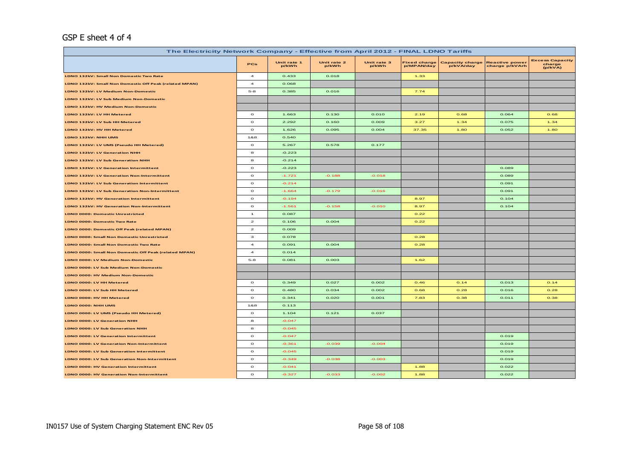## GSP E sheet 4 of 4

| The Electricity Network Company - Effective from April 2012 - FINAL LDNO Tariffs |                                                                                                                                                                                                                                                                                                                                                                                                                         |                      |                      |                      |                                   |                                     |                                         |                                             |  |
|----------------------------------------------------------------------------------|-------------------------------------------------------------------------------------------------------------------------------------------------------------------------------------------------------------------------------------------------------------------------------------------------------------------------------------------------------------------------------------------------------------------------|----------------------|----------------------|----------------------|-----------------------------------|-------------------------------------|-----------------------------------------|---------------------------------------------|--|
|                                                                                  | PCs                                                                                                                                                                                                                                                                                                                                                                                                                     | Unit rate 1<br>p/kWh | Unit rate 2<br>p/kWh | Unit rate 3<br>p/kWh | <b>Fixed charge</b><br>p/MPAN/day | <b>Capacity charge</b><br>p/kVA/day | <b>Reactive power</b><br>charge p/kVArh | <b>Excess Capacity</b><br>charge<br>(p/kVA) |  |
| LDNO 132kV: Small Non Domestic Two Rate                                          | $\overline{\mathbf{4}}$                                                                                                                                                                                                                                                                                                                                                                                                 | 0.433                | 0.018                |                      | 1.33                              |                                     |                                         |                                             |  |
| LDNO 132kV: Small Non Domestic Off Peak (related MPAN)                           | $\overline{4}$                                                                                                                                                                                                                                                                                                                                                                                                          | 0.068                |                      |                      |                                   |                                     |                                         |                                             |  |
| LDNO 132kV: LV Medium Non-Domestic                                               | $5 - 8$                                                                                                                                                                                                                                                                                                                                                                                                                 | 0.385                | 0.016                |                      | 7.74                              |                                     |                                         |                                             |  |
| LDNO 132kV: LV Sub Medium Non-Domestic                                           |                                                                                                                                                                                                                                                                                                                                                                                                                         |                      |                      |                      |                                   |                                     |                                         |                                             |  |
| LDNO 132kV: HV Medium Non-Domestic                                               |                                                                                                                                                                                                                                                                                                                                                                                                                         |                      |                      |                      |                                   |                                     |                                         |                                             |  |
| LDNO 132kV: LV HH Metered                                                        | $\circ$                                                                                                                                                                                                                                                                                                                                                                                                                 | 1.663                | 0.130                | 0.010                | 2.19                              | 0.68                                | 0.064                                   | 0.68                                        |  |
| LDNO 132kV: LV Sub HH Metered                                                    | $\circ$                                                                                                                                                                                                                                                                                                                                                                                                                 | 2.292                | 0.160                | 0.009                | 3.27                              | 1.34                                | 0.075                                   | 1.34                                        |  |
| LDNO 132kV: HV HH Metered                                                        | $\mathbf{o}$                                                                                                                                                                                                                                                                                                                                                                                                            | 1.626                | 0.095                | 0.004                | 37.35                             | 1.80                                | 0.052                                   | 1.80                                        |  |
| LDNO 132kV: NHH UMS                                                              | 1&8                                                                                                                                                                                                                                                                                                                                                                                                                     | 0.540                |                      |                      |                                   |                                     |                                         |                                             |  |
| LDNO 132kV: LV UMS (Pseudo HH Metered)                                           | $\mathbf{o}$                                                                                                                                                                                                                                                                                                                                                                                                            | 5.267                | 0.578                | 0.177                |                                   |                                     |                                         |                                             |  |
| LDNO 132kV: LV Generation NHH                                                    | 8                                                                                                                                                                                                                                                                                                                                                                                                                       | $-0.223$             |                      |                      |                                   |                                     |                                         |                                             |  |
| LDNO 132kV: LV Sub Generation NHH                                                | 8                                                                                                                                                                                                                                                                                                                                                                                                                       | $-0.214$             |                      |                      |                                   |                                     |                                         |                                             |  |
| LDNO 132kV: LV Generation Intermittent                                           | $\mathbf{o}$                                                                                                                                                                                                                                                                                                                                                                                                            | $-0.223$             |                      |                      |                                   |                                     | 0.089                                   |                                             |  |
| LDNO 132kV: LV Generation Non-Intermittent                                       | $\circ$                                                                                                                                                                                                                                                                                                                                                                                                                 | $-1.721$             | $-0.188$             | $-0.018$             |                                   |                                     | 0.089                                   |                                             |  |
| LDNO 132kV: LV Sub Generation Intermittent                                       | $\circ$                                                                                                                                                                                                                                                                                                                                                                                                                 | $-0.214$             |                      |                      |                                   |                                     | 0.091                                   |                                             |  |
| LDNO 132kV: LV Sub Generation Non-Intermittent                                   | $\circ$                                                                                                                                                                                                                                                                                                                                                                                                                 | $-1.664$             | $-0.179$             | $-0.016$             |                                   |                                     | 0.091                                   |                                             |  |
| LDNO 132kV: HV Generation Intermittent                                           | $\mathbf{o}$                                                                                                                                                                                                                                                                                                                                                                                                            | $-0.194$             |                      |                      | 8.97                              |                                     | 0.104                                   |                                             |  |
| LDNO 132kV: HV Generation Non-Intermittent                                       | $\circ$                                                                                                                                                                                                                                                                                                                                                                                                                 | $-1.561$             | $-0.158$             | $-0.010$             | 8.97                              |                                     | 0.104                                   |                                             |  |
| <b>LDNO 0000: Domestic Unrestricted</b>                                          | $\mathbf{1}$                                                                                                                                                                                                                                                                                                                                                                                                            | 0.087                |                      |                      | 0.22                              |                                     |                                         |                                             |  |
| <b>LDNO 0000: Domestic Two Rate</b>                                              | $\mathbf{2}% =\mathbf{2}+\mathbf{2}+\mathbf{3}+\mathbf{5}+\mathbf{5}+\mathbf{5}+\mathbf{6}+\mathbf{6}+\mathbf{5}+\mathbf{5}+\mathbf{6}+\mathbf{5}+\mathbf{6}+\mathbf{6}+\mathbf{5}+\mathbf{5}+\mathbf{6}+\mathbf{5}+\mathbf{6}+\mathbf{6}+\mathbf{5}+\mathbf{6}+\mathbf{6}+\mathbf{5}+\mathbf{6}+\mathbf{6}+\mathbf{6}+\mathbf{6}+\mathbf{6}+\mathbf{6}+\mathbf{6}+\mathbf{6}+\mathbf{6}+\mathbf{6}+\mathbf{6}+\mathbf$ | 0.106                | 0.004                |                      | 0.22                              |                                     |                                         |                                             |  |
| LDNO 0000: Domestic Off Peak (related MPAN)                                      | $\mathbf{z}$                                                                                                                                                                                                                                                                                                                                                                                                            | 0.009                |                      |                      |                                   |                                     |                                         |                                             |  |
| LDNO 0000: Small Non Domestic Unrestricted                                       | з                                                                                                                                                                                                                                                                                                                                                                                                                       | 0.078                |                      |                      | 0.28                              |                                     |                                         |                                             |  |
| LDNO 0000: Small Non Domestic Two Rate                                           | $\overline{\mathbf{4}}$                                                                                                                                                                                                                                                                                                                                                                                                 | 0.091                | 0.004                |                      | 0.28                              |                                     |                                         |                                             |  |
| LDNO 0000: Small Non Domestic Off Peak (related MPAN)                            | $\boldsymbol{A}$                                                                                                                                                                                                                                                                                                                                                                                                        | 0.014                |                      |                      |                                   |                                     |                                         |                                             |  |
| LDNO 0000: LV Medium Non-Domestic                                                | $5 - 8$                                                                                                                                                                                                                                                                                                                                                                                                                 | 0.081                | 0.003                |                      | 1.62                              |                                     |                                         |                                             |  |
| LDNO 0000: LV Sub Medium Non-Domestic                                            |                                                                                                                                                                                                                                                                                                                                                                                                                         |                      |                      |                      |                                   |                                     |                                         |                                             |  |
| LDNO 0000: HV Medium Non-Domestic                                                |                                                                                                                                                                                                                                                                                                                                                                                                                         |                      |                      |                      |                                   |                                     |                                         |                                             |  |
| LDNO 0000: LV HH Metered                                                         | $\circ$                                                                                                                                                                                                                                                                                                                                                                                                                 | 0.349                | 0.027                | 0.002                | 0.46                              | 0.14                                | 0.013                                   | 0.14                                        |  |
| LDNO 0000: LV Sub HH Metered                                                     | $\mathbf{o}$                                                                                                                                                                                                                                                                                                                                                                                                            | 0.480                | 0.034                | 0.002                | 0.68                              | 0.28                                | 0.016                                   | 0.28                                        |  |
| LDNO 0000: HV HH Metered                                                         | $\circ$                                                                                                                                                                                                                                                                                                                                                                                                                 | 0.341                | 0.020                | 0.001                | 7.83                              | 0.38                                | 0.011                                   | 0.38                                        |  |
| LDNO 0000: NHH UMS                                                               | 1&8                                                                                                                                                                                                                                                                                                                                                                                                                     | 0.113                |                      |                      |                                   |                                     |                                         |                                             |  |
| LDNO 0000: LV UMS (Pseudo HH Metered)                                            | $\circ$                                                                                                                                                                                                                                                                                                                                                                                                                 | 1.104                | 0.121                | 0.037                |                                   |                                     |                                         |                                             |  |
| LDNO 0000: LV Generation NHH                                                     | 8                                                                                                                                                                                                                                                                                                                                                                                                                       | $-0.047$             |                      |                      |                                   |                                     |                                         |                                             |  |
| LDNO 0000: LV Sub Generation NHH                                                 | 8                                                                                                                                                                                                                                                                                                                                                                                                                       | $-0.045$             |                      |                      |                                   |                                     |                                         |                                             |  |
| <b>LDNO 0000: LV Generation Intermittent</b>                                     | $\mathbf{o}$                                                                                                                                                                                                                                                                                                                                                                                                            | $-0.047$             |                      |                      |                                   |                                     | 0.019                                   |                                             |  |
| <b>LDNO 0000: LV Generation Non-Intermittent</b>                                 | $\circ$                                                                                                                                                                                                                                                                                                                                                                                                                 | $-0.361$             | $-0.039$             | $-0.004$             |                                   |                                     | 0.019                                   |                                             |  |
| LDNO 0000: LV Sub Generation Intermittent                                        | $\mathbf{o}$                                                                                                                                                                                                                                                                                                                                                                                                            | $-0.045$             |                      |                      |                                   |                                     | 0.019                                   |                                             |  |
| LDNO 0000: LV Sub Generation Non-Intermittent                                    | $\mathbf{o}$                                                                                                                                                                                                                                                                                                                                                                                                            | $-0.349$             | $-0.038$             | $-0.003$             |                                   |                                     | 0.019                                   |                                             |  |
| <b>LDNO 0000: HV Generation Intermittent</b>                                     | $\circ$                                                                                                                                                                                                                                                                                                                                                                                                                 | $-0.041$             |                      |                      | 1.88                              |                                     | 0.022                                   |                                             |  |
| LDNO 0000: HV Generation Non-Intermittent                                        | $\mathbf{o}$                                                                                                                                                                                                                                                                                                                                                                                                            | $-0.327$             | $-0.033$             | $-0.002$             | 1.88                              |                                     | 0.022                                   |                                             |  |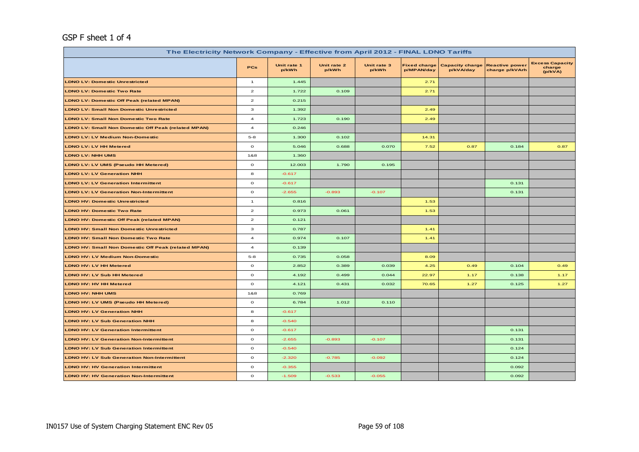# GSP F sheet 1 of 4

| The Electricity Network Company - Effective from April 2012 - FINAL LDNO Tariffs |                         |                      |                      |                      |                                   |                                     |                                         |                                             |  |
|----------------------------------------------------------------------------------|-------------------------|----------------------|----------------------|----------------------|-----------------------------------|-------------------------------------|-----------------------------------------|---------------------------------------------|--|
|                                                                                  | <b>PCs</b>              | Unit rate 1<br>p/kWh | Unit rate 2<br>p/kWh | Unit rate 3<br>p/kWh | <b>Fixed charge</b><br>p/MPAN/day | <b>Capacity charge</b><br>p/kVA/day | <b>Reactive power</b><br>charge p/kVArh | <b>Excess Capacity</b><br>charge<br>(p/kVA) |  |
| <b>LDNO LV: Domestic Unrestricted</b>                                            | $\mathbf{1}$            | 1.445                |                      |                      | 2.71                              |                                     |                                         |                                             |  |
| <b>LDNO LV: Domestic Two Rate</b>                                                | $\mathbf{z}$            | 1.722                | 0.109                |                      | 2.71                              |                                     |                                         |                                             |  |
| <b>LDNO LV: Domestic Off Peak (related MPAN)</b>                                 | $\mathbf{2}$            | 0.215                |                      |                      |                                   |                                     |                                         |                                             |  |
| <b>LDNO LV: Small Non Domestic Unrestricted</b>                                  | 3                       | 1.392                |                      |                      | 2.49                              |                                     |                                         |                                             |  |
| <b>LDNO LV: Small Non Domestic Two Rate</b>                                      | $\overline{\mathbf{4}}$ | 1.723                | 0.190                |                      | 2.49                              |                                     |                                         |                                             |  |
| <b>LDNO LV: Small Non Domestic Off Peak (related MPAN)</b>                       | $\overline{\mathbf{4}}$ | 0.246                |                      |                      |                                   |                                     |                                         |                                             |  |
| <b>LDNO LV: LV Medium Non-Domestic</b>                                           | $5 - 8$                 | 1.300                | 0.102                |                      | 14.31                             |                                     |                                         |                                             |  |
| <b>LDNO LV: LV HH Metered</b>                                                    | $\mathbf{o}$            | 5.046                | 0.688                | 0.070                | 7.52                              | 0.87                                | 0.184                                   | 0.87                                        |  |
| LDNO LV: NHH UMS                                                                 | 1&8                     | 1.360                |                      |                      |                                   |                                     |                                         |                                             |  |
| LDNO LV: LV UMS (Pseudo HH Metered)                                              | $\mathbf{o}$            | 12.003               | 1.790                | 0.195                |                                   |                                     |                                         |                                             |  |
| <b>LDNO LV: LV Generation NHH</b>                                                | 8                       | $-0.617$             |                      |                      |                                   |                                     |                                         |                                             |  |
| <b>LDNO LV: LV Generation Intermittent</b>                                       | $\mathbf{o}$            | $-0.617$             |                      |                      |                                   |                                     | 0.131                                   |                                             |  |
| <b>LDNO LV: LV Generation Non-Intermittent</b>                                   | $\circ$                 | $-2.655$             | $-0.893$             | $-0.107$             |                                   |                                     | 0.131                                   |                                             |  |
| <b>LDNO HV: Domestic Unrestricted</b>                                            | $\mathbf{1}$            | 0.816                |                      |                      | 1.53                              |                                     |                                         |                                             |  |
| <b>LDNO HV: Domestic Two Rate</b>                                                | $\mathbf{2}$            | 0.973                | 0.061                |                      | 1.53                              |                                     |                                         |                                             |  |
| <b>LDNO HV: Domestic Off Peak (related MPAN)</b>                                 | $\mathbf{z}$            | 0.121                |                      |                      |                                   |                                     |                                         |                                             |  |
| <b>LDNO HV: Small Non Domestic Unrestricted</b>                                  | з                       | 0.787                |                      |                      | 1.41                              |                                     |                                         |                                             |  |
| <b>LDNO HV: Small Non Domestic Two Rate</b>                                      | $\overline{\mathbf{4}}$ | 0.974                | 0.107                |                      | 1.41                              |                                     |                                         |                                             |  |
| LDNO HV: Small Non Domestic Off Peak (related MPAN)                              | $\overline{\mathbf{4}}$ | 0.139                |                      |                      |                                   |                                     |                                         |                                             |  |
| <b>LDNO HV: LV Medium Non-Domestic</b>                                           | $5 - 8$                 | 0.735                | 0.058                |                      | 8.09                              |                                     |                                         |                                             |  |
| LDNO HV: LV HH Metered                                                           | $\circ$                 | 2.852                | 0.389                | 0.039                | 4.25                              | 0.49                                | 0.104                                   | 0.49                                        |  |
| LDNO HV: LV Sub HH Metered                                                       | $\circ$                 | 4.192                | 0.499                | 0.044                | 22.97                             | 1.17                                | 0.138                                   | 1.17                                        |  |
| LDNO HV: HV HH Metered                                                           | $\mathbf{o}$            | 4.121                | 0.431                | 0.032                | 70.65                             | 1.27                                | 0.125                                   | 1.27                                        |  |
| <b>LDNO HV: NHH UMS</b>                                                          | 1&8                     | 0.769                |                      |                      |                                   |                                     |                                         |                                             |  |
| LDNO HV: LV UMS (Pseudo HH Metered)                                              | $\mathbf{o}$            | 6.784                | 1.012                | 0.110                |                                   |                                     |                                         |                                             |  |
| <b>LDNO HV: LV Generation NHH</b>                                                | 8                       | $-0.617$             |                      |                      |                                   |                                     |                                         |                                             |  |
| <b>LDNO HV: LV Sub Generation NHH</b>                                            | 8                       | $-0.540$             |                      |                      |                                   |                                     |                                         |                                             |  |
| <b>LDNO HV: LV Generation Intermittent</b>                                       | $\mathbf{o}$            | $-0.617$             |                      |                      |                                   |                                     | 0.131                                   |                                             |  |
| <b>LDNO HV: LV Generation Non-Intermittent</b>                                   | $\mathbf{o}$            | $-2.655$             | $-0.893$             | $-0.107$             |                                   |                                     | 0.131                                   |                                             |  |
| <b>LDNO HV: LV Sub Generation Intermittent</b>                                   | $\mathbf{o}$            | $-0.540$             |                      |                      |                                   |                                     | 0.124                                   |                                             |  |
| <b>LDNO HV: LV Sub Generation Non-Intermittent</b>                               | $\mathbf{o}$            | $-2.320$             | $-0.785$             | $-0.092$             |                                   |                                     | 0.124                                   |                                             |  |
| <b>LDNO HV: HV Generation Intermittent</b>                                       | $\circ$                 | $-0.355$             |                      |                      |                                   |                                     | 0.092                                   |                                             |  |
| <b>LDNO HV: HV Generation Non-Intermittent</b>                                   | $\mathbf{o}$            | $-1.509$             | $-0.533$             | $-0.055$             |                                   |                                     | 0.092                                   |                                             |  |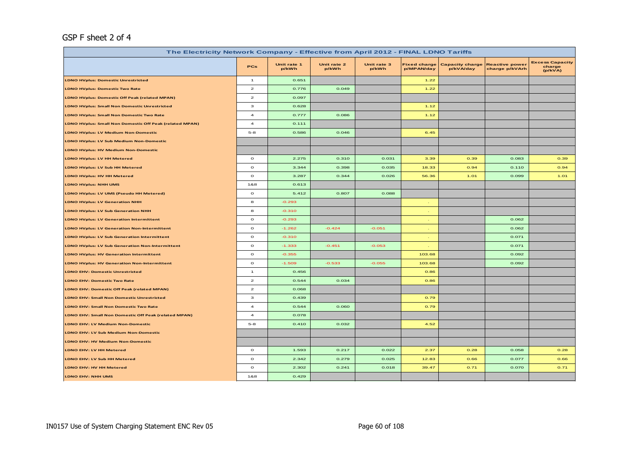# GSP F sheet 2 of 4

| The Electricity Network Company - Effective from April 2012 - FINAL LDNO Tariffs |                         |                      |                      |                      |                                   |                                     |                                         |                                             |  |
|----------------------------------------------------------------------------------|-------------------------|----------------------|----------------------|----------------------|-----------------------------------|-------------------------------------|-----------------------------------------|---------------------------------------------|--|
|                                                                                  | PCs                     | Unit rate 1<br>p/kWh | Unit rate 2<br>p/kWh | Unit rate 3<br>p/kWh | <b>Fixed charge</b><br>p/MPAN/day | <b>Capacity charge</b><br>p/kVA/day | <b>Reactive power</b><br>charge p/kVArh | <b>Excess Capacity</b><br>charge<br>(p/kVA) |  |
| <b>LDNO HVplus: Domestic Unrestricted</b>                                        | $\overline{1}$          | 0.651                |                      |                      | 1.22                              |                                     |                                         |                                             |  |
| <b>LDNO HVplus: Domestic Two Rate</b>                                            | $\mathbf{z}$            | 0.776                | 0.049                |                      | 1.22                              |                                     |                                         |                                             |  |
| <b>LDNO HVplus: Domestic Off Peak (related MPAN)</b>                             | $\mathbf{z}$            | 0.097                |                      |                      |                                   |                                     |                                         |                                             |  |
| <b>LDNO HVplus: Small Non Domestic Unrestricted</b>                              | 3                       | 0.628                |                      |                      | 1.12                              |                                     |                                         |                                             |  |
| <b>LDNO HVplus: Small Non Domestic Two Rate</b>                                  | $\overline{a}$          | 0.777                | 0.086                |                      | 1.12                              |                                     |                                         |                                             |  |
| LDNO HVplus: Small Non Domestic Off Peak (related MPAN)                          | $\overline{\mathbf{4}}$ | 0.111                |                      |                      |                                   |                                     |                                         |                                             |  |
| <b>LDNO HVplus: LV Medium Non-Domestic</b>                                       | $5-8$                   | 0.586                | 0.046                |                      | 6.45                              |                                     |                                         |                                             |  |
| <b>LDNO HVplus: LV Sub Medium Non-Domestic</b>                                   |                         |                      |                      |                      |                                   |                                     |                                         |                                             |  |
| <b>LDNO HVplus: HV Medium Non-Domestic</b>                                       |                         |                      |                      |                      |                                   |                                     |                                         |                                             |  |
| LDNO HVplus: LV HH Metered                                                       | $\circ$                 | 2.275                | 0.310                | 0.031                | 3.39                              | 0.39                                | 0.083                                   | 0.39                                        |  |
| <b>LDNO HVplus: LV Sub HH Metered</b>                                            | $\mathbf{o}$            | 3.344                | 0.398                | 0.035                | 18.33                             | 0.94                                | 0.110                                   | 0.94                                        |  |
| LDNO HVplus: HV HH Metered                                                       | $\circ$                 | 3.287                | 0.344                | 0.026                | 56.36                             | 1.01                                | 0.099                                   | 1.01                                        |  |
| <b>LDNO HVplus: NHH UMS</b>                                                      | 1&8                     | 0.613                |                      |                      |                                   |                                     |                                         |                                             |  |
| LDNO HVplus: LV UMS (Pseudo HH Metered)                                          | $\circ$                 | 5.412                | 0.807                | 0.088                |                                   |                                     |                                         |                                             |  |
| <b>LDNO HVplus: LV Generation NHH</b>                                            | 8                       | $-0.293$             |                      |                      |                                   |                                     |                                         |                                             |  |
| <b>LDNO HVplus: LV Sub Generation NHH</b>                                        | 8                       | $-0.310$             |                      |                      |                                   |                                     |                                         |                                             |  |
| <b>LDNO HVplus: LV Generation Intermittent</b>                                   | $\mathbf{o}$            | $-0.293$             |                      |                      |                                   |                                     | 0.062                                   |                                             |  |
| <b>LDNO HVplus: LV Generation Non-Intermittent</b>                               | $\mathbf{o}$            | $-1.262$             | $-0.424$             | $-0.051$             |                                   |                                     | 0.062                                   |                                             |  |
| <b>LDNO HVplus: LV Sub Generation Intermittent</b>                               | $\mathbf{o}$            | $-0.310$             |                      |                      |                                   |                                     | 0.071                                   |                                             |  |
| <b>LDNO HVplus: LV Sub Generation Non-Intermittent</b>                           | $\mathbf{o}$            | $-1.333$             | $-0.451$             | $-0.053$             |                                   |                                     | 0.071                                   |                                             |  |
| <b>LDNO HVplus: HV Generation Intermittent</b>                                   | $\mathbf{o}$            | $-0.355$             |                      |                      | 103.68                            |                                     | 0.092                                   |                                             |  |
| <b>LDNO HVplus: HV Generation Non-Intermittent</b>                               | $\circ$                 | $-1.509$             | $-0.533$             | $-0.055$             | 103.68                            |                                     | 0.092                                   |                                             |  |
| <b>LDNO EHV: Domestic Unrestricted</b>                                           | $\overline{1}$          | 0.456                |                      |                      | 0.86                              |                                     |                                         |                                             |  |
| <b>LDNO EHV: Domestic Two Rate</b>                                               | $\overline{a}$          | 0.544                | 0.034                |                      | 0.86                              |                                     |                                         |                                             |  |
| LDNO EHV: Domestic Off Peak (related MPAN)                                       | $\mathbf{z}$            | 0.068                |                      |                      |                                   |                                     |                                         |                                             |  |
| <b>LDNO EHV: Small Non Domestic Unrestricted</b>                                 | з                       | 0.439                |                      |                      | 0.79                              |                                     |                                         |                                             |  |
| <b>LDNO EHV: Small Non Domestic Two Rate</b>                                     | $\overline{a}$          | 0.544                | 0.060                |                      | 0.79                              |                                     |                                         |                                             |  |
| LDNO EHV: Small Non Domestic Off Peak (related MPAN)                             | $\overline{a}$          | 0.078                |                      |                      |                                   |                                     |                                         |                                             |  |
| <b>LDNO EHV: LV Medium Non-Domestic</b>                                          | $5 - 8$                 | 0.410                | 0.032                |                      | 4.52                              |                                     |                                         |                                             |  |
| LDNO EHV: LV Sub Medium Non-Domestic                                             |                         |                      |                      |                      |                                   |                                     |                                         |                                             |  |
| <b>LDNO EHV: HV Medium Non-Domestic</b>                                          |                         |                      |                      |                      |                                   |                                     |                                         |                                             |  |
| LDNO EHV: LV HH Metered                                                          | $\circ$                 | 1.593                | 0.217                | 0.022                | 2.37                              | 0.28                                | 0.058                                   | 0.28                                        |  |
| LDNO EHV: LV Sub HH Metered                                                      | $\mathbf{o}$            | 2.342                | 0.279                | 0.025                | 12.83                             | 0.66                                | 0.077                                   | 0.66                                        |  |
| LDNO EHV: HV HH Metered                                                          | $\mathbf{o}$            | 2.302                | 0.241                | 0.018                | 39.47                             | 0.71                                | 0.070                                   | 0.71                                        |  |
| LDNO EHV: NHH UMS                                                                | 1&8                     | 0.429                |                      |                      |                                   |                                     |                                         |                                             |  |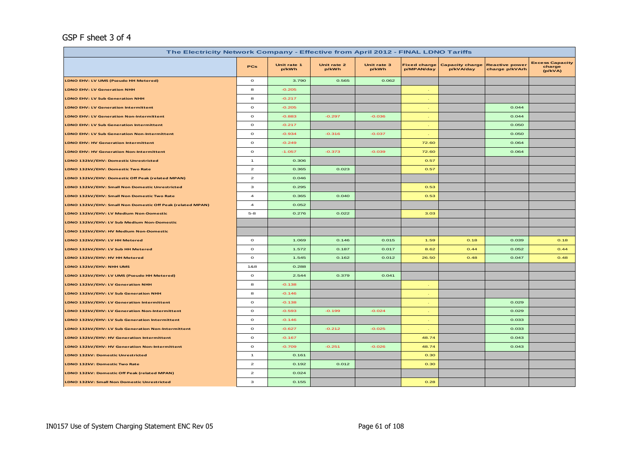# GSP F sheet 3 of 4

| The Electricity Network Company - Effective from April 2012 - FINAL LDNO Tariffs |                |                      |                      |                      |                                   |                                     |                                         |                                             |  |  |
|----------------------------------------------------------------------------------|----------------|----------------------|----------------------|----------------------|-----------------------------------|-------------------------------------|-----------------------------------------|---------------------------------------------|--|--|
|                                                                                  | <b>PCs</b>     | Unit rate 1<br>p/kWh | Unit rate 2<br>p/kWh | Unit rate 3<br>p/kWh | <b>Fixed charge</b><br>p/MPAN/day | <b>Capacity charge</b><br>p/kVA/day | <b>Reactive power</b><br>charge p/kVArh | <b>Excess Capacity</b><br>charge<br>(p/kVA) |  |  |
| LDNO EHV: LV UMS (Pseudo HH Metered)                                             | $\circ$        | 3.790                | 0.565                | 0.062                |                                   |                                     |                                         |                                             |  |  |
| <b>LDNO EHV: LV Generation NHH</b>                                               | 8              | $-0.205$             |                      |                      | $\sim$                            |                                     |                                         |                                             |  |  |
| <b>LDNO EHV: LV Sub Generation NHH</b>                                           | 8              | $-0.217$             |                      |                      | <b>A</b>                          |                                     |                                         |                                             |  |  |
| LDNO EHV: LV Generation Intermittent                                             | $\mathbf{o}$   | $-0.205$             |                      |                      | $\sim$                            |                                     | 0.044                                   |                                             |  |  |
| LDNO EHV: LV Generation Non-Intermittent                                         | $\mathbf{o}$   | $-0.883$             | $-0.297$             | $-0.036$             | $\sim$                            |                                     | 0.044                                   |                                             |  |  |
| <b>LDNO EHV: LV Sub Generation Intermittent</b>                                  | $\mathbf{o}$   | $-0.217$             |                      |                      |                                   |                                     | 0.050                                   |                                             |  |  |
| LDNO EHV: LV Sub Generation Non-Intermittent                                     | $\circ$        | $-0.934$             | $-0.316$             | $-0.037$             |                                   |                                     | 0.050                                   |                                             |  |  |
| <b>LDNO EHV: HV Generation Intermittent</b>                                      | $\circ$        | $-0.249$             |                      |                      | 72.60                             |                                     | 0.064                                   |                                             |  |  |
| <b>LDNO EHV: HV Generation Non-Intermittent</b>                                  | $\circ$        | $-1.057$             | $-0.373$             | $-0.039$             | 72.60                             |                                     | 0.064                                   |                                             |  |  |
| LDNO 132kV/EHV: Domestic Unrestricted                                            | $\mathbf{1}$   | 0.306                |                      |                      | 0.57                              |                                     |                                         |                                             |  |  |
| LDNO 132kV/EHV: Domestic Two Rate                                                | $\mathbf{2}$   | 0.365                | 0.023                |                      | 0.57                              |                                     |                                         |                                             |  |  |
| LDNO 132kV/EHV: Domestic Off Peak (related MPAN)                                 | $\mathbf{z}$   | 0.046                |                      |                      |                                   |                                     |                                         |                                             |  |  |
| LDNO 132kV/EHV: Small Non Domestic Unrestricted                                  | з              | 0.295                |                      |                      | 0.53                              |                                     |                                         |                                             |  |  |
| LDNO 132kV/EHV: Small Non Domestic Two Rate                                      | $\overline{a}$ | 0.365                | 0.040                |                      | 0.53                              |                                     |                                         |                                             |  |  |
| LDNO 132kV/EHV: Small Non Domestic Off Peak (related MPAN)                       | $\overline{a}$ | 0.052                |                      |                      |                                   |                                     |                                         |                                             |  |  |
| LDNO 132kV/EHV: LV Medium Non-Domestic                                           | $5 - 8$        | 0.276                | 0.022                |                      | 3.03                              |                                     |                                         |                                             |  |  |
| LDNO 132kV/EHV: LV Sub Medium Non-Domestic                                       |                |                      |                      |                      |                                   |                                     |                                         |                                             |  |  |
| LDNO 132kV/EHV: HV Medium Non-Domestic                                           |                |                      |                      |                      |                                   |                                     |                                         |                                             |  |  |
| LDNO 132kV/EHV: LV HH Metered                                                    | $\circ$        | 1.069                | 0.146                | 0.015                | 1.59                              | 0.18                                | 0.039                                   | 0.18                                        |  |  |
| LDNO 132kV/EHV: LV Sub HH Metered                                                | $\mathbf{o}$   | 1.572                | 0.187                | 0.017                | 8.62                              | 0.44                                | 0.052                                   | 0.44                                        |  |  |
| LDNO 132kV/EHV: HV HH Metered                                                    | $\circ$        | 1.545                | 0.162                | 0.012                | 26.50                             | 0.48                                | 0.047                                   | 0.48                                        |  |  |
| LDNO 132kV/EHV: NHH UMS                                                          | 1&8            | 0.288                |                      |                      |                                   |                                     |                                         |                                             |  |  |
| LDNO 132kV/EHV: LV UMS (Pseudo HH Metered)                                       | $\circ$        | 2.544                | 0.379                | 0.041                |                                   |                                     |                                         |                                             |  |  |
| LDNO 132kV/EHV: LV Generation NHH                                                | 8              | $-0.138$             |                      |                      | $\sim$                            |                                     |                                         |                                             |  |  |
| LDNO 132kV/EHV: LV Sub Generation NHH                                            | 8              | $-0.146$             |                      |                      | $\sim$                            |                                     |                                         |                                             |  |  |
| LDNO 132kV/EHV: LV Generation Intermittent                                       | $\circ$        | $-0.138$             |                      |                      | $\sim$                            |                                     | 0.029                                   |                                             |  |  |
| LDNO 132kV/EHV: LV Generation Non-Intermittent                                   | $\circ$        | $-0.593$             | $-0.199$             | $-0.024$             |                                   |                                     | 0.029                                   |                                             |  |  |
| LDNO 132kV/EHV: LV Sub Generation Intermittent                                   | $\circ$        | $-0.146$             |                      |                      |                                   |                                     | 0.033                                   |                                             |  |  |
| LDNO 132kV/EHV: LV Sub Generation Non-Intermittent                               | $\circ$        | $-0.627$             | $-0.212$             | $-0.025$             |                                   |                                     | 0.033                                   |                                             |  |  |
| LDNO 132kV/EHV: HV Generation Intermittent                                       | $\circ$        | $-0.167$             |                      |                      | 48.74                             |                                     | 0.043                                   |                                             |  |  |
| LDNO 132kV/EHV: HV Generation Non-Intermittent                                   | $\mathbf{o}$   | $-0.709$             | $-0.251$             | $-0.026$             | 48.74                             |                                     | 0.043                                   |                                             |  |  |
| LDNO 132kV: Domestic Unrestricted                                                | $\mathbf{1}$   | 0.161                |                      |                      | 0.30                              |                                     |                                         |                                             |  |  |
| LDNO 132kV: Domestic Two Rate                                                    | $\mathbf{z}$   | 0.192                | 0.012                |                      | 0.30                              |                                     |                                         |                                             |  |  |
| LDNO 132kV: Domestic Off Peak (related MPAN)                                     | $\mathbf{z}$   | 0.024                |                      |                      |                                   |                                     |                                         |                                             |  |  |
| LDNO 132kV: Small Non Domestic Unrestricted                                      | з              | 0.155                |                      |                      | 0.28                              |                                     |                                         |                                             |  |  |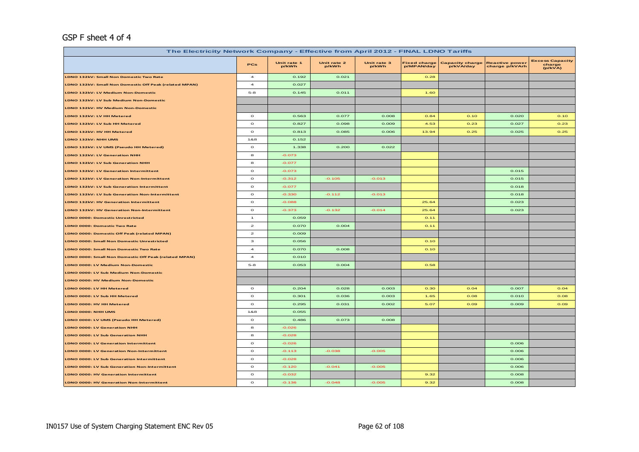## GSP F sheet 4 of 4

| The Electricity Network Company - Effective from April 2012 - FINAL LDNO Tariffs |                         |                      |                      |                      |                                   |                                     |                                         |                                             |  |
|----------------------------------------------------------------------------------|-------------------------|----------------------|----------------------|----------------------|-----------------------------------|-------------------------------------|-----------------------------------------|---------------------------------------------|--|
|                                                                                  | PCs                     | Unit rate 1<br>p/kWh | Unit rate 2<br>p/kWh | Unit rate 3<br>p/kWh | <b>Fixed charge</b><br>p/MPAN/day | <b>Capacity charge</b><br>p/kVA/day | <b>Reactive power</b><br>charge p/kVArh | <b>Excess Capacity</b><br>charge<br>(p/kVA) |  |
| LDNO 132kV: Small Non Domestic Two Rate                                          | $\overline{\mathbf{4}}$ | 0.192                | 0.021                |                      | 0.28                              |                                     |                                         |                                             |  |
| LDNO 132kV: Small Non Domestic Off Peak (related MPAN)                           | $\overline{\mathbf{4}}$ | 0.027                |                      |                      |                                   |                                     |                                         |                                             |  |
| LDNO 132kV: LV Medium Non-Domestic                                               | $5 - 8$                 | 0.145                | 0.011                |                      | 1.60                              |                                     |                                         |                                             |  |
| LDNO 132kV: LV Sub Medium Non-Domestic                                           |                         |                      |                      |                      |                                   |                                     |                                         |                                             |  |
| LDNO 132kV: HV Medium Non-Domestic                                               |                         |                      |                      |                      |                                   |                                     |                                         |                                             |  |
| LDNO 132kV: LV HH Metered                                                        | $\circ$                 | 0.563                | 0.077                | 0.008                | 0.84                              | 0.10                                | 0.020                                   | 0.10                                        |  |
| LDNO 132kV: LV Sub HH Metered                                                    | $\circ$                 | 0.827                | 0.098                | 0.009                | 4.53                              | 0.23                                | 0.027                                   | 0.23                                        |  |
| LDNO 132kV: HV HH Metered                                                        | $\mathbf{o}$            | 0.813                | 0.085                | 0.006                | 13.94                             | 0.25                                | 0.025                                   | 0.25                                        |  |
| LDNO 132kV: NHH UMS                                                              | 1&8                     | 0.152                |                      |                      |                                   |                                     |                                         |                                             |  |
| LDNO 132kV: LV UMS (Pseudo HH Metered)                                           | $\circ$                 | 1.338                | 0.200                | 0.022                |                                   |                                     |                                         |                                             |  |
| LDNO 132kV: LV Generation NHH                                                    | 8                       | $-0.073$             |                      |                      |                                   |                                     |                                         |                                             |  |
| LDNO 132kV: LV Sub Generation NHH                                                | 8                       | $-0.077$             |                      |                      |                                   |                                     |                                         |                                             |  |
| LDNO 132kV: LV Generation Intermittent                                           | $\mathbf{o}$            | $-0.073$             |                      |                      |                                   |                                     | 0.015                                   |                                             |  |
| LDNO 132kV: LV Generation Non-Intermittent                                       | $\mathbf{o}$            | $-0.312$             | $-0.105$             | $-0.013$             |                                   |                                     | 0.015                                   |                                             |  |
| LDNO 132kV: LV Sub Generation Intermittent                                       | $\circ$                 | $-0.077$             |                      |                      |                                   |                                     | 0.018                                   |                                             |  |
| LDNO 132kV: LV Sub Generation Non-Intermittent                                   | $\circ$                 | $-0.330$             | $-0.112$             | $-0.013$             |                                   |                                     | 0.018                                   |                                             |  |
| LDNO 132kV: HV Generation Intermittent                                           | $\circ$                 | $-0.088$             |                      |                      | 25.64                             |                                     | 0.023                                   |                                             |  |
| <b>LDNO 132kV: HV Generation Non-Intermittent</b>                                | $\circ$                 | $-0.373$             | $-0.132$             | $-0.014$             | 25.64                             |                                     | 0.023                                   |                                             |  |
| <b>LDNO 0000: Domestic Unrestricted</b>                                          | $\mathbf{1}$            | 0.059                |                      |                      | 0.11                              |                                     |                                         |                                             |  |
| LDNO 0000: Domestic Two Rate                                                     | $\mathbf{z}$            | 0.070                | 0.004                |                      | O.11                              |                                     |                                         |                                             |  |
| LDNO 0000: Domestic Off Peak (related MPAN)                                      | $\mathbf{z}$            | 0.009                |                      |                      |                                   |                                     |                                         |                                             |  |
| LDNO 0000: Small Non Domestic Unrestricted                                       | з                       | 0.056                |                      |                      | O.1O                              |                                     |                                         |                                             |  |
| LDNO 0000: Small Non Domestic Two Rate                                           | $\overline{\mathbf{4}}$ | 0.070                | 0.008                |                      | O.1O                              |                                     |                                         |                                             |  |
| LDNO 0000: Small Non Domestic Off Peak (related MPAN)                            | $\boldsymbol{A}$        | 0.010                |                      |                      |                                   |                                     |                                         |                                             |  |
| LDNO 0000: LV Medium Non-Domestic                                                | $5 - 8$                 | 0.053                | 0.004                |                      | 0.58                              |                                     |                                         |                                             |  |
| LDNO 0000: LV Sub Medium Non-Domestic                                            |                         |                      |                      |                      |                                   |                                     |                                         |                                             |  |
| LDNO 0000: HV Medium Non-Domestic                                                |                         |                      |                      |                      |                                   |                                     |                                         |                                             |  |
| LDNO 0000: LV HH Metered                                                         | $\mathbf{o}$            | 0.204                | 0.028                | 0.003                | 0.30                              | O.04                                | 0.007                                   | O.04                                        |  |
| LDNO 0000: LV Sub HH Metered                                                     | $\circ$                 | 0.301                | 0.036                | 0.003                | 1.65                              | 0.08                                | 0.010                                   | 0.08                                        |  |
| LDNO 0000: HV HH Metered                                                         | $\circ$                 | 0.295                | 0.031                | 0.002                | 5.07                              | 0.09                                | 0.009                                   | 0.09                                        |  |
| LDNO 0000: NHH UMS                                                               | 1&8                     | 0.055                |                      |                      |                                   |                                     |                                         |                                             |  |
| LDNO 0000: LV UMS (Pseudo HH Metered)                                            | $\circ$                 | 0.486                | 0.073                | 0.008                |                                   |                                     |                                         |                                             |  |
| LDNO 0000: LV Generation NHH                                                     | 8                       | $-0.026$             |                      |                      |                                   |                                     |                                         |                                             |  |
| LDNO 0000: LV Sub Generation NHH                                                 | 8                       | $-0.028$             |                      |                      |                                   |                                     |                                         |                                             |  |
| LDNO 0000: LV Generation Intermittent                                            | $\circ$                 | $-0.026$             |                      |                      |                                   |                                     | 0.006                                   |                                             |  |
| LDNO 0000: LV Generation Non-Intermittent                                        | $\circ$                 | $-0.113$             | $-0.038$             | $-0.005$             |                                   |                                     | 0.006                                   |                                             |  |
| LDNO 0000: LV Sub Generation Intermittent                                        | $\mathbf{o}$            | $-0.028$             |                      |                      |                                   |                                     | 0.006                                   |                                             |  |
| LDNO 0000: LV Sub Generation Non-Intermittent                                    | $\circ$                 | $-0.120$             | $-0.041$             | $-0.005$             |                                   |                                     | 0.006                                   |                                             |  |
| LDNO 0000: HV Generation Intermittent                                            | $\circ$                 | $-0.032$             |                      |                      | 9.32                              |                                     | 0.008                                   |                                             |  |
| LDNO 0000: HV Generation Non-Intermittent                                        | $\mathbf{o}$            | $-0.136$             | $-0.048$             | $-0.005$             | 9.32                              |                                     | 0.008                                   |                                             |  |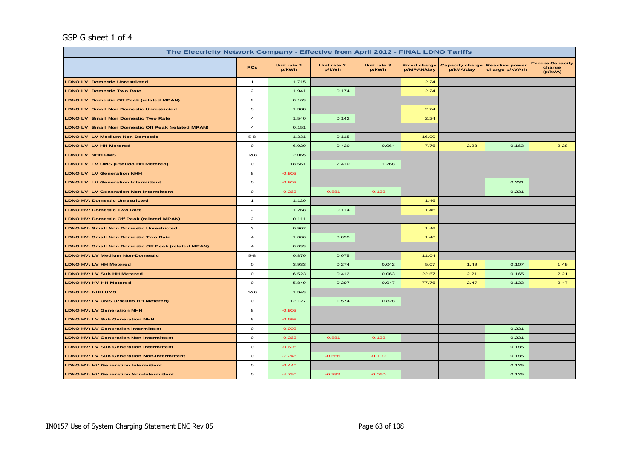# GSP G sheet 1 of 4

| The Electricity Network Company - Effective from April 2012 - FINAL LDNO Tariffs |                         |                      |                      |                      |                                   |                                     |                                         |                                             |
|----------------------------------------------------------------------------------|-------------------------|----------------------|----------------------|----------------------|-----------------------------------|-------------------------------------|-----------------------------------------|---------------------------------------------|
|                                                                                  | PCs                     | Unit rate 1<br>p/kWh | Unit rate 2<br>p/kWh | Unit rate 3<br>p/kWh | <b>Fixed charge</b><br>p/MPAN/day | <b>Capacity charge</b><br>p/kVA/day | <b>Reactive power</b><br>charge p/kVArh | <b>Excess Capacity</b><br>charge<br>(p/kVA) |
| <b>LDNO LV: Domestic Unrestricted</b>                                            | $\mathbf{1}$            | 1.715                |                      |                      | 2.24                              |                                     |                                         |                                             |
| <b>LDNO LV: Domestic Two Rate</b>                                                | $\overline{2}$          | 1.941                | 0.174                |                      | 2.24                              |                                     |                                         |                                             |
| <b>LDNO LV: Domestic Off Peak (related MPAN)</b>                                 | $\mathbf{2}$            | 0.169                |                      |                      |                                   |                                     |                                         |                                             |
| <b>LDNO LV: Small Non Domestic Unrestricted</b>                                  | $\mathbf 3$             | 1.388                |                      |                      | 2.24                              |                                     |                                         |                                             |
| <b>LDNO LV: Small Non Domestic Two Rate</b>                                      | $\overline{a}$          | 1.540                | 0.142                |                      | 2.24                              |                                     |                                         |                                             |
| <b>LDNO LV: Small Non Domestic Off Peak (related MPAN)</b>                       | $\overline{\mathbf{4}}$ | 0.151                |                      |                      |                                   |                                     |                                         |                                             |
| <b>LDNO LV: LV Medium Non-Domestic</b>                                           | $5 - 8$                 | 1.331                | 0.115                |                      | 16.90                             |                                     |                                         |                                             |
| <b>LDNO LV: LV HH Metered</b>                                                    | $\mathbf{o}$            | 6.020                | 0.420                | 0.064                | 7.76                              | 2.28                                | 0.163                                   | 2.28                                        |
| <b>LDNO LV: NHH UMS</b>                                                          | 1&8                     | 2.065                |                      |                      |                                   |                                     |                                         |                                             |
| LDNO LV: LV UMS (Pseudo HH Metered)                                              | $\circ$                 | 18.561               | 2.410                | 1.268                |                                   |                                     |                                         |                                             |
| <b>LDNO LV: LV Generation NHH</b>                                                | 8                       | $-0.903$             |                      |                      |                                   |                                     |                                         |                                             |
| <b>LDNO LV: LV Generation Intermittent</b>                                       | $\mathbf{o}$            | $-0.903$             |                      |                      |                                   |                                     | 0.231                                   |                                             |
| <b>LDNO LV: LV Generation Non-Intermittent</b>                                   | $\mathbf{o}$            | $-9.263$             | $-0.881$             | $-0.132$             |                                   |                                     | 0.231                                   |                                             |
| <b>LDNO HV: Domestic Unrestricted</b>                                            | $\mathbf{1}$            | 1.120                |                      |                      | 1.46                              |                                     |                                         |                                             |
| <b>LDNO HV: Domestic Two Rate</b>                                                | $\mathbf{z}$            | 1.268                | 0.114                |                      | 1.46                              |                                     |                                         |                                             |
| LDNO HV: Domestic Off Peak (related MPAN)                                        | $\mathbf{2}$            | 0.111                |                      |                      |                                   |                                     |                                         |                                             |
| <b>LDNO HV: Small Non Domestic Unrestricted</b>                                  | 3                       | 0.907                |                      |                      | 1.46                              |                                     |                                         |                                             |
| <b>LDNO HV: Small Non Domestic Two Rate</b>                                      | $\overline{\mathbf{4}}$ | 1.006                | 0.093                |                      | 1.46                              |                                     |                                         |                                             |
| <b>LDNO HV: Small Non Domestic Off Peak (related MPAN)</b>                       | $\overline{4}$          | 0.099                |                      |                      |                                   |                                     |                                         |                                             |
| <b>LDNO HV: LV Medium Non-Domestic</b>                                           | $5 - 8$                 | 0.870                | 0.075                |                      | 11.04                             |                                     |                                         |                                             |
| LDNO HV: LV HH Metered                                                           | $\mathbf{o}$            | 3.933                | 0.274                | 0.042                | 5.07                              | 1.49                                | 0.107                                   | 1.49                                        |
| LDNO HV: LV Sub HH Metered                                                       | $\mathbf{o}$            | 6.523                | 0.412                | 0.063                | 22.67                             | 2.21                                | 0.165                                   | 2.21                                        |
| <b>LDNO HV: HV HH Metered</b>                                                    | $\mathbf{o}$            | 5.849                | 0.297                | 0.047                | 77.76                             | 2.47                                | 0.133                                   | 2.47                                        |
| <b>LDNO HV: NHH UMS</b>                                                          | 1&8                     | 1.349                |                      |                      |                                   |                                     |                                         |                                             |
| LDNO HV: LV UMS (Pseudo HH Metered)                                              | $\mathbf{o}$            | 12.127               | 1.574                | 0.828                |                                   |                                     |                                         |                                             |
| <b>LDNO HV: LV Generation NHH</b>                                                | 8                       | $-0.903$             |                      |                      |                                   |                                     |                                         |                                             |
| <b>LDNO HV: LV Sub Generation NHH</b>                                            | 8                       | $-0.698$             |                      |                      |                                   |                                     |                                         |                                             |
| <b>LDNO HV: LV Generation Intermittent</b>                                       | $\mathbf{o}$            | $-0.903$             |                      |                      |                                   |                                     | 0.231                                   |                                             |
| <b>LDNO HV: LV Generation Non-Intermittent</b>                                   | $\mathbf{o}$            | $-9.263$             | $-0.881$             | $-0.132$             |                                   |                                     | 0.231                                   |                                             |
| <b>LDNO HV: LV Sub Generation Intermittent</b>                                   | $\circ$                 | $-0.698$             |                      |                      |                                   |                                     | 0.185                                   |                                             |
| <b>LDNO HV: LV Sub Generation Non-Intermittent</b>                               | $\circ$                 | $-7.246$             | $-0.666$             | $-0.100$             |                                   |                                     | 0.185                                   |                                             |
| <b>LDNO HV: HV Generation Intermittent</b>                                       | $\mathbf{o}$            | $-0.440$             |                      |                      |                                   |                                     | 0.125                                   |                                             |
| <b>LDNO HV: HV Generation Non-Intermittent</b>                                   | $\mathbf{o}$            | $-4.750$             | $-0.392$             | $-0.060$             |                                   |                                     | 0.125                                   |                                             |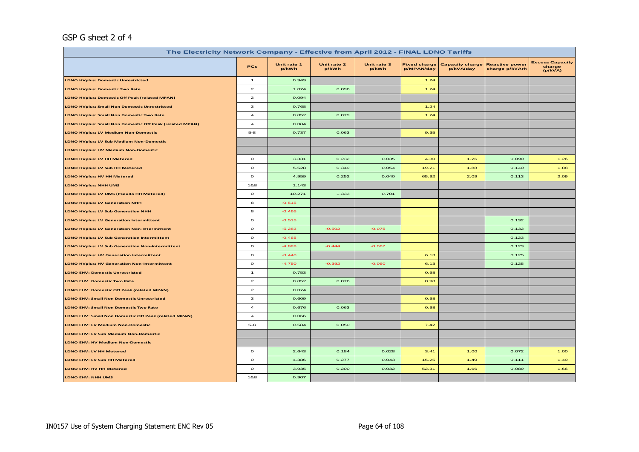# GSP G sheet 2 of 4

| The Electricity Network Company - Effective from April 2012 - FINAL LDNO Tariffs |                                    |                      |                      |                      |                                   |                                     |                                         |                                             |
|----------------------------------------------------------------------------------|------------------------------------|----------------------|----------------------|----------------------|-----------------------------------|-------------------------------------|-----------------------------------------|---------------------------------------------|
|                                                                                  | <b>PCs</b>                         | Unit rate 1<br>p/kWh | Unit rate 2<br>p/kWh | Unit rate 3<br>p/kWh | <b>Fixed charge</b><br>p/MPAN/day | <b>Capacity charge</b><br>p/kVA/day | <b>Reactive power</b><br>charge p/kVArh | <b>Excess Capacity</b><br>charge<br>(p/kVA) |
| <b>LDNO HVplus: Domestic Unrestricted</b>                                        | $\overline{1}$                     | 0.949                |                      |                      | 1.24                              |                                     |                                         |                                             |
| <b>LDNO HVplus: Domestic Two Rate</b>                                            | $\mathbf{z}$                       | 1.074                | 0.096                |                      | 1.24                              |                                     |                                         |                                             |
| <b>LDNO HVplus: Domestic Off Peak (related MPAN)</b>                             | $\mathbf{z}$                       | 0.094                |                      |                      |                                   |                                     |                                         |                                             |
| <b>LDNO HVplus: Small Non Domestic Unrestricted</b>                              | з                                  | 0.768                |                      |                      | 1.24                              |                                     |                                         |                                             |
| <b>LDNO HVplus: Small Non Domestic Two Rate</b>                                  | $\overline{\mathbf{4}}$            | 0.852                | 0.079                |                      | 1.24                              |                                     |                                         |                                             |
| LDNO HVplus: Small Non Domestic Off Peak (related MPAN)                          | $\overline{\mathbf{4}}$            | 0.084                |                      |                      |                                   |                                     |                                         |                                             |
| <b>LDNO HVplus: LV Medium Non-Domestic</b>                                       | $5 - 8$                            | 0.737                | 0.063                |                      | 9.35                              |                                     |                                         |                                             |
| <b>LDNO HVplus: LV Sub Medium Non-Domestic</b>                                   |                                    |                      |                      |                      |                                   |                                     |                                         |                                             |
| <b>LDNO HVplus: HV Medium Non-Domestic</b>                                       |                                    |                      |                      |                      |                                   |                                     |                                         |                                             |
| <b>LDNO HVplus: LV HH Metered</b>                                                | $\mathbf{o}$                       | 3.331                | 0.232                | 0.035                | 4.30                              | 1.26                                | 0.090                                   | 1.26                                        |
| LDNO HVplus: LV Sub HH Metered                                                   | $\mathbf{o}$                       | 5.528                | 0.349                | 0.054                | 19.21                             | 1.88                                | 0.140                                   | 1.88                                        |
| LDNO HVplus: HV HH Metered                                                       | $\mathbf{o}$                       | 4.959                | 0.252                | 0.040                | 65.92                             | 2.09                                | 0.113                                   | 2.09                                        |
| <b>LDNO HVplus: NHH UMS</b>                                                      | 1&8                                | 1.143                |                      |                      |                                   |                                     |                                         |                                             |
| LDNO HVplus: LV UMS (Pseudo HH Metered)                                          | $\circ$                            | 10.271               | 1.333                | 0.701                |                                   |                                     |                                         |                                             |
| <b>LDNO HVplus: LV Generation NHH</b>                                            | 8                                  | $-0.515$             |                      |                      |                                   |                                     |                                         |                                             |
| <b>LDNO HVplus: LV Sub Generation NHH</b>                                        | 8                                  | $-0.465$             |                      |                      |                                   |                                     |                                         |                                             |
| <b>LDNO HVplus: LV Generation Intermittent</b>                                   | $\circ$                            | $-0.515$             |                      |                      |                                   |                                     | 0.132                                   |                                             |
| <b>LDNO HVplus: LV Generation Non-Intermittent</b>                               | $\mathbf{o}$                       | $-5.283$             | $-0.502$             | $-0.075$             |                                   |                                     | 0.132                                   |                                             |
| <b>LDNO HVplus: LV Sub Generation Intermittent</b>                               | $\circ$                            | $-0.465$             |                      |                      |                                   |                                     | 0.123                                   |                                             |
| <b>LDNO HVplus: LV Sub Generation Non-Intermittent</b>                           | $\circ$                            | $-4.828$             | $-0.444$             | $-0.067$             |                                   |                                     | 0.123                                   |                                             |
| <b>LDNO HVplus: HV Generation Intermittent</b>                                   | $\mathbf{o}$                       | $-0.440$             |                      |                      | 6.13                              |                                     | 0.125                                   |                                             |
| <b>LDNO HVplus: HV Generation Non-Intermittent</b>                               | $\mathbf{o}$                       | $-4.750$             | $-0.392$             | $-0.060$             | 6.13                              |                                     | 0.125                                   |                                             |
| <b>LDNO EHV: Domestic Unrestricted</b>                                           | $\mathbf{1}$                       | 0.753                |                      |                      | 0.98                              |                                     |                                         |                                             |
| <b>LDNO EHV: Domestic Two Rate</b>                                               | $\mathbf{2}% ^{T}(\mathbf{1}_{T})$ | 0.852                | 0.076                |                      | 0.98                              |                                     |                                         |                                             |
| LDNO EHV: Domestic Off Peak (related MPAN)                                       | $\mathbf{z}$                       | 0.074                |                      |                      |                                   |                                     |                                         |                                             |
| <b>LDNO EHV: Small Non Domestic Unrestricted</b>                                 | з                                  | 0.609                |                      |                      | 0.98                              |                                     |                                         |                                             |
| LDNO EHV: Small Non Domestic Two Rate                                            | $\overline{\mathbf{4}}$            | 0.676                | 0.063                |                      | 0.98                              |                                     |                                         |                                             |
| LDNO EHV: Small Non Domestic Off Peak (related MPAN)                             | $\overline{a}$                     | 0.066                |                      |                      |                                   |                                     |                                         |                                             |
| <b>LDNO EHV: LV Medium Non-Domestic</b>                                          | $5 - 8$                            | 0.584                | 0.050                |                      | 7.42                              |                                     |                                         |                                             |
| <b>LDNO EHV: LV Sub Medium Non-Domestic</b>                                      |                                    |                      |                      |                      |                                   |                                     |                                         |                                             |
| <b>LDNO EHV: HV Medium Non-Domestic</b>                                          |                                    |                      |                      |                      |                                   |                                     |                                         |                                             |
| LDNO EHV: LV HH Metered                                                          | $\mathbf{o}$                       | 2.643                | 0.184                | 0.028                | 3.41                              | 1.00                                | 0.072                                   | 1.00                                        |
| LDNO EHV: LV Sub HH Metered                                                      | $\mathbf{o}$                       | 4.386                | 0.277                | 0.043                | 15.25                             | 1.49                                | 0.111                                   | 1.49                                        |
| LDNO EHV: HV HH Metered                                                          | $\mathbf{o}$                       | 3.935                | 0.200                | 0.032                | 52.31                             | 1.66                                | 0.089                                   | 1.66                                        |
| LDNO EHV: NHH UMS                                                                | 1&8                                | 0.907                |                      |                      |                                   |                                     |                                         |                                             |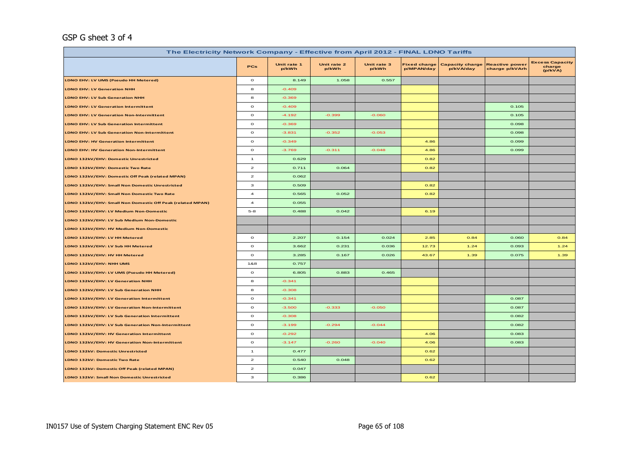# GSP G sheet 3 of 4

| The Electricity Network Company - Effective from April 2012 - FINAL LDNO Tariffs |                         |                      |                      |                      |                                   |                                     |                                         |                                             |
|----------------------------------------------------------------------------------|-------------------------|----------------------|----------------------|----------------------|-----------------------------------|-------------------------------------|-----------------------------------------|---------------------------------------------|
|                                                                                  | <b>PCs</b>              | Unit rate 1<br>p/kWh | Unit rate 2<br>p/kWh | Unit rate 3<br>p/kWh | <b>Fixed charge</b><br>p/MPAN/day | <b>Capacity charge</b><br>p/kVA/day | <b>Reactive power</b><br>charge p/kVArh | <b>Excess Capacity</b><br>charge<br>(p/kVA) |
| LDNO EHV: LV UMS (Pseudo HH Metered)                                             | $\circ$                 | 8.149                | 1.058                | 0.557                |                                   |                                     |                                         |                                             |
| <b>LDNO EHV: LV Generation NHH</b>                                               | 8                       | $-0.409$             |                      |                      |                                   |                                     |                                         |                                             |
| <b>LDNO EHV: LV Sub Generation NHH</b>                                           | 8                       | $-0.369$             |                      |                      |                                   |                                     |                                         |                                             |
| <b>LDNO EHV: LV Generation Intermittent</b>                                      | $\mathbf{o}$            | $-0.409$             |                      |                      |                                   |                                     | 0.105                                   |                                             |
| <b>LDNO EHV: LV Generation Non-Intermittent</b>                                  | $\circ$                 | $-4.192$             | $-0.399$             | $-0.060$             |                                   |                                     | 0.105                                   |                                             |
| <b>LDNO EHV: LV Sub Generation Intermittent</b>                                  | $\mathbf{o}$            | $-0.369$             |                      |                      |                                   |                                     | 0.098                                   |                                             |
| <b>LDNO EHV: LV Sub Generation Non-Intermittent</b>                              | $\mathbf{o}$            | $-3.831$             | $-0.352$             | $-0.053$             |                                   |                                     | 0.098                                   |                                             |
| <b>LDNO EHV: HV Generation Intermittent</b>                                      | $\circ$                 | $-0.349$             |                      |                      | 4.86                              |                                     | 0.099                                   |                                             |
| <b>LDNO EHV: HV Generation Non-Intermittent</b>                                  | $\mathbf{o}$            | $-3.769$             | $-0.311$             | $-0.048$             | 4.86                              |                                     | 0.099                                   |                                             |
| LDNO 132kV/EHV: Domestic Unrestricted                                            | $\mathbf{1}$            | 0.629                |                      |                      | 0.82                              |                                     |                                         |                                             |
| LDNO 132kV/EHV: Domestic Two Rate                                                | $\overline{a}$          | 0.711                | 0.064                |                      | 0.82                              |                                     |                                         |                                             |
| LDNO 132kV/EHV: Domestic Off Peak (related MPAN)                                 | $\mathbf{z}$            | 0.062                |                      |                      |                                   |                                     |                                         |                                             |
| LDNO 132kV/EHV: Small Non Domestic Unrestricted                                  | з                       | 0.509                |                      |                      | 0.82                              |                                     |                                         |                                             |
| LDNO 132kV/EHV: Small Non Domestic Two Rate                                      | $\overline{\mathbf{4}}$ | 0.565                | 0.052                |                      | 0.82                              |                                     |                                         |                                             |
| LDNO 132kV/EHV: Small Non Domestic Off Peak (related MPAN)                       | $\boldsymbol{4}$        | 0.055                |                      |                      |                                   |                                     |                                         |                                             |
| LDNO 132kV/EHV: LV Medium Non-Domestic                                           | $5 - 8$                 | 0.488                | 0.042                |                      | 6.19                              |                                     |                                         |                                             |
| LDNO 132kV/EHV: LV Sub Medium Non-Domestic                                       |                         |                      |                      |                      |                                   |                                     |                                         |                                             |
| LDNO 132kV/EHV: HV Medium Non-Domestic                                           |                         |                      |                      |                      |                                   |                                     |                                         |                                             |
| LDNO 132kV/EHV: LV HH Metered                                                    | $\circ$                 | 2.207                | 0.154                | 0.024                | 2.85                              | 0.84                                | 0.060                                   | 0.84                                        |
| LDNO 132kV/EHV: LV Sub HH Metered                                                | $\circ$                 | 3.662                | 0.231                | 0.036                | 12.73                             | 1.24                                | 0.093                                   | 1.24                                        |
| LDNO 132kV/EHV: HV HH Metered                                                    | $\mathbf{o}$            | 3.285                | 0.167                | 0.026                | 43.67                             | 1.39                                | 0.075                                   | 1.39                                        |
| LDNO 132kV/EHV: NHH UMS                                                          | 1&8                     | 0.757                |                      |                      |                                   |                                     |                                         |                                             |
| LDNO 132kV/EHV: LV UMS (Pseudo HH Metered)                                       | $\circ$                 | 6.805                | 0.883                | 0.465                |                                   |                                     |                                         |                                             |
| LDNO 132kV/EHV: LV Generation NHH                                                | 8                       | $-0.341$             |                      |                      |                                   |                                     |                                         |                                             |
| LDNO 132kV/EHV: LV Sub Generation NHH                                            | 8                       | $-0.308$             |                      |                      |                                   |                                     |                                         |                                             |
| LDNO 132kV/EHV: LV Generation Intermittent                                       | $\mathbf{o}$            | $-0.341$             |                      |                      |                                   |                                     | 0.087                                   |                                             |
| LDNO 132kV/EHV: LV Generation Non-Intermittent                                   | $\mathbf{o}$            | $-3.500$             | $-0.333$             | $-0.050$             |                                   |                                     | 0.087                                   |                                             |
| LDNO 132kV/EHV: LV Sub Generation Intermittent                                   | $\circ$                 | $-0.308$             |                      |                      |                                   |                                     | 0.082                                   |                                             |
| LDNO 132kV/EHV: LV Sub Generation Non-Intermittent                               | $\mathbf{o}$            | $-3.199$             | $-0.294$             | $-0.044$             |                                   |                                     | 0.082                                   |                                             |
| LDNO 132kV/EHV: HV Generation Intermittent                                       | $\mathbf{o}$            | $-0.292$             |                      |                      | 4.06                              |                                     | 0.083                                   |                                             |
| LDNO 132kV/EHV: HV Generation Non-Intermittent                                   | $\mathbf{o}$            | $-3.147$             | $-0.260$             | $-0.040$             | 4.06                              |                                     | 0.083                                   |                                             |
| <b>LDNO 132kV: Domestic Unrestricted</b>                                         | $\overline{1}$          | 0.477                |                      |                      | 0.62                              |                                     |                                         |                                             |
| LDNO 132kV: Domestic Two Rate                                                    | $\overline{\mathbf{c}}$ | 0.540                | 0.048                |                      | 0.62                              |                                     |                                         |                                             |
| LDNO 132kV: Domestic Off Peak (related MPAN)                                     | $\overline{a}$          | 0.047                |                      |                      |                                   |                                     |                                         |                                             |
| LDNO 132kV: Small Non Domestic Unrestricted                                      | з                       | 0.386                |                      |                      | 0.62                              |                                     |                                         |                                             |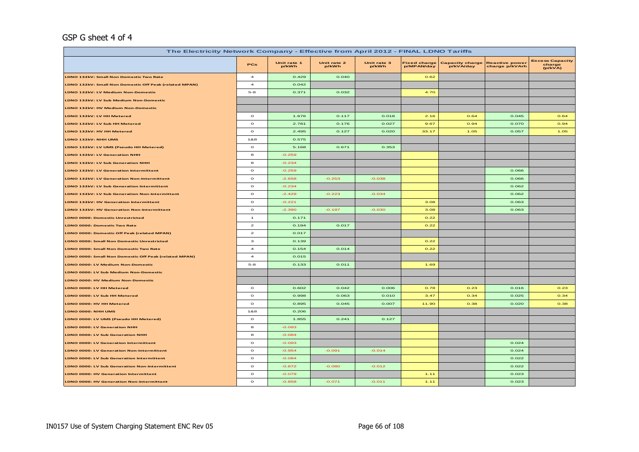## GSP G sheet 4 of 4

| The Electricity Network Company - Effective from April 2012 - FINAL LDNO Tariffs |                         |                      |                      |                      |                                   |                                     |                                         |                                             |  |  |  |
|----------------------------------------------------------------------------------|-------------------------|----------------------|----------------------|----------------------|-----------------------------------|-------------------------------------|-----------------------------------------|---------------------------------------------|--|--|--|
|                                                                                  | PCs                     | Unit rate 1<br>p/kWh | Unit rate 2<br>p/kWh | Unit rate 3<br>p/kWh | <b>Fixed charge</b><br>p/MPAN/day | <b>Capacity charge</b><br>p/kVA/day | <b>Reactive power</b><br>charge p/kVArh | <b>Excess Capacity</b><br>charge<br>(p/kVA) |  |  |  |
| LDNO 132kV: Small Non Domestic Two Rate                                          | $\overline{a}$          | 0.429                | 0.040                |                      | 0.62                              |                                     |                                         |                                             |  |  |  |
| LDNO 132kV: Small Non Domestic Off Peak (related MPAN)                           | $\overline{\mathbf{4}}$ | 0.042                |                      |                      |                                   |                                     |                                         |                                             |  |  |  |
| LDNO 132kV: LV Medium Non-Domestic                                               | $5 - 8$                 | 0.371                | 0.032                |                      | 4.70                              |                                     |                                         |                                             |  |  |  |
| LDNO 132kV: LV Sub Medium Non-Domestic                                           |                         |                      |                      |                      |                                   |                                     |                                         |                                             |  |  |  |
| LDNO 132kV: HV Medium Non-Domestic                                               |                         |                      |                      |                      |                                   |                                     |                                         |                                             |  |  |  |
| LDNO 132kV: LV HH Metered                                                        | $\mathbf{o}$            | 1.676                | 0.117                | 0.018                | 2.16                              | 0.64                                | 0.045                                   | 0.64                                        |  |  |  |
| <b>LDNO 132kV: LV Sub HH Metered</b>                                             | $\mathbf{o}$            | 2.781                | 0.176                | 0.027                | 9.67                              | 0.94                                | 0.070                                   | 0.94                                        |  |  |  |
| LDNO 132kV: HV HH Metered                                                        | $\mathbf{o}$            | 2.495                | 0.127                | 0.020                | 33.17                             | 1.05                                | 0.057                                   | 1.05                                        |  |  |  |
| LDNO 132kV: NHH UMS                                                              | 1&8                     | 0.575                |                      |                      |                                   |                                     |                                         |                                             |  |  |  |
| LDNO 132kV: LV UMS (Pseudo HH Metered)                                           | $\circ$                 | 5.168                | 0.671                | 0.353                |                                   |                                     |                                         |                                             |  |  |  |
| <b>LDNO 132kV: LV Generation NHH</b>                                             | 8                       | $-0.259$             |                      |                      |                                   |                                     |                                         |                                             |  |  |  |
| LDNO 132kV: LV Sub Generation NHH                                                | 8                       | $-0.234$             |                      |                      |                                   |                                     |                                         |                                             |  |  |  |
| <b>LDNO 132kV: LV Generation Intermittent</b>                                    | $\Omega$                | $-0.259$             |                      |                      |                                   |                                     | 0.066                                   |                                             |  |  |  |
| LDNO 132kV: LV Generation Non-Intermittent                                       | $\circ$                 | $-2.658$             | $-0.253$             | $-0.038$             |                                   |                                     | 0.066                                   |                                             |  |  |  |
| LDNO 132kV: LV Sub Generation Intermittent                                       | $\circ$                 | $-0.234$             |                      |                      |                                   |                                     | 0.062                                   |                                             |  |  |  |
| <b>LDNO 132kV: LV Sub Generation Non-Intermittent</b>                            | $\circ$                 | $-2.429$             | $-0.223$             | $-0.034$             |                                   |                                     | 0.062                                   |                                             |  |  |  |
| LDNO 132kV: HV Generation Intermittent                                           | $\mathbf{o}$            | $-0.221$             |                      |                      | 3.08                              |                                     | 0.063                                   |                                             |  |  |  |
| <b>DNO 132kV: HV Generation Non-Intermittent</b>                                 | $\mathbf{o}$            | $-2.390$             | $-0.197$             | $-0.030$             | 3.08                              |                                     | 0.063                                   |                                             |  |  |  |
| <b>LDNO 0000: Domestic Unrestricted</b>                                          | $\mathbf{1}$            | 0.171                |                      |                      | 0.22                              |                                     |                                         |                                             |  |  |  |
| LDNO 0000: Domestic Two Rate                                                     | $\mathbf{z}$            | 0.194                | 0.017                |                      | 0.22                              |                                     |                                         |                                             |  |  |  |
| LDNO 0000: Domestic Off Peak (related MPAN)                                      | $\overline{\mathbf{z}}$ | 0.017                |                      |                      |                                   |                                     |                                         |                                             |  |  |  |
| <b>LDNO 0000: Small Non Domestic Unrestricted</b>                                | з                       | 0.139                |                      |                      | 0.22                              |                                     |                                         |                                             |  |  |  |
| <b>LDNO 0000: Small Non Domestic Two Rate</b>                                    | $\overline{a}$          | 0.154                | 0.014                |                      | 0.22                              |                                     |                                         |                                             |  |  |  |
| LDNO 0000: Small Non Domestic Off Peak (related MPAN)                            | $\overline{a}$          | 0.015                |                      |                      |                                   |                                     |                                         |                                             |  |  |  |
| <b>LDNO 0000: LV Medium Non-Domestic</b>                                         | $5-8$                   | 0.133                | 0.011                |                      | 1.69                              |                                     |                                         |                                             |  |  |  |
| LDNO 0000: LV Sub Medium Non-Domestic                                            |                         |                      |                      |                      |                                   |                                     |                                         |                                             |  |  |  |
| LDNO 0000: HV Medium Non-Domestic                                                |                         |                      |                      |                      |                                   |                                     |                                         |                                             |  |  |  |
| LDNO 0000: LV HH Metered                                                         | $\mathbf{o}$            | 0.602                | 0.042                | 0.006                | 0.78                              | 0.23                                | 0.016                                   | 0.23                                        |  |  |  |
| <b>LDNO 0000: LV Sub HH Metered</b>                                              | $\circ$                 | 0.998                | 0.063                | 0.010                | 3.47                              | 0.34                                | 0.025                                   | 0.34                                        |  |  |  |
| LDNO 0000: HV HH Metered                                                         | $\circ$                 | 0.895                | 0.045                | 0.007                | 11.90                             | 0.38                                | 0.020                                   | 0.38                                        |  |  |  |
| LDNO 0000: NHH UMS                                                               | 1&8                     | 0.206                |                      |                      |                                   |                                     |                                         |                                             |  |  |  |
| LDNO 0000: LV UMS (Pseudo HH Metered)                                            | $\circ$                 | 1.855                | 0.241                | 0.127                |                                   |                                     |                                         |                                             |  |  |  |
| LDNO 0000: LV Generation NHH                                                     | $\bf{a}$                | $-0.093$             |                      |                      |                                   |                                     |                                         |                                             |  |  |  |
| LDNO 0000: LV Sub Generation NHH                                                 | $\bf{a}$                | $-0.084$             |                      |                      |                                   |                                     |                                         |                                             |  |  |  |
| LDNO 0000: LV Generation Intermittent                                            | $\mathbf{o}$            | $-0.093$             |                      |                      |                                   |                                     | 0.024                                   |                                             |  |  |  |
| <b>DNO 0000: LV Generation Non-Intermittent</b>                                  | $\circ$                 | $-0.954$             | $-0.091$             | $-0.014$             |                                   |                                     | 0.024                                   |                                             |  |  |  |
| <b>LDNO 0000: LV Sub Generation Intermittent</b>                                 | $\circ$                 | $-0.084$             |                      |                      |                                   |                                     | 0.022                                   |                                             |  |  |  |
| <b>LDNO 0000: LV Sub Generation Non-Intermittent</b>                             | $\circ$                 | $-0.872$             | $-0.080$             | $-0.012$             |                                   |                                     | 0.022                                   |                                             |  |  |  |
| LDNO 0000: HV Generation Intermittent                                            | $\circ$                 | $-0.079$             |                      |                      | 1.11                              |                                     | 0.023                                   |                                             |  |  |  |
| LDNO 0000: HV Generation Non-Intermittent                                        | $\circ$                 | $-0.858$             | $-0.071$             | $-0.011$             | 1.11                              |                                     | 0.023                                   |                                             |  |  |  |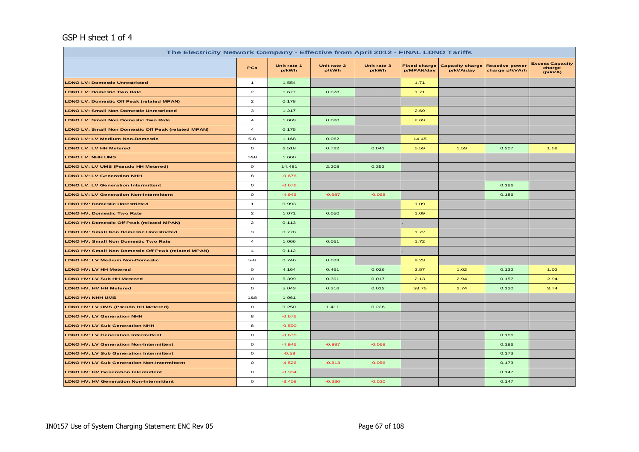# GSP H sheet 1 of 4

| The Electricity Network Company - Effective from April 2012 - FINAL LDNO Tariffs |                         |                      |                      |                      |                                   |                                     |                                         |                                             |
|----------------------------------------------------------------------------------|-------------------------|----------------------|----------------------|----------------------|-----------------------------------|-------------------------------------|-----------------------------------------|---------------------------------------------|
|                                                                                  | <b>PCs</b>              | Unit rate 1<br>p/kWh | Unit rate 2<br>p/kWh | Unit rate 3<br>p/kWh | <b>Fixed charge</b><br>p/MPAN/day | <b>Capacity charge</b><br>p/kVA/day | <b>Reactive power</b><br>charge p/kVArh | <b>Excess Capacity</b><br>charge<br>(p/kVA) |
| <b>LDNO LV: Domestic Unrestricted</b>                                            | $\mathbf{1}$            | 1.554                |                      |                      | 1.71                              |                                     |                                         |                                             |
| <b>LDNO LV: Domestic Two Rate</b>                                                | $\mathbf{2}$            | 1.677                | 0.078                |                      | 1.71                              |                                     |                                         |                                             |
| <b>LDNO LV: Domestic Off Peak (related MPAN)</b>                                 | $\mathbf{z}$            | 0.178                |                      |                      |                                   |                                     |                                         |                                             |
| <b>LDNO LV: Small Non Domestic Unrestricted</b>                                  | 3                       | 1.217                |                      |                      | 2.69                              |                                     |                                         |                                             |
| <b>LDNO LV: Small Non Domestic Two Rate</b>                                      | $\overline{\mathbf{4}}$ | 1.669                | 0.080                |                      | 2.69                              |                                     |                                         |                                             |
| <b>LDNO LV: Small Non Domestic Off Peak (related MPAN)</b>                       | $\bf{4}$                | 0.175                |                      |                      |                                   |                                     |                                         |                                             |
| <b>LDNO LV: LV Medium Non-Domestic</b>                                           | $5 - 8$                 | 1.168                | 0.062                |                      | 14.45                             |                                     |                                         |                                             |
| <b>LDNO LV: LV HH Metered</b>                                                    | $\mathbf{o}$            | 6.518                | 0.722                | 0.041                | 5.59                              | 1.59                                | 0.207                                   | 1.59                                        |
| <b>LDNO LV: NHH UMS</b>                                                          | 1&8                     | 1.660                |                      |                      |                                   |                                     |                                         |                                             |
| LDNO LV: LV UMS (Pseudo HH Metered)                                              | $\mathbf{o}$            | 14.481               | 2.208                | 0.353                |                                   |                                     |                                         |                                             |
| <b>LDNO LV: LV Generation NHH</b>                                                | 8                       | $-0.676$             |                      |                      |                                   |                                     |                                         |                                             |
| <b>LDNO LV: LV Generation Intermittent</b>                                       | $\mathbf{o}$            | $-0.676$             |                      |                      |                                   |                                     | 0.186                                   |                                             |
| <b>LDNO LV: LV Generation Non-Intermittent</b>                                   | $\mathbf{o}$            | $-4.946$             | $-0.987$             | $-0.068$             |                                   |                                     | 0.186                                   |                                             |
| <b>LDNO HV: Domestic Unrestricted</b>                                            | $\mathbf{1}$            | 0.993                |                      |                      | 1.09                              |                                     |                                         |                                             |
| <b>LDNO HV: Domestic Two Rate</b>                                                | $\mathbf{2}$            | 1.071                | 0.050                |                      | 1.09                              |                                     |                                         |                                             |
| <b>LDNO HV: Domestic Off Peak (related MPAN)</b>                                 | $\mathbf{2}$            | 0.113                |                      |                      |                                   |                                     |                                         |                                             |
| <b>LDNO HV: Small Non Domestic Unrestricted</b>                                  | 3                       | 0.778                |                      |                      | 1.72                              |                                     |                                         |                                             |
| <b>LDNO HV: Small Non Domestic Two Rate</b>                                      | $\overline{a}$          | 1.066                | 0.051                |                      | 1.72                              |                                     |                                         |                                             |
| <b>LDNO HV: Small Non Domestic Off Peak (related MPAN)</b>                       | $\overline{4}$          | 0.112                |                      |                      |                                   |                                     |                                         |                                             |
| <b>LDNO HV: LV Medium Non-Domestic</b>                                           | $5 - 8$                 | 0.746                | 0.039                |                      | 9.23                              |                                     |                                         |                                             |
| LDNO HV: LV HH Metered                                                           | $\mathbf{o}$            | 4.164                | 0.461                | 0.026                | 3.57                              | 1.02                                | 0.132                                   | 1.02                                        |
| <b>LDNO HV: LV Sub HH Metered</b>                                                | $\mathbf{o}$            | 5.399                | 0.391                | 0.017                | 2.13                              | 2.94                                | 0.157                                   | 2.94                                        |
| <b>LDNO HV: HV HH Metered</b>                                                    | $\mathbf{o}$            | 5.043                | 0.316                | 0.012                | 58.75                             | 3.74                                | 0.130                                   | 3.74                                        |
| <b>LDNO HV: NHH UMS</b>                                                          | 1&8                     | 1.061                |                      |                      |                                   |                                     |                                         |                                             |
| LDNO HV: LV UMS (Pseudo HH Metered)                                              | $\mathbf{o}$            | 9.250                | 1.411                | 0.226                |                                   |                                     |                                         |                                             |
| <b>LDNO HV: LV Generation NHH</b>                                                | 8                       | $-0.676$             |                      |                      |                                   |                                     |                                         |                                             |
| <b>LDNO HV: LV Sub Generation NHH</b>                                            | 8                       | $-0.590$             |                      |                      |                                   |                                     |                                         |                                             |
| <b>LDNO HV: LV Generation Intermittent</b>                                       | $\circ$                 | $-0.676$             |                      |                      |                                   |                                     | 0.186                                   |                                             |
| <b>LDNO HV: LV Generation Non-Intermittent</b>                                   | $\mathbf{o}$            | $-4.946$             | $-0.987$             | $-0.068$             |                                   |                                     | 0.186                                   |                                             |
| <b>LDNO HV: LV Sub Generation Intermittent</b>                                   | $\mathbf{o}$            | $-0.59$              |                      |                      |                                   |                                     | 0.173                                   |                                             |
| <b>LDNO HV: LV Sub Generation Non-Intermittent</b>                               | $\circ$                 | $-4.526$             | $-0.813$             | $-0.056$             |                                   |                                     | 0.173                                   |                                             |
| <b>LDNO HV: HV Generation Intermittent</b>                                       | $\mathbf O$             | $-0.354$             |                      |                      |                                   |                                     | 0.147                                   |                                             |
| <b>LDNO HV: HV Generation Non-Intermittent</b>                                   | $\mathbf{o}$            | $-3.408$             | $-0.330$             | $-0.020$             |                                   |                                     | 0.147                                   |                                             |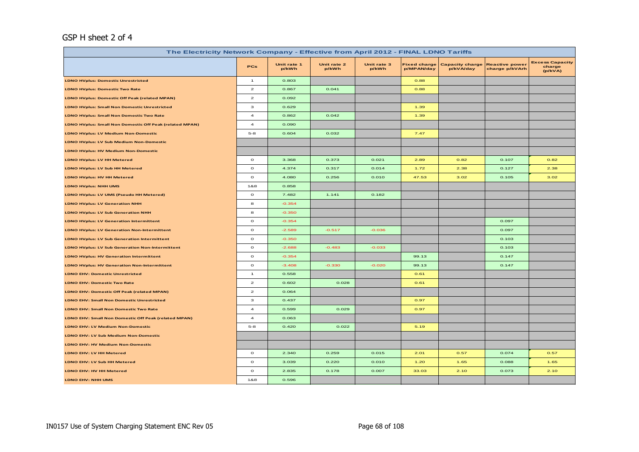# GSP H sheet 2 of 4

| The Electricity Network Company - Effective from April 2012 - FINAL LDNO Tariffs |                         |                      |                      |                      |                                   |                                     |                                         |                                             |
|----------------------------------------------------------------------------------|-------------------------|----------------------|----------------------|----------------------|-----------------------------------|-------------------------------------|-----------------------------------------|---------------------------------------------|
|                                                                                  | <b>PCs</b>              | Unit rate 1<br>p/kWh | Unit rate 2<br>p/kWh | Unit rate 3<br>p/kWh | <b>Fixed charge</b><br>p/MPAN/day | <b>Capacity charge</b><br>p/kVA/day | <b>Reactive power</b><br>charge p/kVArh | <b>Excess Capacity</b><br>charge<br>(p/kVA) |
| <b>LDNO HVplus: Domestic Unrestricted</b>                                        | $\overline{1}$          | 0.803                |                      |                      | 0.88                              |                                     |                                         |                                             |
| <b>LDNO HVplus: Domestic Two Rate</b>                                            | $\mathbf{z}$            | 0.867                | 0.041                |                      | 0.88                              |                                     |                                         |                                             |
| <b>LDNO HVplus: Domestic Off Peak (related MPAN)</b>                             | $\mathbf{z}$            | 0.092                |                      |                      |                                   |                                     |                                         |                                             |
| <b>LDNO HVplus: Small Non Domestic Unrestricted</b>                              | з                       | 0.629                |                      |                      | 1.39                              |                                     |                                         |                                             |
| <b>LDNO HVplus: Small Non Domestic Two Rate</b>                                  | $\overline{a}$          | 0.862                | 0.042                |                      | 1.39                              |                                     |                                         |                                             |
| LDNO HVplus: Small Non Domestic Off Peak (related MPAN)                          | $\overline{4}$          | 0.090                |                      |                      |                                   |                                     |                                         |                                             |
| <b>LDNO HVplus: LV Medium Non-Domestic</b>                                       | $5 - 8$                 | 0.604                | 0.032                |                      | 7.47                              |                                     |                                         |                                             |
| <b>LDNO HVplus: LV Sub Medium Non-Domestic</b>                                   |                         |                      |                      |                      |                                   |                                     |                                         |                                             |
| <b>LDNO HVplus: HV Medium Non-Domestic</b>                                       |                         |                      |                      |                      |                                   |                                     |                                         |                                             |
| <b>LDNO HVplus: LV HH Metered</b>                                                | $\circ$                 | 3.368                | 0.373                | 0.021                | 2.89                              | 0.82                                | 0.107                                   | 0.82                                        |
| LDNO HVplus: LV Sub HH Metered                                                   | $\circ$                 | 4.374                | 0.317                | 0.014                | 1.72                              | 2.38                                | 0.127                                   | 2.38                                        |
| <b>LDNO HVplus: HV HH Metered</b>                                                | $\circ$                 | 4.080                | 0.256                | 0.010                | 47.53                             | 3.02                                | 0.105                                   | 3.02                                        |
| <b>LDNO HVplus: NHH UMS</b>                                                      | 1&8                     | 0.858                |                      |                      |                                   |                                     |                                         |                                             |
| LDNO HVplus: LV UMS (Pseudo HH Metered)                                          | $\circ$                 | 7.482                | 1.141                | 0.182                |                                   |                                     |                                         |                                             |
| <b>LDNO HVplus: LV Generation NHH</b>                                            | 8                       | $-0.354$             |                      |                      |                                   |                                     |                                         |                                             |
| LDNO HVplus: LV Sub Generation NHH                                               | 8                       | $-0.350$             |                      |                      |                                   |                                     |                                         |                                             |
| <b>LDNO HVplus: LV Generation Intermittent</b>                                   | $\circ$                 | $-0.354$             |                      |                      |                                   |                                     | 0.097                                   |                                             |
| <b>LDNO HVplus: LV Generation Non-Intermittent</b>                               | $\mathbf{o}$            | $-2.589$             | $-0.517$             | $-0.036$             |                                   |                                     | 0.097                                   |                                             |
| LDNO HVplus: LV Sub Generation Intermittent                                      | $\circ$                 | $-0.350$             |                      |                      |                                   |                                     | 0.103                                   |                                             |
| <b>LDNO HVplus: LV Sub Generation Non-Intermittent</b>                           | $\mathbf{o}$            | $-2.688$             | $-0.483$             | $-0.033$             |                                   |                                     | 0.103                                   |                                             |
| <b>LDNO HVplus: HV Generation Intermittent</b>                                   | $\circ$                 | $-0.354$             |                      |                      | 99.13                             |                                     | 0.147                                   |                                             |
| <b>LDNO HVplus: HV Generation Non-Intermittent</b>                               | $\circ$                 | $-3.408$             | $-0.330$             | $-0.020$             | 99.13                             |                                     | 0.147                                   |                                             |
| <b>LDNO EHV: Domestic Unrestricted</b>                                           | $\mathbf{1}$            | 0.558                |                      |                      | 0.61                              |                                     |                                         |                                             |
| <b>LDNO EHV: Domestic Two Rate</b>                                               | $\mathbf{z}$            | 0.602                | 0.028                |                      | 0.61                              |                                     |                                         |                                             |
| LDNO EHV: Domestic Off Peak (related MPAN)                                       | $\mathbf{2}$            | 0.064                |                      |                      |                                   |                                     |                                         |                                             |
| <b>LDNO EHV: Small Non Domestic Unrestricted</b>                                 | з                       | 0.437                |                      |                      | 0.97                              |                                     |                                         |                                             |
| <b>LDNO EHV: Small Non Domestic Two Rate</b>                                     | $\overline{\mathbf{4}}$ | 0.599                | 0.029                |                      | 0.97                              |                                     |                                         |                                             |
| LDNO EHV: Small Non Domestic Off Peak (related MPAN)                             | $\overline{\mathbf{4}}$ | 0.063                |                      |                      |                                   |                                     |                                         |                                             |
| <b>LDNO EHV: LV Medium Non-Domestic</b>                                          | $5 - 8$                 | 0.420                | 0.022                |                      | 5.19                              |                                     |                                         |                                             |
| LDNO EHV: LV Sub Medium Non-Domestic                                             |                         |                      |                      |                      |                                   |                                     |                                         |                                             |
| LDNO EHV: HV Medium Non-Domestic                                                 |                         |                      |                      |                      |                                   |                                     |                                         |                                             |
| LDNO EHV: LV HH Metered                                                          | $\circ$                 | 2.340                | 0.259                | 0.015                | 2.01                              | 0.57                                | 0.074                                   | 0.57                                        |
| LDNO EHV: LV Sub HH Metered                                                      | $\mathbf{o}$            | 3.039                | 0.220                | 0.010                | 1.20                              | 1.65                                | 0.088                                   | 1.65                                        |
| LDNO EHV: HV HH Metered                                                          | $\circ$                 | 2.835                | 0.178                | 0.007                | 33.03                             | 2.10                                | 0.073                                   | 2.10                                        |
| LDNO EHV: NHH UMS                                                                | 1&8                     | 0.596                |                      |                      |                                   |                                     |                                         |                                             |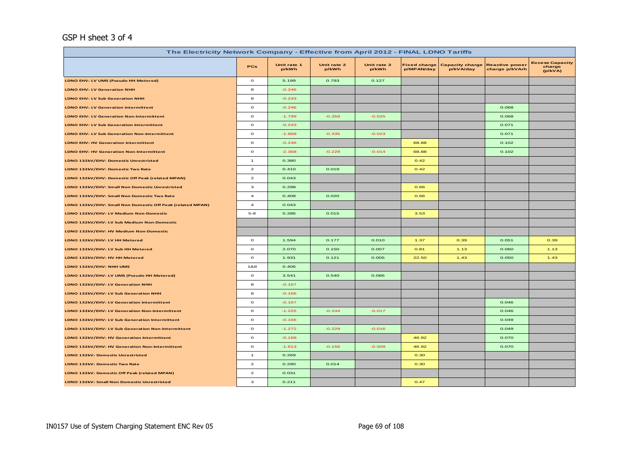# GSP H sheet 3 of 4

| The Electricity Network Company - Effective from April 2012 - FINAL LDNO Tariffs |                                    |                      |                      |                      |                                   |                                     |                                         |                                             |
|----------------------------------------------------------------------------------|------------------------------------|----------------------|----------------------|----------------------|-----------------------------------|-------------------------------------|-----------------------------------------|---------------------------------------------|
|                                                                                  | <b>PCs</b>                         | Unit rate 1<br>p/kWh | Unit rate 2<br>p/kWh | Unit rate 3<br>p/kWh | <b>Fixed charge</b><br>p/MPAN/day | <b>Capacity charge</b><br>p/kVA/day | <b>Reactive power</b><br>charge p/kVArh | <b>Excess Capacity</b><br>charge<br>(p/kVA) |
| LDNO EHV: LV UMS (Pseudo HH Metered)                                             | $\mathbf{o}$                       | 5.199                | 0.793                | 0.127                |                                   |                                     |                                         |                                             |
| <b>LDNO EHV: LV Generation NHH</b>                                               | 8                                  | $-0.246$             |                      |                      |                                   |                                     |                                         |                                             |
| <b>LDNO EHV: LV Sub Generation NHH</b>                                           | 8                                  | $-0.243$             |                      |                      |                                   |                                     |                                         |                                             |
| <b>LDNO EHV: LV Generation Intermittent</b>                                      | $\mathbf{o}$                       | $-0.246$             |                      |                      |                                   |                                     | 0.068                                   |                                             |
| <b>LDNO EHV: LV Generation Non-Intermittent</b>                                  | $\mathbf{o}$                       | $-1.799$             | $-0.359$             | $-0.025$             |                                   |                                     | 0.068                                   |                                             |
| <b>LDNO EHV: LV Sub Generation Intermittent</b>                                  | $\mathbf{o}$                       | $-0.243$             |                      |                      |                                   |                                     | 0.071                                   |                                             |
| <b>LDNO EHV: LV Sub Generation Non-Intermittent</b>                              | $\mathbf{o}$                       | $-1.868$             | $-0.335$             | $-0.023$             |                                   |                                     | 0.071                                   |                                             |
| <b>LDNO EHV: HV Generation Intermittent</b>                                      | $\mathbf{o}$                       | $-0.246$             |                      |                      | 68.88                             |                                     | 0.102                                   |                                             |
| <b>LDNO EHV: HV Generation Non-Intermittent</b>                                  | $\mathbf{o}$                       | $-2.368$             | $-0.229$             | $-0.014$             | 68.88                             |                                     | 0.102                                   |                                             |
| LDNO 132kV/EHV: Domestic Unrestricted                                            | $\mathbf{1}$                       | 0.380                |                      |                      | 0.42                              |                                     |                                         |                                             |
| LDNO 132kV/EHV: Domestic Two Rate                                                | $\mathbf{2}% ^{T}(\mathbf{1}_{T})$ | 0.410                | 0.019                |                      | 0.42                              |                                     |                                         |                                             |
| LDNO 132kV/EHV: Domestic Off Peak (related MPAN)                                 | $\overline{\mathbf{c}}$            | 0.043                |                      |                      |                                   |                                     |                                         |                                             |
| LDNO 132kV/EHV: Small Non Domestic Unrestricted                                  | з                                  | 0.298                |                      |                      | 0.66                              |                                     |                                         |                                             |
| LDNO 132kV/EHV: Small Non Domestic Two Rate                                      | $\overline{\mathbf{4}}$            | 0.408                | 0.020                |                      | 0.66                              |                                     |                                         |                                             |
| LDNO 132kV/EHV: Small Non Domestic Off Peak (related MPAN)                       | $\overline{\mathbf{4}}$            | 0.043                |                      |                      |                                   |                                     |                                         |                                             |
| LDNO 132kV/EHV: LV Medium Non-Domestic                                           | $5 - 8$                            | 0.286                | 0.015                |                      | 3.53                              |                                     |                                         |                                             |
| LDNO 132kV/EHV: LV Sub Medium Non-Domestic                                       |                                    |                      |                      |                      |                                   |                                     |                                         |                                             |
| LDNO 132kV/EHV: HV Medium Non-Domestic                                           |                                    |                      |                      |                      |                                   |                                     |                                         |                                             |
| LDNO 132kV/EHV: LV HH Metered                                                    | $\mathbf{o}$                       | 1.594                | 0.177                | 0.010                | 1.37                              | 0.39                                | 0.051                                   | 0.39                                        |
| LDNO 132kV/EHV: LV Sub HH Metered                                                | $\circ$                            | 2.070                | 0.150                | 0.007                | 0.81                              | 1.13                                | 0.060                                   | 1.13                                        |
| LDNO 132kV/EHV: HV HH Metered                                                    | $\mathbf{o}$                       | 1.931                | 0.121                | 0.005                | 22.50                             | 1.43                                | 0.050                                   | 1.43                                        |
| LDNO 132kV/EHV: NHH UMS                                                          | 1&8                                | 0.406                |                      |                      |                                   |                                     |                                         |                                             |
| LDNO 132kV/EHV: LV UMS (Pseudo HH Metered)                                       | $\mathbf{o}$                       | 3.541                | 0.540                | 0.086                |                                   |                                     |                                         |                                             |
| LDNO 132kV/EHV: LV Generation NHH                                                | 8                                  | $-0.167$             |                      |                      |                                   |                                     |                                         |                                             |
| LDNO 132kV/EHV: LV Sub Generation NHH                                            | 8                                  | $-0.166$             |                      |                      |                                   |                                     |                                         |                                             |
| LDNO 132kV/EHV: LV Generation Intermittent                                       | $\circ$                            | $-0.167$             |                      |                      |                                   |                                     | 0.046                                   |                                             |
| LDNO 132kV/EHV: LV Generation Non-Intermittent                                   | $\mathbf{o}$                       | $-1.225$             | $-0.244$             | $-0.017$             |                                   |                                     | 0.046                                   |                                             |
| LDNO 132kV/EHV: LV Sub Generation Intermittent                                   | $\mathbf{o}$                       | $-0.166$             |                      |                      |                                   |                                     | 0.049                                   |                                             |
| LDNO 132kV/EHV: LV Sub Generation Non-Intermittent                               | $\circ$                            | $-1.272$             | $-0.229$             | $-0.016$             |                                   |                                     | 0.049                                   |                                             |
| LDNO 132kV/EHV: HV Generation Intermittent                                       | $\circ$                            | $-0.168$             |                      |                      | 46.92                             |                                     | 0.070                                   |                                             |
| LDNO 132kV/EHV: HV Generation Non-Intermittent                                   | $\mathbf{o}$                       | $-1.613$             | $-0.156$             | $-0.009$             | 46.92                             |                                     | 0.070                                   |                                             |
| <b>LDNO 132kV: Domestic Unrestricted</b>                                         | $\mathbf{1}$                       | 0.269                |                      |                      | 0.30                              |                                     |                                         |                                             |
| LDNO 132kV: Domestic Two Rate                                                    | $\mathbf{z}$                       | 0.290                | 0.014                |                      | 0.30                              |                                     |                                         |                                             |
| LDNO 132kV: Domestic Off Peak (related MPAN)                                     | $\mathbf{2}% ^{T}(\mathbf{1}_{T})$ | 0.031                |                      |                      |                                   |                                     |                                         |                                             |
| LDNO 132kV: Small Non Domestic Unrestricted                                      | з                                  | 0.211                |                      |                      | 0.47                              |                                     |                                         |                                             |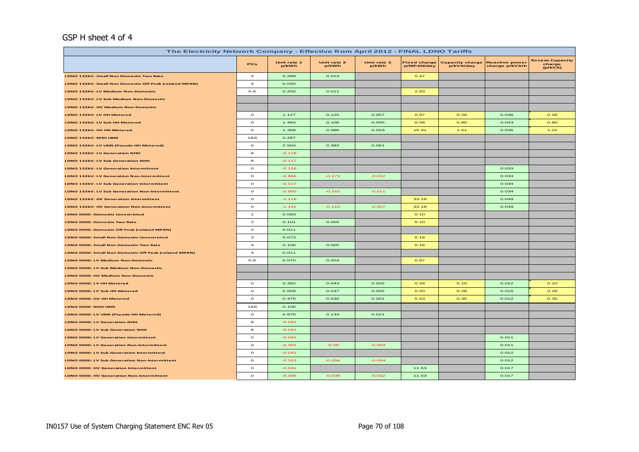## GSP H sheet 4 of 4

| The Electricity Network Company - Effective from April 2012 - FINAL LDNO Tariffs |                          |                      |                      |                      |                                   |                                     |                                         |                                             |
|----------------------------------------------------------------------------------|--------------------------|----------------------|----------------------|----------------------|-----------------------------------|-------------------------------------|-----------------------------------------|---------------------------------------------|
|                                                                                  | PCs                      | Unit rate 1<br>p/kWh | Unit rate 2<br>p/kWh | Unit rate 3<br>p/kWh | <b>Fixed charge</b><br>p/MPAN/day | <b>Capacity charge</b><br>p/kVA/day | <b>Reactive power</b><br>charge p/kVArh | <b>Excess Capacity</b><br>charge<br>(p/kVA) |
| LDNO 132kV: Small Non Domestic Two Rate                                          | $\overline{\phantom{a}}$ | 0.289                | 0.014                |                      | 0.47                              |                                     |                                         |                                             |
| LDNO 132kV: Small Non Domestic Off Peak (related MPAN)                           | $\overline{4}$           | 0.030                |                      |                      |                                   |                                     |                                         |                                             |
| LDNO 132kV: LV Medium Non-Domestic                                               | $5 - 8$                  | 0.202                | 0.011                |                      | 2.50                              |                                     |                                         |                                             |
| LDNO 132kV: LV Sub Medium Non-Domestic                                           |                          |                      |                      |                      |                                   |                                     |                                         |                                             |
| LDNO 132kV: HV Medium Non-Domestic                                               |                          |                      |                      |                      |                                   |                                     |                                         |                                             |
| LDNO 132kV: LV HH Metered                                                        | $\circ$                  | 1.127                | 0.125                | 0.007                | 0.97                              | 0.28                                | 0.036                                   | 0.28                                        |
| LDNO 132kV: LV Sub HH Metered                                                    | $\circ$                  | 1.464                | 0.106                | 0.005                | 0.58                              | 0.80                                | 0.043                                   | 0.80                                        |
| LDNO 132kV: HV HH Metered                                                        | $\mathbf{o}$             | 1.366                | 0.086                | 0.003                | 15.91                             | 1.01                                | 0.035                                   | 1.01                                        |
| LDNO 132kV: NHH UMS                                                              | 1&8                      | 0.287                |                      |                      |                                   |                                     |                                         |                                             |
| LDNO 132kV: LV UMS (Pseudo HH Metered)                                           | $\circ$                  | 2.504                | 0.382                | 0.061                |                                   |                                     |                                         |                                             |
| LDNO 132kV: LV Generation NHH                                                    | 8                        | $-0.118$             |                      |                      |                                   |                                     |                                         |                                             |
| LDNO 132kV: LV Sub Generation NHH                                                | 8                        | $-0.117$             |                      |                      |                                   |                                     |                                         |                                             |
| LDNO 132kV: LV Generation Intermittent                                           | $\circ$                  | $-0.118$             |                      |                      |                                   |                                     | 0.033                                   |                                             |
| LDNO 132kV: LV Generation Non-Intermittent                                       | $\circ$                  | $-0.866$             | $-0.173$             | $-0.012$             |                                   |                                     | 0.033                                   |                                             |
| LDNO 132kV: LV Sub Generation Intermittent                                       | $\mathbf{o}$             | $-0.117$             |                      |                      |                                   |                                     | 0.034                                   |                                             |
| LDNO 132kV: LV Sub Generation Non-Intermittent                                   | $\circ$                  | $-0.900$             | $-0.162$             | $-0.011$             |                                   |                                     | 0.034                                   |                                             |
| LDNO 132kV: HV Generation Intermittent                                           | $\mathbf{o}$             | $-0.118$             |                      |                      | 33.18                             |                                     | 0.049                                   |                                             |
| LDNO 132kV: HV Generation Non-Intermittent                                       | $\mathbf{o}$             | $-1.141$             | $-0.110$             | $-0.007$             | 33.18                             |                                     | 0.049                                   |                                             |
| <b>LDNO 0000: Domestic Unrestricted</b>                                          | $\mathbf{1}$             | 0.093                |                      |                      | O.1O                              |                                     |                                         |                                             |
| LDNO 0000: Domestic Two Rate                                                     | $\mathbf{z}$             | 0.101                | 0.005                |                      | O.1O                              |                                     |                                         |                                             |
| LDNO 0000: Domestic Off Peak (related MPAN)                                      | $\mathbf{z}$             | 0.011                |                      |                      |                                   |                                     |                                         |                                             |
| LDNO 0000: Small Non Domestic Unrestricted                                       | з                        | 0.073                |                      |                      | 0.16                              |                                     |                                         |                                             |
| LDNO 0000: Small Non Domestic Two Rate                                           | $\overline{a}$           | 0.100                | 0.005                |                      | O.16                              |                                     |                                         |                                             |
| LDNO 0000: Small Non Domestic Off Peak (related MPAN)                            | $\boldsymbol{A}$         | 0.011                |                      |                      |                                   |                                     |                                         |                                             |
| LDNO 0000: LV Medium Non-Domestic                                                | $5 - 8$                  | 0.070                | 0.004                |                      | 0.87                              |                                     |                                         |                                             |
| LDNO 0000: LV Sub Medium Non-Domestic                                            |                          |                      |                      |                      |                                   |                                     |                                         |                                             |
| LDNO 0000: HV Medium Non-Domestic                                                |                          |                      |                      |                      |                                   |                                     |                                         |                                             |
| LDNO 0000: LV HH Metered                                                         | $\circ$                  | 0.392                | 0.043                | 0.002                | 0.34                              | O.1O                                | 0.012                                   | O.1O                                        |
| LDNO 0000: LV Sub HH Metered                                                     | $\circ$                  | 0.509                | 0.037                | 0.002                | 0.20                              | 0.28                                | 0.015                                   | 0.28                                        |
| LDNO 0000: HV HH Metered                                                         | $\circ$                  | 0.475                | 0.030                | 0.001                | 5.53                              | 0.35                                | 0.012                                   | 0.35                                        |
| LDNO 0000: NHH UMS                                                               | 1&8                      | 0.100                |                      |                      |                                   |                                     |                                         |                                             |
| LDNO 0000: LV UMS (Pseudo HH Metered)                                            | $\circ$                  | 0.870                | 0.133                | 0.021                |                                   |                                     |                                         |                                             |
| LDNO 0000: LV Generation NHH                                                     | 8                        | $-0.041$             |                      |                      |                                   |                                     |                                         |                                             |
| LDNO 0000: LV Sub Generation NHH                                                 | 8                        | $-0.041$             |                      |                      |                                   |                                     |                                         |                                             |
| <b>LDNO 0000: LV Generation Intermittent</b>                                     | $\circ$                  | $-0.041$             |                      |                      |                                   |                                     | 0.011                                   |                                             |
| <b>LDNO 0000: LV Generation Non-Intermittent</b>                                 | $\circ$                  | $-0.301$             | $-0.06$              | $-0.004$             |                                   |                                     | 0.011                                   |                                             |
| LDNO 0000: LV Sub Generation Intermittent                                        | $\mathbf{o}$             | $-0.041$             |                      |                      |                                   |                                     | 0.012                                   |                                             |
| LDNO 0000: LV Sub Generation Non-Intermittent                                    | $\mathbf{o}$             | $-0.313$             | $-0.056$             | $-0.004$             |                                   |                                     | 0.012                                   |                                             |
| LDNO 0000: HV Generation Intermittent                                            | $\circ$                  | $-0.041$             |                      |                      | 11.53                             |                                     | 0.017                                   |                                             |
| LDNO 0000: HV Generation Non-Intermittent                                        | $\circ$                  | $-0.396$             | $-0.038$             | $-0.002$             | 11.53                             |                                     | 0.017                                   |                                             |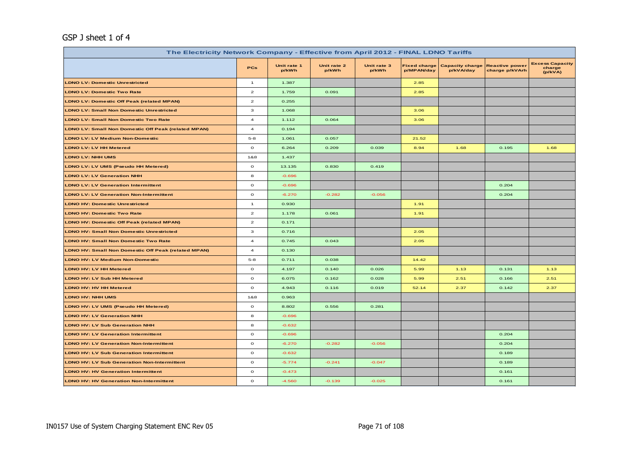# GSP J sheet 1 of 4

| The Electricity Network Company - Effective from April 2012 - FINAL LDNO Tariffs |                         |                      |                      |                      |                                   |                                     |                                         |                                             |
|----------------------------------------------------------------------------------|-------------------------|----------------------|----------------------|----------------------|-----------------------------------|-------------------------------------|-----------------------------------------|---------------------------------------------|
|                                                                                  | <b>PCs</b>              | Unit rate 1<br>p/kWh | Unit rate 2<br>p/kWh | Unit rate 3<br>p/kWh | <b>Fixed charge</b><br>p/MPAN/day | <b>Capacity charge</b><br>p/kVA/day | <b>Reactive power</b><br>charge p/kVArh | <b>Excess Capacity</b><br>charge<br>(p/kVA) |
| <b>LDNO LV: Domestic Unrestricted</b>                                            | $\mathbf{1}$            | 1.387                |                      |                      | 2.85                              |                                     |                                         |                                             |
| <b>LDNO LV: Domestic Two Rate</b>                                                | $\mathbf{z}$            | 1.759                | 0.091                |                      | 2.85                              |                                     |                                         |                                             |
| <b>LDNO LV: Domestic Off Peak (related MPAN)</b>                                 | $\mathbf{z}$            | 0.255                |                      |                      |                                   |                                     |                                         |                                             |
| <b>LDNO LV: Small Non Domestic Unrestricted</b>                                  | 3                       | 1.068                |                      |                      | 3.06                              |                                     |                                         |                                             |
| <b>LDNO LV: Small Non Domestic Two Rate</b>                                      | $\overline{\mathbf{4}}$ | 1.112                | 0.064                |                      | 3.06                              |                                     |                                         |                                             |
| <b>LDNO LV: Small Non Domestic Off Peak (related MPAN)</b>                       | $\bf{4}$                | 0.194                |                      |                      |                                   |                                     |                                         |                                             |
| <b>LDNO LV: LV Medium Non-Domestic</b>                                           | $5 - 8$                 | 1.061                | 0.057                |                      | 21.52                             |                                     |                                         |                                             |
| <b>LDNO LV: LV HH Metered</b>                                                    | $\mathbf{o}$            | 6.264                | 0.209                | 0.039                | 8.94                              | 1.68                                | 0.195                                   | 1.68                                        |
| <b>LDNO LV: NHH UMS</b>                                                          | 1&8                     | 1.437                |                      |                      |                                   |                                     |                                         |                                             |
| LDNO LV: LV UMS (Pseudo HH Metered)                                              | $\circ$                 | 13.135               | 0.830                | 0.419                |                                   |                                     |                                         |                                             |
| <b>LDNO LV: LV Generation NHH</b>                                                | 8                       | $-0.696$             |                      |                      |                                   |                                     |                                         |                                             |
| <b>LDNO LV: LV Generation Intermittent</b>                                       | $\mathbf{o}$            | $-0.696$             |                      |                      |                                   |                                     | 0.204                                   |                                             |
| <b>LDNO LV: LV Generation Non-Intermittent</b>                                   | $\mathbf{o}$            | $-6.270$             | $-0.282$             | $-0.056$             |                                   |                                     | 0.204                                   |                                             |
| <b>LDNO HV: Domestic Unrestricted</b>                                            | $\mathbf{1}$            | 0.930                |                      |                      | 1.91                              |                                     |                                         |                                             |
| <b>LDNO HV: Domestic Two Rate</b>                                                | $\mathbf{2}$            | 1.178                | 0.061                |                      | 1.91                              |                                     |                                         |                                             |
| <b>LDNO HV: Domestic Off Peak (related MPAN)</b>                                 | $\mathbf{2}$            | 0.171                |                      |                      |                                   |                                     |                                         |                                             |
| <b>LDNO HV: Small Non Domestic Unrestricted</b>                                  | 3                       | 0.716                |                      |                      | 2.05                              |                                     |                                         |                                             |
| <b>LDNO HV: Small Non Domestic Two Rate</b>                                      | $\overline{4}$          | 0.745                | 0.043                |                      | 2.05                              |                                     |                                         |                                             |
| <b>LDNO HV: Small Non Domestic Off Peak (related MPAN)</b>                       | $\overline{a}$          | 0.130                |                      |                      |                                   |                                     |                                         |                                             |
| <b>LDNO HV: LV Medium Non-Domestic</b>                                           | $5 - 8$                 | 0.711                | 0.038                |                      | 14.42                             |                                     |                                         |                                             |
| <b>LDNO HV: LV HH Metered</b>                                                    | $\circ$                 | 4.197                | 0.140                | 0.026                | 5.99                              | 1.13                                | 0.131                                   | 1.13                                        |
| <b>LDNO HV: LV Sub HH Metered</b>                                                | $\mathbf{o}$            | 6.075                | 0.162                | 0.028                | 5.99                              | 2.51                                | 0.166                                   | 2.51                                        |
| <b>LDNO HV: HV HH Metered</b>                                                    | $\mathbf{o}$            | 4.943                | 0.116                | 0.019                | 52.14                             | 2.37                                | 0.142                                   | 2.37                                        |
| <b>LDNO HV: NHH UMS</b>                                                          | 1&8                     | 0.963                |                      |                      |                                   |                                     |                                         |                                             |
| LDNO HV: LV UMS (Pseudo HH Metered)                                              | $\mathbf{o}$            | 8.802                | 0.556                | 0.281                |                                   |                                     |                                         |                                             |
| <b>LDNO HV: LV Generation NHH</b>                                                | 8                       | $-0.696$             |                      |                      |                                   |                                     |                                         |                                             |
| <b>LDNO HV: LV Sub Generation NHH</b>                                            | 8                       | $-0.632$             |                      |                      |                                   |                                     |                                         |                                             |
| <b>LDNO HV: LV Generation Intermittent</b>                                       | $\mathbf{o}$            | $-0.696$             |                      |                      |                                   |                                     | 0.204                                   |                                             |
| <b>LDNO HV: LV Generation Non-Intermittent</b>                                   | $\mathbf{o}$            | $-6.270$             | $-0.282$             | $-0.056$             |                                   |                                     | 0.204                                   |                                             |
| <b>LDNO HV: LV Sub Generation Intermittent</b>                                   | $\circ$                 | $-0.632$             |                      |                      |                                   |                                     | 0.189                                   |                                             |
| <b>LDNO HV: LV Sub Generation Non-Intermittent</b>                               | $\mathbf{o}$            | $-5.774$             | $-0.241$             | $-0.047$             |                                   |                                     | 0.189                                   |                                             |
| <b>LDNO HV: HV Generation Intermittent</b>                                       | $\mathbf O$             | $-0.473$             |                      |                      |                                   |                                     | 0.161                                   |                                             |
| <b>LDNO HV: HV Generation Non-Intermittent</b>                                   | $\mathbf{o}$            | $-4.560$             | $-0.139$             | $-0.025$             |                                   |                                     | 0.161                                   |                                             |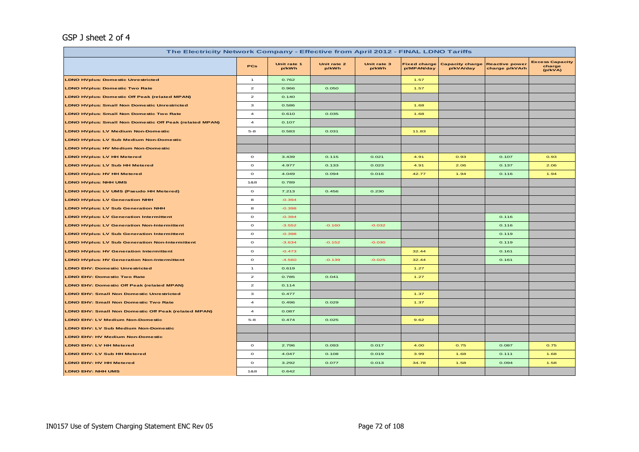# GSP J sheet 2 of 4

| The Electricity Network Company - Effective from April 2012 - FINAL LDNO Tariffs |                                    |                      |                      |                      |                                   |                                     |                                         |                                             |
|----------------------------------------------------------------------------------|------------------------------------|----------------------|----------------------|----------------------|-----------------------------------|-------------------------------------|-----------------------------------------|---------------------------------------------|
|                                                                                  | <b>PCs</b>                         | Unit rate 1<br>p/kWh | Unit rate 2<br>p/kWh | Unit rate 3<br>p/kWh | <b>Fixed charge</b><br>p/MPAN/day | <b>Capacity charge</b><br>p/kVA/day | <b>Reactive power</b><br>charge p/kVArh | <b>Excess Capacity</b><br>charge<br>(p/kVA) |
| <b>LDNO HVplus: Domestic Unrestricted</b>                                        | $\overline{1}$                     | 0.762                |                      |                      | 1.57                              |                                     |                                         |                                             |
| <b>LDNO HVplus: Domestic Two Rate</b>                                            | $\overline{a}$                     | 0.966                | 0.050                |                      | 1.57                              |                                     |                                         |                                             |
| <b>LDNO HVplus: Domestic Off Peak (related MPAN)</b>                             | $\mathbf{z}$                       | 0.140                |                      |                      |                                   |                                     |                                         |                                             |
| <b>LDNO HVplus: Small Non Domestic Unrestricted</b>                              | з                                  | 0.586                |                      |                      | 1.68                              |                                     |                                         |                                             |
| <b>LDNO HVplus: Small Non Domestic Two Rate</b>                                  | $\overline{\mathbf{4}}$            | 0.610                | 0.035                |                      | 1.68                              |                                     |                                         |                                             |
| <b>LDNO HVplus: Small Non Domestic Off Peak (related MPAN)</b>                   | $\overline{4}$                     | 0.107                |                      |                      |                                   |                                     |                                         |                                             |
| <b>LDNO HVplus: LV Medium Non-Domestic</b>                                       | $5-8$                              | 0.583                | 0.031                |                      | 11.83                             |                                     |                                         |                                             |
| <b>LDNO HVplus: LV Sub Medium Non-Domestic</b>                                   |                                    |                      |                      |                      |                                   |                                     |                                         |                                             |
| <b>LDNO HVplus: HV Medium Non-Domestic</b>                                       |                                    |                      |                      |                      |                                   |                                     |                                         |                                             |
| <b>LDNO HVplus: LV HH Metered</b>                                                | $\mathbf{o}$                       | 3.439                | 0.115                | 0.021                | 4.91                              | 0.93                                | 0.107                                   | 0.93                                        |
| <b>LDNO HVplus: LV Sub HH Metered</b>                                            | $\circ$                            | 4.977                | 0.133                | 0.023                | 4.91                              | 2.06                                | 0.137                                   | 2.06                                        |
| <b>LDNO HVplus: HV HH Metered</b>                                                | $\circ$                            | 4.049                | 0.094                | 0.016                | 42.77                             | 1.94                                | 0.116                                   | 1.94                                        |
| <b>LDNO HVplus: NHH UMS</b>                                                      | 1&8                                | 0.789                |                      |                      |                                   |                                     |                                         |                                             |
| <b>LDNO HVplus: LV UMS (Pseudo HH Metered)</b>                                   | $\circ$                            | 7.213                | 0.456                | 0.230                |                                   |                                     |                                         |                                             |
| <b>LDNO HVplus: LV Generation NHH</b>                                            | 8                                  | $-0.394$             |                      |                      |                                   |                                     |                                         |                                             |
| <b>LDNO HVplus: LV Sub Generation NHH</b>                                        | 8                                  | $-0.398$             |                      |                      |                                   |                                     |                                         |                                             |
| <b>LDNO HVplus: LV Generation Intermittent</b>                                   | $\circ$                            | $-0.394$             |                      |                      |                                   |                                     | 0.116                                   |                                             |
| <b>LDNO HVplus: LV Generation Non-Intermittent</b>                               | $\circ$                            | $-3.552$             | $-0.160$             | $-0.032$             |                                   |                                     | 0.116                                   |                                             |
| <b>LDNO HVplus: LV Sub Generation Intermittent</b>                               | $\mathbf{o}$                       | $-0.398$             |                      |                      |                                   |                                     | 0.119                                   |                                             |
| <b>LDNO HVplus: LV Sub Generation Non-Intermittent</b>                           | $\circ$                            | $-3.634$             | $-0.152$             | $-0.030$             |                                   |                                     | 0.119                                   |                                             |
| <b>LDNO HVplus: HV Generation Intermittent</b>                                   | $\circ$                            | $-0.473$             |                      |                      | 32.44                             |                                     | 0.161                                   |                                             |
| <b>LDNO HVplus: HV Generation Non-Intermittent</b>                               | $\mathbf{o}$                       | $-4.560$             | $-0.139$             | $-0.025$             | 32.44                             |                                     | 0.161                                   |                                             |
| <b>LDNO EHV: Domestic Unrestricted</b>                                           | $\mathbf{1}$                       | 0.619                |                      |                      | 1.27                              |                                     |                                         |                                             |
| <b>LDNO EHV: Domestic Two Rate</b>                                               | $\mathbf{2}% ^{T}(\mathbf{1}_{T})$ | 0.785                | 0.041                |                      | 1.27                              |                                     |                                         |                                             |
| LDNO EHV: Domestic Off Peak (related MPAN)                                       | $\mathbf{z}$                       | 0.114                |                      |                      |                                   |                                     |                                         |                                             |
| <b>LDNO EHV: Small Non Domestic Unrestricted</b>                                 | з                                  | 0.477                |                      |                      | 1.37                              |                                     |                                         |                                             |
| <b>LDNO EHV: Small Non Domestic Two Rate</b>                                     | $\overline{a}$                     | 0.496                | 0.029                |                      | 1.37                              |                                     |                                         |                                             |
| <b>LDNO EHV: Small Non Domestic Off Peak (related MPAN)</b>                      | $\overline{a}$                     | 0.087                |                      |                      |                                   |                                     |                                         |                                             |
| <b>LDNO EHV: LV Medium Non-Domestic</b>                                          | $5 - 8$                            | 0.474                | 0.025                |                      | 9.62                              |                                     |                                         |                                             |
| LDNO EHV: LV Sub Medium Non-Domestic                                             |                                    |                      |                      |                      |                                   |                                     |                                         |                                             |
| <b>LDNO EHV: HV Medium Non-Domestic</b>                                          |                                    |                      |                      |                      |                                   |                                     |                                         |                                             |
| <b>LDNO EHV: LV HH Metered</b>                                                   | $\circ$                            | 2.796                | 0.093                | 0.017                | 4.00                              | 0.75                                | 0.087                                   | 0.75                                        |
| <b>LDNO EHV: LV Sub HH Metered</b>                                               | $\mathbf{o}$                       | 4.047                | 0.108                | 0.019                | 3.99                              | 1.68                                | 0.111                                   | 1.68                                        |
| <b>LDNO EHV: HV HH Metered</b>                                                   | $\mathbf{o}$                       | 3.292                | 0.077                | 0.013                | 34.78                             | 1.58                                | 0.094                                   | 1.58                                        |
| <b>LDNO EHV: NHH UMS</b>                                                         | 1&8                                | 0.642                |                      |                      |                                   |                                     |                                         |                                             |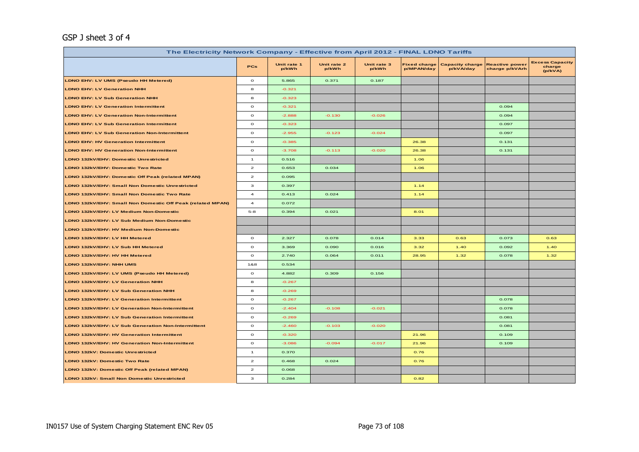#### GSP J sheet 3 of 4

| The Electricity Network Company - Effective from April 2012 - FINAL LDNO Tariffs |                         |                      |                      |                      |                                   |                                     |                                         |                                             |  |
|----------------------------------------------------------------------------------|-------------------------|----------------------|----------------------|----------------------|-----------------------------------|-------------------------------------|-----------------------------------------|---------------------------------------------|--|
|                                                                                  | <b>PCs</b>              | Unit rate 1<br>p/kWh | Unit rate 2<br>p/kWh | Unit rate 3<br>p/kWh | <b>Fixed charge</b><br>p/MPAN/day | <b>Capacity charge</b><br>p/kVA/day | <b>Reactive power</b><br>charge p/kVArh | <b>Excess Capacity</b><br>charge<br>(p/kVA) |  |
| LDNO EHV: LV UMS (Pseudo HH Metered)                                             | $\circ$                 | 5.865                | 0.371                | 0.187                |                                   |                                     |                                         |                                             |  |
| <b>LDNO EHV: LV Generation NHH</b>                                               | 8                       | $-0.321$             |                      |                      |                                   |                                     |                                         |                                             |  |
| <b>LDNO EHV: LV Sub Generation NHH</b>                                           | 8                       | $-0.323$             |                      |                      |                                   |                                     |                                         |                                             |  |
| <b>LDNO EHV: LV Generation Intermittent</b>                                      | $\mathbf{o}$            | $-0.321$             |                      |                      |                                   |                                     | 0.094                                   |                                             |  |
| <b>LDNO EHV: LV Generation Non-Intermittent</b>                                  | $\mathbf{o}$            | $-2.888$             | $-0.130$             | $-0.026$             |                                   |                                     | 0.094                                   |                                             |  |
| <b>LDNO EHV: LV Sub Generation Intermittent</b>                                  | $\mathbf{o}$            | $-0.323$             |                      |                      |                                   |                                     | 0.097                                   |                                             |  |
| <b>LDNO EHV: LV Sub Generation Non-Intermittent</b>                              | $\mathbf{o}$            | $-2.955$             | $-0.123$             | $-0.024$             |                                   |                                     | 0.097                                   |                                             |  |
| <b>LDNO EHV: HV Generation Intermittent</b>                                      | $\mathbf{o}$            | $-0.385$             |                      |                      | 26.38                             |                                     | 0.131                                   |                                             |  |
| <b>LDNO EHV: HV Generation Non-Intermittent</b>                                  | $\mathbf{o}$            | $-3.708$             | $-0.113$             | $-0.020$             | 26.38                             |                                     | 0.131                                   |                                             |  |
| LDNO 132kV/EHV: Domestic Unrestricted                                            | $\mathbf{1}$            | 0.516                |                      |                      | 1.06                              |                                     |                                         |                                             |  |
| LDNO 132kV/EHV: Domestic Two Rate                                                | $\mathbf{z}$            | 0.653                | 0.034                |                      | 1.06                              |                                     |                                         |                                             |  |
| LDNO 132kV/EHV: Domestic Off Peak (related MPAN)                                 | $\mathbf{z}$            | 0.095                |                      |                      |                                   |                                     |                                         |                                             |  |
| LDNO 132kV/EHV: Small Non Domestic Unrestricted                                  | з                       | 0.397                |                      |                      | 1.14                              |                                     |                                         |                                             |  |
| LDNO 132kV/EHV: Small Non Domestic Two Rate                                      | $\overline{\mathbf{4}}$ | 0.413                | 0.024                |                      | 1.14                              |                                     |                                         |                                             |  |
| LDNO 132kV/EHV: Small Non Domestic Off Peak (related MPAN)                       | $\overline{a}$          | 0.072                |                      |                      |                                   |                                     |                                         |                                             |  |
| LDNO 132kV/EHV: LV Medium Non-Domestic                                           | $5 - 8$                 | 0.394                | 0.021                |                      | 8.01                              |                                     |                                         |                                             |  |
| LDNO 132kV/EHV: LV Sub Medium Non-Domestic                                       |                         |                      |                      |                      |                                   |                                     |                                         |                                             |  |
| LDNO 132kV/EHV: HV Medium Non-Domestic                                           |                         |                      |                      |                      |                                   |                                     |                                         |                                             |  |
| LDNO 132kV/EHV: LV HH Metered                                                    | $\circ$                 | 2.327                | 0.078                | 0.014                | 3.33                              | 0.63                                | 0.073                                   | 0.63                                        |  |
| LDNO 132kV/EHV: LV Sub HH Metered                                                | $\mathbf{o}$            | 3.369                | 0.090                | 0.016                | 3.32                              | 1.40                                | 0.092                                   | 1.40                                        |  |
| LDNO 132kV/EHV: HV HH Metered                                                    | $\circ$                 | 2.740                | 0.064                | 0.011                | 28.95                             | 1.32                                | 0.078                                   | 1.32                                        |  |
| LDNO 132kV/EHV: NHH UMS                                                          | 1&8                     | 0.534                |                      |                      |                                   |                                     |                                         |                                             |  |
| LDNO 132kV/EHV: LV UMS (Pseudo HH Metered)                                       | $\mathbf{o}$            | 4.882                | 0.309                | 0.156                |                                   |                                     |                                         |                                             |  |
| LDNO 132kV/EHV: LV Generation NHH                                                | 8                       | $-0.267$             |                      |                      |                                   |                                     |                                         |                                             |  |
| LDNO 132kV/EHV: LV Sub Generation NHH                                            | 8                       | $-0.269$             |                      |                      |                                   |                                     |                                         |                                             |  |
| LDNO 132kV/EHV: LV Generation Intermittent                                       | $\mathbf{o}$            | $-0.267$             |                      |                      |                                   |                                     | 0.078                                   |                                             |  |
| LDNO 132kV/EHV: LV Generation Non-Intermittent                                   | $\mathbf{o}$            | $-2.404$             | $-0.108$             | $-0.021$             |                                   |                                     | 0.078                                   |                                             |  |
| LDNO 132kV/EHV: LV Sub Generation Intermittent                                   | $\circ$                 | $-0.269$             |                      |                      |                                   |                                     | 0.081                                   |                                             |  |
| LDNO 132kV/EHV: LV Sub Generation Non-Intermittent                               | $\mathbf{o}$            | $-2.460$             | $-0.103$             | $-0.020$             |                                   |                                     | 0.081                                   |                                             |  |
| LDNO 132kV/EHV: HV Generation Intermittent                                       | $\mathbf{o}$            | $-0.320$             |                      |                      | 21.96                             |                                     | 0.109                                   |                                             |  |
| LDNO 132kV/EHV: HV Generation Non-Intermittent                                   | $\mathbf{o}$            | $-3.086$             | $-0.094$             | $-0.017$             | 21.96                             |                                     | 0.109                                   |                                             |  |
| LDNO 132kV: Domestic Unrestricted                                                | $\mathbf{1}$            | 0.370                |                      |                      | 0.76                              |                                     |                                         |                                             |  |
| LDNO 132kV: Domestic Two Rate                                                    | $\overline{2}$          | 0.468                | 0.024                |                      | 0.76                              |                                     |                                         |                                             |  |
| LDNO 132kV: Domestic Off Peak (related MPAN)                                     | $\mathbf{z}$            | 0.068                |                      |                      |                                   |                                     |                                         |                                             |  |
| LDNO 132kV: Small Non Domestic Unrestricted                                      | з                       | 0.284                |                      |                      | 0.82                              |                                     |                                         |                                             |  |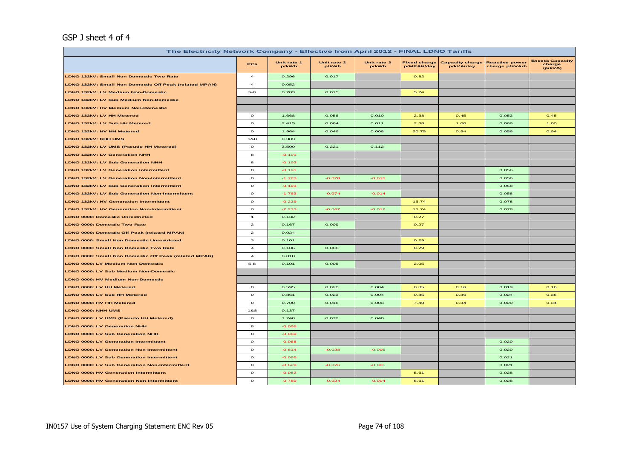#### GSP J sheet 4 of 4

| The Electricity Network Company - Effective from April 2012 - FINAL LDNO Tariffs |                         |                      |                      |                      |                                   |                                     |                                         |                                             |  |
|----------------------------------------------------------------------------------|-------------------------|----------------------|----------------------|----------------------|-----------------------------------|-------------------------------------|-----------------------------------------|---------------------------------------------|--|
|                                                                                  | PCs                     | Unit rate 1<br>p/kWh | Unit rate 2<br>p/kWh | Unit rate 3<br>p/kWh | <b>Fixed charge</b><br>p/MPAN/day | <b>Capacity charge</b><br>p/kVA/day | <b>Reactive power</b><br>charge p/kVArh | <b>Excess Capacity</b><br>charge<br>(p/kVA) |  |
| <b>LDNO 132kV: Small Non Domestic Two Rate</b>                                   | $\overline{\mathbf{4}}$ | 0.296                | 0.017                |                      | 0.82                              |                                     |                                         |                                             |  |
| LDNO 132kV: Small Non Domestic Off Peak (related MPAN)                           | $\overline{a}$          | 0.052                |                      |                      |                                   |                                     |                                         |                                             |  |
| LDNO 132kV: LV Medium Non-Domestic                                               | $5 - 8$                 | 0.283                | 0.015                |                      | 5.74                              |                                     |                                         |                                             |  |
| LDNO 132kV: LV Sub Medium Non-Domestic                                           |                         |                      |                      |                      |                                   |                                     |                                         |                                             |  |
| LDNO 132kV: HV Medium Non-Domestic                                               |                         |                      |                      |                      |                                   |                                     |                                         |                                             |  |
| LDNO 132kV: LV HH Metered                                                        | $\circ$                 | 1.668                | 0.056                | 0.010                | 2.38                              | 0.45                                | 0.052                                   | 0.45                                        |  |
| LDNO 132kV: LV Sub HH Metered                                                    | $\Omega$                | 2.415                | 0.064                | 0.011                | 2.38                              | 1.00                                | 0.066                                   | 1.00                                        |  |
| LDNO 132kV: HV HH Metered                                                        | $\circ$                 | 1.964                | 0.046                | 0.008                | 20.75                             | 0.94                                | 0.056                                   | 0.94                                        |  |
| LDNO 132kV: NHH UMS                                                              | 1&8                     | 0.383                |                      |                      |                                   |                                     |                                         |                                             |  |
| LDNO 132kV: LV UMS (Pseudo HH Metered)                                           | $\mathbf{o}$            | 3.500                | 0.221                | 0.112                |                                   |                                     |                                         |                                             |  |
| <b>LDNO 132kV: LV Generation NHH</b>                                             | 8                       | $-0.191$             |                      |                      |                                   |                                     |                                         |                                             |  |
| <b>LDNO 132kV: LV Sub Generation NHH</b>                                         | 8                       | $-0.193$             |                      |                      |                                   |                                     |                                         |                                             |  |
| <b>LDNO 132kV: LV Generation Intermittent</b>                                    | $\circ$                 | $-0.191$             |                      |                      |                                   |                                     | 0.056                                   |                                             |  |
| <b>LDNO 132kV: LV Generation Non-Intermittent</b>                                | $\circ$                 | $-1.723$             | $-0.078$             | $-0.015$             |                                   |                                     | 0.056                                   |                                             |  |
| LDNO 132kV: LV Sub Generation Intermittent                                       | $\circ$                 | $-0.193$             |                      |                      |                                   |                                     | 0.058                                   |                                             |  |
| LDNO 132kV: LV Sub Generation Non-Intermittent                                   | $\circ$                 | $-1.763$             | $-0.074$             | $-0.014$             |                                   |                                     | 0.058                                   |                                             |  |
| <b>LDNO 132kV: HV Generation Intermittent</b>                                    | $\circ$                 | $-0.229$             |                      |                      | 15.74                             |                                     | 0.078                                   |                                             |  |
| <b>LDNO 132kV: HV Generation Non-Intermittent</b>                                | $\circ$                 | $-2.213$             | $-0.067$             | $-0.012$             | 15.74                             |                                     | 0.078                                   |                                             |  |
| <b>LDNO 0000: Domestic Unrestricted</b>                                          | $\overline{1}$          | 0.132                |                      |                      | 0.27                              |                                     |                                         |                                             |  |
| <b>LDNO 0000: Domestic Two Rate</b>                                              | $\overline{\mathbf{z}}$ | 0.167                | 0.009                |                      | 0.27                              |                                     |                                         |                                             |  |
| <b>LDNO 0000: Domestic Off Peak (related MPAN)</b>                               | $\mathbf{z}$            | 0.024                |                      |                      |                                   |                                     |                                         |                                             |  |
| <b>LDNO 0000: Small Non Domestic Unrestricted</b>                                | з                       | 0.101                |                      |                      | 0.29                              |                                     |                                         |                                             |  |
| <b>LDNO 0000: Small Non Domestic Two Rate</b>                                    | $\overline{a}$          | 0.106                | 0.006                |                      | 0.29                              |                                     |                                         |                                             |  |
| LDNO 0000: Small Non Domestic Off Peak (related MPAN)                            | $\overline{\mathbf{4}}$ | 0.018                |                      |                      |                                   |                                     |                                         |                                             |  |
| LDNO 0000: LV Medium Non-Domestic                                                | $5-8$                   | 0.101                | 0.005                |                      | 2.05                              |                                     |                                         |                                             |  |
| LDNO 0000: LV Sub Medium Non-Domestic                                            |                         |                      |                      |                      |                                   |                                     |                                         |                                             |  |
| <b>LDNO 0000: HV Medium Non-Domestic</b>                                         |                         |                      |                      |                      |                                   |                                     |                                         |                                             |  |
| LDNO 0000: LV HH Metered                                                         | $\circ$                 | 0.595                | 0.020                | 0.004                | 0.85                              | 0.16                                | 0.019                                   | 0.16                                        |  |
| LDNO 0000: LV Sub HH Metered                                                     | $\circ$                 | 0.861                | 0.023                | 0.004                | 0.85                              | 0.36                                | 0.024                                   | 0.36                                        |  |
| LDNO 0000: HV HH Metered                                                         | $\circ$                 | 0.700                | 0.016                | 0.003                | 7.40                              | 0.34                                | 0.020                                   | 0.34                                        |  |
| LDNO 0000: NHH UMS                                                               | 1&8                     | 0.137                |                      |                      |                                   |                                     |                                         |                                             |  |
| LDNO 0000: LV UMS (Pseudo HH Metered)                                            | $\circ$                 | 1.248                | 0.079                | 0.040                |                                   |                                     |                                         |                                             |  |
| <b>LDNO 0000: LV Generation NHH</b>                                              | 8                       | $-0.068$             |                      |                      |                                   |                                     |                                         |                                             |  |
| LDNO 0000: LV Sub Generation NHH                                                 | 8                       | $-0.069$             |                      |                      |                                   |                                     |                                         |                                             |  |
| <b>LDNO 0000: LV Generation Intermittent</b>                                     | $\circ$                 | $-0.068$             |                      |                      |                                   |                                     | 0.020                                   |                                             |  |
| <b>LDNO 0000: LV Generation Non-Intermittent</b>                                 | $\circ$                 | $-0.614$             | $-0.028$             | $-0.005$             |                                   |                                     | 0.020                                   |                                             |  |
| <b>LDNO 0000: LV Sub Generation Intermittent</b>                                 | $\circ$                 | $-0.069$             |                      |                      |                                   |                                     | 0.021                                   |                                             |  |
| LDNO 0000: LV Sub Generation Non-Intermittent                                    | $\circ$                 | $-0.629$             | $-0.026$             | $-0.005$             |                                   |                                     | 0.021                                   |                                             |  |
| <b>LDNO 0000: HV Generation Intermittent</b>                                     | $\circ$                 | $-0.082$             |                      |                      | 5.61                              |                                     | 0.028                                   |                                             |  |
| <b>LDNO 0000: HV Generation Non-Intermittent</b>                                 | $\circ$                 | $-0.789$             | $-0.024$             | $-0.004$             | 5.61                              |                                     | 0.028                                   |                                             |  |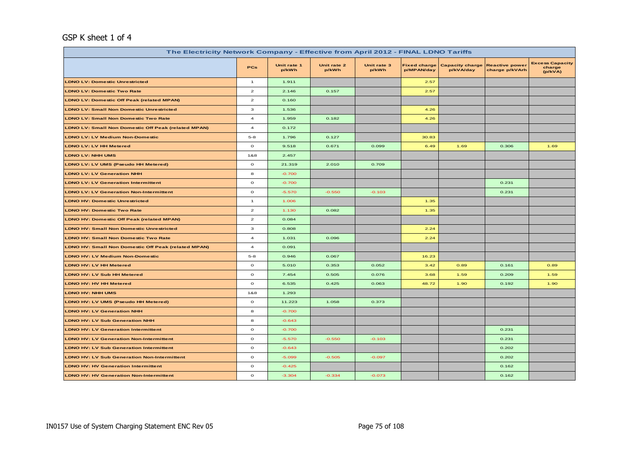#### GSP K sheet 1 of 4

| The Electricity Network Company - Effective from April 2012 - FINAL LDNO Tariffs |                         |                      |                      |                      |                                   |                                     |                                         |                                             |  |  |
|----------------------------------------------------------------------------------|-------------------------|----------------------|----------------------|----------------------|-----------------------------------|-------------------------------------|-----------------------------------------|---------------------------------------------|--|--|
|                                                                                  | <b>PCs</b>              | Unit rate 1<br>p/kWh | Unit rate 2<br>p/kWh | Unit rate 3<br>p/kWh | <b>Fixed charge</b><br>p/MPAN/day | <b>Capacity charge</b><br>p/kVA/day | <b>Reactive power</b><br>charge p/kVArh | <b>Excess Capacity</b><br>charge<br>(p/kVA) |  |  |
| <b>LDNO LV: Domestic Unrestricted</b>                                            | $\mathbf{1}$            | 1.911                |                      |                      | 2.57                              |                                     |                                         |                                             |  |  |
| <b>LDNO LV: Domestic Two Rate</b>                                                | $\mathbf{z}$            | 2.146                | 0.157                |                      | 2.57                              |                                     |                                         |                                             |  |  |
| <b>LDNO LV: Domestic Off Peak (related MPAN)</b>                                 | $\overline{2}$          | 0.160                |                      |                      |                                   |                                     |                                         |                                             |  |  |
| <b>LDNO LV: Small Non Domestic Unrestricted</b>                                  | з                       | 1.536                |                      |                      | 4.26                              |                                     |                                         |                                             |  |  |
| <b>LDNO LV: Small Non Domestic Two Rate</b>                                      | $\overline{a}$          | 1.959                | 0.182                |                      | 4.26                              |                                     |                                         |                                             |  |  |
| <b>LDNO LV: Small Non Domestic Off Peak (related MPAN)</b>                       | $\overline{\mathbf{4}}$ | 0.172                |                      |                      |                                   |                                     |                                         |                                             |  |  |
| <b>LDNO LV: LV Medium Non-Domestic</b>                                           | $5 - 8$                 | 1.796                | 0.127                |                      | 30.83                             |                                     |                                         |                                             |  |  |
| <b>LDNO LV: LV HH Metered</b>                                                    | $\mathbf{o}$            | 9.518                | 0.671                | 0.099                | 6.49                              | 1.69                                | 0.306                                   | 1.69                                        |  |  |
| <b>LDNO LV: NHH UMS</b>                                                          | 1&8                     | 2.457                |                      |                      |                                   |                                     |                                         |                                             |  |  |
| LDNO LV: LV UMS (Pseudo HH Metered)                                              | $\mathbf{o}$            | 21.319               | 2.010                | 0.709                |                                   |                                     |                                         |                                             |  |  |
| <b>LDNO LV: LV Generation NHH</b>                                                | 8                       | $-0.700$             |                      |                      |                                   |                                     |                                         |                                             |  |  |
| <b>LDNO LV: LV Generation Intermittent</b>                                       | $\mathbf{o}$            | $-0.700$             |                      |                      |                                   |                                     | 0.231                                   |                                             |  |  |
| <b>LDNO LV: LV Generation Non-Intermittent</b>                                   | $\mathbf{o}$            | $-5.570$             | $-0.550$             | $-0.103$             |                                   |                                     | 0.231                                   |                                             |  |  |
| <b>LDNO HV: Domestic Unrestricted</b>                                            | $\mathbf{1}$            | 1.006                |                      |                      | 1.35                              |                                     |                                         |                                             |  |  |
| <b>LDNO HV: Domestic Two Rate</b>                                                | $\overline{a}$          | 1.130                | 0.082                |                      | 1.35                              |                                     |                                         |                                             |  |  |
| <b>LDNO HV: Domestic Off Peak (related MPAN)</b>                                 | $\overline{\mathbf{z}}$ | 0.084                |                      |                      |                                   |                                     |                                         |                                             |  |  |
| <b>LDNO HV: Small Non Domestic Unrestricted</b>                                  | 3                       | 0.808                |                      |                      | 2.24                              |                                     |                                         |                                             |  |  |
| <b>LDNO HV: Small Non Domestic Two Rate</b>                                      | $\overline{a}$          | 1.031                | 0.096                |                      | 2.24                              |                                     |                                         |                                             |  |  |
| <b>LDNO HV: Small Non Domestic Off Peak (related MPAN)</b>                       | $\overline{a}$          | 0.091                |                      |                      |                                   |                                     |                                         |                                             |  |  |
| <b>LDNO HV: LV Medium Non-Domestic</b>                                           | $5 - 8$                 | 0.946                | 0.067                |                      | 16.23                             |                                     |                                         |                                             |  |  |
| LDNO HV: LV HH Metered                                                           | $\mathbf{o}$            | 5.010                | 0.353                | 0.052                | 3.42                              | 0.89                                | 0.161                                   | 0.89                                        |  |  |
| LDNO HV: LV Sub HH Metered                                                       | $\circ$                 | 7.454                | 0.505                | 0.076                | 3.68                              | 1.59                                | 0.209                                   | 1.59                                        |  |  |
| <b>LDNO HV: HV HH Metered</b>                                                    | $\circ$                 | 6.535                | 0.425                | 0.063                | 48.72                             | 1.90                                | 0.192                                   | 1.90                                        |  |  |
| <b>LDNO HV: NHH UMS</b>                                                          | 1&8                     | 1.293                |                      |                      |                                   |                                     |                                         |                                             |  |  |
| LDNO HV: LV UMS (Pseudo HH Metered)                                              | $\circ$                 | 11.223               | 1.058                | 0.373                |                                   |                                     |                                         |                                             |  |  |
| <b>LDNO HV: LV Generation NHH</b>                                                | 8                       | $-0.700$             |                      |                      |                                   |                                     |                                         |                                             |  |  |
| <b>LDNO HV: LV Sub Generation NHH</b>                                            | 8                       | $-0.643$             |                      |                      |                                   |                                     |                                         |                                             |  |  |
| <b>LDNO HV: LV Generation Intermittent</b>                                       | $\mathbf{o}$            | $-0.700$             |                      |                      |                                   |                                     | 0.231                                   |                                             |  |  |
| <b>LDNO HV: LV Generation Non-Intermittent</b>                                   | $\mathbf{o}$            | $-5.570$             | $-0.550$             | $-0.103$             |                                   |                                     | 0.231                                   |                                             |  |  |
| <b>LDNO HV: LV Sub Generation Intermittent</b>                                   | $\mathbf{o}$            | $-0.643$             |                      |                      |                                   |                                     | 0.202                                   |                                             |  |  |
| <b>LDNO HV: LV Sub Generation Non-Intermittent</b>                               | $\mathbf{o}$            | $-5.099$             | $-0.505$             | $-0.097$             |                                   |                                     | 0.202                                   |                                             |  |  |
| <b>LDNO HV: HV Generation Intermittent</b>                                       | $\circ$                 | $-0.425$             |                      |                      |                                   |                                     | 0.162                                   |                                             |  |  |
| <b>LDNO HV: HV Generation Non-Intermittent</b>                                   | $\mathbf{o}$            | $-3.304$             | $-0.334$             | $-0.073$             |                                   |                                     | 0.162                                   |                                             |  |  |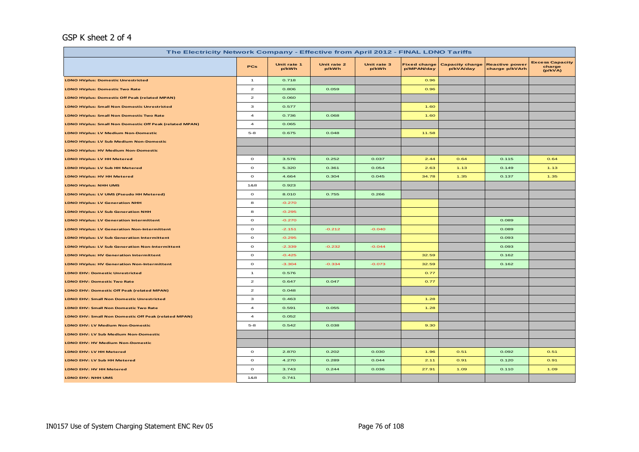#### GSP K sheet 2 of 4

| The Electricity Network Company - Effective from April 2012 - FINAL LDNO Tariffs |                         |                      |                      |                      |                                   |                                     |                                         |                                             |  |  |
|----------------------------------------------------------------------------------|-------------------------|----------------------|----------------------|----------------------|-----------------------------------|-------------------------------------|-----------------------------------------|---------------------------------------------|--|--|
|                                                                                  | <b>PCs</b>              | Unit rate 1<br>p/kWh | Unit rate 2<br>p/kWh | Unit rate 3<br>p/kWh | <b>Fixed charge</b><br>p/MPAN/day | <b>Capacity charge</b><br>p/kVA/day | <b>Reactive power</b><br>charge p/kVArh | <b>Excess Capacity</b><br>charge<br>(p/kVA) |  |  |
| <b>LDNO HVplus: Domestic Unrestricted</b>                                        | $\overline{1}$          | 0.718                |                      |                      | 0.96                              |                                     |                                         |                                             |  |  |
| <b>LDNO HVplus: Domestic Two Rate</b>                                            | $\mathbf{z}$            | 0.806                | 0.059                |                      | 0.96                              |                                     |                                         |                                             |  |  |
| <b>LDNO HVplus: Domestic Off Peak (related MPAN)</b>                             | $\mathbf{z}$            | 0.060                |                      |                      |                                   |                                     |                                         |                                             |  |  |
| <b>LDNO HVplus: Small Non Domestic Unrestricted</b>                              | з                       | 0.577                |                      |                      | 1.60                              |                                     |                                         |                                             |  |  |
| LDNO HVplus: Small Non Domestic Two Rate                                         | $\overline{\mathbf{4}}$ | 0.736                | 0.068                |                      | 1.60                              |                                     |                                         |                                             |  |  |
| <b>LDNO HVplus: Small Non Domestic Off Peak (related MPAN)</b>                   | $\overline{a}$          | 0.065                |                      |                      |                                   |                                     |                                         |                                             |  |  |
| <b>LDNO HVplus: LV Medium Non-Domestic</b>                                       | $5 - 8$                 | 0.675                | 0.048                |                      | 11.58                             |                                     |                                         |                                             |  |  |
| <b>LDNO HVplus: LV Sub Medium Non-Domestic</b>                                   |                         |                      |                      |                      |                                   |                                     |                                         |                                             |  |  |
| <b>LDNO HVplus: HV Medium Non-Domestic</b>                                       |                         |                      |                      |                      |                                   |                                     |                                         |                                             |  |  |
| LDNO HVplus: LV HH Metered                                                       | $\circ$                 | 3.576                | 0.252                | 0.037                | 2.44                              | 0.64                                | 0.115                                   | 0.64                                        |  |  |
| LDNO HVplus: LV Sub HH Metered                                                   | $\mathbf{o}$            | 5.320                | 0.361                | 0.054                | 2.63                              | 1.13                                | 0.149                                   | 1.13                                        |  |  |
| <b>LDNO HVplus: HV HH Metered</b>                                                | $\mathbf{o}$            | 4.664                | 0.304                | 0.045                | 34.78                             | 1.35                                | 0.137                                   | 1.35                                        |  |  |
| <b>LDNO HVplus: NHH UMS</b>                                                      | 1&8                     | 0.923                |                      |                      |                                   |                                     |                                         |                                             |  |  |
| LDNO HVplus: LV UMS (Pseudo HH Metered)                                          | $\mathbf{o}$            | 8.010                | 0.755                | 0.266                |                                   |                                     |                                         |                                             |  |  |
| <b>LDNO HVplus: LV Generation NHH</b>                                            | 8                       | $-0.270$             |                      |                      |                                   |                                     |                                         |                                             |  |  |
| <b>LDNO HVplus: LV Sub Generation NHH</b>                                        | 8                       | $-0.295$             |                      |                      |                                   |                                     |                                         |                                             |  |  |
| <b>LDNO HVplus: LV Generation Intermittent</b>                                   | $\mathbf{o}$            | $-0.270$             |                      |                      |                                   |                                     | 0.089                                   |                                             |  |  |
| <b>LDNO HVplus: LV Generation Non-Intermittent</b>                               | $\mathbf{o}$            | $-2.151$             | $-0.212$             | $-0.040$             |                                   |                                     | 0.089                                   |                                             |  |  |
| <b>LDNO HVplus: LV Sub Generation Intermittent</b>                               | $\mathbf{o}$            | $-0.295$             |                      |                      |                                   |                                     | 0.093                                   |                                             |  |  |
| <b>LDNO HVplus: LV Sub Generation Non-Intermittent</b>                           | $\circ$                 | $-2.339$             | $-0.232$             | $-0.044$             |                                   |                                     | 0.093                                   |                                             |  |  |
| <b>LDNO HVplus: HV Generation Intermittent</b>                                   | $\mathbf{o}$            | $-0.425$             |                      |                      | 32.59                             |                                     | 0.162                                   |                                             |  |  |
| <b>LDNO HVplus: HV Generation Non-Intermittent</b>                               | $\circ$                 | $-3.304$             | $-0.334$             | $-0.073$             | 32.59                             |                                     | 0.162                                   |                                             |  |  |
| <b>LDNO EHV: Domestic Unrestricted</b>                                           | $\mathbf{1}$            | 0.576                |                      |                      | 0.77                              |                                     |                                         |                                             |  |  |
| <b>LDNO EHV: Domestic Two Rate</b>                                               | $\mathbf{z}$            | 0.647                | 0.047                |                      | 0.77                              |                                     |                                         |                                             |  |  |
| LDNO EHV: Domestic Off Peak (related MPAN)                                       | $\overline{a}$          | 0.048                |                      |                      |                                   |                                     |                                         |                                             |  |  |
| LDNO EHV: Small Non Domestic Unrestricted                                        | з                       | 0.463                |                      |                      | 1.28                              |                                     |                                         |                                             |  |  |
| <b>LDNO EHV: Small Non Domestic Two Rate</b>                                     | $\overline{4}$          | 0.591                | 0.055                |                      | 1.28                              |                                     |                                         |                                             |  |  |
| LDNO EHV: Small Non Domestic Off Peak (related MPAN)                             | $\overline{a}$          | 0.052                |                      |                      |                                   |                                     |                                         |                                             |  |  |
| <b>LDNO EHV: LV Medium Non-Domestic</b>                                          | $5 - 8$                 | 0.542                | 0.038                |                      | 9.30                              |                                     |                                         |                                             |  |  |
| LDNO EHV: LV Sub Medium Non-Domestic                                             |                         |                      |                      |                      |                                   |                                     |                                         |                                             |  |  |
| LDNO EHV: HV Medium Non-Domestic                                                 |                         |                      |                      |                      |                                   |                                     |                                         |                                             |  |  |
| LDNO EHV: LV HH Metered                                                          | $\circ$                 | 2.870                | 0.202                | 0.030                | 1.96                              | 0.51                                | 0.092                                   | 0.51                                        |  |  |
| LDNO EHV: LV Sub HH Metered                                                      | $\circ$                 | 4.270                | 0.289                | 0.044                | 2.11                              | 0.91                                | 0.120                                   | 0.91                                        |  |  |
| LDNO EHV: HV HH Metered                                                          | $\mathbf{o}$            | 3.743                | 0.244                | 0.036                | 27.91                             | 1.09                                | 0.110                                   | 1.09                                        |  |  |
| LDNO EHV: NHH UMS                                                                | 1&8                     | 0.741                |                      |                      |                                   |                                     |                                         |                                             |  |  |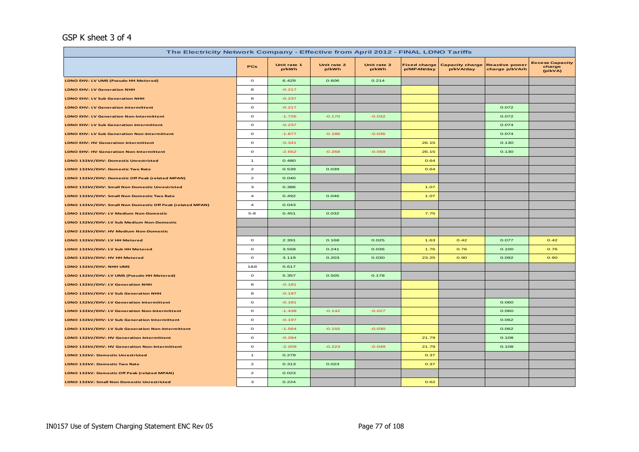#### GSP K sheet 3 of 4

| The Electricity Network Company - Effective from April 2012 - FINAL LDNO Tariffs |                                    |                      |                      |                      |                                   |                                     |                                         |                                             |  |  |
|----------------------------------------------------------------------------------|------------------------------------|----------------------|----------------------|----------------------|-----------------------------------|-------------------------------------|-----------------------------------------|---------------------------------------------|--|--|
|                                                                                  | <b>PCs</b>                         | Unit rate 1<br>p/kWh | Unit rate 2<br>p/kWh | Unit rate 3<br>p/kWh | <b>Fixed charge</b><br>p/MPAN/day | <b>Capacity charge</b><br>p/kVA/day | <b>Reactive power</b><br>charge p/kVArh | <b>Excess Capacity</b><br>charge<br>(p/kVA) |  |  |
| LDNO EHV: LV UMS (Pseudo HH Metered)                                             | $\mathbf{o}$                       | 6.429                | 0.606                | 0.214                |                                   |                                     |                                         |                                             |  |  |
| <b>LDNO EHV: LV Generation NHH</b>                                               | 8                                  | $-0.217$             |                      |                      |                                   |                                     |                                         |                                             |  |  |
| <b>LDNO EHV: LV Sub Generation NHH</b>                                           | 8                                  | $-0.237$             |                      |                      |                                   |                                     |                                         |                                             |  |  |
| <b>LDNO EHV: LV Generation Intermittent</b>                                      | $\mathbf{o}$                       | $-0.217$             |                      |                      |                                   |                                     | 0.072                                   |                                             |  |  |
| <b>LDNO EHV: LV Generation Non-Intermittent</b>                                  | $\mathbf{o}$                       | $-1.726$             | $-0.170$             | $-0.032$             |                                   |                                     | 0.072                                   |                                             |  |  |
| <b>LDNO EHV: LV Sub Generation Intermittent</b>                                  | $\mathbf{o}$                       | $-0.237$             |                      |                      |                                   |                                     | 0.074                                   |                                             |  |  |
| <b>LDNO EHV: LV Sub Generation Non-Intermittent</b>                              | $\mathbf{o}$                       | $-1.877$             | $-0.186$             | $-0.036$             |                                   |                                     | 0.074                                   |                                             |  |  |
| <b>LDNO EHV: HV Generation Intermittent</b>                                      | $\circ$                            | $-0.341$             |                      |                      | 26.15                             |                                     | 0.130                                   |                                             |  |  |
| <b>LDNO EHV: HV Generation Non-Intermittent</b>                                  | $\circ$                            | $-2.652$             | $-0.268$             | $-0.059$             | 26.15                             |                                     | 0.130                                   |                                             |  |  |
| LDNO 132kV/EHV: Domestic Unrestricted                                            | $\mathbf{1}$                       | 0.480                |                      |                      | 0.64                              |                                     |                                         |                                             |  |  |
| LDNO 132kV/EHV: Domestic Two Rate                                                | $\mathbf{2}% ^{T}(\mathbf{1}_{T})$ | 0.539                | 0.039                |                      | 0.64                              |                                     |                                         |                                             |  |  |
| LDNO 132kV/EHV: Domestic Off Peak (related MPAN)                                 | $\mathbf{z}$                       | 0.040                |                      |                      |                                   |                                     |                                         |                                             |  |  |
| LDNO 132kV/EHV: Small Non Domestic Unrestricted                                  | з                                  | 0.386                |                      |                      | 1.07                              |                                     |                                         |                                             |  |  |
| LDNO 132kV/EHV: Small Non Domestic Two Rate                                      | $\overline{a}$                     | 0.492                | 0.046                |                      | 1.07                              |                                     |                                         |                                             |  |  |
| LDNO 132kV/EHV: Small Non Domestic Off Peak (related MPAN)                       | $\overline{a}$                     | 0.043                |                      |                      |                                   |                                     |                                         |                                             |  |  |
| LDNO 132kV/EHV: LV Medium Non-Domestic                                           | $5 - 8$                            | 0.451                | 0.032                |                      | 7.75                              |                                     |                                         |                                             |  |  |
| LDNO 132kV/EHV: LV Sub Medium Non-Domestic                                       |                                    |                      |                      |                      |                                   |                                     |                                         |                                             |  |  |
| LDNO 132kV/EHV: HV Medium Non-Domestic                                           |                                    |                      |                      |                      |                                   |                                     |                                         |                                             |  |  |
| LDNO 132kV/EHV: LV HH Metered                                                    | $\circ$                            | 2.391                | 0.168                | 0.025                | 1.63                              | 0.42                                | 0.077                                   | 0.42                                        |  |  |
| LDNO 132kV/EHV: LV Sub HH Metered                                                | $\circ$                            | 3.558                | 0.241                | 0.036                | 1.76                              | 0.76                                | 0.100                                   | 0.76                                        |  |  |
| LDNO 132kV/EHV: HV HH Metered                                                    | $\mathbf{o}$                       | 3.119                | 0.203                | 0.030                | 23.25                             | 0.90                                | 0.092                                   | 0.90                                        |  |  |
| LDNO 132kV/EHV: NHH UMS                                                          | 1&8                                | 0.617                |                      |                      |                                   |                                     |                                         |                                             |  |  |
| LDNO 132kV/EHV: LV UMS (Pseudo HH Metered)                                       | $\mathbf{o}$                       | 5.357                | 0.505                | 0.178                |                                   |                                     |                                         |                                             |  |  |
| LDNO 132kV/EHV: LV Generation NHH                                                | 8                                  | $-0.181$             |                      |                      |                                   |                                     |                                         |                                             |  |  |
| LDNO 132kV/EHV: LV Sub Generation NHH                                            | 8                                  | $-0.197$             |                      |                      |                                   |                                     |                                         |                                             |  |  |
| LDNO 132kV/EHV: LV Generation Intermittent                                       | $\circ$                            | $-0.181$             |                      |                      |                                   |                                     | 0.060                                   |                                             |  |  |
| LDNO 132kV/EHV: LV Generation Non-Intermittent                                   | $\mathbf{o}$                       | $-1.438$             | $-0.142$             | $-0.027$             |                                   |                                     | 0.060                                   |                                             |  |  |
| LDNO 132kV/EHV: LV Sub Generation Intermittent                                   | $\mathbf{o}$                       | $-0.197$             |                      |                      |                                   |                                     | 0.062                                   |                                             |  |  |
| LDNO 132kV/EHV: LV Sub Generation Non-Intermittent                               | $\mathbf{o}$                       | $-1.564$             | $-0.155$             | $-0.030$             |                                   |                                     | 0.062                                   |                                             |  |  |
| LDNO 132kV/EHV: HV Generation Intermittent                                       | $\circ$                            | $-0.284$             |                      |                      | 21.79                             |                                     | 0.108                                   |                                             |  |  |
| LDNO 132kV/EHV: HV Generation Non-Intermittent                                   | $\mathbf{o}$                       | $-2.209$             | $-0.223$             | $-0.049$             | 21.79                             |                                     | 0.108                                   |                                             |  |  |
| <b>LDNO 132kV: Domestic Unrestricted</b>                                         | $\mathbf{1}$                       | 0.279                |                      |                      | 0.37                              |                                     |                                         |                                             |  |  |
| LDNO 132kV: Domestic Two Rate                                                    | $\mathbf{z}$                       | 0.313                | 0.023                |                      | 0.37                              |                                     |                                         |                                             |  |  |
| LDNO 132kV: Domestic Off Peak (related MPAN)                                     | $\mathbf{2}% ^{T}(\mathbf{1}_{T})$ | 0.023                |                      |                      |                                   |                                     |                                         |                                             |  |  |
| LDNO 132kV: Small Non Domestic Unrestricted                                      | з                                  | 0.224                |                      |                      | 0.62                              |                                     |                                         |                                             |  |  |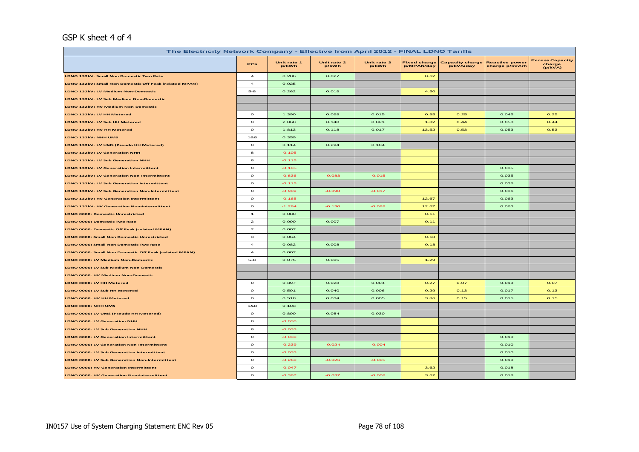#### GSP K sheet 4 of 4

| The Electricity Network Company - Effective from April 2012 - FINAL LDNO Tariffs |                         |                      |                      |                      |                                   |                                     |                                         |                                             |  |
|----------------------------------------------------------------------------------|-------------------------|----------------------|----------------------|----------------------|-----------------------------------|-------------------------------------|-----------------------------------------|---------------------------------------------|--|
|                                                                                  | PCs                     | Unit rate 1<br>p/kWh | Unit rate 2<br>p/kWh | Unit rate 3<br>p/kWh | <b>Fixed charge</b><br>p/MPAN/day | <b>Capacity charge</b><br>p/kVA/day | <b>Reactive power</b><br>charge p/kVArh | <b>Excess Capacity</b><br>charge<br>(p/kVA) |  |
| LDNO 132kV: Small Non Domestic Two Rate                                          | $\overline{\mathbf{4}}$ | 0.286                | 0.027                |                      | 0.62                              |                                     |                                         |                                             |  |
| LDNO 132kV: Small Non Domestic Off Peak (related MPAN)                           | $\overline{4}$          | 0.025                |                      |                      |                                   |                                     |                                         |                                             |  |
| LDNO 132kV: LV Medium Non-Domestic                                               | $5-8$                   | 0.262                | 0.019                |                      | 4.50                              |                                     |                                         |                                             |  |
| LDNO 132kV: LV Sub Medium Non-Domestic                                           |                         |                      |                      |                      |                                   |                                     |                                         |                                             |  |
| LDNO 132kV: HV Medium Non-Domestic                                               |                         |                      |                      |                      |                                   |                                     |                                         |                                             |  |
| LDNO 132kV: LV HH Metered                                                        | $\circ$                 | 1.390                | 0.098                | 0.015                | 0.95                              | 0.25                                | 0.045                                   | 0.25                                        |  |
| LDNO 132kV: LV Sub HH Metered                                                    | $\circ$                 | 2.068                | 0.140                | 0.021                | 1.02                              | O.44                                | 0.058                                   | O.44                                        |  |
| LDNO 132kV: HV HH Metered                                                        | $\circ$                 | 1.813                | 0.118                | 0.017                | 13.52                             | 0.53                                | 0.053                                   | 0.53                                        |  |
| LDNO 132kV: NHH UMS                                                              | 1&8                     | 0.359                |                      |                      |                                   |                                     |                                         |                                             |  |
| LDNO 132kV: LV UMS (Pseudo HH Metered)                                           | $\circ$                 | 3.114                | 0.294                | 0.104                |                                   |                                     |                                         |                                             |  |
| LDNO 132kV: LV Generation NHH                                                    | 8                       | $-0.105$             |                      |                      |                                   |                                     |                                         |                                             |  |
| LDNO 132kV: LV Sub Generation NHH                                                | 8                       | $-0.115$             |                      |                      |                                   |                                     |                                         |                                             |  |
| LDNO 132kV: LV Generation Intermittent                                           | $\mathbf{o}$            | $-0.105$             |                      |                      |                                   |                                     | 0.035                                   |                                             |  |
| LDNO 132kV: LV Generation Non-Intermittent                                       | $\circ$                 | $-0.836$             | $-0.083$             | $-0.015$             |                                   |                                     | 0.035                                   |                                             |  |
| LDNO 132kV: LV Sub Generation Intermittent                                       | $\circ$                 | $-0.115$             |                      |                      |                                   |                                     | 0.036                                   |                                             |  |
| LDNO 132kV: LV Sub Generation Non-Intermittent                                   | $\circ$                 | $-0.909$             | $-0.090$             | $-0.017$             |                                   |                                     | 0.036                                   |                                             |  |
| LDNO 132kV: HV Generation Intermittent                                           | $\mathbf{o}$            | $-0.165$             |                      |                      | 12.67                             |                                     | 0.063                                   |                                             |  |
| LDNO 132kV: HV Generation Non-Intermittent                                       | $\circ$                 | $-1.284$             | $-0.130$             | $-0.028$             | 12.67                             |                                     | 0.063                                   |                                             |  |
| <b>LDNO 0000: Domestic Unrestricted</b>                                          | $\mathbf{1}$            | 0.080                |                      |                      | O.11                              |                                     |                                         |                                             |  |
| <b>LDNO 0000: Domestic Two Rate</b>                                              | $\mathbf{z}$            | 0.090                | 0.007                |                      | 0.11                              |                                     |                                         |                                             |  |
| LDNO 0000: Domestic Off Peak (related MPAN)                                      | $\mathbf{z}$            | 0.007                |                      |                      |                                   |                                     |                                         |                                             |  |
| LDNO 0000: Small Non Domestic Unrestricted                                       | з                       | 0.064                |                      |                      | 0.18                              |                                     |                                         |                                             |  |
| LDNO 0000: Small Non Domestic Two Rate                                           | $\overline{\mathbf{4}}$ | 0.082                | 0.008                |                      | 0.18                              |                                     |                                         |                                             |  |
| LDNO 0000: Small Non Domestic Off Peak (related MPAN)                            | $\overline{4}$          | 0.007                |                      |                      |                                   |                                     |                                         |                                             |  |
| LDNO 0000: LV Medium Non-Domestic                                                | $5-8$                   | 0.075                | 0.005                |                      | 1.29                              |                                     |                                         |                                             |  |
| LDNO 0000: LV Sub Medium Non-Domestic                                            |                         |                      |                      |                      |                                   |                                     |                                         |                                             |  |
| LDNO 0000: HV Medium Non-Domestic                                                |                         |                      |                      |                      |                                   |                                     |                                         |                                             |  |
| LDNO 0000: LV HH Metered                                                         | $\circ$                 | 0.397                | 0.028                | 0.004                | 0.27                              | 0.07                                | 0.013                                   | 0.07                                        |  |
| LDNO 0000: LV Sub HH Metered                                                     | $\circ$                 | 0.591                | 0.040                | 0.006                | 0.29                              | 0.13                                | 0.017                                   | 0.13                                        |  |
| LDNO 0000: HV HH Metered                                                         | $\circ$                 | 0.518                | 0.034                | 0.005                | 3.86                              | 0.15                                | 0.015                                   | 0.15                                        |  |
| LDNO 0000: NHH UMS                                                               | 1&8                     | 0.103                |                      |                      |                                   |                                     |                                         |                                             |  |
| LDNO 0000: LV UMS (Pseudo HH Metered)                                            | $\circ$                 | 0.890                | 0.084                | 0.030                |                                   |                                     |                                         |                                             |  |
| LDNO 0000: LV Generation NHH                                                     | 8                       | $-0.030$             |                      |                      |                                   |                                     |                                         |                                             |  |
| LDNO 0000: LV Sub Generation NHH                                                 | 8                       | $-0.033$             |                      |                      |                                   |                                     |                                         |                                             |  |
| LDNO 0000: LV Generation Intermittent                                            | $\mathbf{o}$            | $-0.030$             |                      |                      |                                   |                                     | 0.010                                   |                                             |  |
| <b>LDNO 0000: LV Generation Non-Intermittent</b>                                 | $\circ$                 | $-0.239$             | $-0.024$             | $-0.004$             |                                   |                                     | 0.010                                   |                                             |  |
| LDNO 0000: LV Sub Generation Intermittent                                        | $\mathbf{o}$            | $-0.033$             |                      |                      |                                   |                                     | 0.010                                   |                                             |  |
| LDNO 0000: LV Sub Generation Non-Intermittent                                    | $\circ$                 | $-0.260$             | $-0.026$             | $-0.005$             |                                   |                                     | 0.010                                   |                                             |  |
| <b>LDNO 0000: HV Generation Intermittent</b>                                     | $\circ$                 | $-0.047$             |                      |                      | 3.62                              |                                     | 0.018                                   |                                             |  |
| LDNO 0000: HV Generation Non-Intermittent                                        | $\mathbf{o}$            | $-0.367$             | $-0.037$             | $-0.008$             | 3.62                              |                                     | 0.018                                   |                                             |  |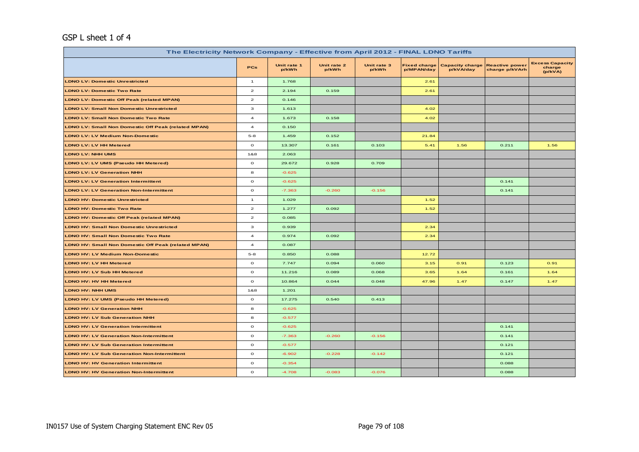#### GSP L sheet 1 of 4

| The Electricity Network Company - Effective from April 2012 - FINAL LDNO Tariffs |                         |                      |                      |                      |                                   |                                     |                                         |                                             |  |  |
|----------------------------------------------------------------------------------|-------------------------|----------------------|----------------------|----------------------|-----------------------------------|-------------------------------------|-----------------------------------------|---------------------------------------------|--|--|
|                                                                                  | PCs                     | Unit rate 1<br>p/kWh | Unit rate 2<br>p/kWh | Unit rate 3<br>p/kWh | <b>Fixed charge</b><br>p/MPAN/day | <b>Capacity charge</b><br>p/kVA/day | <b>Reactive power</b><br>charge p/kVArh | <b>Excess Capacity</b><br>charge<br>(p/kVA) |  |  |
| <b>LDNO LV: Domestic Unrestricted</b>                                            | $\mathbf{1}$            | 1.768                |                      |                      | 2.61                              |                                     |                                         |                                             |  |  |
| <b>LDNO LV: Domestic Two Rate</b>                                                | $\overline{a}$          | 2.194                | 0.159                |                      | 2.61                              |                                     |                                         |                                             |  |  |
| <b>LDNO LV: Domestic Off Peak (related MPAN)</b>                                 | $\overline{\mathbf{z}}$ | 0.146                |                      |                      |                                   |                                     |                                         |                                             |  |  |
| <b>LDNO LV: Small Non Domestic Unrestricted</b>                                  | 3                       | 1.613                |                      |                      | 4.02                              |                                     |                                         |                                             |  |  |
| <b>LDNO LV: Small Non Domestic Two Rate</b>                                      | $\overline{a}$          | 1.673                | 0.158                |                      | 4.02                              |                                     |                                         |                                             |  |  |
| LDNO LV: Small Non Domestic Off Peak (related MPAN)                              | $\overline{a}$          | 0.150                |                      |                      |                                   |                                     |                                         |                                             |  |  |
| <b>LDNO LV: LV Medium Non-Domestic</b>                                           | $5 - 8$                 | 1.459                | 0.152                |                      | 21.84                             |                                     |                                         |                                             |  |  |
| <b>LDNO LV: LV HH Metered</b>                                                    | $\circ$                 | 13.307               | 0.161                | 0.103                | 5.41                              | 1.56                                | 0.211                                   | 1.56                                        |  |  |
| <b>LDNO LV: NHH UMS</b>                                                          | 1&8                     | 2.063                |                      |                      |                                   |                                     |                                         |                                             |  |  |
| LDNO LV: LV UMS (Pseudo HH Metered)                                              | $\circ$                 | 29.672               | 0.928                | 0.709                |                                   |                                     |                                         |                                             |  |  |
| <b>LDNO LV: LV Generation NHH</b>                                                | 8                       | $-0.625$             |                      |                      |                                   |                                     |                                         |                                             |  |  |
| <b>LDNO LV: LV Generation Intermittent</b>                                       | $\circ$                 | $-0.625$             |                      |                      |                                   |                                     | 0.141                                   |                                             |  |  |
| <b>LDNO LV: LV Generation Non-Intermittent</b>                                   | $\circ$                 | $-7.363$             | $-0.260$             | $-0.156$             |                                   |                                     | 0.141                                   |                                             |  |  |
| <b>LDNO HV: Domestic Unrestricted</b>                                            | $\mathbf{1}$            | 1.029                |                      |                      | 1.52                              |                                     |                                         |                                             |  |  |
| <b>LDNO HV: Domestic Two Rate</b>                                                | $\overline{a}$          | 1.277                | 0.092                |                      | 1.52                              |                                     |                                         |                                             |  |  |
| <b>LDNO HV: Domestic Off Peak (related MPAN)</b>                                 | $\overline{a}$          | 0.085                |                      |                      |                                   |                                     |                                         |                                             |  |  |
| <b>LDNO HV: Small Non Domestic Unrestricted</b>                                  | 3                       | 0.939                |                      |                      | 2.34                              |                                     |                                         |                                             |  |  |
| <b>LDNO HV: Small Non Domestic Two Rate</b>                                      | $\overline{a}$          | 0.974                | 0.092                |                      | 2.34                              |                                     |                                         |                                             |  |  |
| <b>LDNO HV: Small Non Domestic Off Peak (related MPAN)</b>                       | $\overline{a}$          | 0.087                |                      |                      |                                   |                                     |                                         |                                             |  |  |
| <b>LDNO HV: LV Medium Non-Domestic</b>                                           | $5 - 8$                 | 0.850                | 0.088                |                      | 12.72                             |                                     |                                         |                                             |  |  |
| LDNO HV: LV HH Metered                                                           | $\mathbf{o}$            | 7.747                | 0.094                | 0.060                | 3.15                              | 0.91                                | 0.123                                   | 0.91                                        |  |  |
| <b>LDNO HV: LV Sub HH Metered</b>                                                | $\mathbf{o}$            | 11.216               | 0.089                | 0.068                | 3.65                              | 1.64                                | 0.161                                   | 1.64                                        |  |  |
| <b>LDNO HV: HV HH Metered</b>                                                    | $\mathbf{o}$            | 10.864               | 0.044                | 0.048                | 47.96                             | 1.47                                | 0.147                                   | 1.47                                        |  |  |
| <b>LDNO HV: NHH UMS</b>                                                          | 1&8                     | 1.201                |                      |                      |                                   |                                     |                                         |                                             |  |  |
| LDNO HV: LV UMS (Pseudo HH Metered)                                              | $\circ$                 | 17.275               | 0.540                | 0.413                |                                   |                                     |                                         |                                             |  |  |
| <b>LDNO HV: LV Generation NHH</b>                                                | 8                       | $-0.625$             |                      |                      |                                   |                                     |                                         |                                             |  |  |
| <b>LDNO HV: LV Sub Generation NHH</b>                                            | 8                       | $-0.577$             |                      |                      |                                   |                                     |                                         |                                             |  |  |
| <b>LDNO HV: LV Generation Intermittent</b>                                       | $\mathbf{o}$            | $-0.625$             |                      |                      |                                   |                                     | 0.141                                   |                                             |  |  |
| <b>LDNO HV: LV Generation Non-Intermittent</b>                                   | $\mathbf{o}$            | $-7.363$             | $-0.260$             | $-0.156$             |                                   |                                     | 0.141                                   |                                             |  |  |
| <b>LDNO HV: LV Sub Generation Intermittent</b>                                   | $\mathbf{o}$            | $-0.577$             |                      |                      |                                   |                                     | 0.121                                   |                                             |  |  |
| <b>LDNO HV: LV Sub Generation Non-Intermittent</b>                               | $\mathbf{o}$            | $-6.902$             | $-0.228$             | $-0.142$             |                                   |                                     | 0.121                                   |                                             |  |  |
| <b>LDNO HV: HV Generation Intermittent</b>                                       | $\mathbf{o}$            | $-0.354$             |                      |                      |                                   |                                     | 0.088                                   |                                             |  |  |
| <b>LDNO HV: HV Generation Non-Intermittent</b>                                   | $\mathbf{o}$            | $-4.708$             | $-0.083$             | $-0.076$             |                                   |                                     | 0.088                                   |                                             |  |  |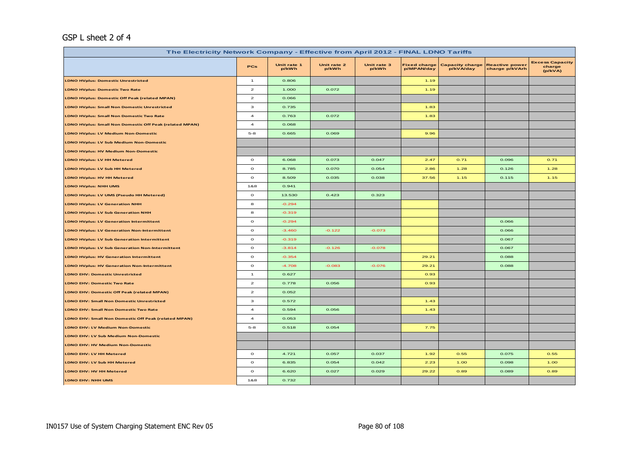#### GSP L sheet 2 of 4

| The Electricity Network Company - Effective from April 2012 - FINAL LDNO Tariffs |                         |                      |                      |                      |                                   |                                     |                                         |                                             |  |  |
|----------------------------------------------------------------------------------|-------------------------|----------------------|----------------------|----------------------|-----------------------------------|-------------------------------------|-----------------------------------------|---------------------------------------------|--|--|
|                                                                                  | <b>PCs</b>              | Unit rate 1<br>p/kWh | Unit rate 2<br>p/kWh | Unit rate 3<br>p/kWh | <b>Fixed charge</b><br>p/MPAN/day | <b>Capacity charge</b><br>p/kVA/day | <b>Reactive power</b><br>charge p/kVArh | <b>Excess Capacity</b><br>charge<br>(p/kVA) |  |  |
| <b>LDNO HVplus: Domestic Unrestricted</b>                                        | $\mathbf{1}$            | 0.806                |                      |                      | 1.19                              |                                     |                                         |                                             |  |  |
| <b>LDNO HVplus: Domestic Two Rate</b>                                            | $\mathbf{z}$            | 1.000                | 0.072                |                      | 1.19                              |                                     |                                         |                                             |  |  |
| <b>LDNO HVplus: Domestic Off Peak (related MPAN)</b>                             | $\mathbf{z}$            | 0.066                |                      |                      |                                   |                                     |                                         |                                             |  |  |
| <b>LDNO HVplus: Small Non Domestic Unrestricted</b>                              | з                       | 0.735                |                      |                      | 1.83                              |                                     |                                         |                                             |  |  |
| <b>LDNO HVplus: Small Non Domestic Two Rate</b>                                  | $\overline{\mathbf{4}}$ | 0.763                | 0.072                |                      | 1.83                              |                                     |                                         |                                             |  |  |
| LDNO HVplus: Small Non Domestic Off Peak (related MPAN)                          | $\overline{a}$          | 0.068                |                      |                      |                                   |                                     |                                         |                                             |  |  |
| <b>LDNO HVplus: LV Medium Non-Domestic</b>                                       | $5 - 8$                 | 0.665                | 0.069                |                      | 9.96                              |                                     |                                         |                                             |  |  |
| <b>LDNO HVplus: LV Sub Medium Non-Domestic</b>                                   |                         |                      |                      |                      |                                   |                                     |                                         |                                             |  |  |
| <b>LDNO HVplus: HV Medium Non-Domestic</b>                                       |                         |                      |                      |                      |                                   |                                     |                                         |                                             |  |  |
| LDNO HVplus: LV HH Metered                                                       | $\circ$                 | 6.068                | 0.073                | 0.047                | 2.47                              | 0.71                                | 0.096                                   | 0.71                                        |  |  |
| <b>LDNO HVplus: LV Sub HH Metered</b>                                            | $\circ$                 | 8.785                | 0.070                | 0.054                | 2.86                              | 1.28                                | 0.126                                   | 1.28                                        |  |  |
| LDNO HVplus: HV HH Metered                                                       | $\mathbf{o}$            | 8.509                | 0.035                | 0.038                | 37.56                             | 1.15                                | 0.115                                   | 1.15                                        |  |  |
| <b>LDNO HVplus: NHH UMS</b>                                                      | 1&8                     | 0.941                |                      |                      |                                   |                                     |                                         |                                             |  |  |
| LDNO HVplus: LV UMS (Pseudo HH Metered)                                          | $\mathbf{o}$            | 13.530               | 0.423                | 0.323                |                                   |                                     |                                         |                                             |  |  |
| <b>LDNO HVplus: LV Generation NHH</b>                                            | 8                       | $-0.294$             |                      |                      |                                   |                                     |                                         |                                             |  |  |
| <b>LDNO HVplus: LV Sub Generation NHH</b>                                        | 8                       | $-0.319$             |                      |                      |                                   |                                     |                                         |                                             |  |  |
| <b>LDNO HVplus: LV Generation Intermittent</b>                                   | $\mathbf{o}$            | $-0.294$             |                      |                      |                                   |                                     | 0.066                                   |                                             |  |  |
| <b>LDNO HVplus: LV Generation Non-Intermittent</b>                               | $\circ$                 | $-3.460$             | $-0.122$             | $-0.073$             |                                   |                                     | 0.066                                   |                                             |  |  |
| <b>LDNO HVplus: LV Sub Generation Intermittent</b>                               | $\mathbf{o}$            | $-0.319$             |                      |                      |                                   |                                     | 0.067                                   |                                             |  |  |
| <b>LDNO HVplus: LV Sub Generation Non-Intermittent</b>                           | $\mathbf{o}$            | $-3.814$             | $-0.126$             | $-0.078$             |                                   |                                     | 0.067                                   |                                             |  |  |
| <b>LDNO HVplus: HV Generation Intermittent</b>                                   | $\circ$                 | $-0.354$             |                      |                      | 29.21                             |                                     | 0.088                                   |                                             |  |  |
| <b>LDNO HVplus: HV Generation Non-Intermittent</b>                               | $\mathbf{o}$            | $-4.708$             | $-0.083$             | $-0.076$             | 29.21                             |                                     | 0.088                                   |                                             |  |  |
| <b>LDNO EHV: Domestic Unrestricted</b>                                           | $\mathbf{1}$            | 0.627                |                      |                      | 0.93                              |                                     |                                         |                                             |  |  |
| <b>LDNO EHV: Domestic Two Rate</b>                                               | $\mathbf{z}$            | 0.778                | 0.056                |                      | 0.93                              |                                     |                                         |                                             |  |  |
| LDNO EHV: Domestic Off Peak (related MPAN)                                       | $\mathbf{z}$            | 0.052                |                      |                      |                                   |                                     |                                         |                                             |  |  |
| <b>LDNO EHV: Small Non Domestic Unrestricted</b>                                 | 3                       | 0.572                |                      |                      | 1.43                              |                                     |                                         |                                             |  |  |
| <b>LDNO EHV: Small Non Domestic Two Rate</b>                                     | $\overline{a}$          | 0.594                | 0.056                |                      | 1.43                              |                                     |                                         |                                             |  |  |
| LDNO EHV: Small Non Domestic Off Peak (related MPAN)                             | $\overline{a}$          | 0.053                |                      |                      |                                   |                                     |                                         |                                             |  |  |
| <b>LDNO EHV: LV Medium Non-Domestic</b>                                          | $5 - 8$                 | 0.518                | 0.054                |                      | 7.75                              |                                     |                                         |                                             |  |  |
| <b>LDNO EHV: LV Sub Medium Non-Domestic</b>                                      |                         |                      |                      |                      |                                   |                                     |                                         |                                             |  |  |
| <b>LDNO EHV: HV Medium Non-Domestic</b>                                          |                         |                      |                      |                      |                                   |                                     |                                         |                                             |  |  |
| LDNO EHV: LV HH Metered                                                          | $\circ$                 | 4.721                | 0.057                | 0.037                | 1.92                              | 0.55                                | 0.075                                   | 0.55                                        |  |  |
| LDNO EHV: LV Sub HH Metered                                                      | $\mathbf{o}$            | 6.835                | 0.054                | 0.042                | 2.23                              | 1.00                                | 0.098                                   | 1.00                                        |  |  |
| LDNO EHV: HV HH Metered                                                          | $\mathbf{o}$            | 6.620                | 0.027                | 0.029                | 29.22                             | 0.89                                | 0.089                                   | 0.89                                        |  |  |
| LDNO EHV: NHH UMS                                                                | 1&8                     | 0.732                |                      |                      |                                   |                                     |                                         |                                             |  |  |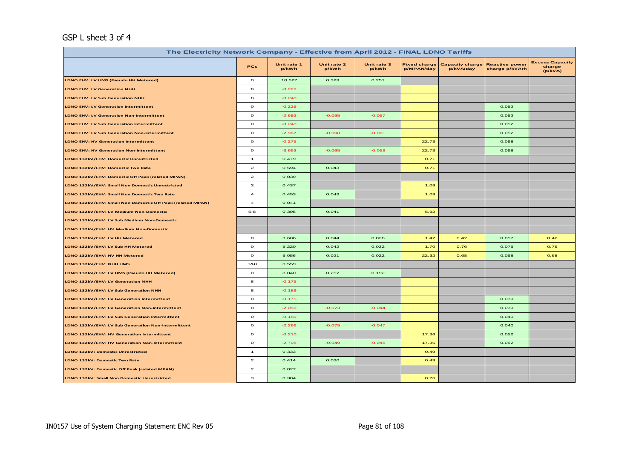#### GSP L sheet 3 of 4

| The Electricity Network Company - Effective from April 2012 - FINAL LDNO Tariffs |                         |                      |                      |                      |                                   |                                     |                                         |                                             |  |  |
|----------------------------------------------------------------------------------|-------------------------|----------------------|----------------------|----------------------|-----------------------------------|-------------------------------------|-----------------------------------------|---------------------------------------------|--|--|
|                                                                                  | <b>PCs</b>              | Unit rate 1<br>p/kWh | Unit rate 2<br>p/kWh | Unit rate 3<br>p/kWh | <b>Fixed charge</b><br>p/MPAN/day | <b>Capacity charge</b><br>p/kVA/day | <b>Reactive power</b><br>charge p/kVArh | <b>Excess Capacity</b><br>charge<br>(p/kVA) |  |  |
| LDNO EHV: LV UMS (Pseudo HH Metered)                                             | $\circ$                 | 10.527               | 0.329                | 0.251                |                                   |                                     |                                         |                                             |  |  |
| <b>LDNO EHV: LV Generation NHH</b>                                               | 8                       | $-0.229$             |                      |                      |                                   |                                     |                                         |                                             |  |  |
| <b>LDNO EHV: LV Sub Generation NHH</b>                                           | 8                       | $-0.248$             |                      |                      |                                   |                                     |                                         |                                             |  |  |
| <b>LDNO EHV: LV Generation Intermittent</b>                                      | $\mathbf{o}$            | $-0.229$             |                      |                      |                                   |                                     | 0.052                                   |                                             |  |  |
| <b>LDNO EHV: LV Generation Non-Intermittent</b>                                  | $\mathbf{o}$            | $-2.692$             | $-0.095$             | $-0.057$             |                                   |                                     | 0.052                                   |                                             |  |  |
| <b>LDNO EHV: LV Sub Generation Intermittent</b>                                  | $\mathbf{o}$            | $-0.248$             |                      |                      |                                   |                                     | 0.052                                   |                                             |  |  |
| <b>LDNO EHV: LV Sub Generation Non-Intermittent</b>                              | $\circ$                 | $-2.967$             | $-0.098$             | $-0.061$             |                                   |                                     | 0.052                                   |                                             |  |  |
| <b>LDNO EHV: HV Generation Intermittent</b>                                      | $\mathbf{o}$            | $-0.275$             |                      |                      | 22.73                             |                                     | 0.068                                   |                                             |  |  |
| <b>LDNO EHV: HV Generation Non-Intermittent</b>                                  | $\mathbf{o}$            | $-3.663$             | $-0.065$             | $-0.059$             | 22.73                             |                                     | 0.068                                   |                                             |  |  |
| LDNO 132kV/EHV: Domestic Unrestricted                                            | $\mathbf{1}$            | 0.479                |                      |                      | 0.71                              |                                     |                                         |                                             |  |  |
| LDNO 132kV/EHV: Domestic Two Rate                                                | $\overline{\mathbf{c}}$ | 0.594                | 0.043                |                      | 0.71                              |                                     |                                         |                                             |  |  |
| LDNO 132kV/EHV: Domestic Off Peak (related MPAN)                                 | $\mathbf{2}$            | 0.039                |                      |                      |                                   |                                     |                                         |                                             |  |  |
| LDNO 132kV/EHV: Small Non Domestic Unrestricted                                  | з                       | 0.437                |                      |                      | 1.09                              |                                     |                                         |                                             |  |  |
| LDNO 132kV/EHV: Small Non Domestic Two Rate                                      | $\overline{a}$          | 0.453                | 0.043                |                      | 1.09                              |                                     |                                         |                                             |  |  |
| LDNO 132kV/EHV: Small Non Domestic Off Peak (related MPAN)                       | $\overline{\mathbf{4}}$ | 0.041                |                      |                      |                                   |                                     |                                         |                                             |  |  |
| LDNO 132kV/EHV: LV Medium Non-Domestic                                           | $5 - 8$                 | 0.395                | 0.041                |                      | 5.92                              |                                     |                                         |                                             |  |  |
| LDNO 132kV/EHV: LV Sub Medium Non-Domestic                                       |                         |                      |                      |                      |                                   |                                     |                                         |                                             |  |  |
| LDNO 132kV/EHV: HV Medium Non-Domestic                                           |                         |                      |                      |                      |                                   |                                     |                                         |                                             |  |  |
| LDNO 132kV/EHV: LV HH Metered                                                    | $\mathbf{o}$            | 3.606                | 0.044                | 0.028                | 1.47                              | 0.42                                | 0.057                                   | 0.42                                        |  |  |
| LDNO 132kV/EHV: LV Sub HH Metered                                                | $\circ$                 | 5.220                | 0.042                | 0.032                | 1.70                              | 0.76                                | 0.075                                   | 0.76                                        |  |  |
| LDNO 132kV/EHV: HV HH Metered                                                    | $\mathbf{o}$            | 5.056                | 0.021                | 0.022                | 22.32                             | 0.68                                | 0.068                                   | 0.68                                        |  |  |
| LDNO 132kV/EHV: NHH UMS                                                          | 1&8                     | 0.559                |                      |                      |                                   |                                     |                                         |                                             |  |  |
| LDNO 132kV/EHV: LV UMS (Pseudo HH Metered)                                       | $\circ$                 | 8.040                | 0.252                | 0.192                |                                   |                                     |                                         |                                             |  |  |
| LDNO 132kV/EHV: LV Generation NHH                                                | 8                       | $-0.175$             |                      |                      |                                   |                                     |                                         |                                             |  |  |
| LDNO 132kV/EHV: LV Sub Generation NHH                                            | 8                       | $-0.189$             |                      |                      |                                   |                                     |                                         |                                             |  |  |
| LDNO 132kV/EHV: LV Generation Intermittent                                       | $\mathbf{o}$            | $-0.175$             |                      |                      |                                   |                                     | 0.039                                   |                                             |  |  |
| LDNO 132kV/EHV: LV Generation Non-Intermittent                                   | $\mathbf{o}$            | $-2.056$             | $-0.073$             | $-0.044$             |                                   |                                     | 0.039                                   |                                             |  |  |
| LDNO 132kV/EHV: LV Sub Generation Intermittent                                   | $\mathbf{o}$            | $-0.189$             |                      |                      |                                   |                                     | 0.040                                   |                                             |  |  |
| LDNO 132kV/EHV: LV Sub Generation Non-Intermittent                               | $\circ$                 | $-2.266$             | $-0.075$             | $-0.047$             |                                   |                                     | 0.040                                   |                                             |  |  |
| LDNO 132kV/EHV: HV Generation Intermittent                                       | $\mathbf{o}$            | $-0.210$             |                      |                      | 17.36                             |                                     | 0.052                                   |                                             |  |  |
| LDNO 132kV/EHV: HV Generation Non-Intermittent                                   | $\mathbf{o}$            | $-2.798$             | $-0.049$             | $-0.045$             | 17.36                             |                                     | 0.052                                   |                                             |  |  |
| <b>LDNO 132kV: Domestic Unrestricted</b>                                         | $\mathbf{1}$            | 0.333                |                      |                      | 0.49                              |                                     |                                         |                                             |  |  |
| LDNO 132kV: Domestic Two Rate                                                    | $\overline{\mathbf{c}}$ | 0.414                | 0.030                |                      | 0.49                              |                                     |                                         |                                             |  |  |
| LDNO 132kV: Domestic Off Peak (related MPAN)                                     | $\overline{\mathbf{c}}$ | 0.027                |                      |                      |                                   |                                     |                                         |                                             |  |  |
| LDNO 132kV: Small Non Domestic Unrestricted                                      | з                       | 0.304                |                      |                      | 0.76                              |                                     |                                         |                                             |  |  |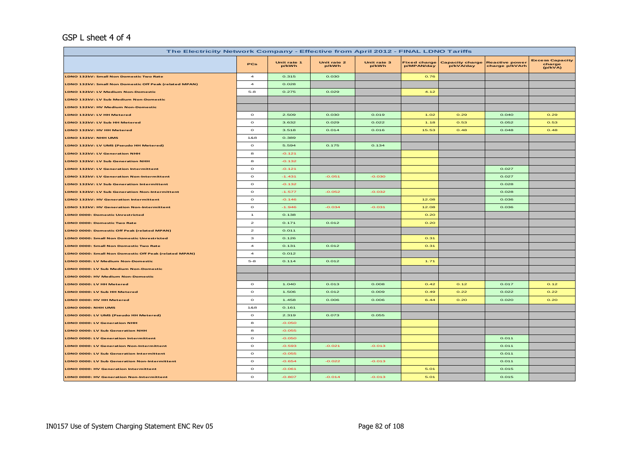#### GSP L sheet 4 of 4

| The Electricity Network Company - Effective from April 2012 - FINAL LDNO Tariffs |                         |                      |                      |                      |                                   |                                     |                                         |                                             |  |
|----------------------------------------------------------------------------------|-------------------------|----------------------|----------------------|----------------------|-----------------------------------|-------------------------------------|-----------------------------------------|---------------------------------------------|--|
|                                                                                  | PCs                     | Unit rate 1<br>p/kWh | Unit rate 2<br>p/kWh | Unit rate 3<br>p/kWh | <b>Fixed charge</b><br>p/MPAN/day | <b>Capacity charge</b><br>p/kVA/day | <b>Reactive power</b><br>charge p/kVArh | <b>Excess Capacity</b><br>charge<br>(p/kVA) |  |
| LDNO 132kV: Small Non Domestic Two Rate                                          | $\overline{a}$          | 0.315                | 0.030                |                      | 0.76                              |                                     |                                         |                                             |  |
| LDNO 132kV: Small Non Domestic Off Peak (related MPAN)                           | $\overline{\mathbf{4}}$ | 0.028                |                      |                      |                                   |                                     |                                         |                                             |  |
| LDNO 132kV: LV Medium Non-Domestic                                               | $5 - 8$                 | 0.275                | 0.029                |                      | 4.12                              |                                     |                                         |                                             |  |
| LDNO 132kV: LV Sub Medium Non-Domestic                                           |                         |                      |                      |                      |                                   |                                     |                                         |                                             |  |
| LDNO 132kV: HV Medium Non-Domestic                                               |                         |                      |                      |                      |                                   |                                     |                                         |                                             |  |
| LDNO 132kV: LV HH Metered                                                        | $\circ$                 | 2.509                | 0.030                | 0.019                | 1.02                              | 0.29                                | 0.040                                   | 0.29                                        |  |
| LDNO 132kV: LV Sub HH Metered                                                    | $\circ$                 | 3.632                | 0.029                | 0.022                | 1.18                              | 0.53                                | 0.052                                   | 0.53                                        |  |
| LDNO 132kV: HV HH Metered                                                        | $\mathbf{o}$            | 3.518                | 0.014                | 0.016                | 15.53                             | 0.48                                | 0.048                                   | 0.48                                        |  |
| LDNO 132kV: NHH UMS                                                              | 1&8                     | 0.389                |                      |                      |                                   |                                     |                                         |                                             |  |
| LDNO 132kV: LV UMS (Pseudo HH Metered)                                           | $\mathbf{o}$            | 5.594                | 0.175                | 0.134                |                                   |                                     |                                         |                                             |  |
| <b>LDNO 132kV: LV Generation NHH</b>                                             | 8                       | $-0.121$             |                      |                      |                                   |                                     |                                         |                                             |  |
| LDNO 132kV: LV Sub Generation NHH                                                | 8                       | $-0.132$             |                      |                      |                                   |                                     |                                         |                                             |  |
| LDNO 132kV: LV Generation Intermittent                                           | $\circ$                 | $-0.121$             |                      |                      |                                   |                                     | 0.027                                   |                                             |  |
| LDNO 132kV: LV Generation Non-Intermittent                                       | $\circ$                 | $-1.431$             | $-0.051$             | $-0.030$             |                                   |                                     | 0.027                                   |                                             |  |
| LDNO 132kV: LV Sub Generation Intermittent                                       | $\circ$                 | $-0.132$             |                      |                      |                                   |                                     | 0.028                                   |                                             |  |
| LDNO 132kV: LV Sub Generation Non-Intermittent                                   | $\circ$                 | $-1.577$             | $-0.052$             | $-0.032$             |                                   |                                     | 0.028                                   |                                             |  |
| LDNO 132kV: HV Generation Intermittent                                           | $\circ$                 | $-0.146$             |                      |                      | 12.08                             |                                     | 0.036                                   |                                             |  |
| LDNO 132kV: HV Generation Non-Intermittent                                       | $\mathbf{o}$            | $-1.946$             | $-0.034$             | $-0.031$             | 12.08                             |                                     | 0.036                                   |                                             |  |
| <b>LDNO 0000: Domestic Unrestricted</b>                                          | $\mathbf{1}$            | 0.138                |                      |                      | 0.20                              |                                     |                                         |                                             |  |
| <b>LDNO 0000: Domestic Two Rate</b>                                              | $\mathbf{z}$            | 0.171                | 0.012                |                      | 0.20                              |                                     |                                         |                                             |  |
| LDNO 0000: Domestic Off Peak (related MPAN)                                      | $\mathbf{z}$            | 0.011                |                      |                      |                                   |                                     |                                         |                                             |  |
| LDNO 0000: Small Non Domestic Unrestricted                                       | з                       | 0.126                |                      |                      | 0.31                              |                                     |                                         |                                             |  |
| LDNO 0000: Small Non Domestic Two Rate                                           | $\overline{a}$          | 0.131                | 0.012                |                      | 0.31                              |                                     |                                         |                                             |  |
| LDNO 0000: Small Non Domestic Off Peak (related MPAN)                            | $\overline{\mathbf{4}}$ | 0.012                |                      |                      |                                   |                                     |                                         |                                             |  |
| LDNO 0000: LV Medium Non-Domestic                                                | $5 - 8$                 | 0.114                | 0.012                |                      | 1.71                              |                                     |                                         |                                             |  |
| LDNO 0000: LV Sub Medium Non-Domestic                                            |                         |                      |                      |                      |                                   |                                     |                                         |                                             |  |
| LDNO 0000: HV Medium Non-Domestic                                                |                         |                      |                      |                      |                                   |                                     |                                         |                                             |  |
| LDNO 0000: LV HH Metered                                                         | $\circ$                 | 1.040                | 0.013                | 0.008                | 0.42                              | 0.12                                | 0.017                                   | 0.12                                        |  |
| LDNO 0000: LV Sub HH Metered                                                     | $\mathbf{o}$            | 1.506                | 0.012                | 0.009                | 0.49                              | 0.22                                | 0.022                                   | 0.22                                        |  |
| LDNO 0000: HV HH Metered                                                         | $\mathbf{o}$            | 1.458                | 0.006                | 0.006                | 6.44                              | 0.20                                | 0.020                                   | 0.20                                        |  |
| LDNO 0000: NHH UMS                                                               | 1&8                     | 0.161                |                      |                      |                                   |                                     |                                         |                                             |  |
| LDNO 0000: LV UMS (Pseudo HH Metered)                                            | $\circ$                 | 2.319                | 0.073                | 0.055                |                                   |                                     |                                         |                                             |  |
| LDNO 0000: LV Generation NHH                                                     | 8                       | $-0.050$             |                      |                      |                                   |                                     |                                         |                                             |  |
| LDNO 0000: LV Sub Generation NHH                                                 | 8                       | $-0.055$             |                      |                      |                                   |                                     |                                         |                                             |  |
| LDNO 0000: LV Generation Intermittent                                            | $\Omega$                | $-0.050$             |                      |                      |                                   |                                     | 0.011                                   |                                             |  |
| LDNO 0000: LV Generation Non-Intermittent                                        | $\circ$                 | $-0.593$             | $-0.021$             | $-0.013$             |                                   |                                     | 0.011                                   |                                             |  |
| LDNO 0000: LV Sub Generation Intermittent                                        | $\circ$                 | $-0.055$             |                      |                      |                                   |                                     | 0.011                                   |                                             |  |
| LDNO 0000: LV Sub Generation Non-Intermittent                                    | $\mathbf{o}$            | $-0.654$             | $-0.022$             | $-0.013$             |                                   |                                     | 0.011                                   |                                             |  |
| <b>LDNO 0000: HV Generation Intermittent</b>                                     | $\mathbf{o}$            | $-0.061$             |                      |                      | 5.01                              |                                     | 0.015                                   |                                             |  |
| <b>LDNO 0000: HV Generation Non-Intermittent</b>                                 | $\mathbf{o}$            | $-0.807$             | $-0.014$             | $-0.013$             | 5.01                              |                                     | 0.015                                   |                                             |  |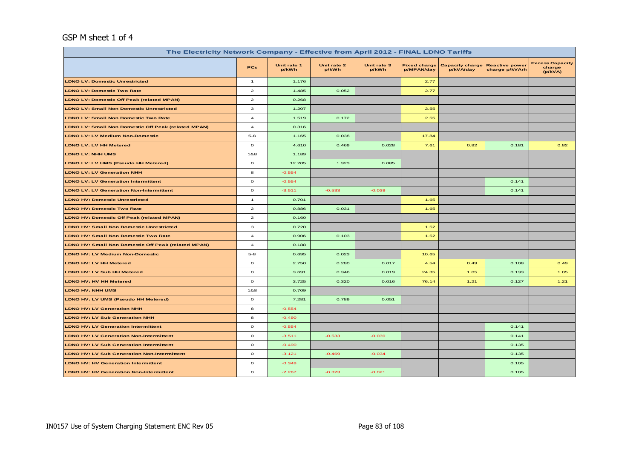#### GSP M sheet 1 of 4

| The Electricity Network Company - Effective from April 2012 - FINAL LDNO Tariffs |                         |                      |                      |                      |                                   |                                     |                                         |                                             |  |  |
|----------------------------------------------------------------------------------|-------------------------|----------------------|----------------------|----------------------|-----------------------------------|-------------------------------------|-----------------------------------------|---------------------------------------------|--|--|
|                                                                                  | <b>PCs</b>              | Unit rate 1<br>p/kWh | Unit rate 2<br>p/kWh | Unit rate 3<br>p/kWh | <b>Fixed charge</b><br>p/MPAN/day | <b>Capacity charge</b><br>p/kVA/day | <b>Reactive power</b><br>charge p/kVArh | <b>Excess Capacity</b><br>charge<br>(p/kVA) |  |  |
| <b>LDNO LV: Domestic Unrestricted</b>                                            | $\mathbf{1}$            | 1.176                |                      |                      | 2.77                              |                                     |                                         |                                             |  |  |
| <b>LDNO LV: Domestic Two Rate</b>                                                | $\overline{\mathbf{z}}$ | 1.485                | 0.052                |                      | 2.77                              |                                     |                                         |                                             |  |  |
| <b>LDNO LV: Domestic Off Peak (related MPAN)</b>                                 | $\overline{\mathbf{c}}$ | 0.268                |                      |                      |                                   |                                     |                                         |                                             |  |  |
| <b>LDNO LV: Small Non Domestic Unrestricted</b>                                  | 3                       | 1.207                |                      |                      | 2.55                              |                                     |                                         |                                             |  |  |
| <b>LDNO LV: Small Non Domestic Two Rate</b>                                      | $\overline{\mathbf{4}}$ | 1.519                | 0.172                |                      | 2.55                              |                                     |                                         |                                             |  |  |
| <b>LDNO LV: Small Non Domestic Off Peak (related MPAN)</b>                       | $\overline{\mathbf{4}}$ | 0.316                |                      |                      |                                   |                                     |                                         |                                             |  |  |
| <b>LDNO LV: LV Medium Non-Domestic</b>                                           | $5 - 8$                 | 1.165                | 0.038                |                      | 17.84                             |                                     |                                         |                                             |  |  |
| LDNO LV: LV HH Metered                                                           | $\mathbf{o}$            | 4.610                | 0.469                | 0.028                | 7.61                              | 0.82                                | 0.181                                   | 0.82                                        |  |  |
| <b>LDNO LV: NHH UMS</b>                                                          | 1&8                     | 1.189                |                      |                      |                                   |                                     |                                         |                                             |  |  |
| <b>LDNO LV: LV UMS (Pseudo HH Metered)</b>                                       | $\circ$                 | 12.205               | 1.323                | 0.085                |                                   |                                     |                                         |                                             |  |  |
| <b>LDNO LV: LV Generation NHH</b>                                                | 8                       | $-0.554$             |                      |                      |                                   |                                     |                                         |                                             |  |  |
| <b>LDNO LV: LV Generation Intermittent</b>                                       | $\mathbf{o}$            | $-0.554$             |                      |                      |                                   |                                     | 0.141                                   |                                             |  |  |
| <b>LDNO LV: LV Generation Non-Intermittent</b>                                   | $\circ$                 | $-3.511$             | $-0.533$             | $-0.039$             |                                   |                                     | 0.141                                   |                                             |  |  |
| <b>LDNO HV: Domestic Unrestricted</b>                                            | $\mathbf{1}$            | 0.701                |                      |                      | 1.65                              |                                     |                                         |                                             |  |  |
| <b>LDNO HV: Domestic Two Rate</b>                                                | $\mathbf{2}$            | 0.886                | 0.031                |                      | 1.65                              |                                     |                                         |                                             |  |  |
| <b>LDNO HV: Domestic Off Peak (related MPAN)</b>                                 | $\mathbf{2}$            | 0.160                |                      |                      |                                   |                                     |                                         |                                             |  |  |
| <b>LDNO HV: Small Non Domestic Unrestricted</b>                                  | з                       | 0.720                |                      |                      | 1.52                              |                                     |                                         |                                             |  |  |
| <b>LDNO HV: Small Non Domestic Two Rate</b>                                      | $\overline{\mathbf{4}}$ | 0.906                | 0.103                |                      | 1.52                              |                                     |                                         |                                             |  |  |
| <b>LDNO HV: Small Non Domestic Off Peak (related MPAN)</b>                       | $\overline{4}$          | 0.188                |                      |                      |                                   |                                     |                                         |                                             |  |  |
| <b>LDNO HV: LV Medium Non-Domestic</b>                                           | $5 - 8$                 | 0.695                | 0.023                |                      | 10.65                             |                                     |                                         |                                             |  |  |
| <b>LDNO HV: LV HH Metered</b>                                                    | $\mathbf{o}$            | 2.750                | 0.280                | 0.017                | 4.54                              | 0.49                                | 0.108                                   | 0.49                                        |  |  |
| LDNO HV: LV Sub HH Metered                                                       | $\mathbf{o}$            | 3.691                | 0.346                | 0.019                | 24.35                             | 1.05                                | 0.133                                   | 1.05                                        |  |  |
| LDNO HV: HV HH Metered                                                           | $\mathbf{o}$            | 3.725                | 0.320                | 0.016                | 76.14                             | 1.21                                | 0.127                                   | 1.21                                        |  |  |
| <b>LDNO HV: NHH UMS</b>                                                          | 1&8                     | 0.709                |                      |                      |                                   |                                     |                                         |                                             |  |  |
| LDNO HV: LV UMS (Pseudo HH Metered)                                              | $\mathbf{o}$            | 7.281                | 0.789                | 0.051                |                                   |                                     |                                         |                                             |  |  |
| <b>LDNO HV: LV Generation NHH</b>                                                | 8                       | $-0.554$             |                      |                      |                                   |                                     |                                         |                                             |  |  |
| <b>LDNO HV: LV Sub Generation NHH</b>                                            | 8                       | $-0.490$             |                      |                      |                                   |                                     |                                         |                                             |  |  |
| <b>LDNO HV: LV Generation Intermittent</b>                                       | $\mathbf{o}$            | $-0.554$             |                      |                      |                                   |                                     | 0.141                                   |                                             |  |  |
| <b>LDNO HV: LV Generation Non-Intermittent</b>                                   | $\mathbf{o}$            | $-3.511$             | $-0.533$             | $-0.039$             |                                   |                                     | 0.141                                   |                                             |  |  |
| <b>LDNO HV: LV Sub Generation Intermittent</b>                                   | $\mathbf{o}$            | $-0.490$             |                      |                      |                                   |                                     | 0.135                                   |                                             |  |  |
| <b>LDNO HV: LV Sub Generation Non-Intermittent</b>                               | $\mathbf O$             | $-3.121$             | $-0.469$             | $-0.034$             |                                   |                                     | 0.135                                   |                                             |  |  |
| <b>LDNO HV: HV Generation Intermittent</b>                                       | $\mathbf{o}$            | $-0.349$             |                      |                      |                                   |                                     | 0.105                                   |                                             |  |  |
| <b>LDNO HV: HV Generation Non-Intermittent</b>                                   | $\mathbf{o}$            | $-2.267$             | $-0.323$             | $-0.021$             |                                   |                                     | 0.105                                   |                                             |  |  |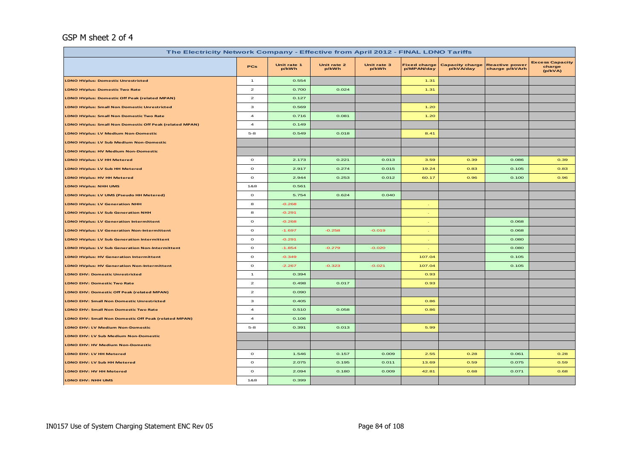#### GSP M sheet 2 of 4

| The Electricity Network Company - Effective from April 2012 - FINAL LDNO Tariffs |                         |                      |                      |                      |                                   |                                     |                                         |                                             |  |  |
|----------------------------------------------------------------------------------|-------------------------|----------------------|----------------------|----------------------|-----------------------------------|-------------------------------------|-----------------------------------------|---------------------------------------------|--|--|
|                                                                                  | <b>PCs</b>              | Unit rate 1<br>p/kWh | Unit rate 2<br>p/kWh | Unit rate 3<br>p/kWh | <b>Fixed charge</b><br>p/MPAN/day | <b>Capacity charge</b><br>p/kVA/day | <b>Reactive power</b><br>charge p/kVArh | <b>Excess Capacity</b><br>charge<br>(p/kVA) |  |  |
| <b>LDNO HVplus: Domestic Unrestricted</b>                                        | $\mathbf{1}$            | 0.554                |                      |                      | 1.31                              |                                     |                                         |                                             |  |  |
| <b>LDNO HVplus: Domestic Two Rate</b>                                            | $\overline{a}$          | 0.700                | 0.024                |                      | 1.31                              |                                     |                                         |                                             |  |  |
| <b>LDNO HVplus: Domestic Off Peak (related MPAN)</b>                             | $\mathbf{z}$            | 0.127                |                      |                      |                                   |                                     |                                         |                                             |  |  |
| <b>LDNO HVplus: Small Non Domestic Unrestricted</b>                              | з                       | 0.569                |                      |                      | 1.20                              |                                     |                                         |                                             |  |  |
| <b>LDNO HVplus: Small Non Domestic Two Rate</b>                                  | $\overline{\mathbf{4}}$ | 0.716                | 0.081                |                      | 1.20                              |                                     |                                         |                                             |  |  |
| <b>LDNO HVplus: Small Non Domestic Off Peak (related MPAN)</b>                   | $\overline{a}$          | 0.149                |                      |                      |                                   |                                     |                                         |                                             |  |  |
| LDNO HVplus: LV Medium Non-Domestic                                              | $5 - 8$                 | 0.549                | 0.018                |                      | 8.41                              |                                     |                                         |                                             |  |  |
| LDNO HVplus: LV Sub Medium Non-Domestic                                          |                         |                      |                      |                      |                                   |                                     |                                         |                                             |  |  |
| <b>LDNO HVplus: HV Medium Non-Domestic</b>                                       |                         |                      |                      |                      |                                   |                                     |                                         |                                             |  |  |
| <b>LDNO HVplus: LV HH Metered</b>                                                | $\circ$                 | 2.173                | 0.221                | 0.013                | 3.59                              | 0.39                                | 0.086                                   | 0.39                                        |  |  |
| <b>LDNO HVplus: LV Sub HH Metered</b>                                            | $\circ$                 | 2.917                | 0.274                | 0.015                | 19.24                             | 0.83                                | 0.105                                   | 0.83                                        |  |  |
| LDNO HVplus: HV HH Metered                                                       | $\mathbf{o}$            | 2.944                | 0.253                | 0.012                | 60.17                             | 0.96                                | 0.100                                   | 0.96                                        |  |  |
| LDNO HVplus: NHH UMS                                                             | 1&8                     | 0.561                |                      |                      |                                   |                                     |                                         |                                             |  |  |
| LDNO HVplus: LV UMS (Pseudo HH Metered)                                          | $\circ$                 | 5.754                | 0.624                | 0.040                |                                   |                                     |                                         |                                             |  |  |
| <b>LDNO HVplus: LV Generation NHH</b>                                            | 8                       | $-0.268$             |                      |                      |                                   |                                     |                                         |                                             |  |  |
| <b>LDNO HVplus: LV Sub Generation NHH</b>                                        | 8                       | $-0.291$             |                      |                      |                                   |                                     |                                         |                                             |  |  |
| <b>LDNO HVplus: LV Generation Intermittent</b>                                   | $\mathbf{o}$            | $-0.268$             |                      |                      | $\sim$                            |                                     | 0.068                                   |                                             |  |  |
| <b>LDNO HVplus: LV Generation Non-Intermittent</b>                               | $\mathbf{o}$            | $-1.697$             | $-0.258$             | $-0.019$             |                                   |                                     | 0.068                                   |                                             |  |  |
| <b>LDNO HVplus: LV Sub Generation Intermittent</b>                               | $\circ$                 | $-0.291$             |                      |                      |                                   |                                     | 0.080                                   |                                             |  |  |
| <b>LDNO HVplus: LV Sub Generation Non-Intermittent</b>                           | $\mathbf{o}$            | $-1.854$             | $-0.279$             | $-0.020$             |                                   |                                     | 0.080                                   |                                             |  |  |
| <b>LDNO HVplus: HV Generation Intermittent</b>                                   | $\mathbf{o}$            | $-0.349$             |                      |                      | 107.04                            |                                     | 0.105                                   |                                             |  |  |
| <b>LDNO HVplus: HV Generation Non-Intermittent</b>                               | $\mathbf{o}$            | $-2.267$             | $-0.323$             | $-0.021$             | 107.04                            |                                     | 0.105                                   |                                             |  |  |
| <b>LDNO EHV: Domestic Unrestricted</b>                                           | $\mathbf{1}$            | 0.394                |                      |                      | 0.93                              |                                     |                                         |                                             |  |  |
| <b>LDNO EHV: Domestic Two Rate</b>                                               | $\overline{a}$          | 0.498                | 0.017                |                      | 0.93                              |                                     |                                         |                                             |  |  |
| <b>LDNO EHV: Domestic Off Peak (related MPAN)</b>                                | $\mathbf{z}$            | 0.090                |                      |                      |                                   |                                     |                                         |                                             |  |  |
| <b>LDNO EHV: Small Non Domestic Unrestricted</b>                                 | з                       | 0.405                |                      |                      | 0.86                              |                                     |                                         |                                             |  |  |
| <b>LDNO EHV: Small Non Domestic Two Rate</b>                                     | $\overline{a}$          | 0.510                | 0.058                |                      | 0.86                              |                                     |                                         |                                             |  |  |
| LDNO EHV: Small Non Domestic Off Peak (related MPAN)                             | $\overline{4}$          | 0.106                |                      |                      |                                   |                                     |                                         |                                             |  |  |
| <b>LDNO EHV: LV Medium Non-Domestic</b>                                          | $5 - 8$                 | 0.391                | 0.013                |                      | 5.99                              |                                     |                                         |                                             |  |  |
| LDNO EHV: LV Sub Medium Non-Domestic                                             |                         |                      |                      |                      |                                   |                                     |                                         |                                             |  |  |
| LDNO EHV: HV Medium Non-Domestic                                                 |                         |                      |                      |                      |                                   |                                     |                                         |                                             |  |  |
| LDNO EHV: LV HH Metered                                                          | $\circ$                 | 1.546                | 0.157                | 0.009                | 2.55                              | 0.28                                | 0.061                                   | 0.28                                        |  |  |
| LDNO EHV: LV Sub HH Metered                                                      | $\circ$                 | 2.075                | 0.195                | 0.011                | 13.69                             | 0.59                                | 0.075                                   | 0.59                                        |  |  |
| LDNO EHV: HV HH Metered                                                          | $\mathbf{o}$            | 2.094                | 0.180                | 0.009                | 42.81                             | 0.68                                | 0.071                                   | 0.68                                        |  |  |
| LDNO EHV: NHH UMS                                                                | 1&8                     | 0.399                |                      |                      |                                   |                                     |                                         |                                             |  |  |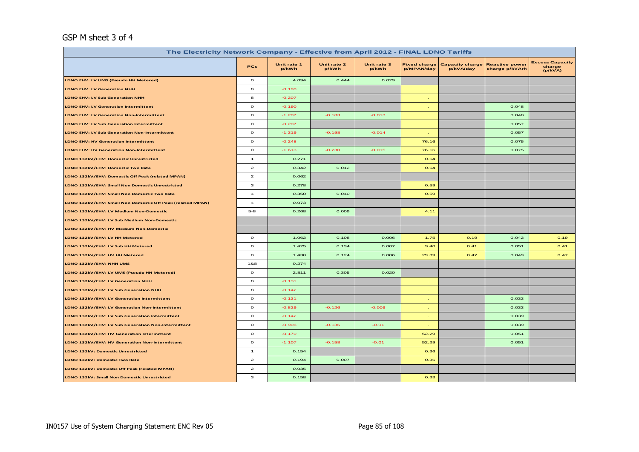#### GSP M sheet 3 of 4

| The Electricity Network Company - Effective from April 2012 - FINAL LDNO Tariffs |                         |                      |                      |                      |                                   |                                     |                                         |                                             |  |  |
|----------------------------------------------------------------------------------|-------------------------|----------------------|----------------------|----------------------|-----------------------------------|-------------------------------------|-----------------------------------------|---------------------------------------------|--|--|
|                                                                                  | <b>PCs</b>              | Unit rate 1<br>p/kWh | Unit rate 2<br>p/kWh | Unit rate 3<br>p/kWh | <b>Fixed charge</b><br>p/MPAN/day | <b>Capacity charge</b><br>p/kVA/day | <b>Reactive power</b><br>charge p/kVArh | <b>Excess Capacity</b><br>charge<br>(p/kVA) |  |  |
| LDNO EHV: LV UMS (Pseudo HH Metered)                                             | $\circ$                 | 4.094                | 0.444                | 0.029                |                                   |                                     |                                         |                                             |  |  |
| <b>LDNO EHV: LV Generation NHH</b>                                               | 8                       | $-0.190$             |                      |                      |                                   |                                     |                                         |                                             |  |  |
| <b>LDNO EHV: LV Sub Generation NHH</b>                                           | 8                       | $-0.207$             |                      |                      | $\sim$                            |                                     |                                         |                                             |  |  |
| <b>LDNO EHV: LV Generation Intermittent</b>                                      | $\mathbf{o}$            | $-0.190$             |                      |                      | $\sim$                            |                                     | 0.048                                   |                                             |  |  |
| <b>LDNO EHV: LV Generation Non-Intermittent</b>                                  | $\circ$                 | $-1.207$             | $-0.183$             | $-0.013$             | $\sim$                            |                                     | 0.048                                   |                                             |  |  |
| <b>LDNO EHV: LV Sub Generation Intermittent</b>                                  | $\circ$                 | $-0.207$             |                      |                      | $\sim$                            |                                     | 0.057                                   |                                             |  |  |
| <b>LDNO EHV: LV Sub Generation Non-Intermittent</b>                              | $\mathbf{o}$            | $-1.319$             | $-0.198$             | $-0.014$             | $\sim$                            |                                     | 0.057                                   |                                             |  |  |
| <b>LDNO EHV: HV Generation Intermittent</b>                                      | $\mathbf{o}$            | $-0.248$             |                      |                      | 76.16                             |                                     | 0.075                                   |                                             |  |  |
| <b>LDNO EHV: HV Generation Non-Intermittent</b>                                  | $\mathbf{o}$            | $-1.613$             | $-0.230$             | $-0.015$             | 76.16                             |                                     | 0.075                                   |                                             |  |  |
| LDNO 132kV/EHV: Domestic Unrestricted                                            | $\mathbf{1}$            | 0.271                |                      |                      | 0.64                              |                                     |                                         |                                             |  |  |
| LDNO 132kV/EHV: Domestic Two Rate                                                | $\mathbf{2}$            | 0.342                | 0.012                |                      | 0.64                              |                                     |                                         |                                             |  |  |
| LDNO 132kV/EHV: Domestic Off Peak (related MPAN)                                 | $\mathbf{2}$            | 0.062                |                      |                      |                                   |                                     |                                         |                                             |  |  |
| LDNO 132kV/EHV: Small Non Domestic Unrestricted                                  | з                       | 0.278                |                      |                      | 0.59                              |                                     |                                         |                                             |  |  |
| LDNO 132kV/EHV: Small Non Domestic Two Rate                                      | $\overline{a}$          | 0.350                | 0.040                |                      | 0.59                              |                                     |                                         |                                             |  |  |
| LDNO 132kV/EHV: Small Non Domestic Off Peak (related MPAN)                       | $\overline{\mathbf{4}}$ | 0.073                |                      |                      |                                   |                                     |                                         |                                             |  |  |
| LDNO 132kV/EHV: LV Medium Non-Domestic                                           | $5 - 8$                 | 0.268                | 0.009                |                      | 4.11                              |                                     |                                         |                                             |  |  |
| LDNO 132kV/EHV: LV Sub Medium Non-Domestic                                       |                         |                      |                      |                      |                                   |                                     |                                         |                                             |  |  |
| LDNO 132kV/EHV: HV Medium Non-Domestic                                           |                         |                      |                      |                      |                                   |                                     |                                         |                                             |  |  |
| LDNO 132kV/EHV: LV HH Metered                                                    | $\mathbf{o}$            | 1.062                | 0.108                | 0.006                | 1.75                              | 0.19                                | 0.042                                   | 0.19                                        |  |  |
| LDNO 132kV/EHV: LV Sub HH Metered                                                | $\mathbf{o}$            | 1.425                | 0.134                | 0.007                | 9.40                              | 0.41                                | 0.051                                   | 0.41                                        |  |  |
| LDNO 132kV/EHV: HV HH Metered                                                    | $\mathbf{o}$            | 1.438                | 0.124                | 0.006                | 29.39                             | 0.47                                | 0.049                                   | 0.47                                        |  |  |
| LDNO 132kV/EHV: NHH UMS                                                          | 1&8                     | 0.274                |                      |                      |                                   |                                     |                                         |                                             |  |  |
| LDNO 132kV/EHV: LV UMS (Pseudo HH Metered)                                       | $\mathbf{o}$            | 2.811                | 0.305                | 0.020                |                                   |                                     |                                         |                                             |  |  |
| LDNO 132kV/EHV: LV Generation NHH                                                | 8                       | $-0.131$             |                      |                      | $\sim$                            |                                     |                                         |                                             |  |  |
| LDNO 132kV/EHV: LV Sub Generation NHH                                            | 8                       | $-0.142$             |                      |                      | $\sim$                            |                                     |                                         |                                             |  |  |
| LDNO 132kV/EHV: LV Generation Intermittent                                       | $\circ$                 | $-0.131$             |                      |                      | $\sim$                            |                                     | 0.033                                   |                                             |  |  |
| LDNO 132kV/EHV: LV Generation Non-Intermittent                                   | $\mathbf{o}$            | $-0.829$             | $-0.126$             | $-0.009$             | $\sim$                            |                                     | 0.033                                   |                                             |  |  |
| LDNO 132kV/EHV: LV Sub Generation Intermittent                                   | $\mathbf{o}$            | $-0.142$             |                      |                      |                                   |                                     | 0.039                                   |                                             |  |  |
| LDNO 132kV/EHV: LV Sub Generation Non-Intermittent                               | $\mathbf{o}$            | $-0.906$             | $-0.136$             | $-0.01$              |                                   |                                     | 0.039                                   |                                             |  |  |
| LDNO 132kV/EHV: HV Generation Intermittent                                       | $\mathbf{o}$            | $-0.170$             |                      |                      | 52.29                             |                                     | 0.051                                   |                                             |  |  |
| LDNO 132kV/EHV: HV Generation Non-Intermittent                                   | $\circ$                 | $-1.107$             | $-0.158$             | $-0.01$              | 52.29                             |                                     | 0.051                                   |                                             |  |  |
| <b>LDNO 132kV: Domestic Unrestricted</b>                                         | $\mathbf{1}$            | 0.154                |                      |                      | 0.36                              |                                     |                                         |                                             |  |  |
| LDNO 132kV: Domestic Two Rate                                                    | $\mathbf{2}$            | 0.194                | 0.007                |                      | 0.36                              |                                     |                                         |                                             |  |  |
| LDNO 132kV: Domestic Off Peak (related MPAN)                                     | $\overline{\mathbf{c}}$ | 0.035                |                      |                      |                                   |                                     |                                         |                                             |  |  |
| LDNO 132kV: Small Non Domestic Unrestricted                                      | з                       | 0.158                |                      |                      | 0.33                              |                                     |                                         |                                             |  |  |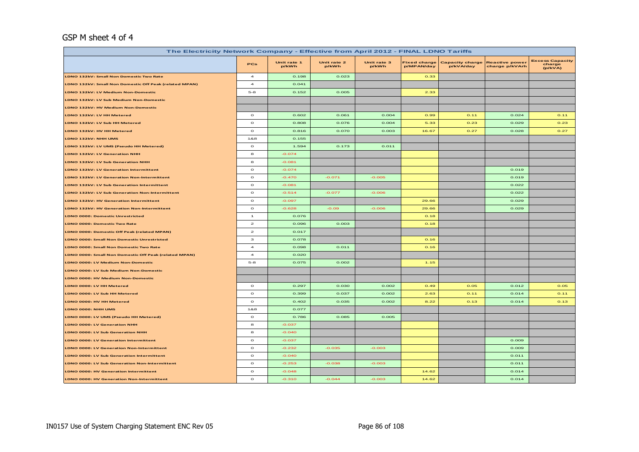#### GSP M sheet 4 of 4

| The Electricity Network Company - Effective from April 2012 - FINAL LDNO Tariffs |                         |                                   |                                     |                                         |                                             |      |       |      |  |  |
|----------------------------------------------------------------------------------|-------------------------|-----------------------------------|-------------------------------------|-----------------------------------------|---------------------------------------------|------|-------|------|--|--|
|                                                                                  | Unit rate 3<br>p/kWh    | <b>Fixed charge</b><br>p/MPAN/day | <b>Capacity charge</b><br>p/kVA/day | <b>Reactive power</b><br>charge p/kVArh | <b>Excess Capacity</b><br>charge<br>(p/kVA) |      |       |      |  |  |
| LDNO 132kV: Small Non Domestic Two Rate                                          | $\overline{a}$          | 0.198                             | 0.023                               |                                         | 0.33                                        |      |       |      |  |  |
| LDNO 132kV: Small Non Domestic Off Peak (related MPAN)                           | $\overline{a}$          | 0.041                             |                                     |                                         |                                             |      |       |      |  |  |
| LDNO 132kV: LV Medium Non-Domestic                                               | $5 - 8$                 | 0.152                             | 0.005                               |                                         | 2.33                                        |      |       |      |  |  |
| LDNO 132kV: LV Sub Medium Non-Domestic                                           |                         |                                   |                                     |                                         |                                             |      |       |      |  |  |
| LDNO 132kV: HV Medium Non-Domestic                                               |                         |                                   |                                     |                                         |                                             |      |       |      |  |  |
| LDNO 132kV: LV HH Metered                                                        | $\circ$                 | 0.602                             | 0.061                               | 0.004                                   | 0.99                                        | 0.11 | 0.024 | 0.11 |  |  |
| LDNO 132kV: LV Sub HH Metered                                                    | $\circ$                 | 0.808                             | 0.076                               | 0.004                                   | 5.33                                        | 0.23 | 0.029 | 0.23 |  |  |
| LDNO 132kV: HV HH Metered                                                        | $\mathbf{o}$            | 0.816                             | 0.070                               | 0.003                                   | 16.67                                       | 0.27 | 0.028 | 0.27 |  |  |
| LDNO 132kV: NHH UMS                                                              | 1&8                     | 0.155                             |                                     |                                         |                                             |      |       |      |  |  |
| LDNO 132kV: LV UMS (Pseudo HH Metered)                                           | $\circ$                 | 1.594                             | 0.173                               | 0.011                                   |                                             |      |       |      |  |  |
| LDNO 132kV: LV Generation NHH                                                    | 8                       | $-0.074$                          |                                     |                                         |                                             |      |       |      |  |  |
| LDNO 132kV: LV Sub Generation NHH                                                | 8                       | $-0.081$                          |                                     |                                         |                                             |      |       |      |  |  |
| LDNO 132kV: LV Generation Intermittent                                           | $\mathbf{o}$            | $-0.074$                          |                                     |                                         |                                             |      | 0.019 |      |  |  |
| LDNO 132kV: LV Generation Non-Intermittent                                       | $\mathbf{o}$            | $-0.470$                          | $-0.071$                            | $-0.005$                                |                                             |      | 0.019 |      |  |  |
| LDNO 132kV: LV Sub Generation Intermittent                                       | $\circ$                 | $-0.081$                          |                                     |                                         |                                             |      | 0.022 |      |  |  |
| LDNO 132kV: LV Sub Generation Non-Intermittent                                   | $\circ$                 | $-0.514$                          | $-0.077$                            | $-0.006$                                |                                             |      | 0.022 |      |  |  |
| LDNO 132kV: HV Generation Intermittent                                           | $\circ$                 | $-0.097$                          |                                     |                                         | 29.66                                       |      | 0.029 |      |  |  |
| LDNO 132kV: HV Generation Non-Intermittent                                       | $\circ$                 | $-0.628$                          | $-0.09$                             | $-0.006$                                | 29.66                                       |      | 0.029 |      |  |  |
| <b>LDNO 0000: Domestic Unrestricted</b>                                          | $\mathbf{1}$            | 0.076                             |                                     |                                         | 0.18                                        |      |       |      |  |  |
| LDNO 0000: Domestic Two Rate                                                     | $\mathbf{z}$            | 0.096                             | 0.003                               |                                         | 0.18                                        |      |       |      |  |  |
| LDNO 0000: Domestic Off Peak (related MPAN)                                      | $\mathbf{z}$            | 0.017                             |                                     |                                         |                                             |      |       |      |  |  |
| <b>LDNO 0000: Small Non Domestic Unrestricted</b>                                | з                       | 0.078                             |                                     |                                         | 0.16                                        |      |       |      |  |  |
| LDNO 0000: Small Non Domestic Two Rate                                           | $\overline{\mathbf{4}}$ | 0.098                             | 0.011                               |                                         | 0.16                                        |      |       |      |  |  |
| LDNO 0000: Small Non Domestic Off Peak (related MPAN)                            | $\overline{\mathbf{4}}$ | 0.020                             |                                     |                                         |                                             |      |       |      |  |  |
| LDNO 0000: LV Medium Non-Domestic                                                | $5 - 8$                 | 0.075                             | 0.002                               |                                         | 1.15                                        |      |       |      |  |  |
| LDNO 0000: LV Sub Medium Non-Domestic                                            |                         |                                   |                                     |                                         |                                             |      |       |      |  |  |
| LDNO 0000: HV Medium Non-Domestic                                                |                         |                                   |                                     |                                         |                                             |      |       |      |  |  |
| LDNO 0000: LV HH Metered                                                         | $\mathbf{o}$            | 0.297                             | 0.030                               | 0.002                                   | 0.49                                        | 0.05 | 0.012 | 0.05 |  |  |
| LDNO 0000: LV Sub HH Metered                                                     | $\circ$                 | 0.399                             | 0.037                               | 0.002                                   | 2.63                                        | 0.11 | 0.014 | 0.11 |  |  |
| LDNO 0000: HV HH Metered                                                         | $\mathbf{o}$            | 0.402                             | 0.035                               | 0.002                                   | 8.22                                        | 0.13 | 0.014 | 0.13 |  |  |
| LDNO 0000: NHH UMS                                                               | 1&8                     | 0.077                             |                                     |                                         |                                             |      |       |      |  |  |
| LDNO 0000: LV UMS (Pseudo HH Metered)                                            | $\circ$                 | 0.786                             | 0.085                               | 0.005                                   |                                             |      |       |      |  |  |
| LDNO 0000: LV Generation NHH                                                     | 8                       | $-0.037$                          |                                     |                                         |                                             |      |       |      |  |  |
| LDNO 0000: LV Sub Generation NHH                                                 | 8                       | $-0.040$                          |                                     |                                         |                                             |      |       |      |  |  |
| LDNO 0000: LV Generation Intermittent                                            | $\circ$                 | $-0.037$                          |                                     |                                         |                                             |      | 0.009 |      |  |  |
| LDNO 0000: LV Generation Non-Intermittent                                        | $\circ$                 | $-0.232$                          | $-0.035$                            | $-0.003$                                |                                             |      | 0.009 |      |  |  |
| LDNO 0000: LV Sub Generation Intermittent                                        | $\mathbf{o}$            | $-0.040$                          |                                     |                                         |                                             |      | 0.011 |      |  |  |
| LDNO 0000: LV Sub Generation Non-Intermittent                                    | $\circ$                 | $-0.253$                          | $-0.038$                            | $-0.003$                                |                                             |      | 0.011 |      |  |  |
| LDNO 0000: HV Generation Intermittent                                            | $\circ$                 | $-0.048$                          |                                     |                                         | 14.62                                       |      | 0.014 |      |  |  |
| LDNO 0000: HV Generation Non-Intermittent                                        | $\circ$                 | $-0.310$                          | $-0.044$                            | $-0.003$                                | 14.62                                       |      | 0.014 |      |  |  |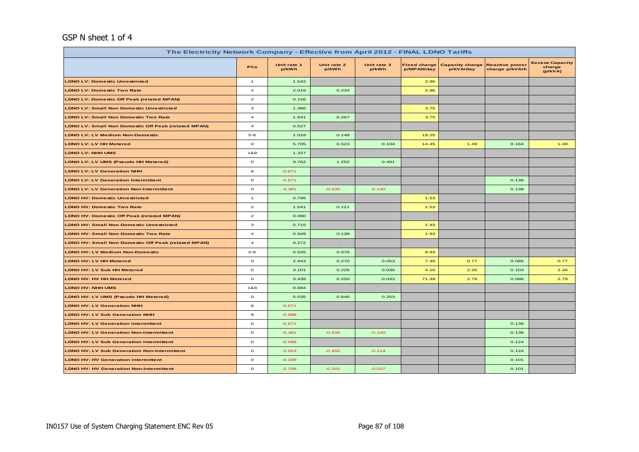#### GSP N sheet 1 of 4

| The Electricity Network Company - Effective from April 2012 - FINAL LDNO Tariffs |                         |                      |                      |                      |                                   |                                     |                                         |                                             |
|----------------------------------------------------------------------------------|-------------------------|----------------------|----------------------|----------------------|-----------------------------------|-------------------------------------|-----------------------------------------|---------------------------------------------|
|                                                                                  | PCs                     | Unit rate 1<br>p/kWh | Unit rate 2<br>p/kWh | Unit rate 3<br>p/kWh | <b>Fixed charge</b><br>p/MPAN/day | <b>Capacity charge</b><br>p/kVA/day | <b>Reactive power</b><br>charge p/kVArh | <b>Excess Capacity</b><br>charge<br>(p/kVA) |
| <b>LDNO LV: Domestic Unrestricted</b>                                            | $\mathbf{1}$            | 1.542                |                      |                      | 2.96                              |                                     |                                         |                                             |
| <b>LDNO LV: Domestic Two Rate</b>                                                | $\overline{\mathbf{z}}$ | 2.018                | 0.234                |                      | 2.96                              |                                     |                                         |                                             |
| <b>LDNO LV: Domestic Off Peak (related MPAN)</b>                                 | $\mathbf{2}$            | 0.156                |                      |                      |                                   |                                     |                                         |                                             |
| <b>LDNO LV: Small Non Domestic Unrestricted</b>                                  | 3                       | 1.386                |                      |                      | 3.75                              |                                     |                                         |                                             |
| <b>LDNO LV: Small Non Domestic Two Rate</b>                                      | $\overline{a}$          | 1.841                | 0.267                |                      | 3.75                              |                                     |                                         |                                             |
| <b>LDNO LV: Small Non Domestic Off Peak (related MPAN)</b>                       | $\overline{4}$          | 0.527                |                      |                      |                                   |                                     |                                         |                                             |
| <b>LDNO LV: LV Medium Non-Domestic</b>                                           | $5 - 8$                 | 1.018                | 0.148                |                      | 19.25                             |                                     |                                         |                                             |
| <b>LDNO LV: LV HH Metered</b>                                                    | $\circ$                 | 5.705                | 0.523                | 0.104                | 14.45                             | 1.49                                | 0.164                                   | 1.49                                        |
| <b>LDNO LV: NHH UMS</b>                                                          | 1&8                     | 1.327                |                      |                      |                                   |                                     |                                         |                                             |
| LDNO LV: LV UMS (Pseudo HH Metered)                                              | $\mathbf{o}$            | 9.762                | 1.252                | 0.491                |                                   |                                     |                                         |                                             |
| <b>LDNO LV: LV Generation NHH</b>                                                | 8                       | $-0.671$             |                      |                      |                                   |                                     |                                         |                                             |
| <b>LDNO LV: LV Generation Intermittent</b>                                       | $\circ$                 | $-0.671$             |                      |                      |                                   |                                     | 0.138                                   |                                             |
| <b>LDNO LV: LV Generation Non-Intermittent</b>                                   | $\mathbf{o}$            | $-4.381$             | $-0.535$             | $-0.140$             |                                   |                                     | 0.138                                   |                                             |
| <b>LDNO HV: Domestic Unrestricted</b>                                            | $\mathbf{1}$            | 0.795                |                      |                      | 1.53                              |                                     |                                         |                                             |
| <b>LDNO HV: Domestic Two Rate</b>                                                | $\mathbf{2}$            | 1.041                | 0.121                |                      | 1.53                              |                                     |                                         |                                             |
| <b>LDNO HV: Domestic Off Peak (related MPAN)</b>                                 | $\mathbf{z}$            | 0.080                |                      |                      |                                   |                                     |                                         |                                             |
| <b>LDNO HV: Small Non Domestic Unrestricted</b>                                  | з                       | 0.715                |                      |                      | 1.93                              |                                     |                                         |                                             |
| <b>LDNO HV: Small Non Domestic Two Rate</b>                                      | $\overline{a}$          | 0.949                | 0.138                |                      | 1.93                              |                                     |                                         |                                             |
| <b>LDNO HV: Small Non Domestic Off Peak (related MPAN)</b>                       | $\overline{4}$          | 0.272                | $\sim$               |                      |                                   |                                     |                                         |                                             |
| <b>LDNO HV: LV Medium Non-Domestic</b>                                           | $5 - 8$                 | 0.525                | 0.076                |                      | 9.93                              |                                     |                                         |                                             |
| LDNO HV: LV HH Metered                                                           | $\mathbf{o}$            | 2.943                | 0.270                | 0.053                | 7.45                              | 0.77                                | 0.085                                   | 0.77                                        |
| <b>LDNO HV: LV Sub HH Metered</b>                                                | $\circ$                 | 3.101                | 0.225                | 0.030                | 4.16                              | 2.26                                | 0.103                                   | 2.26                                        |
| <b>LDNO HV: HV HH Metered</b>                                                    | $\mathbf{o}$            | 3.438                | 0.250                | 0.033                | 71.48                             | 2.79                                | 0.086                                   | 2.79                                        |
| <b>LDNO HV: NHH UMS</b>                                                          | 1&8                     | 0.684                |                      |                      |                                   |                                     |                                         |                                             |
| LDNO HV: LV UMS (Pseudo HH Metered)                                              | $\circ$                 | 5.035                | 0.646                | 0.253                |                                   |                                     |                                         |                                             |
| <b>LDNO HV: LV Generation NHH</b>                                                | 8                       | $-0.671$             |                      |                      |                                   |                                     |                                         |                                             |
| <b>LDNO HV: LV Sub Generation NHH</b>                                            | 8                       | $-0.588$             |                      |                      |                                   |                                     |                                         |                                             |
| <b>LDNO HV: LV Generation Intermittent</b>                                       | $\circ$                 | $-0.671$             |                      |                      |                                   |                                     | 0.138                                   |                                             |
| <b>LDNO HV: LV Generation Non-Intermittent</b>                                   | $\mathbf{o}$            | $-4.381$             | $-0.535$             | $-0.140$             |                                   |                                     | 0.138                                   |                                             |
| <b>LDNO HV: LV Sub Generation Intermittent</b>                                   | $\mathbf{o}$            | $-0.588$             |                      |                      |                                   |                                     | 0.124                                   |                                             |
| <b>LDNO HV: LV Sub Generation Non-Intermittent</b>                               | $\mathbf{o}$            | $-3.953$             | $-0.455$             | $-0.114$             |                                   |                                     | 0.124                                   |                                             |
| <b>LDNO HV: HV Generation Intermittent</b>                                       | $\circ$                 | $-0.339$             |                      |                      |                                   |                                     | 0.101                                   |                                             |
| <b>LDNO HV: HV Generation Non-Intermittent</b>                                   | $\mathbf{o}$            | $-2.768$             | $-0.201$             | $-0.027$             |                                   |                                     | 0.101                                   |                                             |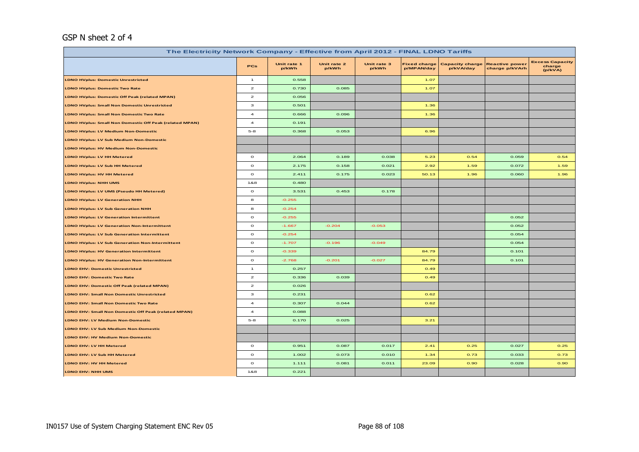#### GSP N sheet 2 of 4

| The Electricity Network Company - Effective from April 2012 - FINAL LDNO Tariffs |                                                                                                                                                                                                                                               |          |          |          |       |      |       |      |  |  |
|----------------------------------------------------------------------------------|-----------------------------------------------------------------------------------------------------------------------------------------------------------------------------------------------------------------------------------------------|----------|----------|----------|-------|------|-------|------|--|--|
|                                                                                  | <b>Excess Capacity</b><br>Unit rate 1<br>Unit rate 2<br>Unit rate 3<br><b>Fixed charge</b><br><b>Capacity charge</b><br><b>Reactive power</b><br><b>PCs</b><br>charge<br>p/kWh<br>p/kWh<br>p/kWh<br>p/MPAN/day<br>p/kVA/day<br>charge p/kVArh |          |          |          |       |      |       |      |  |  |
| <b>LDNO HVplus: Domestic Unrestricted</b>                                        | $\overline{1}$                                                                                                                                                                                                                                | 0.558    |          |          | 1.07  |      |       |      |  |  |
| <b>LDNO HVplus: Domestic Two Rate</b>                                            | $\mathbf{z}$                                                                                                                                                                                                                                  | 0.730    | 0.085    |          | 1.07  |      |       |      |  |  |
| <b>LDNO HVplus: Domestic Off Peak (related MPAN)</b>                             | $\mathbf{z}$                                                                                                                                                                                                                                  | 0.056    |          |          |       |      |       |      |  |  |
| <b>LDNO HVplus: Small Non Domestic Unrestricted</b>                              | з                                                                                                                                                                                                                                             | 0.501    |          |          | 1.36  |      |       |      |  |  |
| <b>LDNO HVplus: Small Non Domestic Two Rate</b>                                  | $\overline{a}$                                                                                                                                                                                                                                | 0.666    | 0.096    |          | 1.36  |      |       |      |  |  |
| <b>LDNO HVplus: Small Non Domestic Off Peak (related MPAN)</b>                   | $\overline{a}$                                                                                                                                                                                                                                | 0.191    |          |          |       |      |       |      |  |  |
| <b>LDNO HVplus: LV Medium Non-Domestic</b>                                       | $5 - 8$                                                                                                                                                                                                                                       | 0.368    | 0.053    |          | 6.96  |      |       |      |  |  |
| <b>LDNO HVplus: LV Sub Medium Non-Domestic</b>                                   |                                                                                                                                                                                                                                               |          |          |          |       |      |       |      |  |  |
| <b>LDNO HVplus: HV Medium Non-Domestic</b>                                       |                                                                                                                                                                                                                                               |          |          |          |       |      |       |      |  |  |
| <b>LDNO HVplus: LV HH Metered</b>                                                | $\mathbf{o}$                                                                                                                                                                                                                                  | 2.064    | 0.189    | 0.038    | 5.23  | 0.54 | 0.059 | 0.54 |  |  |
| LDNO HVplus: LV Sub HH Metered                                                   | $\mathbf{o}$                                                                                                                                                                                                                                  | 2.175    | 0.158    | 0.021    | 2.92  | 1.59 | 0.072 | 1.59 |  |  |
| LDNO HVplus: HV HH Metered                                                       | $\mathbf{o}$                                                                                                                                                                                                                                  | 2.411    | 0.175    | 0.023    | 50.13 | 1.96 | 0.060 | 1.96 |  |  |
| <b>LDNO HVplus: NHH UMS</b>                                                      | 1&8                                                                                                                                                                                                                                           | 0.480    |          |          |       |      |       |      |  |  |
| LDNO HVplus: LV UMS (Pseudo HH Metered)                                          | $\mathbf{o}$                                                                                                                                                                                                                                  | 3.531    | 0.453    | 0.178    |       |      |       |      |  |  |
| <b>LDNO HVplus: LV Generation NHH</b>                                            | 8                                                                                                                                                                                                                                             | $-0.255$ |          |          |       |      |       |      |  |  |
| <b>LDNO HVplus: LV Sub Generation NHH</b>                                        | 8                                                                                                                                                                                                                                             | $-0.254$ |          |          |       |      |       |      |  |  |
| <b>LDNO HVplus: LV Generation Intermittent</b>                                   | $\mathbf{o}$                                                                                                                                                                                                                                  | $-0.255$ |          |          |       |      | 0.052 |      |  |  |
| <b>LDNO HVplus: LV Generation Non-Intermittent</b>                               | $\mathbf{o}$                                                                                                                                                                                                                                  | $-1.667$ | $-0.204$ | $-0.053$ |       |      | 0.052 |      |  |  |
| <b>LDNO HVplus: LV Sub Generation Intermittent</b>                               | $\mathbf{o}$                                                                                                                                                                                                                                  | $-0.254$ |          |          |       |      | 0.054 |      |  |  |
| <b>LDNO HVplus: LV Sub Generation Non-Intermittent</b>                           | $\mathbf{o}$                                                                                                                                                                                                                                  | $-1.707$ | $-0.196$ | $-0.049$ |       |      | 0.054 |      |  |  |
| <b>LDNO HVplus: HV Generation Intermittent</b>                                   | $\mathbf{o}$                                                                                                                                                                                                                                  | $-0.339$ |          |          | 84.79 |      | 0.101 |      |  |  |
| <b>LDNO HVplus: HV Generation Non-Intermittent</b>                               | $\mathbf{o}$                                                                                                                                                                                                                                  | $-2.768$ | $-0.201$ | $-0.027$ | 84.79 |      | 0.101 |      |  |  |
| <b>LDNO EHV: Domestic Unrestricted</b>                                           | $\mathbf{1}$                                                                                                                                                                                                                                  | 0.257    |          |          | 0.49  |      |       |      |  |  |
| <b>LDNO EHV: Domestic Two Rate</b>                                               | $\mathbf{z}$                                                                                                                                                                                                                                  | 0.336    | 0.039    |          | 0.49  |      |       |      |  |  |
| LDNO EHV: Domestic Off Peak (related MPAN)                                       | $\mathbf{z}$                                                                                                                                                                                                                                  | 0.026    |          |          |       |      |       |      |  |  |
| <b>LDNO EHV: Small Non Domestic Unrestricted</b>                                 | з                                                                                                                                                                                                                                             | 0.231    |          |          | 0.62  |      |       |      |  |  |
| LDNO EHV: Small Non Domestic Two Rate                                            | $\overline{a}$                                                                                                                                                                                                                                | 0.307    | 0.044    |          | 0.62  |      |       |      |  |  |
| LDNO EHV: Small Non Domestic Off Peak (related MPAN)                             | $\overline{a}$                                                                                                                                                                                                                                | 0.088    |          |          |       |      |       |      |  |  |
| <b>LDNO EHV: LV Medium Non-Domestic</b>                                          | $5 - 8$                                                                                                                                                                                                                                       | 0.170    | 0.025    |          | 3.21  |      |       |      |  |  |
| LDNO EHV: LV Sub Medium Non-Domestic                                             |                                                                                                                                                                                                                                               |          |          |          |       |      |       |      |  |  |
| LDNO EHV: HV Medium Non-Domestic                                                 |                                                                                                                                                                                                                                               |          |          |          |       |      |       |      |  |  |
| LDNO EHV: LV HH Metered                                                          | $\circ$                                                                                                                                                                                                                                       | 0.951    | 0.087    | 0.017    | 2.41  | 0.25 | 0.027 | 0.25 |  |  |
| LDNO EHV: LV Sub HH Metered                                                      | $\mathbf{o}$                                                                                                                                                                                                                                  | 1.002    | 0.073    | 0.010    | 1.34  | 0.73 | 0.033 | 0.73 |  |  |
| LDNO EHV: HV HH Metered                                                          | $\mathbf{o}$                                                                                                                                                                                                                                  | 1.111    | 0.081    | 0.011    | 23.09 | 0.90 | 0.028 | 0.90 |  |  |
| LDNO EHV: NHH UMS                                                                | 1&8                                                                                                                                                                                                                                           | 0.221    |          |          |       |      |       |      |  |  |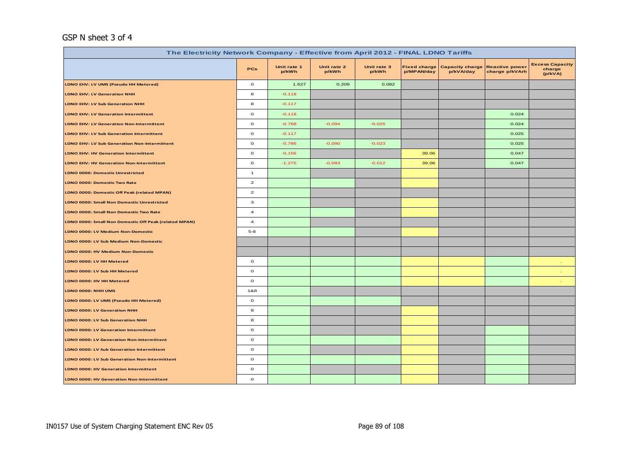#### GSP N sheet 3 of 4

| The Electricity Network Company - Effective from April 2012 - FINAL LDNO Tariffs |                           |                      |                      |                      |                                   |                                     |                                         |                                             |  |  |  |
|----------------------------------------------------------------------------------|---------------------------|----------------------|----------------------|----------------------|-----------------------------------|-------------------------------------|-----------------------------------------|---------------------------------------------|--|--|--|
|                                                                                  | <b>PCs</b>                | Unit rate 1<br>p/kWh | Unit rate 2<br>p/kWh | Unit rate 3<br>p/kWh | <b>Fixed charge</b><br>p/MPAN/day | <b>Capacity charge</b><br>p/kVA/day | <b>Reactive power</b><br>charge p/kVArh | <b>Excess Capacity</b><br>charge<br>(p/kVA) |  |  |  |
| LDNO EHV: LV UMS (Pseudo HH Metered)                                             | $\mathbf{o}$              | 1.627                | 0.209                | 0.082                |                                   |                                     |                                         |                                             |  |  |  |
| <b>LDNO EHV: LV Generation NHH</b>                                               | 8                         | $-0.118$             |                      |                      |                                   |                                     |                                         |                                             |  |  |  |
| LDNO EHV: LV Sub Generation NHH                                                  | 8                         | $-0.117$             |                      |                      |                                   |                                     |                                         |                                             |  |  |  |
| <b>LDNO EHV: LV Generation Intermittent</b>                                      | $\circ$                   | $-0.118$             |                      |                      |                                   |                                     | 0.024                                   |                                             |  |  |  |
| <b>LDNO EHV: LV Generation Non-Intermittent</b>                                  | $\circ$                   | $-0.768$             | $-0.094$             | $-0.025$             |                                   |                                     | 0.024                                   |                                             |  |  |  |
| <b>LDNO EHV: LV Sub Generation Intermittent</b>                                  | $\circ$                   | $-0.117$             |                      |                      |                                   |                                     | 0.025                                   |                                             |  |  |  |
| <b>LDNO EHV: LV Sub Generation Non-Intermittent</b>                              | $\circ$                   | $-0.786$             | $-0.090$             | $-0.023$             |                                   |                                     | 0.025                                   |                                             |  |  |  |
| <b>LDNO EHV: HV Generation Intermittent</b>                                      | $\circ$                   | $-0.156$             |                      |                      | 39.06                             |                                     | 0.047                                   |                                             |  |  |  |
| <b>LDNO EHV: HV Generation Non-Intermittent</b>                                  | $\circ$                   | $-1.275$             | $-0.093$             | $-0.012$             | 39.06                             |                                     | 0.047                                   |                                             |  |  |  |
| <b>LDNO 0000: Domestic Unrestricted</b>                                          | $\mathbf{1}$              |                      |                      |                      |                                   |                                     |                                         |                                             |  |  |  |
| LDNO 0000: Domestic Two Rate                                                     | $\overline{2}$            |                      |                      |                      |                                   |                                     |                                         |                                             |  |  |  |
| LDNO 0000: Domestic Off Peak (related MPAN)                                      | $\overline{2}$            |                      |                      |                      |                                   |                                     |                                         |                                             |  |  |  |
| LDNO 0000: Small Non Domestic Unrestricted                                       | $\ensuremath{\mathsf{3}}$ |                      |                      |                      |                                   |                                     |                                         |                                             |  |  |  |
| LDNO 0000: Small Non Domestic Two Rate                                           | $\overline{a}$            |                      |                      |                      |                                   |                                     |                                         |                                             |  |  |  |
| LDNO 0000: Small Non Domestic Off Peak (related MPAN)                            | $\overline{\mathbf{4}}$   |                      |                      |                      |                                   |                                     |                                         |                                             |  |  |  |
| LDNO 0000: LV Medium Non-Domestic                                                | $5-8$                     |                      |                      |                      |                                   |                                     |                                         |                                             |  |  |  |
| LDNO 0000: LV Sub Medium Non-Domestic                                            |                           |                      |                      |                      |                                   |                                     |                                         |                                             |  |  |  |
| LDNO 0000: HV Medium Non-Domestic                                                |                           |                      |                      |                      |                                   |                                     |                                         |                                             |  |  |  |
| LDNO 0000: LV HH Metered                                                         | $\circ$                   |                      |                      |                      |                                   |                                     |                                         |                                             |  |  |  |
| LDNO 0000: LV Sub HH Metered                                                     | $\mathbf{o}$              |                      |                      |                      |                                   |                                     |                                         | $\sim$                                      |  |  |  |
| LDNO 0000: HV HH Metered                                                         | $\mathbf{o}$              |                      |                      |                      |                                   |                                     |                                         |                                             |  |  |  |
| LDNO 0000: NHH UMS                                                               | 1&8                       |                      |                      |                      |                                   |                                     |                                         |                                             |  |  |  |
| LDNO 0000: LV UMS (Pseudo HH Metered)                                            | $\mathbf{o}$              |                      |                      |                      |                                   |                                     |                                         |                                             |  |  |  |
| LDNO 0000: LV Generation NHH                                                     | 8                         |                      |                      |                      |                                   |                                     |                                         |                                             |  |  |  |
| LDNO 0000: LV Sub Generation NHH                                                 | 8                         |                      |                      |                      |                                   |                                     |                                         |                                             |  |  |  |
| <b>LDNO 0000: LV Generation Intermittent</b>                                     | $\circ$                   |                      |                      |                      |                                   |                                     |                                         |                                             |  |  |  |
| LDNO 0000: LV Generation Non-Intermittent                                        | $\mathbf{o}$              |                      |                      |                      |                                   |                                     |                                         |                                             |  |  |  |
| LDNO 0000: LV Sub Generation Intermittent                                        | $\circ$                   |                      |                      |                      |                                   |                                     |                                         |                                             |  |  |  |
| <b>LDNO 0000: LV Sub Generation Non-Intermittent</b>                             | $\circ$                   |                      |                      |                      |                                   |                                     |                                         |                                             |  |  |  |
| LDNO 0000: HV Generation Intermittent                                            | $\mathbf{o}$              |                      |                      |                      |                                   |                                     |                                         |                                             |  |  |  |
| LDNO 0000: HV Generation Non-Intermittent                                        | $\mathbf{o}$              |                      |                      |                      |                                   |                                     |                                         |                                             |  |  |  |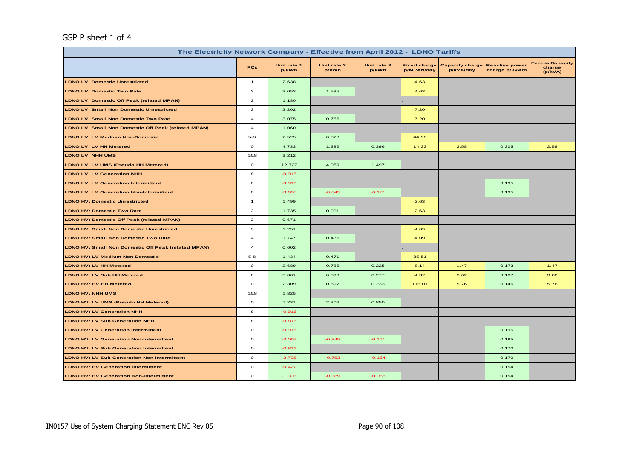#### GSP P sheet 1 of 4

| The Electricity Network Company - Effective from April 2012 - LDNO Tariffs |                         |                      |                      |                      |                                   |                                     |                                         |                                             |
|----------------------------------------------------------------------------|-------------------------|----------------------|----------------------|----------------------|-----------------------------------|-------------------------------------|-----------------------------------------|---------------------------------------------|
|                                                                            | <b>PCs</b>              | Unit rate 1<br>p/kWh | Unit rate 2<br>p/kWh | Unit rate 3<br>p/kWh | <b>Fixed charge</b><br>p/MPAN/day | <b>Capacity charge</b><br>p/kVA/day | <b>Reactive power</b><br>charge p/kVArh | <b>Excess Capacity</b><br>charge<br>(p/kVA) |
| <b>LDNO LV: Domestic Unrestricted</b>                                      | $\mathbf{1}$            | 2.638                |                      |                      | 4.63                              |                                     |                                         |                                             |
| <b>LDNO LV: Domestic Two Rate</b>                                          | $\overline{\mathbf{c}}$ | 3.053                | 1.585                |                      | 4.63                              |                                     |                                         |                                             |
| <b>LDNO LV: Domestic Off Peak (related MPAN)</b>                           | $\overline{\mathbf{z}}$ | 1.180                |                      |                      |                                   |                                     |                                         |                                             |
| <b>LDNO LV: Small Non Domestic Unrestricted</b>                            | 3                       | 2.202                |                      |                      | 7.20                              |                                     |                                         |                                             |
| <b>LDNO LV: Small Non Domestic Two Rate</b>                                | $\overline{\mathbf{4}}$ | 3.075                | 0.766                |                      | 7.20                              |                                     |                                         |                                             |
| <b>LDNO LV: Small Non Domestic Off Peak (related MPAN)</b>                 | $\overline{a}$          | 1.060                |                      |                      |                                   |                                     |                                         |                                             |
| <b>LDNO LV: LV Medium Non-Domestic</b>                                     | $5 - 8$                 | 2.525                | 0.828                |                      | 44.90                             |                                     |                                         |                                             |
| <b>LDNO LV: LV HH Metered</b>                                              | $\mathbf{o}$            | 4.733                | 1.382                | 0.396                | 14.33                             | 2.58                                | 0.305                                   | 2.58                                        |
| <b>LDNO LV: NHH UMS</b>                                                    | 1&8                     | 3.212                |                      |                      |                                   |                                     |                                         |                                             |
| LDNO LV: LV UMS (Pseudo HH Metered)                                        | $\mathbf{o}$            | 12.727               | 4.059                | 1.497                |                                   |                                     |                                         |                                             |
| <b>LDNO LV: LV Generation NHH</b>                                          | 8                       | $-0.916$             |                      |                      |                                   |                                     |                                         |                                             |
| <b>LDNO LV: LV Generation Intermittent</b>                                 | $\mathbf{o}$            | $-0.916$             |                      |                      |                                   |                                     | 0.195                                   |                                             |
| <b>LDNO LV: LV Generation Non-Intermittent</b>                             | $\mathbf{o}$            | $-3.065$             | $-0.845$             | $-0.171$             |                                   |                                     | 0.195                                   |                                             |
| <b>LDNO HV: Domestic Unrestricted</b>                                      | $\mathbf{1}$            | 1.499                |                      |                      | 2.63                              |                                     |                                         |                                             |
| <b>LDNO HV: Domestic Two Rate</b>                                          | $\mathbf{2}$            | 1.735                | 0.901                |                      | 2.63                              |                                     |                                         |                                             |
| <b>LDNO HV: Domestic Off Peak (related MPAN)</b>                           | $\overline{\mathbf{z}}$ | 0.671                |                      |                      |                                   |                                     |                                         |                                             |
| <b>LDNO HV: Small Non Domestic Unrestricted</b>                            | 3                       | 1.251                |                      |                      | 4.09                              |                                     |                                         |                                             |
| <b>LDNO HV: Small Non Domestic Two Rate</b>                                | $\overline{4}$          | 1.747                | 0.435                |                      | 4.09                              |                                     |                                         |                                             |
| <b>LDNO HV: Small Non Domestic Off Peak (related MPAN)</b>                 | $\overline{\mathbf{4}}$ | 0.602                |                      |                      |                                   |                                     |                                         |                                             |
| <b>LDNO HV: LV Medium Non-Domestic</b>                                     | $5 - 8$                 | 1.434                | 0.471                |                      | 25.51                             |                                     |                                         |                                             |
| <b>LDNO HV: LV HH Metered</b>                                              | $\mathbf{o}$            | 2.689                | 0.785                | 0.225                | 8.14                              | 1.47                                | 0.173                                   | 1.47                                        |
| <b>LDNO HV: LV Sub HH Metered</b>                                          | $\mathbf{o}$            | 3.001                | 0.890                | 0.277                | 4.37                              | 3.62                                | 0.187                                   | 3.62                                        |
| <b>LDNO HV: HV HH Metered</b>                                              | $\mathbf{o}$            | 2.309                | 0.697                | 0.233                | 116.01                            | 5.76                                | 0.146                                   | 5.76                                        |
| <b>LDNO HV: NHH UMS</b>                                                    | 1&8                     | 1.825                |                      |                      |                                   |                                     |                                         |                                             |
| LDNO HV: LV UMS (Pseudo HH Metered)                                        | $\circ$                 | 7.231                | 2.306                | 0.850                |                                   |                                     |                                         |                                             |
| <b>LDNO HV: LV Generation NHH</b>                                          | 8                       | $-0.916$             |                      |                      |                                   |                                     |                                         |                                             |
| <b>LDNO HV: LV Sub Generation NHH</b>                                      | 8                       | $-0.816$             |                      |                      |                                   |                                     |                                         |                                             |
| <b>LDNO HV: LV Generation Intermittent</b>                                 | $\mathbf{o}$            | $-0.916$             |                      |                      |                                   |                                     | 0.195                                   |                                             |
| <b>LDNO HV: LV Generation Non-Intermittent</b>                             | $\mathbf{o}$            | $-3.065$             | $-0.845$             | $-0.171$             |                                   |                                     | 0.195                                   |                                             |
| <b>LDNO HV: LV Sub Generation Intermittent</b>                             | $\circ$                 | $-0.816$             |                      |                      |                                   |                                     | 0.170                                   |                                             |
| <b>LDNO HV: LV Sub Generation Non-Intermittent</b>                         | $\mathbf{o}$            | $-2.728$             | $-0.753$             | $-0.154$             |                                   |                                     | 0.170                                   |                                             |
| <b>LDNO HV: HV Generation Intermittent</b>                                 | $\mathbf{o}$            | $-0.422$             |                      |                      |                                   |                                     | 0.154                                   |                                             |
| <b>LDNO HV: HV Generation Non-Intermittent</b>                             | $\mathbf{o}$            | $-1.393$             | $-0.389$             | $-0.086$             |                                   |                                     | 0.154                                   |                                             |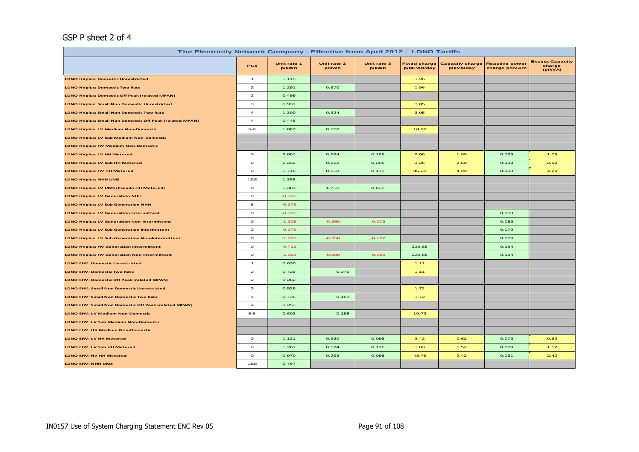#### GSP P sheet 2 of 4

| The Electricity Network Company - Effective from April 2012 - LDNO Tariffs |                          |                      |                      |                      |                                   |                                     |                                         |                                             |
|----------------------------------------------------------------------------|--------------------------|----------------------|----------------------|----------------------|-----------------------------------|-------------------------------------|-----------------------------------------|---------------------------------------------|
|                                                                            | <b>PCs</b>               | Unit rate 1<br>p/kWh | Unit rate 2<br>p/kWh | Unit rate 3<br>p/kWh | <b>Fixed charge</b><br>p/MPAN/day | <b>Capacity charge</b><br>p/kVA/day | <b>Reactive power</b><br>charge p/kVArh | <b>Excess Capacity</b><br>charge<br>(p/kVA) |
| <b>LDNO HVplus: Domestic Unrestricted</b>                                  | $\overline{1}$           | 1.115                |                      |                      | 1.96                              |                                     |                                         |                                             |
| <b>LDNO HVplus: Domestic Two Rate</b>                                      | $\mathbf{2}$             | 1.291                | 0.670                |                      | 1.96                              |                                     |                                         |                                             |
| LDNO HVplus: Domestic Off Peak (related MPAN)                              | $\mathbf{z}$             | 0.499                |                      |                      |                                   |                                     |                                         |                                             |
| <b>LDNO HVplus: Small Non Domestic Unrestricted</b>                        | з                        | 0.931                |                      |                      | 3.05                              |                                     |                                         |                                             |
| <b>LDNO HVplus: Small Non Domestic Two Rate</b>                            | $\overline{\mathcal{A}}$ | 1.300                | 0.324                |                      | 3.05                              |                                     |                                         |                                             |
| <b>LDNO HVplus: Small Non Domestic Off Peak (related MPAN)</b>             | $\overline{\mathcal{A}}$ | 0.448                |                      |                      |                                   |                                     |                                         |                                             |
| LDNO HVplus: LV Medium Non-Domestic                                        | $5 - 8$                  | 1.067                | 0.350                |                      | 18.99                             |                                     |                                         |                                             |
| <b>LDNO HVplus: LV Sub Medium Non-Domestic</b>                             |                          |                      |                      |                      |                                   |                                     |                                         |                                             |
| <b>LDNO HVplus: HV Medium Non-Domestic</b>                                 |                          |                      |                      |                      |                                   |                                     |                                         |                                             |
| <b>LDNO HVplus: LV HH Metered</b>                                          | $\circ$                  | 2.001                | 0.584                | 0.168                | 6.06                              | 1.09                                | 0.129                                   | 1.09                                        |
| <b>LDNO HVplus: LV Sub HH Metered</b>                                      | $\circ$                  | 2.232                | 0.662                | 0.206                | 3.25                              | 2.69                                | 0.139                                   | 2.69                                        |
| <b>LDNO HVplus: HV HH Metered</b>                                          | $\mathbf{o}$             | 1.718                | 0.518                | 0.173                | 86.28                             | 4.29                                | 0.108                                   | 4.29                                        |
| <b>LDNO HVplus: NHH UMS</b>                                                | 1&8                      | 1.358                |                      |                      |                                   |                                     |                                         |                                             |
| LDNO HVplus: LV UMS (Pseudo HH Metered)                                    | $\mathbf{o}$             | 5.381                | 1.716                | 0.633                |                                   |                                     |                                         |                                             |
| <b>LDNO HVplus: LV Generation NHH</b>                                      | 8                        | $-0.390$             |                      |                      |                                   |                                     |                                         |                                             |
| <b>LDNO HVplus: LV Sub Generation NHH</b>                                  | 8                        | $-0.379$             |                      |                      |                                   |                                     |                                         |                                             |
| <b>LDNO HVplus: LV Generation Intermittent</b>                             | $\circ$                  | $-0.390$             |                      |                      |                                   |                                     | 0.083                                   |                                             |
| <b>LDNO HVplus: LV Generation Non-Intermittent</b>                         | $\circ$                  | $-1.306$             | $-0.360$             | $-0.073$             |                                   |                                     | 0.083                                   |                                             |
| <b>LDNO HVplus: LV Sub Generation Intermittent</b>                         | $\mathbf{o}$             | $-0.379$             |                      |                      |                                   |                                     | 0.079                                   |                                             |
| <b>LDNO HVplus: LV Sub Generation Non-Intermittent</b>                     | $\circ$                  | $-1.268$             | $-0.350$             | $-0.072$             |                                   |                                     | 0.079                                   |                                             |
| <b>LDNO HVplus: HV Generation Intermittent</b>                             | $\circ$                  | $-0.422$             |                      |                      | 229.88                            |                                     | 0.154                                   |                                             |
| <b>LDNO HVplus: HV Generation Non-Intermittent</b>                         | $\mathbf{o}$             | $-1.393$             | $-0.389$             | $-0.086$             | 229.88                            |                                     | 0.154                                   |                                             |
| <b>LDNO EHV: Domestic Unrestricted</b>                                     | $\mathbf{1}$             | 0.630                |                      |                      | 1.11                              |                                     |                                         |                                             |
| <b>LDNO EHV: Domestic Two Rate</b>                                         | $\mathbf{z}$             | 0.729                | 0.379                |                      | 1.11                              |                                     |                                         |                                             |
| LDNO EHV: Domestic Off Peak (related MPAN)                                 | $\mathbf{z}$             | 0.282                |                      |                      |                                   |                                     |                                         |                                             |
| LDNO EHV: Small Non Domestic Unrestricted                                  | з                        | 0.526                |                      |                      | 1.72                              |                                     |                                         |                                             |
| LDNO EHV: Small Non Domestic Two Rate                                      | $\overline{a}$           | 0.735                | 0.183                |                      | 1.72                              |                                     |                                         |                                             |
| LDNO EHV: Small Non Domestic Off Peak (related MPAN)                       | $\overline{a}$           | 0.253                |                      |                      |                                   |                                     |                                         |                                             |
| <b>LDNO EHV: LV Medium Non-Domestic</b>                                    | $5 - 8$                  | 0.603                | 0.198                |                      | 10.73                             |                                     |                                         |                                             |
| LDNO EHV: LV Sub Medium Non-Domestic                                       |                          |                      |                      |                      |                                   |                                     |                                         |                                             |
| LDNO EHV: HV Medium Non-Domestic                                           |                          |                      |                      |                      |                                   |                                     |                                         |                                             |
| LDNO EHV: LV HH Metered                                                    | $\circ$                  | 1.131                | 0.330                | 0.095                | 3.42                              | 0.62                                | 0.073                                   | 0.62                                        |
| LDNO EHV: LV Sub HH Metered                                                | $\mathbf{o}$             | 1.261                | 0.374                | 0.116                | 1.83                              | 1.52                                | 0.079                                   | 1.52                                        |
| LDNO EHV: HV HH Metered                                                    | $\mathbf{o}$             | 0.970                | 0.293                | 0.098                | 48.75                             | 2.42                                | 0.061                                   | 2.42                                        |
| LDNO EHV: NHH UMS                                                          | 1&8                      | 0.767                |                      |                      |                                   |                                     |                                         |                                             |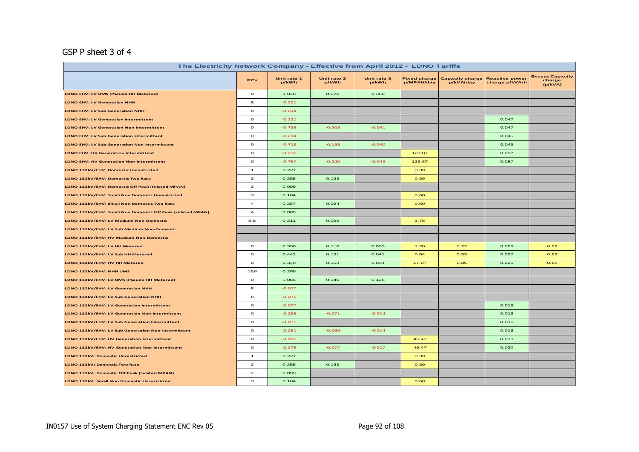#### GSP P sheet 3 of 4

| The Electricity Network Company - Effective from April 2012 - LDNO Tariffs |                                                                                                                                                                                                                                                                                                                                                                                                                         |                      |                      |                      |                                   |                                     |                                         |                                             |  |  |  |
|----------------------------------------------------------------------------|-------------------------------------------------------------------------------------------------------------------------------------------------------------------------------------------------------------------------------------------------------------------------------------------------------------------------------------------------------------------------------------------------------------------------|----------------------|----------------------|----------------------|-----------------------------------|-------------------------------------|-----------------------------------------|---------------------------------------------|--|--|--|
|                                                                            | <b>PCs</b>                                                                                                                                                                                                                                                                                                                                                                                                              | Unit rate 1<br>p/kWh | Unit rate 2<br>p/kWh | Unit rate 3<br>p/kWh | <b>Fixed charge</b><br>p/MPAN/day | <b>Capacity charge</b><br>p/kVA/day | <b>Reactive power</b><br>charge p/kVArh | <b>Excess Capacity</b><br>charge<br>(p/kVA) |  |  |  |
| LDNO EHV: LV UMS (Pseudo HH Metered)                                       | $\circ$                                                                                                                                                                                                                                                                                                                                                                                                                 | 3.040                | 0.970                | 0.358                |                                   |                                     |                                         |                                             |  |  |  |
| <b>LDNO EHV: LV Generation NHH</b>                                         | 8                                                                                                                                                                                                                                                                                                                                                                                                                       | $-0.221$             |                      |                      |                                   |                                     |                                         |                                             |  |  |  |
| <b>LDNO EHV: LV Sub Generation NHH</b>                                     | 8                                                                                                                                                                                                                                                                                                                                                                                                                       | $-0.214$             |                      |                      |                                   |                                     |                                         |                                             |  |  |  |
| LDNO EHV: LV Generation Intermittent                                       | $\mathbf{o}$                                                                                                                                                                                                                                                                                                                                                                                                            | $-0.221$             |                      |                      |                                   |                                     | 0.047                                   |                                             |  |  |  |
| <b>LDNO EHV: LV Generation Non-Intermittent</b>                            | $\circ$                                                                                                                                                                                                                                                                                                                                                                                                                 | $-0.738$             | $-0.203$             | $-0.041$             |                                   |                                     | 0.047                                   |                                             |  |  |  |
| <b>LDNO EHV: LV Sub Generation Intermittent</b>                            | $\mathbf{o}$                                                                                                                                                                                                                                                                                                                                                                                                            | $-0.214$             |                      |                      |                                   |                                     | 0.045                                   |                                             |  |  |  |
| <b>LDNO EHV: LV Sub Generation Non-Intermittent</b>                        | $\mathbf{o}$                                                                                                                                                                                                                                                                                                                                                                                                            | $-0.716$             | $-0.198$             | $-0.040$             |                                   |                                     | 0.045                                   |                                             |  |  |  |
| <b>LDNO EHV: HV Generation Intermittent</b>                                | $\mathbf{o}$                                                                                                                                                                                                                                                                                                                                                                                                            | $-0.238$             |                      |                      | 129.87                            |                                     | 0.087                                   |                                             |  |  |  |
| <b>LDNO EHV: HV Generation Non-Intermittent</b>                            | $\mathbf{o}$                                                                                                                                                                                                                                                                                                                                                                                                            | $-0.787$             | $-0.220$             | $-0.049$             | 129.87                            |                                     | 0.087                                   |                                             |  |  |  |
| LDNO 132kV/EHV: Domestic Unrestricted                                      | $\mathbf{1}$                                                                                                                                                                                                                                                                                                                                                                                                            | 0.221                |                      |                      | 0.39                              |                                     |                                         |                                             |  |  |  |
| LDNO 132kV/EHV: Domestic Two Rate                                          | $\overline{2}$                                                                                                                                                                                                                                                                                                                                                                                                          | 0.255                | 0.133                |                      | 0.39                              |                                     |                                         |                                             |  |  |  |
| LDNO 132kV/EHV: Domestic Off Peak (related MPAN)                           | $\mathbf{2}% =\mathbf{2}+\mathbf{2}+\mathbf{3}+\mathbf{5}+\mathbf{5}+\mathbf{5}+\mathbf{6}+\mathbf{6}+\mathbf{5}+\mathbf{5}+\mathbf{6}+\mathbf{6}+\mathbf{5}+\mathbf{6}+\mathbf{5}+\mathbf{5}+\mathbf{6}+\mathbf{5}+\mathbf{6}+\mathbf{6}+\mathbf{5}+\mathbf{6}+\mathbf{6}+\mathbf{6}+\mathbf{6}+\mathbf{6}+\mathbf{6}+\mathbf{6}+\mathbf{6}+\mathbf{6}+\mathbf{6}+\mathbf{6}+\mathbf{6}+\mathbf{6}+\mathbf{6}+\mathbf$ | 0.099                |                      |                      |                                   |                                     |                                         |                                             |  |  |  |
| LDNO 132kV/EHV: Small Non Domestic Unrestricted                            | з                                                                                                                                                                                                                                                                                                                                                                                                                       | 0.184                |                      |                      | 0.60                              |                                     |                                         |                                             |  |  |  |
| LDNO 132kV/EHV: Small Non Domestic Two Rate                                | $\overline{\mathbf{4}}$                                                                                                                                                                                                                                                                                                                                                                                                 | 0.257                | 0.064                |                      | 0.60                              |                                     |                                         |                                             |  |  |  |
| LDNO 132kV/EHV: Small Non Domestic Off Peak (related MPAN)                 | $\overline{a}$                                                                                                                                                                                                                                                                                                                                                                                                          | 0.089                |                      |                      |                                   |                                     |                                         |                                             |  |  |  |
| LDNO 132kV/EHV: LV Medium Non-Domestic                                     | $5 - 8$                                                                                                                                                                                                                                                                                                                                                                                                                 | 0.211                | 0.069                |                      | 3.76                              |                                     |                                         |                                             |  |  |  |
| LDNO 132kV/EHV: LV Sub Medium Non-Domestic                                 |                                                                                                                                                                                                                                                                                                                                                                                                                         |                      |                      |                      |                                   |                                     |                                         |                                             |  |  |  |
| LDNO 132kV/EHV: HV Medium Non-Domestic                                     |                                                                                                                                                                                                                                                                                                                                                                                                                         |                      |                      |                      |                                   |                                     |                                         |                                             |  |  |  |
| LDNO 132kV/EHV: LV HH Metered                                              | $\circ$                                                                                                                                                                                                                                                                                                                                                                                                                 | 0.396                | 0.116                | 0.033                | 1.20                              | 0.22                                | 0.026                                   | 0.22                                        |  |  |  |
| LDNO 132kV/EHV: LV Sub HH Metered                                          | $\mathbf{o}$                                                                                                                                                                                                                                                                                                                                                                                                            | 0.442                | 0.131                | 0.041                | 0.64                              | 0.53                                | 0.027                                   | 0.53                                        |  |  |  |
| LDNO 132kV/EHV: HV HH Metered                                              | $\circ$                                                                                                                                                                                                                                                                                                                                                                                                                 | 0.340                | 0.103                | 0.034                | 17.07                             | 0.85                                | 0.021                                   | 0.85                                        |  |  |  |
| LDNO 132kV/EHV: NHH UMS                                                    | 1&8                                                                                                                                                                                                                                                                                                                                                                                                                     | 0.269                |                      |                      |                                   |                                     |                                         |                                             |  |  |  |
| LDNO 132kV/EHV: LV UMS (Pseudo HH Metered)                                 | $\circ$                                                                                                                                                                                                                                                                                                                                                                                                                 | 1.065                | 0.340                | 0.125                |                                   |                                     |                                         |                                             |  |  |  |
| LDNO 132kV/EHV: LV Generation NHH                                          | 8                                                                                                                                                                                                                                                                                                                                                                                                                       | $-0.077$             |                      |                      |                                   |                                     |                                         |                                             |  |  |  |
| LDNO 132kV/EHV: LV Sub Generation NHH                                      | 8                                                                                                                                                                                                                                                                                                                                                                                                                       | $-0.075$             |                      |                      |                                   |                                     |                                         |                                             |  |  |  |
| LDNO 132kV/EHV: LV Generation Intermittent                                 | $\mathbf{o}$                                                                                                                                                                                                                                                                                                                                                                                                            | $-0.077$             |                      |                      |                                   |                                     | 0.016                                   |                                             |  |  |  |
| LDNO 132kV/EHV: LV Generation Non-Intermittent                             | $\circ$                                                                                                                                                                                                                                                                                                                                                                                                                 | $-0.258$             | $-0.071$             | $-0.014$             |                                   |                                     | 0.016                                   |                                             |  |  |  |
| LDNO 132kV/EHV: LV Sub Generation Intermittent                             | $\mathbf{o}$                                                                                                                                                                                                                                                                                                                                                                                                            | $-0.075$             |                      |                      |                                   |                                     | 0.016                                   |                                             |  |  |  |
| LDNO 132kV/EHV: LV Sub Generation Non-Intermittent                         | $\circ$                                                                                                                                                                                                                                                                                                                                                                                                                 | $-0.251$             | $-0.069$             | $-0.014$             |                                   |                                     | 0.016                                   |                                             |  |  |  |
| LDNO 132kV/EHV: HV Generation Intermittent                                 | $\mathbf{o}$                                                                                                                                                                                                                                                                                                                                                                                                            | $-0.083$             |                      |                      | 45.47                             |                                     | 0.030                                   |                                             |  |  |  |
| LDNO 132kV/EHV: HV Generation Non-Intermittent                             | $\circ$                                                                                                                                                                                                                                                                                                                                                                                                                 | $-0.276$             | $-0.077$             | $-0.017$             | 45.47                             |                                     | 0.030                                   |                                             |  |  |  |
| LDNO 132kV: Domestic Unrestricted                                          | $\mathbf{1}$                                                                                                                                                                                                                                                                                                                                                                                                            | 0.221                |                      |                      | 0.39                              |                                     |                                         |                                             |  |  |  |
| LDNO 132kV: Domestic Two Rate                                              | $\mathbf{z}$                                                                                                                                                                                                                                                                                                                                                                                                            | 0.255                | 0.133                |                      | 0.39                              |                                     |                                         |                                             |  |  |  |
| LDNO 132kV: Domestic Off Peak (related MPAN)                               | $\mathbf{2}% =\mathbf{2}+\mathbf{2}+\mathbf{3}+\mathbf{5}+\mathbf{5}+\mathbf{5}+\mathbf{6}+\mathbf{6}+\mathbf{5}+\mathbf{5}+\mathbf{6}+\mathbf{6}+\mathbf{5}+\mathbf{6}+\mathbf{5}+\mathbf{5}+\mathbf{6}+\mathbf{5}+\mathbf{6}+\mathbf{6}+\mathbf{5}+\mathbf{6}+\mathbf{6}+\mathbf{6}+\mathbf{6}+\mathbf{6}+\mathbf{6}+\mathbf{6}+\mathbf{6}+\mathbf{6}+\mathbf{6}+\mathbf{6}+\mathbf{6}+\mathbf{6}+\mathbf{6}+\mathbf$ | 0.099                |                      |                      |                                   |                                     |                                         |                                             |  |  |  |
| LDNO 132kV: Small Non Domestic Unrestricted                                | з                                                                                                                                                                                                                                                                                                                                                                                                                       | 0.184                |                      |                      | 0.60                              |                                     |                                         |                                             |  |  |  |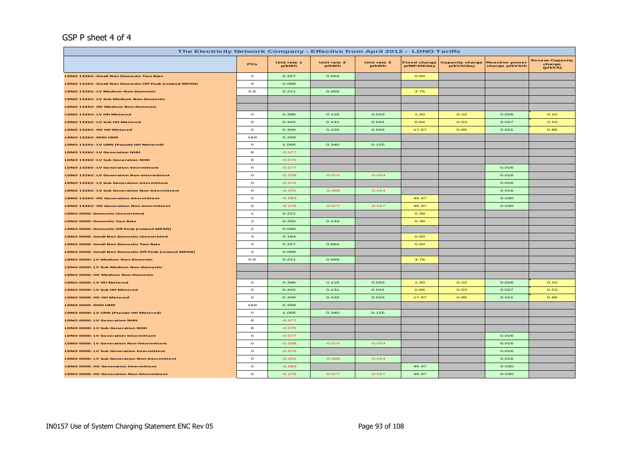#### GSP P sheet 4 of 4

| The Electricity Network Company - Effective from April 2012 - LDNO Tariffs |                  |                      |                      |                      |                                   |                                     |                                         |                                             |  |
|----------------------------------------------------------------------------|------------------|----------------------|----------------------|----------------------|-----------------------------------|-------------------------------------|-----------------------------------------|---------------------------------------------|--|
|                                                                            | <b>PCs</b>       | Unit rate 1<br>p/kWh | Unit rate 2<br>p/kWh | Unit rate 3<br>p/kWh | <b>Fixed charge</b><br>p/MPAN/day | <b>Capacity charge</b><br>p/kVA/day | <b>Reactive power</b><br>charge p/kVArh | <b>Excess Capacity</b><br>charge<br>(p/kVA) |  |
| LDNO 132kV: Small Non Domestic Two Rate                                    | $\overline{a}$   | 0.257                | 0.064                |                      | 0.60                              |                                     |                                         |                                             |  |
| LDNO 132kV: Small Non Domestic Off Peak (related MPAN)                     | $\boldsymbol{4}$ | 0.089                |                      |                      |                                   |                                     |                                         |                                             |  |
| LDNO 132kV: LV Medium Non-Domestic                                         | $5 - 8$          | 0.211                | 0.069                |                      | 3.76                              |                                     |                                         |                                             |  |
| LDNO 132kV: LV Sub Medium Non-Domestic                                     |                  |                      |                      |                      |                                   |                                     |                                         |                                             |  |
| LDNO 132kV: HV Medium Non-Domestic                                         |                  |                      |                      |                      |                                   |                                     |                                         |                                             |  |
| LDNO 132kV: LV HH Metered                                                  | $\circ$          | 0.396                | 0.116                | 0.033                | 1.20                              | 0.22                                | 0.026                                   | 0.22                                        |  |
| LDNO 132kV: LV Sub HH Metered                                              | $\circ$          | 0.442                | 0.131                | 0.041                | 0.64                              | 0.53                                | 0.027                                   | 0.53                                        |  |
| LDNO 132kV: HV HH Metered                                                  | $\mathbf{o}$     | 0.340                | 0.103                | 0.034                | 17.07                             | 0.85                                | 0.021                                   | 0.85                                        |  |
| LDNO 132kV: NHH UMS                                                        | 1&8              | 0.269                |                      |                      |                                   |                                     |                                         |                                             |  |
| LDNO 132kV: LV UMS (Pseudo HH Metered)                                     | $\circ$          | 1.065                | 0.340                | 0.125                |                                   |                                     |                                         |                                             |  |
| LDNO 132kV: LV Generation NHH                                              | 8                | $-0.077$             |                      |                      |                                   |                                     |                                         |                                             |  |
| LDNO 132kV: LV Sub Generation NHH                                          | 8                | $-0.075$             |                      |                      |                                   |                                     |                                         |                                             |  |
| LDNO 132kV: LV Generation Intermittent                                     | $\circ$          | $-0.077$             |                      |                      |                                   |                                     | 0.016                                   |                                             |  |
| LDNO 132kV: LV Generation Non-Intermittent                                 | $\circ$          | $-0.258$             | $-0.071$             | $-0.014$             |                                   |                                     | 0.016                                   |                                             |  |
| LDNO 132kV: LV Sub Generation Intermittent                                 | $\mathbf{o}$     | $-0.075$             |                      |                      |                                   |                                     | 0.016                                   |                                             |  |
| LDNO 132kV: LV Sub Generation Non-Intermittent                             | $\Omega$         | $-0.251$             | $-0.069$             | $-0.014$             |                                   |                                     | 0.016                                   |                                             |  |
| LDNO 132kV: HV Generation Intermittent                                     | $\mathbf{o}$     | $-0.083$             |                      |                      | 45.47                             |                                     | 0.030                                   |                                             |  |
| LDNO 132kV: HV Generation Non-Intermittent                                 | $\circ$          | $-0.276$             | $-0.077$             | $-0.017$             | 45.47                             |                                     | 0.030                                   |                                             |  |
| <b>LDNO 0000: Domestic Unrestricted</b>                                    | $\mathbf{1}$     | 0.221                |                      |                      | 0.39                              |                                     |                                         |                                             |  |
| <b>LDNO 0000: Domestic Two Rate</b>                                        | $\mathbf{z}$     | 0.255                | 0.133                |                      | 0.39                              |                                     |                                         |                                             |  |
| LDNO 0000: Domestic Off Peak (related MPAN)                                | $\mathbf{z}$     | 0.099                |                      |                      |                                   |                                     |                                         |                                             |  |
| LDNO 0000: Small Non Domestic Unrestricted                                 | з                | 0.184                |                      |                      | 0.60                              |                                     |                                         |                                             |  |
| LDNO 0000: Small Non Domestic Two Rate                                     | $\overline{a}$   | 0.257                | 0.064                |                      | 0.60                              |                                     |                                         |                                             |  |
| LDNO 0000: Small Non Domestic Off Peak (related MPAN)                      | $\boldsymbol{A}$ | 0.089                |                      |                      |                                   |                                     |                                         |                                             |  |
| LDNO 0000: LV Medium Non-Domestic                                          | $5-8$            | 0.211                | 0.069                |                      | 3.76                              |                                     |                                         |                                             |  |
| LDNO 0000: LV Sub Medium Non-Domestic                                      |                  |                      |                      |                      |                                   |                                     |                                         |                                             |  |
| LDNO 0000: HV Medium Non-Domestic                                          |                  |                      |                      |                      |                                   |                                     |                                         |                                             |  |
| LDNO 0000: LV HH Metered                                                   | $\circ$          | 0.396                | 0.116                | 0.033                | 1,20                              | 0.22                                | 0.026                                   | 0.22                                        |  |
| LDNO 0000: LV Sub HH Metered                                               | $\circ$          | 0.442                | 0.131                | 0.041                | 0.64                              | 0.53                                | 0.027                                   | 0.53                                        |  |
| LDNO 0000: HV HH Metered                                                   | $\circ$          | 0.340                | 0.103                | 0.034                | 17.07                             | 0.85                                | 0.021                                   | 0.85                                        |  |
| LDNO 0000: NHH UMS                                                         | 1&8              | 0.269                |                      |                      |                                   |                                     |                                         |                                             |  |
| LDNO 0000: LV UMS (Pseudo HH Metered)                                      | $\circ$          | 1.065                | 0.340                | 0.125                |                                   |                                     |                                         |                                             |  |
| LDNO 0000: LV Generation NHH                                               | 8                | $-0.077$             |                      |                      |                                   |                                     |                                         |                                             |  |
| LDNO 0000: LV Sub Generation NHH                                           | 8                | $-0.075$             |                      |                      |                                   |                                     |                                         |                                             |  |
| LDNO 0000: LV Generation Intermittent                                      | $\circ$          | $-0.077$             |                      |                      |                                   |                                     | 0.016                                   |                                             |  |
| <b>LDNO 0000: LV Generation Non-Intermittent</b>                           | $\circ$          | $-0.258$             | $-0.071$             | $-0.014$             |                                   |                                     | 0.016                                   |                                             |  |
| LDNO 0000: LV Sub Generation Intermittent                                  | $\mathbf{o}$     | $-0.075$             |                      |                      |                                   |                                     | 0.016                                   |                                             |  |
| LDNO 0000: LV Sub Generation Non-Intermittent                              | $\mathbf{o}$     | $-0.251$             | $-0.069$             | $-0.014$             |                                   |                                     | 0.016                                   |                                             |  |
| LDNO 0000: HV Generation Intermittent                                      | $\circ$          | $-0.083$             |                      |                      | 45.47                             |                                     | 0.030                                   |                                             |  |
| LDNO 0000: HV Generation Non-Intermittent                                  | $\mathbf{o}$     | $-0.276$             | $-0.077$             | $-0.017$             | 45.47                             |                                     | 0.030                                   |                                             |  |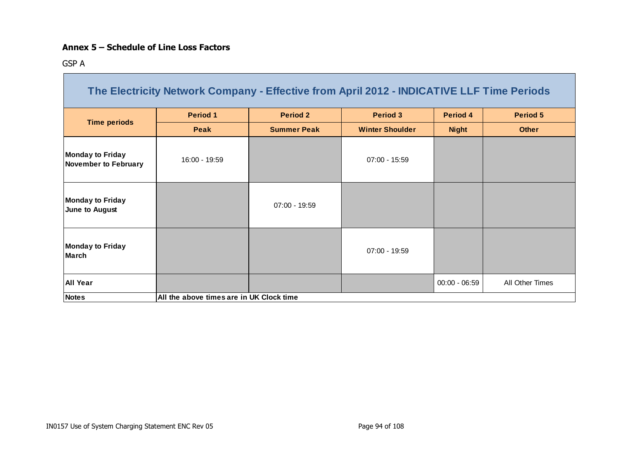#### **Annex 5 – Schedule of Line Loss Factors**

GSP A

|                                                        | The Electricity Network Company - Effective from April 2012 - INDICATIVE LLF Time Periods |                    |                        |                 |                 |
|--------------------------------------------------------|-------------------------------------------------------------------------------------------|--------------------|------------------------|-----------------|-----------------|
|                                                        | <b>Period 1</b>                                                                           | <b>Period 2</b>    | <b>Period 3</b>        | Period 4        | <b>Period 5</b> |
| <b>Time periods</b>                                    | <b>Peak</b>                                                                               | <b>Summer Peak</b> | <b>Winter Shoulder</b> | <b>Night</b>    | <b>Other</b>    |
| <b>Monday to Friday</b><br><b>November to February</b> | 16:00 - 19:59                                                                             |                    | $07:00 - 15:59$        |                 |                 |
| <b>Monday to Friday</b><br>June to August              |                                                                                           | $07:00 - 19:59$    |                        |                 |                 |
| <b>Monday to Friday</b><br><b>March</b>                |                                                                                           |                    | $07:00 - 19:59$        |                 |                 |
| <b>All Year</b>                                        |                                                                                           |                    |                        | $00:00 - 06:59$ | All Other Times |
| <b>Notes</b>                                           | All the above times are in UK Clock time                                                  |                    |                        |                 |                 |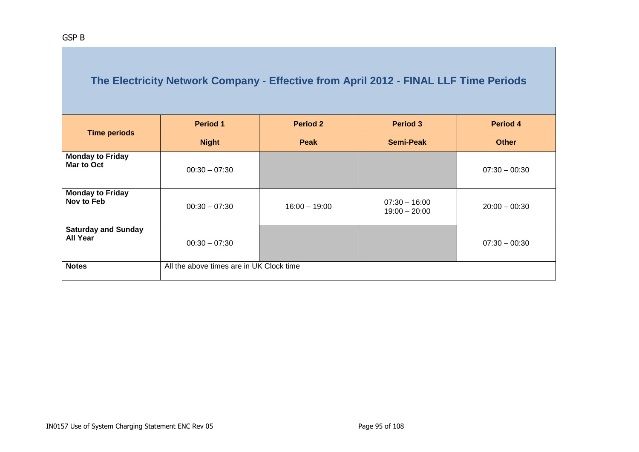|                                               | <b>Period 1</b>                          | <b>Period 2</b> | <b>Period 3</b>                    | Period 4        |
|-----------------------------------------------|------------------------------------------|-----------------|------------------------------------|-----------------|
| <b>Time periods</b>                           | <b>Night</b>                             | <b>Peak</b>     | <b>Semi-Peak</b>                   | <b>Other</b>    |
| <b>Monday to Friday</b><br><b>Mar to Oct</b>  | $00:30 - 07:30$                          |                 |                                    | $07:30 - 00:30$ |
| <b>Monday to Friday</b><br>Nov to Feb         | $00:30 - 07:30$                          | $16:00 - 19:00$ | $07:30 - 16:00$<br>$19:00 - 20:00$ | $20:00 - 00:30$ |
| <b>Saturday and Sunday</b><br><b>All Year</b> | $00:30 - 07:30$                          |                 |                                    | $07:30 - 00:30$ |
| <b>Notes</b>                                  | All the above times are in UK Clock time |                 |                                    |                 |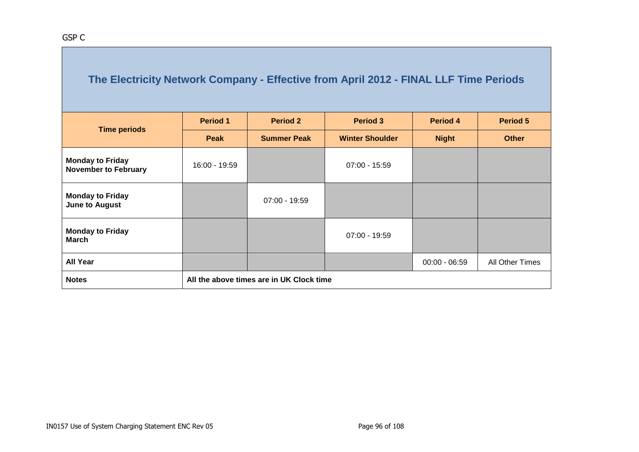| <b>Time periods</b>                                    | <b>Period 1</b>                          | <b>Period 2</b>    | <b>Period 3</b>        | Period 4        | <b>Period 5</b> |  |  |  |  |
|--------------------------------------------------------|------------------------------------------|--------------------|------------------------|-----------------|-----------------|--|--|--|--|
|                                                        | Peak                                     | <b>Summer Peak</b> | <b>Winter Shoulder</b> | <b>Night</b>    | <b>Other</b>    |  |  |  |  |
| <b>Monday to Friday</b><br><b>November to February</b> | 16:00 - 19:59                            |                    | $07:00 - 15:59$        |                 |                 |  |  |  |  |
| <b>Monday to Friday</b><br><b>June to August</b>       |                                          | $07:00 - 19:59$    |                        |                 |                 |  |  |  |  |
| <b>Monday to Friday</b><br><b>March</b>                |                                          |                    | $07:00 - 19:59$        |                 |                 |  |  |  |  |
| <b>All Year</b>                                        |                                          |                    |                        | $00:00 - 06:59$ | All Other Times |  |  |  |  |
| <b>Notes</b>                                           | All the above times are in UK Clock time |                    |                        |                 |                 |  |  |  |  |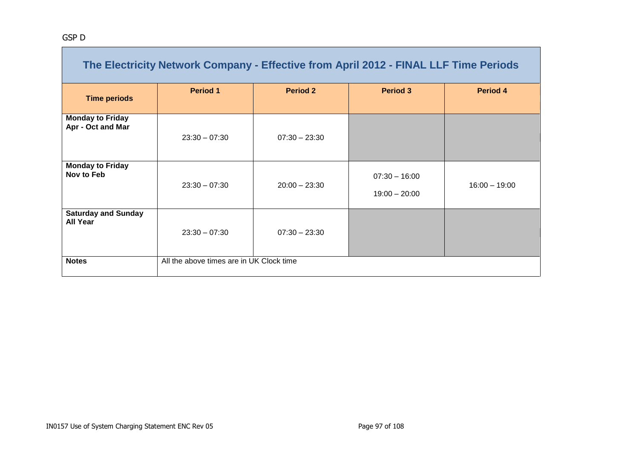| The Electricity Network Company - Effective from April 2012 - FINAL LLF Time Periods |                                          |                 |                                    |                 |  |  |
|--------------------------------------------------------------------------------------|------------------------------------------|-----------------|------------------------------------|-----------------|--|--|
| <b>Time periods</b>                                                                  | <b>Period 1</b>                          | <b>Period 2</b> | <b>Period 3</b>                    | Period 4        |  |  |
| <b>Monday to Friday</b><br>Apr - Oct and Mar                                         | $23:30 - 07:30$                          | $07:30 - 23:30$ |                                    |                 |  |  |
| <b>Monday to Friday</b><br>Nov to Feb                                                | $23:30 - 07:30$                          | $20:00 - 23:30$ | $07:30 - 16:00$<br>$19:00 - 20:00$ | $16:00 - 19:00$ |  |  |
| <b>Saturday and Sunday</b><br><b>All Year</b>                                        | $23:30 - 07:30$                          | $07:30 - 23:30$ |                                    |                 |  |  |
| <b>Notes</b>                                                                         | All the above times are in UK Clock time |                 |                                    |                 |  |  |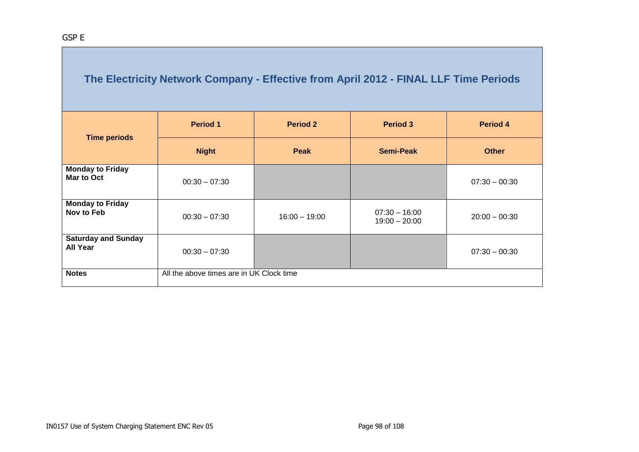| <b>Time periods</b>                           | <b>Period 1</b>                          | <b>Period 2</b> | <b>Period 3</b>                    | Period 4        |
|-----------------------------------------------|------------------------------------------|-----------------|------------------------------------|-----------------|
|                                               | <b>Night</b>                             | <b>Peak</b>     | <b>Semi-Peak</b>                   | <b>Other</b>    |
| <b>Monday to Friday</b><br>Mar to Oct         | $00:30 - 07:30$                          |                 |                                    | $07:30 - 00:30$ |
| <b>Monday to Friday</b><br>Nov to Feb         | $00:30 - 07:30$                          | $16:00 - 19:00$ | $07:30 - 16:00$<br>$19:00 - 20:00$ | $20:00 - 00:30$ |
| <b>Saturday and Sunday</b><br><b>All Year</b> | $00:30 - 07:30$                          |                 |                                    | $07:30 - 00:30$ |
| <b>Notes</b>                                  | All the above times are in UK Clock time |                 |                                    |                 |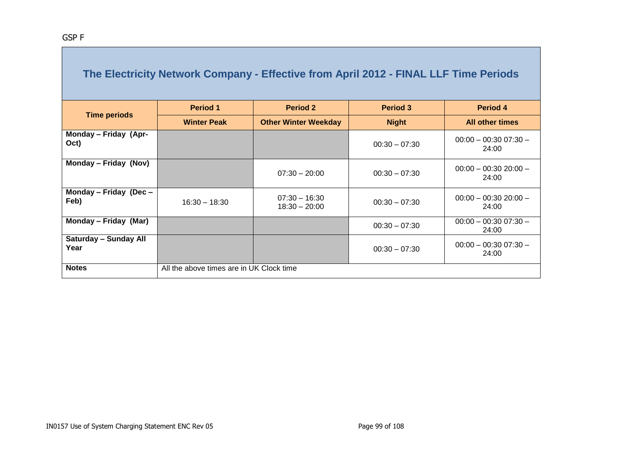|                                      | <b>Period 1</b>                          | <b>Period 2</b>                    | <b>Period 3</b> | Period 4                         |
|--------------------------------------|------------------------------------------|------------------------------------|-----------------|----------------------------------|
| <b>Time periods</b>                  | <b>Winter Peak</b>                       | <b>Other Winter Weekday</b>        | <b>Night</b>    | <b>All other times</b>           |
| Monday - Friday (Apr-<br>Oct)        |                                          |                                    | $00:30 - 07:30$ | $00:00 - 00:3007:30 -$<br>24:00  |
| Monday - Friday (Nov)                |                                          | $07:30 - 20:00$                    | $00:30 - 07:30$ | $00:00 - 00:3020:00 -$<br>24:00  |
| Monday - Friday (Dec -<br>Feb)       | $16:30 - 18:30$                          | $07:30 - 16:30$<br>$18:30 - 20:00$ | $00:30 - 07:30$ | $00:00 - 00:30 20:00 -$<br>24:00 |
| Monday - Friday (Mar)                |                                          |                                    | $00:30 - 07:30$ | $00:00 - 00:3007:30 -$<br>24:00  |
| <b>Saturday - Sunday All</b><br>Year |                                          |                                    | $00:30 - 07:30$ | $00:00 - 00:3007:30 -$<br>24:00  |
| <b>Notes</b>                         | All the above times are in UK Clock time |                                    |                 |                                  |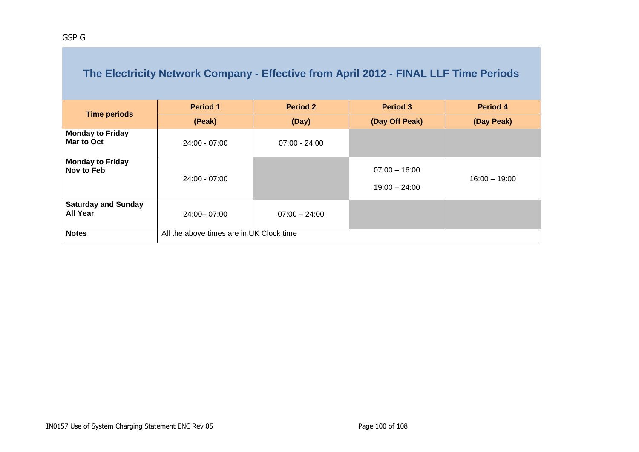|                                               | The Electricity Network Company - Effective from April 2012 - FINAL LLF Time Periods |                 |                                    |                 |
|-----------------------------------------------|--------------------------------------------------------------------------------------|-----------------|------------------------------------|-----------------|
|                                               | <b>Period 1</b>                                                                      | <b>Period 2</b> | <b>Period 3</b>                    | <b>Period 4</b> |
| <b>Time periods</b>                           | (Peak)                                                                               | (Day)           | (Day Off Peak)                     | (Day Peak)      |
| <b>Monday to Friday</b><br>Mar to Oct         | $24:00 - 07:00$                                                                      | $07:00 - 24:00$ |                                    |                 |
| <b>Monday to Friday</b><br>Nov to Feb         | $24:00 - 07:00$                                                                      |                 | $07:00 - 16:00$<br>$19:00 - 24:00$ | $16:00 - 19:00$ |
| <b>Saturday and Sunday</b><br><b>All Year</b> | 24:00 - 07:00                                                                        | $07:00 - 24:00$ |                                    |                 |
| <b>Notes</b>                                  | All the above times are in UK Clock time                                             |                 |                                    |                 |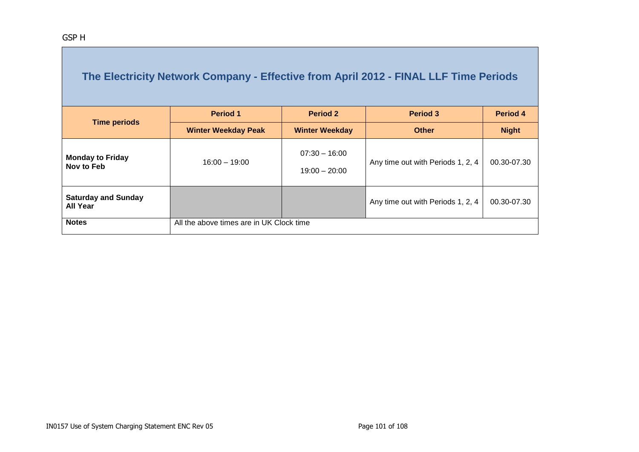| <b>Time periods</b>                           | <b>Period 1</b>                          | <b>Period 2</b>                    | <b>Period 3</b>                   | Period 4     |
|-----------------------------------------------|------------------------------------------|------------------------------------|-----------------------------------|--------------|
|                                               | <b>Winter Weekday Peak</b>               | <b>Winter Weekday</b>              | <b>Other</b>                      | <b>Night</b> |
| <b>Monday to Friday</b><br>Nov to Feb         | $16:00 - 19:00$                          | $07:30 - 16:00$<br>$19:00 - 20:00$ | Any time out with Periods 1, 2, 4 | 00.30-07.30  |
| <b>Saturday and Sunday</b><br><b>All Year</b> |                                          |                                    | Any time out with Periods 1, 2, 4 | 00.30-07.30  |
| <b>Notes</b>                                  | All the above times are in UK Clock time |                                    |                                   |              |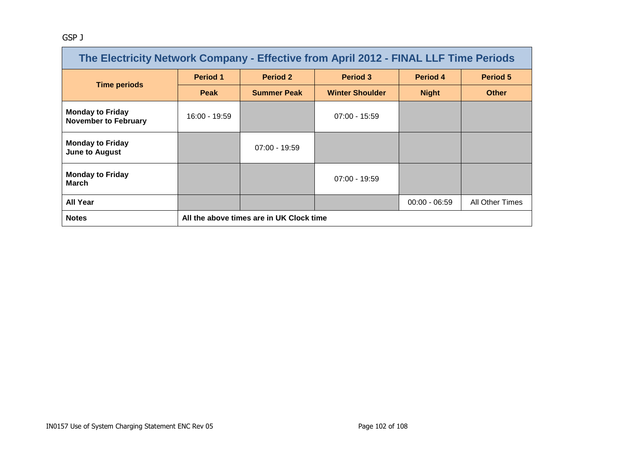#### GSP J

| The Electricity Network Company - Effective from April 2012 - FINAL LLF Time Periods |                 |                                          |                        |                 |                 |  |  |
|--------------------------------------------------------------------------------------|-----------------|------------------------------------------|------------------------|-----------------|-----------------|--|--|
| <b>Time periods</b>                                                                  | <b>Period 1</b> | Period 2                                 | <b>Period 3</b>        | Period 4        | <b>Period 5</b> |  |  |
|                                                                                      | <b>Peak</b>     | <b>Summer Peak</b>                       | <b>Winter Shoulder</b> | <b>Night</b>    | <b>Other</b>    |  |  |
| <b>Monday to Friday</b><br><b>November to February</b>                               | 16:00 - 19:59   |                                          | $07:00 - 15:59$        |                 |                 |  |  |
| <b>Monday to Friday</b><br><b>June to August</b>                                     |                 | $07:00 - 19:59$                          |                        |                 |                 |  |  |
| <b>Monday to Friday</b><br><b>March</b>                                              | $07:00 - 19:59$ |                                          |                        |                 |                 |  |  |
| <b>All Year</b>                                                                      |                 |                                          |                        | $00:00 - 06:59$ | All Other Times |  |  |
| <b>Notes</b>                                                                         |                 | All the above times are in UK Clock time |                        |                 |                 |  |  |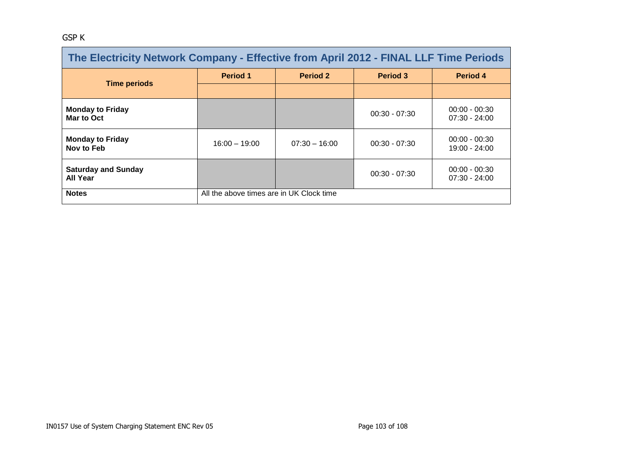#### GSP K

| The Electricity Network Company - Effective from April 2012 - FINAL LLF Time Periods |                                                       |                 |                 |                                    |  |  |
|--------------------------------------------------------------------------------------|-------------------------------------------------------|-----------------|-----------------|------------------------------------|--|--|
| <b>Time periods</b>                                                                  | <b>Period 1</b>                                       | <b>Period 2</b> | Period 3        | Period 4                           |  |  |
|                                                                                      |                                                       |                 |                 |                                    |  |  |
| <b>Monday to Friday</b><br>Mar to Oct                                                |                                                       |                 | $00:30 - 07:30$ | $00:00 - 00:30$<br>$07:30 - 24:00$ |  |  |
| <b>Monday to Friday</b><br>Nov to Feb                                                | $16:00 - 19:00$                                       | $07:30 - 16:00$ | $00:30 - 07:30$ | $00:00 - 00:30$<br>19:00 - 24:00   |  |  |
| <b>Saturday and Sunday</b><br><b>All Year</b>                                        | $00:00 - 00:30$<br>$00:30 - 07:30$<br>$07:30 - 24:00$ |                 |                 |                                    |  |  |
| <b>Notes</b>                                                                         | All the above times are in UK Clock time              |                 |                 |                                    |  |  |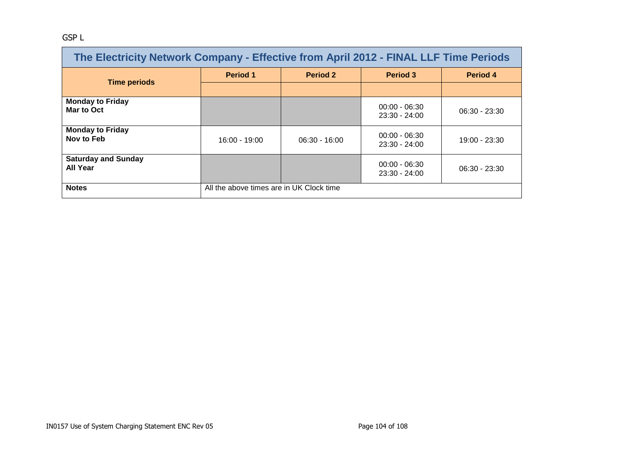#### GSP L

| The Electricity Network Company - Effective from April 2012 - FINAL LLF Time Periods |                                          |                 |                                    |                 |  |
|--------------------------------------------------------------------------------------|------------------------------------------|-----------------|------------------------------------|-----------------|--|
| <b>Time periods</b>                                                                  | <b>Period 1</b>                          | <b>Period 2</b> | <b>Period 3</b>                    | <b>Period 4</b> |  |
|                                                                                      |                                          |                 |                                    |                 |  |
| <b>Monday to Friday</b><br>Mar to Oct                                                |                                          |                 | $00:00 - 06:30$<br>$23:30 - 24:00$ | $06:30 - 23:30$ |  |
| <b>Monday to Friday</b><br>Nov to Feb                                                | $16:00 - 19:00$                          | $06:30 - 16:00$ | $00:00 - 06:30$<br>$23:30 - 24:00$ | $19:00 - 23:30$ |  |
| <b>Saturday and Sunday</b><br><b>All Year</b>                                        |                                          |                 | $00:00 - 06:30$<br>$23:30 - 24:00$ | $06:30 - 23:30$ |  |
| <b>Notes</b>                                                                         | All the above times are in UK Clock time |                 |                                    |                 |  |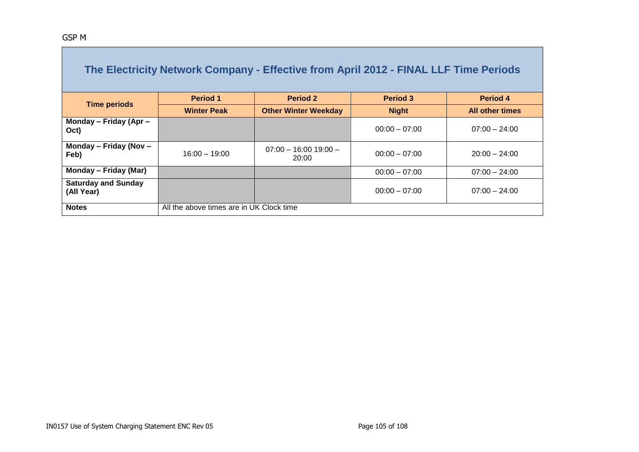|                                          |                    | The Electricity Network Company - Effective from April 2012 - FINAL LLF Time Periods |                 |                        |  |  |
|------------------------------------------|--------------------|--------------------------------------------------------------------------------------|-----------------|------------------------|--|--|
|                                          | <b>Period 1</b>    | <b>Period 2</b>                                                                      | <b>Period 3</b> | Period 4               |  |  |
| <b>Time periods</b>                      | <b>Winter Peak</b> | <b>Other Winter Weekday</b>                                                          | <b>Night</b>    | <b>All other times</b> |  |  |
| Monday - Friday (Apr -<br>Oct)           |                    |                                                                                      | $00:00 - 07:00$ | $07:00 - 24:00$        |  |  |
| Monday - Friday (Nov -<br>Feb)           | $16:00 - 19:00$    | $07:00 - 16:00 19:00 -$<br>20:00                                                     | $00:00 - 07:00$ | $20:00 - 24:00$        |  |  |
| Monday – Friday (Mar)                    |                    |                                                                                      | $00:00 - 07:00$ | $07:00 - 24:00$        |  |  |
| <b>Saturday and Sunday</b><br>(All Year) |                    |                                                                                      | $00:00 - 07:00$ | $07:00 - 24:00$        |  |  |
| <b>Notes</b>                             |                    | All the above times are in UK Clock time                                             |                 |                        |  |  |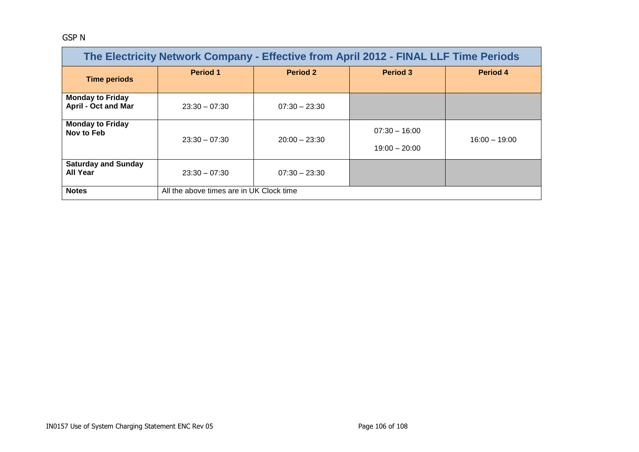#### GSP N

| The Electricity Network Company - Effective from April 2012 - FINAL LLF Time Periods |                                          |                 |                                    |                 |  |  |
|--------------------------------------------------------------------------------------|------------------------------------------|-----------------|------------------------------------|-----------------|--|--|
| <b>Time periods</b>                                                                  | <b>Period 1</b>                          | <b>Period 2</b> | <b>Period 3</b>                    | <b>Period 4</b> |  |  |
| <b>Monday to Friday</b><br><b>April - Oct and Mar</b>                                | $23:30 - 07:30$                          | $07:30 - 23:30$ |                                    |                 |  |  |
| <b>Monday to Friday</b><br>Nov to Feb                                                | $23:30 - 07:30$                          | $20:00 - 23:30$ | $07:30 - 16:00$<br>$19:00 - 20:00$ | $16:00 - 19:00$ |  |  |
| <b>Saturday and Sunday</b><br>All Year                                               | $23:30 - 07:30$                          | $07:30 - 23:30$ |                                    |                 |  |  |
| <b>Notes</b>                                                                         | All the above times are in UK Clock time |                 |                                    |                 |  |  |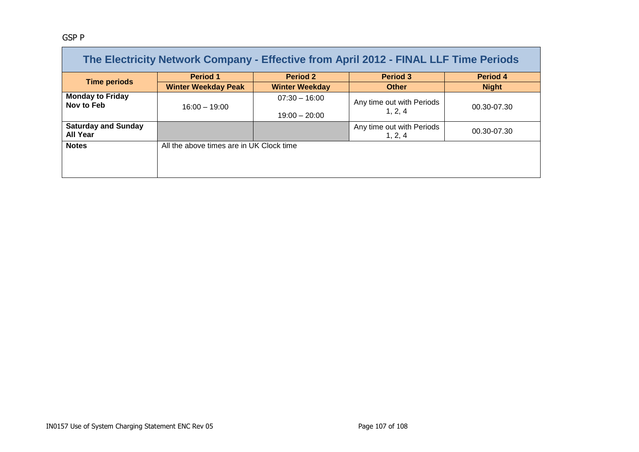#### GSP P

| The Electricity Network Company - Effective from April 2012 - FINAL LLF Time Periods |                                          |                       |                                      |              |  |  |
|--------------------------------------------------------------------------------------|------------------------------------------|-----------------------|--------------------------------------|--------------|--|--|
|                                                                                      | <b>Period 1</b>                          | <b>Period 2</b>       | <b>Period 3</b>                      | Period 4     |  |  |
| <b>Time periods</b>                                                                  | <b>Winter Weekday Peak</b>               | <b>Winter Weekday</b> | <b>Other</b>                         | <b>Night</b> |  |  |
| <b>Monday to Friday</b><br>Nov to Feb                                                | $16:00 - 19:00$                          | $07:30 - 16:00$       | Any time out with Periods            | 00.30-07.30  |  |  |
|                                                                                      |                                          | $19:00 - 20:00$       | 1, 2, 4                              |              |  |  |
| <b>Saturday and Sunday</b><br><b>All Year</b>                                        |                                          |                       | Any time out with Periods<br>1, 2, 4 | 00.30-07.30  |  |  |
| <b>Notes</b>                                                                         | All the above times are in UK Clock time |                       |                                      |              |  |  |
|                                                                                      |                                          |                       |                                      |              |  |  |